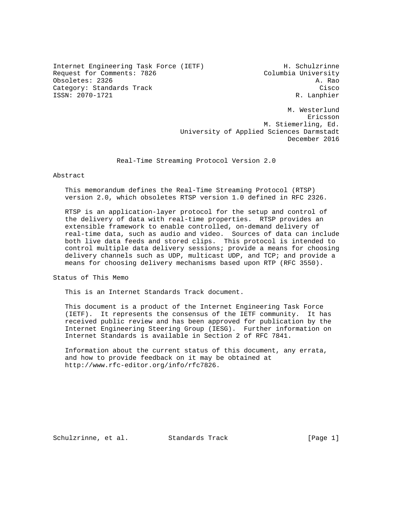Internet Engineering Task Force (IETF) H. Schulzrinne Request for Comments: 7826 Columbia University Obsoletes: 2326 A. Rao Category: Standards Track Cisco Cisco Cisco Cisco Cisco Cisco Cisco Cisco Cisco Cisco ISSN: 2070-1721 R. Lanphier

 M. Westerlund eric and the contract of the contract of the contract of the contract of the contract of the contract of the contract of the contract of the contract of the contract of the contract of the contract of the contract of the c M. Stiemerling, Ed. University of Applied Sciences Darmstadt December 2016

Real-Time Streaming Protocol Version 2.0

Abstract

 This memorandum defines the Real-Time Streaming Protocol (RTSP) version 2.0, which obsoletes RTSP version 1.0 defined in RFC 2326.

 RTSP is an application-layer protocol for the setup and control of the delivery of data with real-time properties. RTSP provides an extensible framework to enable controlled, on-demand delivery of real-time data, such as audio and video. Sources of data can include both live data feeds and stored clips. This protocol is intended to control multiple data delivery sessions; provide a means for choosing delivery channels such as UDP, multicast UDP, and TCP; and provide a means for choosing delivery mechanisms based upon RTP (RFC 3550).

Status of This Memo

This is an Internet Standards Track document.

 This document is a product of the Internet Engineering Task Force (IETF). It represents the consensus of the IETF community. It has received public review and has been approved for publication by the Internet Engineering Steering Group (IESG). Further information on Internet Standards is available in Section 2 of RFC 7841.

 Information about the current status of this document, any errata, and how to provide feedback on it may be obtained at http://www.rfc-editor.org/info/rfc7826.

Schulzrinne, et al. Standards Track [Page 1]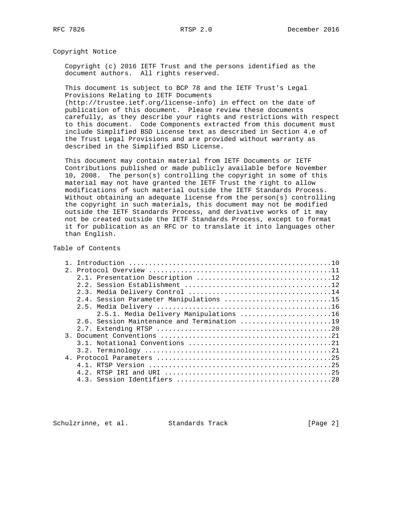Copyright Notice

 Copyright (c) 2016 IETF Trust and the persons identified as the document authors. All rights reserved.

 This document is subject to BCP 78 and the IETF Trust's Legal Provisions Relating to IETF Documents

 (http://trustee.ietf.org/license-info) in effect on the date of publication of this document. Please review these documents carefully, as they describe your rights and restrictions with respect to this document. Code Components extracted from this document must include Simplified BSD License text as described in Section 4.e of the Trust Legal Provisions and are provided without warranty as described in the Simplified BSD License.

 This document may contain material from IETF Documents or IETF Contributions published or made publicly available before November 10, 2008. The person(s) controlling the copyright in some of this material may not have granted the IETF Trust the right to allow modifications of such material outside the IETF Standards Process. Without obtaining an adequate license from the person(s) controlling the copyright in such materials, this document may not be modified outside the IETF Standards Process, and derivative works of it may not be created outside the IETF Standards Process, except to format it for publication as an RFC or to translate it into languages other than English.

## Table of Contents

| 2.1 |                                         |
|-----|-----------------------------------------|
|     |                                         |
|     |                                         |
|     |                                         |
|     | 2.4. Session Parameter Manipulations 15 |
|     |                                         |
|     | 2.5.1. Media Delivery Manipulations 16  |
|     |                                         |
|     |                                         |
|     |                                         |
|     |                                         |
|     |                                         |
|     |                                         |
|     |                                         |
|     |                                         |
|     |                                         |
|     |                                         |

Schulzrinne, et al. Standards Track [Page 2]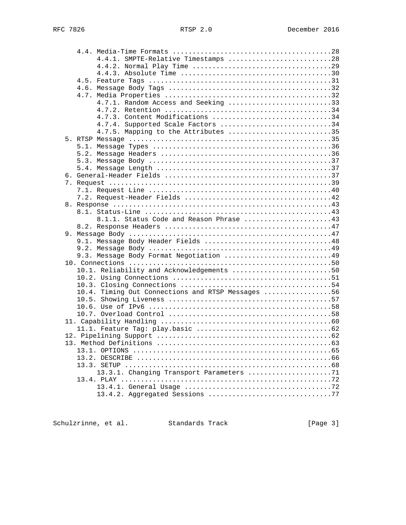|  | 4.4.1. SMPTE-Relative Timestamps 28               |  |
|--|---------------------------------------------------|--|
|  |                                                   |  |
|  |                                                   |  |
|  |                                                   |  |
|  |                                                   |  |
|  |                                                   |  |
|  | 4.7.1. Random Access and Seeking 33               |  |
|  |                                                   |  |
|  | 4.7.3. Content Modifications 34                   |  |
|  | 4.7.4. Supported Scale Factors 34                 |  |
|  | 4.7.5. Mapping to the Attributes 35               |  |
|  |                                                   |  |
|  |                                                   |  |
|  |                                                   |  |
|  |                                                   |  |
|  |                                                   |  |
|  |                                                   |  |
|  |                                                   |  |
|  |                                                   |  |
|  |                                                   |  |
|  |                                                   |  |
|  |                                                   |  |
|  | 8.1.1. Status Code and Reason Phrase 43           |  |
|  |                                                   |  |
|  |                                                   |  |
|  | 9.1. Message Body Header Fields 48                |  |
|  |                                                   |  |
|  | 9.3. Message Body Format Negotiation 49           |  |
|  |                                                   |  |
|  | 10.1. Reliability and Acknowledgements 50         |  |
|  |                                                   |  |
|  |                                                   |  |
|  | 10.4. Timing Out Connections and RTSP Messages 56 |  |
|  |                                                   |  |
|  |                                                   |  |
|  |                                                   |  |
|  |                                                   |  |
|  |                                                   |  |
|  |                                                   |  |
|  |                                                   |  |
|  |                                                   |  |
|  |                                                   |  |
|  |                                                   |  |
|  | 13.3.1. Changing Transport Parameters 71          |  |
|  |                                                   |  |
|  |                                                   |  |
|  |                                                   |  |
|  |                                                   |  |

Schulzrinne, et al. Standards Track [Page 3]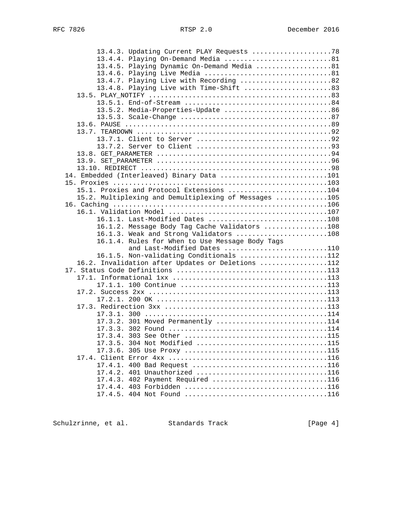| 13.4.3. Updating Current PLAY Requests 78                        |  |
|------------------------------------------------------------------|--|
| 13.4.4. Playing On-Demand Media 81                               |  |
| 13.4.5. Playing Dynamic On-Demand Media 81                       |  |
|                                                                  |  |
| 13.4.7. Playing Live with Recording 82                           |  |
| 13.4.8. Playing Live with Time-Shift 83                          |  |
|                                                                  |  |
|                                                                  |  |
| 13.5.2. Media-Properties-Update 86                               |  |
|                                                                  |  |
|                                                                  |  |
|                                                                  |  |
|                                                                  |  |
|                                                                  |  |
|                                                                  |  |
|                                                                  |  |
|                                                                  |  |
| 14. Embedded (Interleaved) Binary Data 101                       |  |
|                                                                  |  |
| 15.1. Proxies and Protocol Extensions 104                        |  |
| 15.2. Multiplexing and Demultiplexing of Messages 105            |  |
|                                                                  |  |
|                                                                  |  |
| 16.1.1. Last-Modified Dates 108                                  |  |
| 16.1.2. Message Body Tag Cache Validators 108                    |  |
| 16.1.3. Weak and Strong Validators 108                           |  |
| 16.1.4. Rules for When to Use Message Body Tags                  |  |
| and Last-Modified Dates 110                                      |  |
| 16.1.5. Non-validating Conditionals 112                          |  |
| 16.2. Invalidation after Updates or Deletions 112                |  |
|                                                                  |  |
|                                                                  |  |
|                                                                  |  |
|                                                                  |  |
|                                                                  |  |
|                                                                  |  |
|                                                                  |  |
| 17.3.2. 301 Moved Permanently 114                                |  |
|                                                                  |  |
|                                                                  |  |
|                                                                  |  |
|                                                                  |  |
|                                                                  |  |
|                                                                  |  |
| 17.4.2. 401 Unauthorized 116<br>17.4.3. 402 Payment Required 116 |  |
|                                                                  |  |
|                                                                  |  |
|                                                                  |  |

Schulzrinne, et al. Standards Track [Page 4]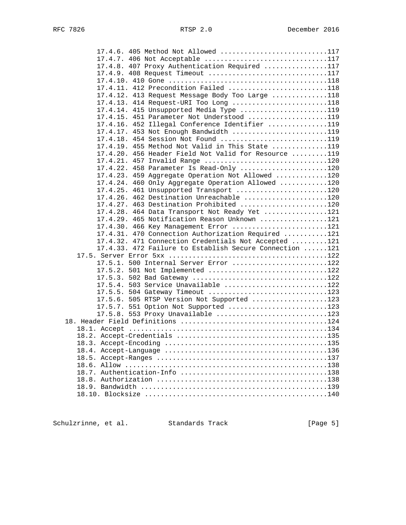| 17.4.6. 405 Method Not Allowed 117                                                                              |  |
|-----------------------------------------------------------------------------------------------------------------|--|
| 17.4.7. 406 Not Acceptable 117                                                                                  |  |
| 17.4.8. 407 Proxy Authentication Required 117                                                                   |  |
| 17.4.9. 408 Request Timeout 117                                                                                 |  |
|                                                                                                                 |  |
| 17.4.11. 412 Precondition Failed 118                                                                            |  |
| 17.4.12. 413 Request Message Body Too Large 118                                                                 |  |
| 17.4.13. 414 Request-URI Too Long 118                                                                           |  |
| 17.4.14. 415 Unsupported Media Type 119                                                                         |  |
| 17.4.15. 451 Parameter Not Understood 119                                                                       |  |
| 17.4.16. 452 Illegal Conference Identifier 119                                                                  |  |
| 17.4.17. 453 Not Enough Bandwidth 119                                                                           |  |
| 17.4.18. 454 Session Not Found 119                                                                              |  |
| 17.4.19. 455 Method Not Valid in This State 119                                                                 |  |
| 17.4.20. 456 Header Field Not Valid for Resource 119                                                            |  |
| 17.4.21. 457 Invalid Range 120                                                                                  |  |
| 17.4.22. 458 Parameter Is Read-Only 120                                                                         |  |
| 17.4.23. 459 Aggregate Operation Not Allowed 120                                                                |  |
| 17.4.24. 460 Only Aggregate Operation Allowed 120                                                               |  |
| 17.4.25. 461 Unsupported Transport 120                                                                          |  |
| 17.4.26. 462 Destination Unreachable 120                                                                        |  |
| 17.4.27. 463 Destination Prohibited 120                                                                         |  |
| 17.4.28. 464 Data Transport Not Ready Yet 121                                                                   |  |
| 17.4.29. 465 Notification Reason Unknown 121                                                                    |  |
| 17.4.30. 466 Key Management Error 121                                                                           |  |
| 17.4.31. 470 Connection Authorization Required 121                                                              |  |
| 17.4.32. 471 Connection Credentials Not Accepted 121<br>17.4.33. 472 Failure to Establish Secure Connection 121 |  |
|                                                                                                                 |  |
| 17.5.1. 500 Internal Server Error 122                                                                           |  |
| 17.5.2. 501 Not Implemented 122                                                                                 |  |
|                                                                                                                 |  |
| 17.5.4. 503 Service Unavailable 122                                                                             |  |
| 17.5.5. 504 Gateway Timeout 123                                                                                 |  |
| 17.5.6. 505 RTSP Version Not Supported 123                                                                      |  |
| 17.5.7. 551 Option Not Supported 123                                                                            |  |
| 17.5.8. 553 Proxy Unavailable 123                                                                               |  |
|                                                                                                                 |  |
|                                                                                                                 |  |
|                                                                                                                 |  |
|                                                                                                                 |  |
|                                                                                                                 |  |
|                                                                                                                 |  |
|                                                                                                                 |  |
|                                                                                                                 |  |
|                                                                                                                 |  |
|                                                                                                                 |  |
|                                                                                                                 |  |

Schulzrinne, et al. Standards Track [Page 5]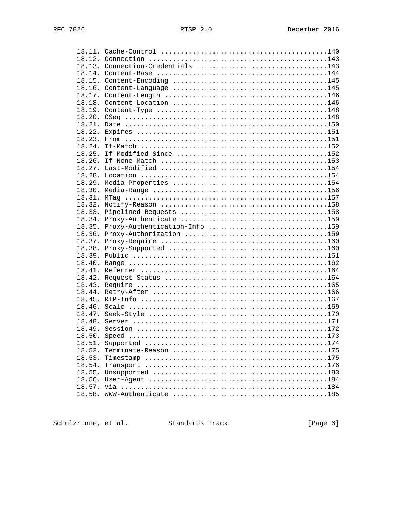|        | 18.13. Connection-Credentials 143    |  |
|--------|--------------------------------------|--|
|        |                                      |  |
|        |                                      |  |
|        |                                      |  |
|        |                                      |  |
|        |                                      |  |
|        |                                      |  |
|        |                                      |  |
|        |                                      |  |
| 18.22. |                                      |  |
| 18.23. |                                      |  |
|        |                                      |  |
|        |                                      |  |
| 18.26. |                                      |  |
| 18.27. |                                      |  |
| 18.28. |                                      |  |
| 18.29. |                                      |  |
| 18.30. |                                      |  |
| 18.31. |                                      |  |
| 18.32. |                                      |  |
| 18.33. |                                      |  |
| 18.34. |                                      |  |
|        | 18.35. Proxy-Authentication-Info 159 |  |
|        |                                      |  |
|        |                                      |  |
| 18.38. |                                      |  |
|        |                                      |  |
| 18.40. |                                      |  |
| 18.41. |                                      |  |
| 18.42. |                                      |  |
| 18.43. |                                      |  |
| 18.44. |                                      |  |
| 18.45. |                                      |  |
| 18.46. |                                      |  |
|        |                                      |  |
|        |                                      |  |
|        |                                      |  |
| 18.50. |                                      |  |
|        |                                      |  |
| 18.52. |                                      |  |
| 18.53. |                                      |  |
| 18.54. |                                      |  |
| 18.55. |                                      |  |
| 18.56. |                                      |  |
| 18.57. |                                      |  |
| 18.58. |                                      |  |
|        |                                      |  |

Schulzrinne, et al. Standards Track

 $[Page 6]$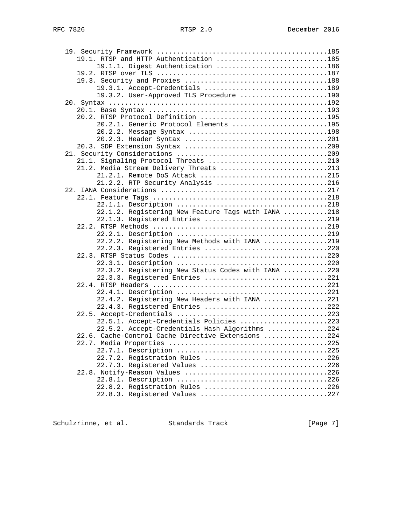| 19.1. RTSP and HTTP Authentication 185             |  |
|----------------------------------------------------|--|
| 19.1.1. Digest Authentication 186                  |  |
|                                                    |  |
|                                                    |  |
| 19.3.1. Accept-Credentials 189                     |  |
| 19.3.2. User-Approved TLS Procedure 190            |  |
|                                                    |  |
|                                                    |  |
| 20.2. RTSP Protocol Definition 195                 |  |
| 20.2.1. Generic Protocol Elements 195              |  |
| 20.2.2. Message Syntax 198                         |  |
|                                                    |  |
|                                                    |  |
|                                                    |  |
|                                                    |  |
| 21.2. Media Stream Delivery Threats 213            |  |
| 21.2.1. Remote DoS Attack 215                      |  |
| 21.2.2. RTP Security Analysis 216                  |  |
|                                                    |  |
|                                                    |  |
|                                                    |  |
| 22.1.2. Registering New Feature Tags with IANA 218 |  |
| 22.1.3. Registered Entries 219                     |  |
|                                                    |  |
|                                                    |  |
| 22.2.2. Registering New Methods with IANA 219      |  |
| 22.2.3. Registered Entries 220                     |  |
|                                                    |  |
|                                                    |  |
| 22.3.2. Registering New Status Codes with IANA 220 |  |
| 22.3.3. Registered Entries 221                     |  |
|                                                    |  |
|                                                    |  |
| 22.4.2. Registering New Headers with IANA 221      |  |
| 22.4.3. Registered Entries 222                     |  |
|                                                    |  |
| 22.5.1. Accept-Credentials Policies 223            |  |
| 22.5.2. Accept-Credentials Hash Algorithms 224     |  |
| 22.6. Cache-Control Cache Directive Extensions 224 |  |
|                                                    |  |
|                                                    |  |
| 22.7.2. Registration Rules 226                     |  |
| 22.7.3. Registered Values 226                      |  |
|                                                    |  |
|                                                    |  |
| 22.8.2. Registration Rules 226                     |  |
| 22.8.3. Registered Values 227                      |  |

Schulzrinne, et al. Standards Track [Page 7]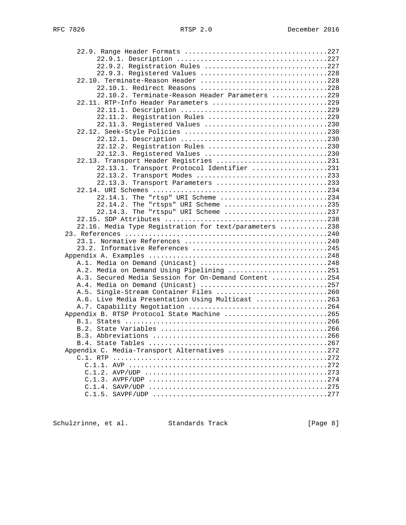| 22.9.2. Registration Rules 227                                                                    |  |
|---------------------------------------------------------------------------------------------------|--|
| 22.9.3. Registered Values 228                                                                     |  |
| 22.10. Terminate-Reason Header 228                                                                |  |
| 22.10.1. Redirect Reasons 228                                                                     |  |
| 22.10.2. Terminate-Reason Header Parameters 229                                                   |  |
| 22.11. RTP-Info Header Parameters 229                                                             |  |
|                                                                                                   |  |
| 22.11.2. Registration Rules 229                                                                   |  |
| 22.11.3. Registered Values 230                                                                    |  |
|                                                                                                   |  |
|                                                                                                   |  |
| 22.12.2. Registration Rules 230                                                                   |  |
| 22.12.3. Registered Values 230                                                                    |  |
| 22.13. Transport Header Registries 231                                                            |  |
| 22.13.1. Transport Protocol Identifier 231                                                        |  |
| 22.13.2. Transport Modes 233                                                                      |  |
| 22.13.3. Transport Parameters 233                                                                 |  |
|                                                                                                   |  |
| 22.14.1. The "rtsp" URI Scheme 234                                                                |  |
| 22.14.2. The "rtsps" URI Scheme 235                                                               |  |
| 22.14.3. The "rtspu" URI Scheme 237                                                               |  |
|                                                                                                   |  |
| 22.16. Media Type Registration for text/parameters 238                                            |  |
|                                                                                                   |  |
|                                                                                                   |  |
|                                                                                                   |  |
|                                                                                                   |  |
| A.1. Media on Demand (Unicast) 248                                                                |  |
| A.2. Media on Demand Using Pipelining 251<br>A.3. Secured Media Session for On-Demand Content 254 |  |
| A.4. Media on Demand (Unicast) 257                                                                |  |
| A.5. Single-Stream Container Files 260                                                            |  |
| A.6. Live Media Presentation Using Multicast 263                                                  |  |
|                                                                                                   |  |
| Appendix B. RTSP Protocol State Machine 265                                                       |  |
|                                                                                                   |  |
|                                                                                                   |  |
|                                                                                                   |  |
|                                                                                                   |  |
| Appendix C. Media-Transport Alternatives 272                                                      |  |
|                                                                                                   |  |
|                                                                                                   |  |
|                                                                                                   |  |
|                                                                                                   |  |
|                                                                                                   |  |
|                                                                                                   |  |
|                                                                                                   |  |

Schulzrinne, et al. Standards Track [Page 8]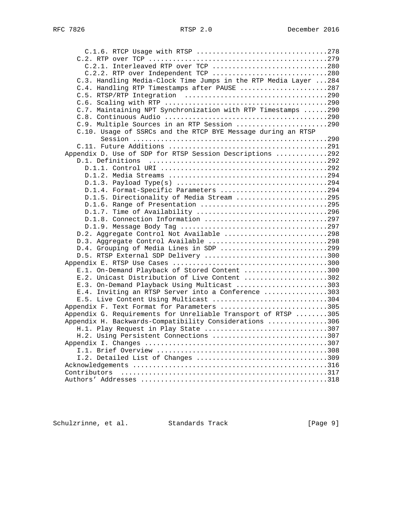| C.2.1. Interleaved RTP over TCP 280                              |  |
|------------------------------------------------------------------|--|
| C.2.2. RTP over Independent TCP 280                              |  |
| C.3. Handling Media-Clock Time Jumps in the RTP Media Layer  284 |  |
| C.4. Handling RTP Timestamps after PAUSE 287                     |  |
|                                                                  |  |
|                                                                  |  |
| C.7. Maintaining NPT Synchronization with RTP Timestamps 290     |  |
|                                                                  |  |
| C.9. Multiple Sources in an RTP Session 290                      |  |
| C.10. Usage of SSRCs and the RTCP BYE Message during an RTSP     |  |
|                                                                  |  |
|                                                                  |  |
| Appendix D. Use of SDP for RTSP Session Descriptions 292         |  |
|                                                                  |  |
|                                                                  |  |
|                                                                  |  |
|                                                                  |  |
| D.1.4. Format-Specific Parameters 294                            |  |
| D.1.5. Directionality of Media Stream 295                        |  |
| D.1.6. Range of Presentation 295                                 |  |
| D.1.7. Time of Availability 296                                  |  |
| D.1.8. Connection Information 297                                |  |
|                                                                  |  |
| D.2. Aggregate Control Not Available 298                         |  |
| D.3. Aggregate Control Available 298                             |  |
| D.4. Grouping of Media Lines in SDP 299                          |  |
| D.5. RTSP External SDP Delivery 300                              |  |
|                                                                  |  |
| E.1. On-Demand Playback of Stored Content 300                    |  |
| E.2. Unicast Distribution of Live Content 302                    |  |
| E.3. On-Demand Playback Using Multicast 303                      |  |
| E.4. Inviting an RTSP Server into a Conference 303               |  |
| E.5. Live Content Using Multicast 304                            |  |
| Appendix F. Text Format for Parameters 305                       |  |
| Appendix G. Requirements for Unreliable Transport of RTSP 305    |  |
| Appendix H. Backwards-Compatibility Considerations 306           |  |
| H.1. Play Request in Play State 307                              |  |
| H.2. Using Persistent Connections 307                            |  |
|                                                                  |  |
|                                                                  |  |
| I.2. Detailed List of Changes 309                                |  |
|                                                                  |  |
|                                                                  |  |
|                                                                  |  |
|                                                                  |  |

Schulzrinne, et al. Standards Track [Page 9]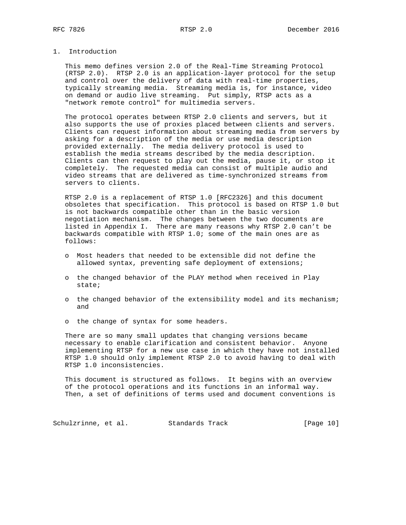# 1. Introduction

 This memo defines version 2.0 of the Real-Time Streaming Protocol (RTSP 2.0). RTSP 2.0 is an application-layer protocol for the setup and control over the delivery of data with real-time properties, typically streaming media. Streaming media is, for instance, video on demand or audio live streaming. Put simply, RTSP acts as a "network remote control" for multimedia servers.

 The protocol operates between RTSP 2.0 clients and servers, but it also supports the use of proxies placed between clients and servers. Clients can request information about streaming media from servers by asking for a description of the media or use media description provided externally. The media delivery protocol is used to establish the media streams described by the media description. Clients can then request to play out the media, pause it, or stop it completely. The requested media can consist of multiple audio and video streams that are delivered as time-synchronized streams from servers to clients.

 RTSP 2.0 is a replacement of RTSP 1.0 [RFC2326] and this document obsoletes that specification. This protocol is based on RTSP 1.0 but is not backwards compatible other than in the basic version negotiation mechanism. The changes between the two documents are listed in Appendix I. There are many reasons why RTSP 2.0 can't be backwards compatible with RTSP 1.0; some of the main ones are as follows:

- o Most headers that needed to be extensible did not define the allowed syntax, preventing safe deployment of extensions;
- o the changed behavior of the PLAY method when received in Play state;
- o the changed behavior of the extensibility model and its mechanism; and
- o the change of syntax for some headers.

 There are so many small updates that changing versions became necessary to enable clarification and consistent behavior. Anyone implementing RTSP for a new use case in which they have not installed RTSP 1.0 should only implement RTSP 2.0 to avoid having to deal with RTSP 1.0 inconsistencies.

 This document is structured as follows. It begins with an overview of the protocol operations and its functions in an informal way. Then, a set of definitions of terms used and document conventions is

Schulzrinne, et al. Standards Track [Page 10]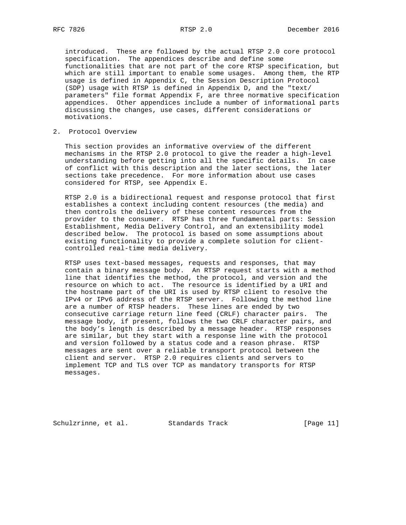introduced. These are followed by the actual RTSP 2.0 core protocol specification. The appendices describe and define some functionalities that are not part of the core RTSP specification, but which are still important to enable some usages. Among them, the RTP usage is defined in Appendix C, the Session Description Protocol (SDP) usage with RTSP is defined in Appendix D, and the "text/ parameters" file format Appendix F, are three normative specification appendices. Other appendices include a number of informational parts discussing the changes, use cases, different considerations or motivations.

## 2. Protocol Overview

 This section provides an informative overview of the different mechanisms in the RTSP 2.0 protocol to give the reader a high-level understanding before getting into all the specific details. In case of conflict with this description and the later sections, the later sections take precedence. For more information about use cases considered for RTSP, see Appendix E.

 RTSP 2.0 is a bidirectional request and response protocol that first establishes a context including content resources (the media) and then controls the delivery of these content resources from the provider to the consumer. RTSP has three fundamental parts: Session Establishment, Media Delivery Control, and an extensibility model described below. The protocol is based on some assumptions about existing functionality to provide a complete solution for client controlled real-time media delivery.

 RTSP uses text-based messages, requests and responses, that may contain a binary message body. An RTSP request starts with a method line that identifies the method, the protocol, and version and the resource on which to act. The resource is identified by a URI and the hostname part of the URI is used by RTSP client to resolve the IPv4 or IPv6 address of the RTSP server. Following the method line are a number of RTSP headers. These lines are ended by two consecutive carriage return line feed (CRLF) character pairs. The message body, if present, follows the two CRLF character pairs, and the body's length is described by a message header. RTSP responses are similar, but they start with a response line with the protocol and version followed by a status code and a reason phrase. RTSP messages are sent over a reliable transport protocol between the client and server. RTSP 2.0 requires clients and servers to implement TCP and TLS over TCP as mandatory transports for RTSP messages.

Schulzrinne, et al. Standards Track [Page 11]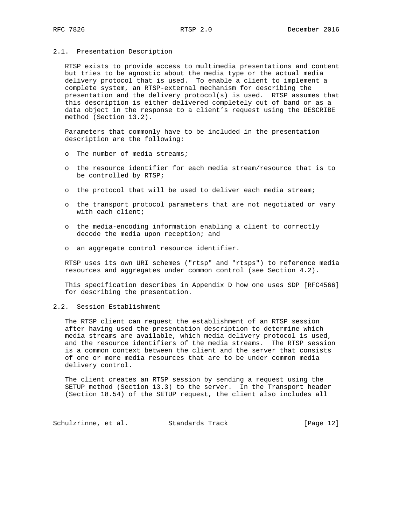#### 2.1. Presentation Description

 RTSP exists to provide access to multimedia presentations and content but tries to be agnostic about the media type or the actual media delivery protocol that is used. To enable a client to implement a complete system, an RTSP-external mechanism for describing the presentation and the delivery protocol(s) is used. RTSP assumes that this description is either delivered completely out of band or as a data object in the response to a client's request using the DESCRIBE method (Section 13.2).

 Parameters that commonly have to be included in the presentation description are the following:

- o The number of media streams;
- o the resource identifier for each media stream/resource that is to be controlled by RTSP;
- o the protocol that will be used to deliver each media stream;
- o the transport protocol parameters that are not negotiated or vary with each client;
- o the media-encoding information enabling a client to correctly decode the media upon reception; and
- o an aggregate control resource identifier.

 RTSP uses its own URI schemes ("rtsp" and "rtsps") to reference media resources and aggregates under common control (see Section 4.2).

 This specification describes in Appendix D how one uses SDP [RFC4566] for describing the presentation.

2.2. Session Establishment

 The RTSP client can request the establishment of an RTSP session after having used the presentation description to determine which media streams are available, which media delivery protocol is used, and the resource identifiers of the media streams. The RTSP session is a common context between the client and the server that consists of one or more media resources that are to be under common media delivery control.

 The client creates an RTSP session by sending a request using the SETUP method (Section 13.3) to the server. In the Transport header (Section 18.54) of the SETUP request, the client also includes all

Schulzrinne, et al. Standards Track [Page 12]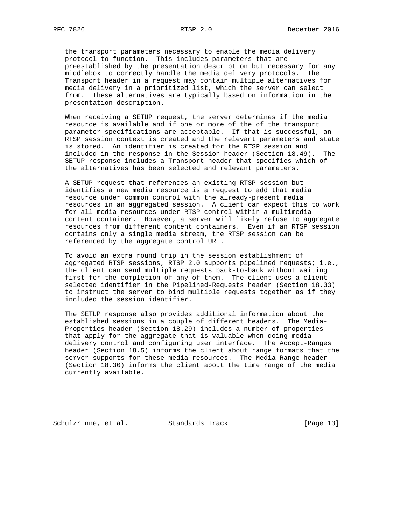the transport parameters necessary to enable the media delivery protocol to function. This includes parameters that are preestablished by the presentation description but necessary for any middlebox to correctly handle the media delivery protocols. The Transport header in a request may contain multiple alternatives for media delivery in a prioritized list, which the server can select from. These alternatives are typically based on information in the presentation description.

 When receiving a SETUP request, the server determines if the media resource is available and if one or more of the of the transport parameter specifications are acceptable. If that is successful, an RTSP session context is created and the relevant parameters and state is stored. An identifier is created for the RTSP session and included in the response in the Session header (Section 18.49). The SETUP response includes a Transport header that specifies which of the alternatives has been selected and relevant parameters.

 A SETUP request that references an existing RTSP session but identifies a new media resource is a request to add that media resource under common control with the already-present media resources in an aggregated session. A client can expect this to work for all media resources under RTSP control within a multimedia content container. However, a server will likely refuse to aggregate resources from different content containers. Even if an RTSP session contains only a single media stream, the RTSP session can be referenced by the aggregate control URI.

 To avoid an extra round trip in the session establishment of aggregated RTSP sessions, RTSP 2.0 supports pipelined requests; i.e., the client can send multiple requests back-to-back without waiting first for the completion of any of them. The client uses a client selected identifier in the Pipelined-Requests header (Section 18.33) to instruct the server to bind multiple requests together as if they included the session identifier.

 The SETUP response also provides additional information about the established sessions in a couple of different headers. The Media- Properties header (Section 18.29) includes a number of properties that apply for the aggregate that is valuable when doing media delivery control and configuring user interface. The Accept-Ranges header (Section 18.5) informs the client about range formats that the server supports for these media resources. The Media-Range header (Section 18.30) informs the client about the time range of the media currently available.

Schulzrinne, et al. Standards Track [Page 13]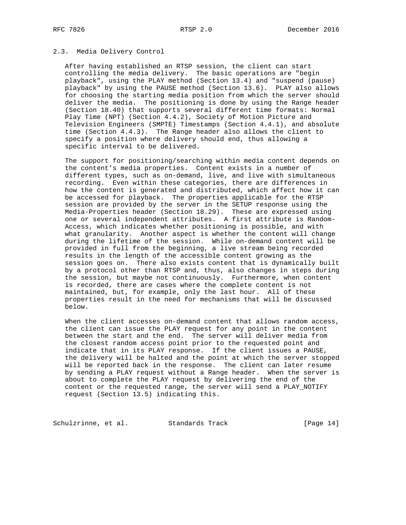## 2.3. Media Delivery Control

 After having established an RTSP session, the client can start controlling the media delivery. The basic operations are "begin playback", using the PLAY method (Section 13.4) and "suspend (pause) playback" by using the PAUSE method (Section 13.6). PLAY also allows for choosing the starting media position from which the server should deliver the media. The positioning is done by using the Range header (Section 18.40) that supports several different time formats: Normal Play Time (NPT) (Section 4.4.2), Society of Motion Picture and Television Engineers (SMPTE) Timestamps (Section 4.4.1), and absolute time (Section 4.4.3). The Range header also allows the client to specify a position where delivery should end, thus allowing a specific interval to be delivered.

 The support for positioning/searching within media content depends on the content's media properties. Content exists in a number of different types, such as on-demand, live, and live with simultaneous recording. Even within these categories, there are differences in how the content is generated and distributed, which affect how it can be accessed for playback. The properties applicable for the RTSP session are provided by the server in the SETUP response using the Media-Properties header (Section 18.29). These are expressed using one or several independent attributes. A first attribute is Random- Access, which indicates whether positioning is possible, and with what granularity. Another aspect is whether the content will change during the lifetime of the session. While on-demand content will be provided in full from the beginning, a live stream being recorded results in the length of the accessible content growing as the session goes on. There also exists content that is dynamically built by a protocol other than RTSP and, thus, also changes in steps during the session, but maybe not continuously. Furthermore, when content is recorded, there are cases where the complete content is not maintained, but, for example, only the last hour. All of these properties result in the need for mechanisms that will be discussed below.

 When the client accesses on-demand content that allows random access, the client can issue the PLAY request for any point in the content between the start and the end. The server will deliver media from the closest random access point prior to the requested point and indicate that in its PLAY response. If the client issues a PAUSE, the delivery will be halted and the point at which the server stopped will be reported back in the response. The client can later resume by sending a PLAY request without a Range header. When the server is about to complete the PLAY request by delivering the end of the content or the requested range, the server will send a PLAY\_NOTIFY request (Section 13.5) indicating this.

Schulzrinne, et al. Standards Track [Page 14]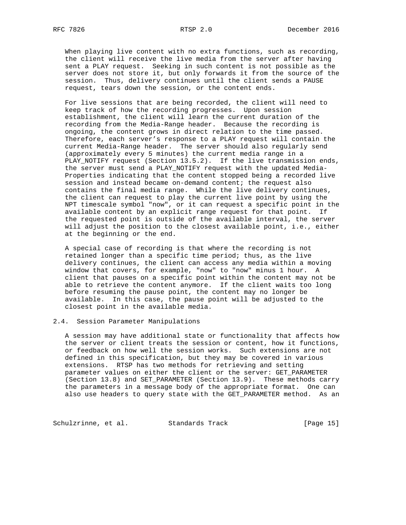When playing live content with no extra functions, such as recording, the client will receive the live media from the server after having sent a PLAY request. Seeking in such content is not possible as the server does not store it, but only forwards it from the source of the session. Thus, delivery continues until the client sends a PAUSE request, tears down the session, or the content ends.

 For live sessions that are being recorded, the client will need to keep track of how the recording progresses. Upon session establishment, the client will learn the current duration of the recording from the Media-Range header. Because the recording is ongoing, the content grows in direct relation to the time passed. Therefore, each server's response to a PLAY request will contain the current Media-Range header. The server should also regularly send (approximately every 5 minutes) the current media range in a PLAY\_NOTIFY request (Section 13.5.2). If the live transmission ends, the server must send a PLAY\_NOTIFY request with the updated Media- Properties indicating that the content stopped being a recorded live session and instead became on-demand content; the request also contains the final media range. While the live delivery continues, the client can request to play the current live point by using the NPT timescale symbol "now", or it can request a specific point in the available content by an explicit range request for that point. If the requested point is outside of the available interval, the server will adjust the position to the closest available point, i.e., either at the beginning or the end.

 A special case of recording is that where the recording is not retained longer than a specific time period; thus, as the live delivery continues, the client can access any media within a moving window that covers, for example, "now" to "now" minus 1 hour. A client that pauses on a specific point within the content may not be able to retrieve the content anymore. If the client waits too long before resuming the pause point, the content may no longer be available. In this case, the pause point will be adjusted to the closest point in the available media.

#### 2.4. Session Parameter Manipulations

 A session may have additional state or functionality that affects how the server or client treats the session or content, how it functions, or feedback on how well the session works. Such extensions are not defined in this specification, but they may be covered in various extensions. RTSP has two methods for retrieving and setting parameter values on either the client or the server: GET\_PARAMETER (Section 13.8) and SET\_PARAMETER (Section 13.9). These methods carry the parameters in a message body of the appropriate format. One can also use headers to query state with the GET\_PARAMETER method. As an

Schulzrinne, et al. Standards Track [Page 15]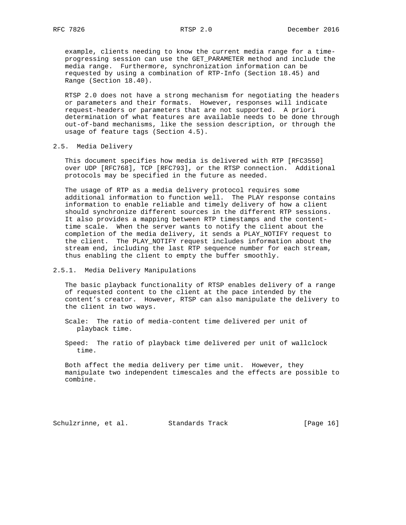example, clients needing to know the current media range for a time progressing session can use the GET\_PARAMETER method and include the media range. Furthermore, synchronization information can be requested by using a combination of RTP-Info (Section 18.45) and Range (Section 18.40).

 RTSP 2.0 does not have a strong mechanism for negotiating the headers or parameters and their formats. However, responses will indicate request-headers or parameters that are not supported. A priori determination of what features are available needs to be done through out-of-band mechanisms, like the session description, or through the usage of feature tags (Section 4.5).

## 2.5. Media Delivery

 This document specifies how media is delivered with RTP [RFC3550] over UDP [RFC768], TCP [RFC793], or the RTSP connection. Additional protocols may be specified in the future as needed.

 The usage of RTP as a media delivery protocol requires some additional information to function well. The PLAY response contains information to enable reliable and timely delivery of how a client should synchronize different sources in the different RTP sessions. It also provides a mapping between RTP timestamps and the content time scale. When the server wants to notify the client about the completion of the media delivery, it sends a PLAY\_NOTIFY request to the client. The PLAY\_NOTIFY request includes information about the stream end, including the last RTP sequence number for each stream, thus enabling the client to empty the buffer smoothly.

## 2.5.1. Media Delivery Manipulations

 The basic playback functionality of RTSP enables delivery of a range of requested content to the client at the pace intended by the content's creator. However, RTSP can also manipulate the delivery to the client in two ways.

 Scale: The ratio of media-content time delivered per unit of playback time.

 Speed: The ratio of playback time delivered per unit of wallclock time.

 Both affect the media delivery per time unit. However, they manipulate two independent timescales and the effects are possible to combine.

Schulzrinne, et al. Standards Track [Page 16]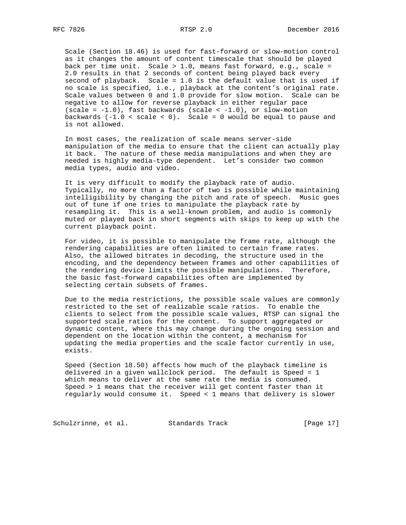Scale (Section 18.46) is used for fast-forward or slow-motion control as it changes the amount of content timescale that should be played back per time unit. Scale > 1.0, means fast forward, e.g., scale = 2.0 results in that 2 seconds of content being played back every second of playback. Scale = 1.0 is the default value that is used if no scale is specified, i.e., playback at the content's original rate. Scale values between 0 and 1.0 provide for slow motion. Scale can be negative to allow for reverse playback in either regular pace (scale =  $-1.0$ ), fast backwards (scale <  $-1.0$ ), or slow-motion backwards  $(-1.0 < scale < 0)$ . Scale = 0 would be equal to pause and is not allowed.

 In most cases, the realization of scale means server-side manipulation of the media to ensure that the client can actually play it back. The nature of these media manipulations and when they are needed is highly media-type dependent. Let's consider two common media types, audio and video.

 It is very difficult to modify the playback rate of audio. Typically, no more than a factor of two is possible while maintaining intelligibility by changing the pitch and rate of speech. Music goes out of tune if one tries to manipulate the playback rate by resampling it. This is a well-known problem, and audio is commonly muted or played back in short segments with skips to keep up with the current playback point.

 For video, it is possible to manipulate the frame rate, although the rendering capabilities are often limited to certain frame rates. Also, the allowed bitrates in decoding, the structure used in the encoding, and the dependency between frames and other capabilities of the rendering device limits the possible manipulations. Therefore, the basic fast-forward capabilities often are implemented by selecting certain subsets of frames.

 Due to the media restrictions, the possible scale values are commonly restricted to the set of realizable scale ratios. To enable the clients to select from the possible scale values, RTSP can signal the supported scale ratios for the content. To support aggregated or dynamic content, where this may change during the ongoing session and dependent on the location within the content, a mechanism for updating the media properties and the scale factor currently in use, exists.

 Speed (Section 18.50) affects how much of the playback timeline is delivered in a given wallclock period. The default is Speed = 1 which means to deliver at the same rate the media is consumed. Speed > 1 means that the receiver will get content faster than it regularly would consume it. Speed < 1 means that delivery is slower

Schulzrinne, et al. Standards Track [Page 17]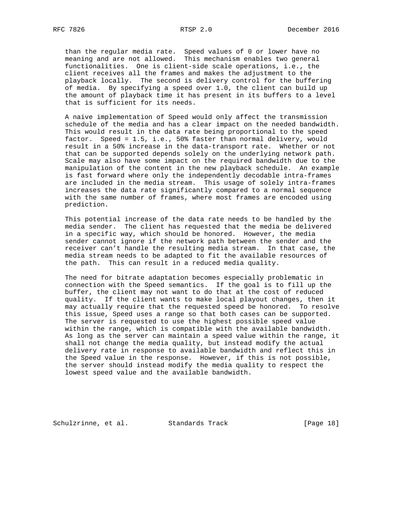than the regular media rate. Speed values of 0 or lower have no meaning and are not allowed. This mechanism enables two general functionalities. One is client-side scale operations, i.e., the client receives all the frames and makes the adjustment to the playback locally. The second is delivery control for the buffering of media. By specifying a speed over 1.0, the client can build up the amount of playback time it has present in its buffers to a level that is sufficient for its needs.

 A naive implementation of Speed would only affect the transmission schedule of the media and has a clear impact on the needed bandwidth. This would result in the data rate being proportional to the speed factor. Speed = 1.5, i.e., 50% faster than normal delivery, would result in a 50% increase in the data-transport rate. Whether or not that can be supported depends solely on the underlying network path. Scale may also have some impact on the required bandwidth due to the manipulation of the content in the new playback schedule. An example is fast forward where only the independently decodable intra-frames are included in the media stream. This usage of solely intra-frames increases the data rate significantly compared to a normal sequence with the same number of frames, where most frames are encoded using prediction.

 This potential increase of the data rate needs to be handled by the media sender. The client has requested that the media be delivered in a specific way, which should be honored. However, the media sender cannot ignore if the network path between the sender and the receiver can't handle the resulting media stream. In that case, the media stream needs to be adapted to fit the available resources of the path. This can result in a reduced media quality.

 The need for bitrate adaptation becomes especially problematic in connection with the Speed semantics. If the goal is to fill up the buffer, the client may not want to do that at the cost of reduced quality. If the client wants to make local playout changes, then it may actually require that the requested speed be honored. To resolve this issue, Speed uses a range so that both cases can be supported. The server is requested to use the highest possible speed value within the range, which is compatible with the available bandwidth. As long as the server can maintain a speed value within the range, it shall not change the media quality, but instead modify the actual delivery rate in response to available bandwidth and reflect this in the Speed value in the response. However, if this is not possible, the server should instead modify the media quality to respect the lowest speed value and the available bandwidth.

Schulzrinne, et al. Standards Track [Page 18]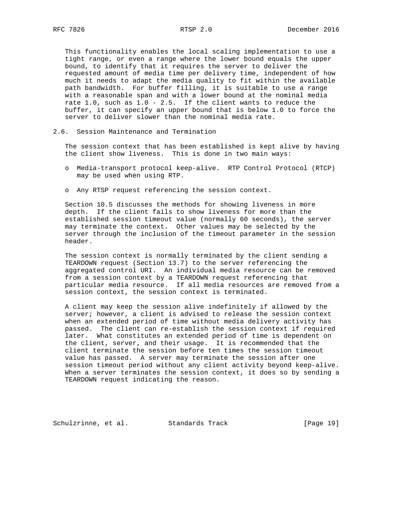This functionality enables the local scaling implementation to use a tight range, or even a range where the lower bound equals the upper bound, to identify that it requires the server to deliver the requested amount of media time per delivery time, independent of how much it needs to adapt the media quality to fit within the available path bandwidth. For buffer filling, it is suitable to use a range with a reasonable span and with a lower bound at the nominal media rate 1.0, such as 1.0 - 2.5. If the client wants to reduce the buffer, it can specify an upper bound that is below 1.0 to force the server to deliver slower than the nominal media rate.

2.6. Session Maintenance and Termination

 The session context that has been established is kept alive by having the client show liveness. This is done in two main ways:

- o Media-transport protocol keep-alive. RTP Control Protocol (RTCP) may be used when using RTP.
- o Any RTSP request referencing the session context.

 Section 10.5 discusses the methods for showing liveness in more depth. If the client fails to show liveness for more than the established session timeout value (normally 60 seconds), the server may terminate the context. Other values may be selected by the server through the inclusion of the timeout parameter in the session header.

 The session context is normally terminated by the client sending a TEARDOWN request (Section 13.7) to the server referencing the aggregated control URI. An individual media resource can be removed from a session context by a TEARDOWN request referencing that particular media resource. If all media resources are removed from a session context, the session context is terminated.

 A client may keep the session alive indefinitely if allowed by the server; however, a client is advised to release the session context when an extended period of time without media delivery activity has passed. The client can re-establish the session context if required later. What constitutes an extended period of time is dependent on the client, server, and their usage. It is recommended that the client terminate the session before ten times the session timeout value has passed. A server may terminate the session after one session timeout period without any client activity beyond keep-alive. When a server terminates the session context, it does so by sending a TEARDOWN request indicating the reason.

Schulzrinne, et al. Standards Track [Page 19]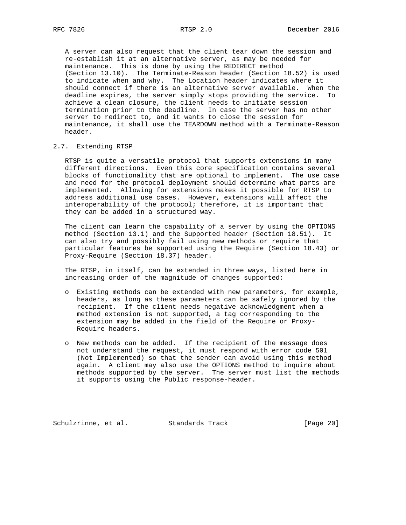A server can also request that the client tear down the session and re-establish it at an alternative server, as may be needed for maintenance. This is done by using the REDIRECT method (Section 13.10). The Terminate-Reason header (Section 18.52) is used to indicate when and why. The Location header indicates where it should connect if there is an alternative server available. When the deadline expires, the server simply stops providing the service. To achieve a clean closure, the client needs to initiate session termination prior to the deadline. In case the server has no other server to redirect to, and it wants to close the session for maintenance, it shall use the TEARDOWN method with a Terminate-Reason header.

#### 2.7. Extending RTSP

 RTSP is quite a versatile protocol that supports extensions in many different directions. Even this core specification contains several blocks of functionality that are optional to implement. The use case and need for the protocol deployment should determine what parts are implemented. Allowing for extensions makes it possible for RTSP to address additional use cases. However, extensions will affect the interoperability of the protocol; therefore, it is important that they can be added in a structured way.

 The client can learn the capability of a server by using the OPTIONS method (Section 13.1) and the Supported header (Section 18.51). It can also try and possibly fail using new methods or require that particular features be supported using the Require (Section 18.43) or Proxy-Require (Section 18.37) header.

 The RTSP, in itself, can be extended in three ways, listed here in increasing order of the magnitude of changes supported:

- o Existing methods can be extended with new parameters, for example, headers, as long as these parameters can be safely ignored by the recipient. If the client needs negative acknowledgment when a method extension is not supported, a tag corresponding to the extension may be added in the field of the Require or Proxy- Require headers.
- o New methods can be added. If the recipient of the message does not understand the request, it must respond with error code 501 (Not Implemented) so that the sender can avoid using this method again. A client may also use the OPTIONS method to inquire about methods supported by the server. The server must list the methods it supports using the Public response-header.

Schulzrinne, et al. Standards Track [Page 20]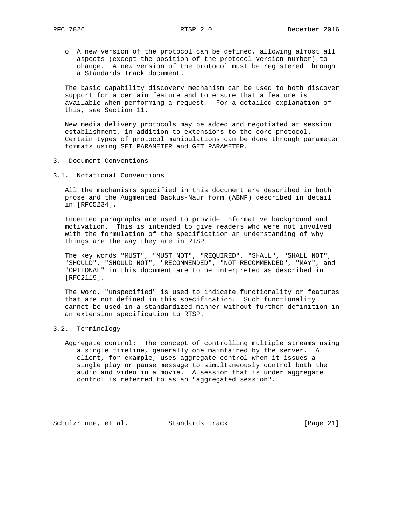o A new version of the protocol can be defined, allowing almost all aspects (except the position of the protocol version number) to change. A new version of the protocol must be registered through a Standards Track document.

 The basic capability discovery mechanism can be used to both discover support for a certain feature and to ensure that a feature is available when performing a request. For a detailed explanation of this, see Section 11.

 New media delivery protocols may be added and negotiated at session establishment, in addition to extensions to the core protocol. Certain types of protocol manipulations can be done through parameter formats using SET\_PARAMETER and GET\_PARAMETER.

- 3. Document Conventions
- 3.1. Notational Conventions

 All the mechanisms specified in this document are described in both prose and the Augmented Backus-Naur form (ABNF) described in detail in [RFC5234].

 Indented paragraphs are used to provide informative background and motivation. This is intended to give readers who were not involved with the formulation of the specification an understanding of why things are the way they are in RTSP.

 The key words "MUST", "MUST NOT", "REQUIRED", "SHALL", "SHALL NOT", "SHOULD", "SHOULD NOT", "RECOMMENDED", "NOT RECOMMENDED", "MAY", and "OPTIONAL" in this document are to be interpreted as described in [RFC2119].

 The word, "unspecified" is used to indicate functionality or features that are not defined in this specification. Such functionality cannot be used in a standardized manner without further definition in an extension specification to RTSP.

#### 3.2. Terminology

 Aggregate control: The concept of controlling multiple streams using a single timeline, generally one maintained by the server. A client, for example, uses aggregate control when it issues a single play or pause message to simultaneously control both the audio and video in a movie. A session that is under aggregate control is referred to as an "aggregated session".

Schulzrinne, et al. Standards Track [Page 21]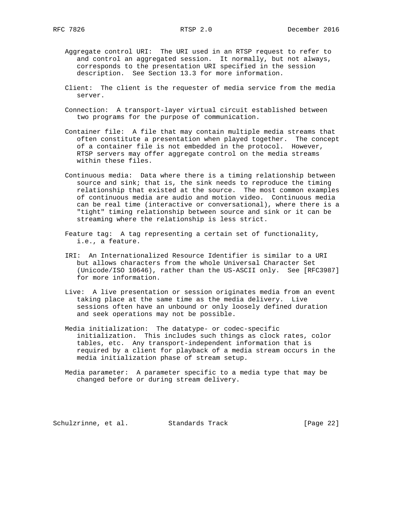Aggregate control URI: The URI used in an RTSP request to refer to and control an aggregated session. It normally, but not always, corresponds to the presentation URI specified in the session description. See Section 13.3 for more information.

- Client: The client is the requester of media service from the media server.
- Connection: A transport-layer virtual circuit established between two programs for the purpose of communication.
- Container file: A file that may contain multiple media streams that often constitute a presentation when played together. The concept of a container file is not embedded in the protocol. However, RTSP servers may offer aggregate control on the media streams within these files.
- Continuous media: Data where there is a timing relationship between source and sink; that is, the sink needs to reproduce the timing relationship that existed at the source. The most common examples of continuous media are audio and motion video. Continuous media can be real time (interactive or conversational), where there is a "tight" timing relationship between source and sink or it can be streaming where the relationship is less strict.
- Feature tag: A tag representing a certain set of functionality, i.e., a feature.
- IRI: An Internationalized Resource Identifier is similar to a URI but allows characters from the whole Universal Character Set (Unicode/ISO 10646), rather than the US-ASCII only. See [RFC3987] for more information.
- Live: A live presentation or session originates media from an event taking place at the same time as the media delivery. Live sessions often have an unbound or only loosely defined duration and seek operations may not be possible.
- Media initialization: The datatype- or codec-specific initialization. This includes such things as clock rates, color tables, etc. Any transport-independent information that is required by a client for playback of a media stream occurs in the media initialization phase of stream setup.
- Media parameter: A parameter specific to a media type that may be changed before or during stream delivery.

Schulzrinne, et al. Standards Track [Page 22]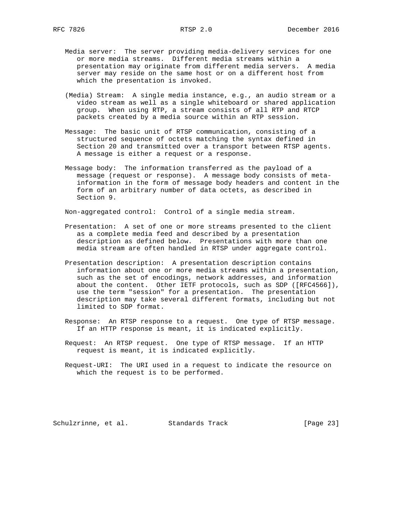- - Media server: The server providing media-delivery services for one or more media streams. Different media streams within a presentation may originate from different media servers. A media server may reside on the same host or on a different host from which the presentation is invoked.
	- (Media) Stream: A single media instance, e.g., an audio stream or a video stream as well as a single whiteboard or shared application group. When using RTP, a stream consists of all RTP and RTCP packets created by a media source within an RTP session.
	- Message: The basic unit of RTSP communication, consisting of a structured sequence of octets matching the syntax defined in Section 20 and transmitted over a transport between RTSP agents. A message is either a request or a response.
	- Message body: The information transferred as the payload of a message (request or response). A message body consists of meta information in the form of message body headers and content in the form of an arbitrary number of data octets, as described in Section 9.

Non-aggregated control: Control of a single media stream.

- Presentation: A set of one or more streams presented to the client as a complete media feed and described by a presentation description as defined below. Presentations with more than one media stream are often handled in RTSP under aggregate control.
- Presentation description: A presentation description contains information about one or more media streams within a presentation, such as the set of encodings, network addresses, and information about the content. Other IETF protocols, such as SDP ([RFC4566]), use the term "session" for a presentation. The presentation description may take several different formats, including but not limited to SDP format.
- Response: An RTSP response to a request. One type of RTSP message. If an HTTP response is meant, it is indicated explicitly.
- Request: An RTSP request. One type of RTSP message. If an HTTP request is meant, it is indicated explicitly.
- Request-URI: The URI used in a request to indicate the resource on which the request is to be performed.

Schulzrinne, et al. Standards Track [Page 23]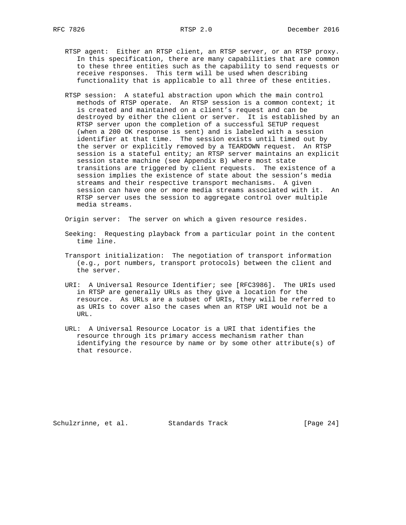- - RTSP agent: Either an RTSP client, an RTSP server, or an RTSP proxy. In this specification, there are many capabilities that are common to these three entities such as the capability to send requests or receive responses. This term will be used when describing functionality that is applicable to all three of these entities.
	- RTSP session: A stateful abstraction upon which the main control methods of RTSP operate. An RTSP session is a common context; it is created and maintained on a client's request and can be destroyed by either the client or server. It is established by an RTSP server upon the completion of a successful SETUP request (when a 200 OK response is sent) and is labeled with a session identifier at that time. The session exists until timed out by the server or explicitly removed by a TEARDOWN request. An RTSP session is a stateful entity; an RTSP server maintains an explicit session state machine (see Appendix B) where most state transitions are triggered by client requests. The existence of a session implies the existence of state about the session's media streams and their respective transport mechanisms. A given session can have one or more media streams associated with it. An RTSP server uses the session to aggregate control over multiple media streams.

Origin server: The server on which a given resource resides.

- Seeking: Requesting playback from a particular point in the content time line.
- Transport initialization: The negotiation of transport information (e.g., port numbers, transport protocols) between the client and the server.
- URI: A Universal Resource Identifier; see [RFC3986]. The URIs used in RTSP are generally URLs as they give a location for the resource. As URLs are a subset of URIs, they will be referred to as URIs to cover also the cases when an RTSP URI would not be a TIRT.
- URL: A Universal Resource Locator is a URI that identifies the resource through its primary access mechanism rather than identifying the resource by name or by some other attribute(s) of that resource.

Schulzrinne, et al. Standards Track [Page 24]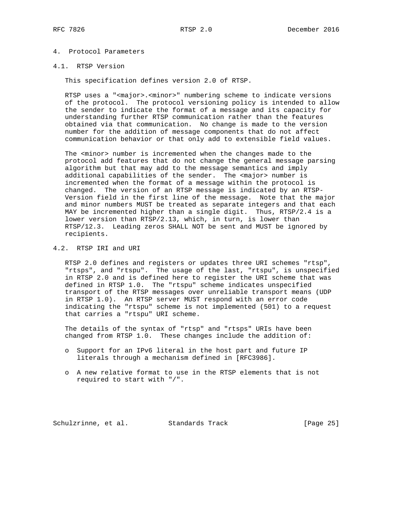# 4. Protocol Parameters

#### 4.1. RTSP Version

This specification defines version 2.0 of RTSP.

 RTSP uses a "<major>.<minor>" numbering scheme to indicate versions of the protocol. The protocol versioning policy is intended to allow the sender to indicate the format of a message and its capacity for understanding further RTSP communication rather than the features obtained via that communication. No change is made to the version number for the addition of message components that do not affect communication behavior or that only add to extensible field values.

The <minor> number is incremented when the changes made to the protocol add features that do not change the general message parsing algorithm but that may add to the message semantics and imply additional capabilities of the sender. The <major> number is incremented when the format of a message within the protocol is changed. The version of an RTSP message is indicated by an RTSP- Version field in the first line of the message. Note that the major and minor numbers MUST be treated as separate integers and that each MAY be incremented higher than a single digit. Thus, RTSP/2.4 is a lower version than RTSP/2.13, which, in turn, is lower than RTSP/12.3. Leading zeros SHALL NOT be sent and MUST be ignored by recipients.

## 4.2. RTSP IRI and URI

 RTSP 2.0 defines and registers or updates three URI schemes "rtsp", "rtsps", and "rtspu". The usage of the last, "rtspu", is unspecified in RTSP 2.0 and is defined here to register the URI scheme that was defined in RTSP 1.0. The "rtspu" scheme indicates unspecified transport of the RTSP messages over unreliable transport means (UDP in RTSP 1.0). An RTSP server MUST respond with an error code indicating the "rtspu" scheme is not implemented (501) to a request that carries a "rtspu" URI scheme.

 The details of the syntax of "rtsp" and "rtsps" URIs have been changed from RTSP 1.0. These changes include the addition of:

- o Support for an IPv6 literal in the host part and future IP literals through a mechanism defined in [RFC3986].
- o A new relative format to use in the RTSP elements that is not required to start with "/".

Schulzrinne, et al. Standards Track [Page 25]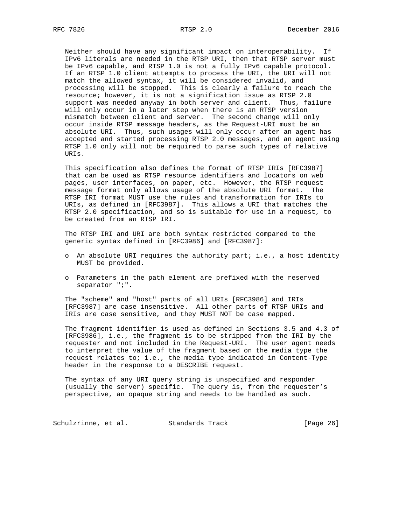Neither should have any significant impact on interoperability. If IPv6 literals are needed in the RTSP URI, then that RTSP server must be IPv6 capable, and RTSP 1.0 is not a fully IPv6 capable protocol. If an RTSP 1.0 client attempts to process the URI, the URI will not match the allowed syntax, it will be considered invalid, and processing will be stopped. This is clearly a failure to reach the resource; however, it is not a signification issue as RTSP 2.0 support was needed anyway in both server and client. Thus, failure will only occur in a later step when there is an RTSP version mismatch between client and server. The second change will only occur inside RTSP message headers, as the Request-URI must be an absolute URI. Thus, such usages will only occur after an agent has accepted and started processing RTSP 2.0 messages, and an agent using RTSP 1.0 only will not be required to parse such types of relative URIs.

 This specification also defines the format of RTSP IRIs [RFC3987] that can be used as RTSP resource identifiers and locators on web pages, user interfaces, on paper, etc. However, the RTSP request message format only allows usage of the absolute URI format. The RTSP IRI format MUST use the rules and transformation for IRIs to URIs, as defined in [RFC3987]. This allows a URI that matches the RTSP 2.0 specification, and so is suitable for use in a request, to be created from an RTSP IRI.

 The RTSP IRI and URI are both syntax restricted compared to the generic syntax defined in [RFC3986] and [RFC3987]:

- o An absolute URI requires the authority part; i.e., a host identity MUST be provided.
- o Parameters in the path element are prefixed with the reserved separator ";".

 The "scheme" and "host" parts of all URIs [RFC3986] and IRIs [RFC3987] are case insensitive. All other parts of RTSP URIs and IRIs are case sensitive, and they MUST NOT be case mapped.

 The fragment identifier is used as defined in Sections 3.5 and 4.3 of [RFC3986], i.e., the fragment is to be stripped from the IRI by the requester and not included in the Request-URI. The user agent needs to interpret the value of the fragment based on the media type the request relates to; i.e., the media type indicated in Content-Type header in the response to a DESCRIBE request.

 The syntax of any URI query string is unspecified and responder (usually the server) specific. The query is, from the requester's perspective, an opaque string and needs to be handled as such.

Schulzrinne, et al. Standards Track [Page 26]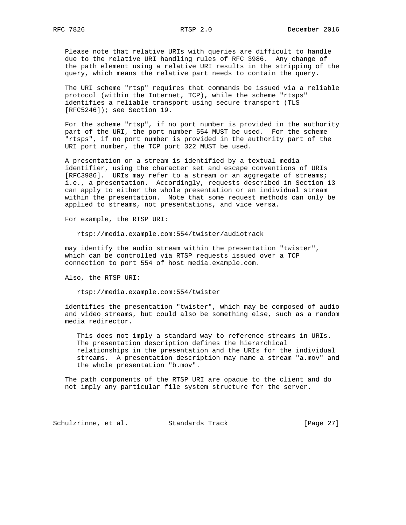Please note that relative URIs with queries are difficult to handle due to the relative URI handling rules of RFC 3986. Any change of the path element using a relative URI results in the stripping of the query, which means the relative part needs to contain the query.

 The URI scheme "rtsp" requires that commands be issued via a reliable protocol (within the Internet, TCP), while the scheme "rtsps" identifies a reliable transport using secure transport (TLS [RFC5246]); see Section 19.

 For the scheme "rtsp", if no port number is provided in the authority part of the URI, the port number 554 MUST be used. For the scheme "rtsps", if no port number is provided in the authority part of the URI port number, the TCP port 322 MUST be used.

 A presentation or a stream is identified by a textual media identifier, using the character set and escape conventions of URIs [RFC3986]. URIs may refer to a stream or an aggregate of streams; i.e., a presentation. Accordingly, requests described in Section 13 can apply to either the whole presentation or an individual stream within the presentation. Note that some request methods can only be applied to streams, not presentations, and vice versa.

For example, the RTSP URI:

rtsp://media.example.com:554/twister/audiotrack

 may identify the audio stream within the presentation "twister", which can be controlled via RTSP requests issued over a TCP connection to port 554 of host media.example.com.

Also, the RTSP URI:

rtsp://media.example.com:554/twister

 identifies the presentation "twister", which may be composed of audio and video streams, but could also be something else, such as a random media redirector.

 This does not imply a standard way to reference streams in URIs. The presentation description defines the hierarchical relationships in the presentation and the URIs for the individual streams. A presentation description may name a stream "a.mov" and the whole presentation "b.mov".

 The path components of the RTSP URI are opaque to the client and do not imply any particular file system structure for the server.

Schulzrinne, et al. Standards Track [Page 27]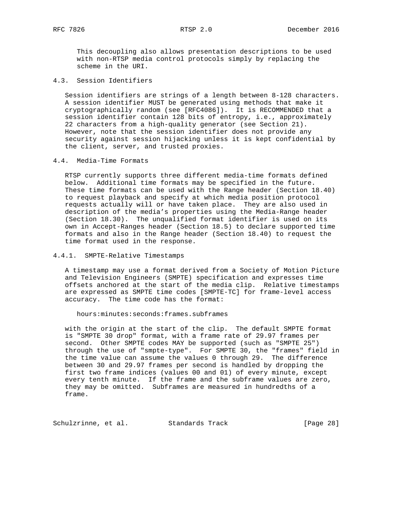This decoupling also allows presentation descriptions to be used with non-RTSP media control protocols simply by replacing the scheme in the URI.

4.3. Session Identifiers

 Session identifiers are strings of a length between 8-128 characters. A session identifier MUST be generated using methods that make it cryptographically random (see [RFC4086]). It is RECOMMENDED that a session identifier contain 128 bits of entropy, i.e., approximately 22 characters from a high-quality generator (see Section 21). However, note that the session identifier does not provide any security against session hijacking unless it is kept confidential by the client, server, and trusted proxies.

#### 4.4. Media-Time Formats

 RTSP currently supports three different media-time formats defined below. Additional time formats may be specified in the future. These time formats can be used with the Range header (Section 18.40) to request playback and specify at which media position protocol requests actually will or have taken place. They are also used in description of the media's properties using the Media-Range header (Section 18.30). The unqualified format identifier is used on its own in Accept-Ranges header (Section 18.5) to declare supported time formats and also in the Range header (Section 18.40) to request the time format used in the response.

## 4.4.1. SMPTE-Relative Timestamps

 A timestamp may use a format derived from a Society of Motion Picture and Television Engineers (SMPTE) specification and expresses time offsets anchored at the start of the media clip. Relative timestamps are expressed as SMPTE time codes [SMPTE-TC] for frame-level access accuracy. The time code has the format:

hours:minutes:seconds:frames.subframes

 with the origin at the start of the clip. The default SMPTE format is "SMPTE 30 drop" format, with a frame rate of 29.97 frames per second. Other SMPTE codes MAY be supported (such as "SMPTE 25") through the use of "smpte-type". For SMPTE 30, the "frames" field in the time value can assume the values 0 through 29. The difference between 30 and 29.97 frames per second is handled by dropping the first two frame indices (values 00 and 01) of every minute, except every tenth minute. If the frame and the subframe values are zero, they may be omitted. Subframes are measured in hundredths of a frame.

Schulzrinne, et al. Standards Track [Page 28]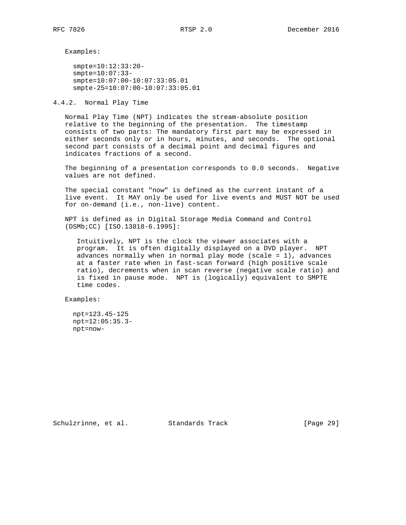Examples:

 smpte=10:12:33:20 smpte=10:07:33 smpte=10:07:00-10:07:33:05.01 smpte-25=10:07:00-10:07:33:05.01

4.4.2. Normal Play Time

 Normal Play Time (NPT) indicates the stream-absolute position relative to the beginning of the presentation. The timestamp consists of two parts: The mandatory first part may be expressed in either seconds only or in hours, minutes, and seconds. The optional second part consists of a decimal point and decimal figures and indicates fractions of a second.

 The beginning of a presentation corresponds to 0.0 seconds. Negative values are not defined.

 The special constant "now" is defined as the current instant of a live event. It MAY only be used for live events and MUST NOT be used for on-demand (i.e., non-live) content.

 NPT is defined as in Digital Storage Media Command and Control (DSMb;CC) [ISO.13818-6.1995]:

 Intuitively, NPT is the clock the viewer associates with a program. It is often digitally displayed on a DVD player. NPT advances normally when in normal play mode (scale = 1), advances at a faster rate when in fast-scan forward (high positive scale ratio), decrements when in scan reverse (negative scale ratio) and is fixed in pause mode. NPT is (logically) equivalent to SMPTE time codes.

Examples:

 npt=123.45-125 npt=12:05:35.3 npt=now-

Schulzrinne, et al. Standards Track [Page 29]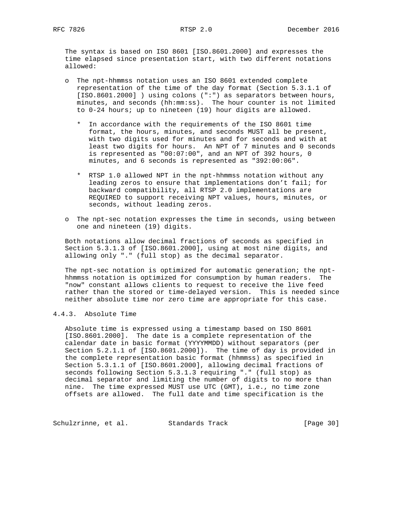The syntax is based on ISO 8601 [ISO.8601.2000] and expresses the time elapsed since presentation start, with two different notations allowed:

- o The npt-hhmmss notation uses an ISO 8601 extended complete representation of the time of the day format (Section 5.3.1.1 of [ISO.8601.2000] ) using colons (":") as separators between hours, minutes, and seconds (hh:mm:ss). The hour counter is not limited to 0-24 hours; up to nineteen (19) hour digits are allowed.
- \* In accordance with the requirements of the ISO 8601 time format, the hours, minutes, and seconds MUST all be present, with two digits used for minutes and for seconds and with at least two digits for hours. An NPT of 7 minutes and 0 seconds is represented as "00:07:00", and an NPT of 392 hours, 0 minutes, and 6 seconds is represented as "392:00:06".
	- \* RTSP 1.0 allowed NPT in the npt-hhmmss notation without any leading zeros to ensure that implementations don't fail; for backward compatibility, all RTSP 2.0 implementations are REQUIRED to support receiving NPT values, hours, minutes, or seconds, without leading zeros.
	- o The npt-sec notation expresses the time in seconds, using between one and nineteen (19) digits.

 Both notations allow decimal fractions of seconds as specified in Section 5.3.1.3 of [ISO.8601.2000], using at most nine digits, and allowing only "." (full stop) as the decimal separator.

 The npt-sec notation is optimized for automatic generation; the npt hhmmss notation is optimized for consumption by human readers. The "now" constant allows clients to request to receive the live feed rather than the stored or time-delayed version. This is needed since neither absolute time nor zero time are appropriate for this case.

# 4.4.3. Absolute Time

 Absolute time is expressed using a timestamp based on ISO 8601 [ISO.8601.2000]. The date is a complete representation of the calendar date in basic format (YYYYMMDD) without separators (per Section 5.2.1.1 of [ISO.8601.2000]). The time of day is provided in the complete representation basic format (hhmmss) as specified in Section 5.3.1.1 of [ISO.8601.2000], allowing decimal fractions of seconds following Section 5.3.1.3 requiring "." (full stop) as decimal separator and limiting the number of digits to no more than nine. The time expressed MUST use UTC (GMT), i.e., no time zone offsets are allowed. The full date and time specification is the

Schulzrinne, et al. Standards Track [Page 30]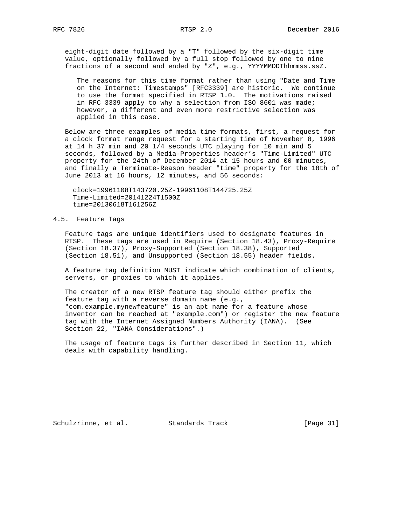eight-digit date followed by a "T" followed by the six-digit time value, optionally followed by a full stop followed by one to nine fractions of a second and ended by "Z", e.g., YYYYMMDDThhmmss.ssZ.

 The reasons for this time format rather than using "Date and Time on the Internet: Timestamps" [RFC3339] are historic. We continue to use the format specified in RTSP 1.0. The motivations raised in RFC 3339 apply to why a selection from ISO 8601 was made; however, a different and even more restrictive selection was applied in this case.

 Below are three examples of media time formats, first, a request for a clock format range request for a starting time of November 8, 1996 at 14 h 37 min and 20 1/4 seconds UTC playing for 10 min and 5 seconds, followed by a Media-Properties header's "Time-Limited" UTC property for the 24th of December 2014 at 15 hours and 00 minutes, and finally a Terminate-Reason header "time" property for the 18th of June 2013 at 16 hours, 12 minutes, and 56 seconds:

 clock=19961108T143720.25Z-19961108T144725.25Z Time-Limited=20141224T1500Z time=20130618T161256Z

## 4.5. Feature Tags

 Feature tags are unique identifiers used to designate features in RTSP. These tags are used in Require (Section 18.43), Proxy-Require (Section 18.37), Proxy-Supported (Section 18.38), Supported (Section 18.51), and Unsupported (Section 18.55) header fields.

 A feature tag definition MUST indicate which combination of clients, servers, or proxies to which it applies.

 The creator of a new RTSP feature tag should either prefix the feature tag with a reverse domain name (e.g., "com.example.mynewfeature" is an apt name for a feature whose inventor can be reached at "example.com") or register the new feature tag with the Internet Assigned Numbers Authority (IANA). (See Section 22, "IANA Considerations".)

 The usage of feature tags is further described in Section 11, which deals with capability handling.

Schulzrinne, et al. Standards Track [Page 31]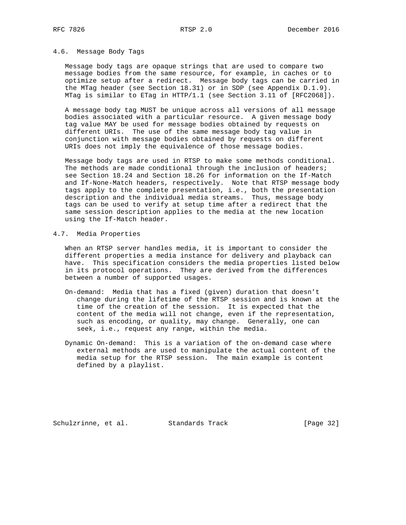#### 4.6. Message Body Tags

 Message body tags are opaque strings that are used to compare two message bodies from the same resource, for example, in caches or to optimize setup after a redirect. Message body tags can be carried in the MTag header (see Section 18.31) or in SDP (see Appendix D.1.9). MTag is similar to ETag in HTTP/1.1 (see Section 3.11 of [RFC2068]).

 A message body tag MUST be unique across all versions of all message bodies associated with a particular resource. A given message body tag value MAY be used for message bodies obtained by requests on different URIs. The use of the same message body tag value in conjunction with message bodies obtained by requests on different URIs does not imply the equivalence of those message bodies.

 Message body tags are used in RTSP to make some methods conditional. The methods are made conditional through the inclusion of headers; see Section 18.24 and Section 18.26 for information on the If-Match and If-None-Match headers, respectively. Note that RTSP message body tags apply to the complete presentation, i.e., both the presentation description and the individual media streams. Thus, message body tags can be used to verify at setup time after a redirect that the same session description applies to the media at the new location using the If-Match header.

## 4.7. Media Properties

 When an RTSP server handles media, it is important to consider the different properties a media instance for delivery and playback can have. This specification considers the media properties listed below in its protocol operations. They are derived from the differences between a number of supported usages.

- On-demand: Media that has a fixed (given) duration that doesn't change during the lifetime of the RTSP session and is known at the time of the creation of the session. It is expected that the content of the media will not change, even if the representation, such as encoding, or quality, may change. Generally, one can seek, i.e., request any range, within the media.
- Dynamic On-demand: This is a variation of the on-demand case where external methods are used to manipulate the actual content of the media setup for the RTSP session. The main example is content defined by a playlist.

Schulzrinne, et al. Standards Track [Page 32]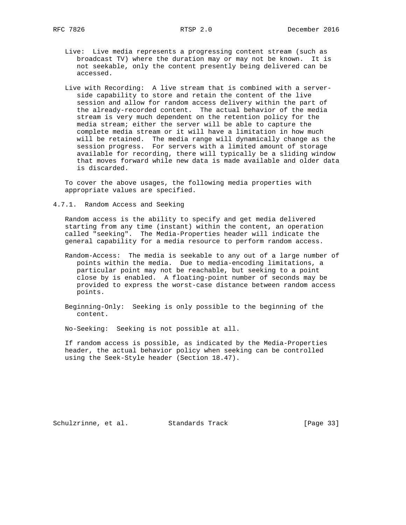- Live: Live media represents a progressing content stream (such as broadcast TV) where the duration may or may not be known. It is not seekable, only the content presently being delivered can be accessed.
- Live with Recording: A live stream that is combined with a server side capability to store and retain the content of the live session and allow for random access delivery within the part of the already-recorded content. The actual behavior of the media stream is very much dependent on the retention policy for the media stream; either the server will be able to capture the complete media stream or it will have a limitation in how much will be retained. The media range will dynamically change as the session progress. For servers with a limited amount of storage available for recording, there will typically be a sliding window that moves forward while new data is made available and older data is discarded.

 To cover the above usages, the following media properties with appropriate values are specified.

4.7.1. Random Access and Seeking

 Random access is the ability to specify and get media delivered starting from any time (instant) within the content, an operation called "seeking". The Media-Properties header will indicate the general capability for a media resource to perform random access.

- Random-Access: The media is seekable to any out of a large number of points within the media. Due to media-encoding limitations, a particular point may not be reachable, but seeking to a point close by is enabled. A floating-point number of seconds may be provided to express the worst-case distance between random access points.
- Beginning-Only: Seeking is only possible to the beginning of the content.
- No-Seeking: Seeking is not possible at all.

 If random access is possible, as indicated by the Media-Properties header, the actual behavior policy when seeking can be controlled using the Seek-Style header (Section 18.47).

Schulzrinne, et al. Standards Track [Page 33]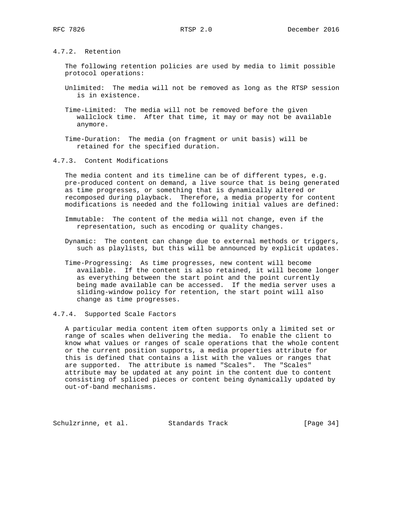4.7.2. Retention

 The following retention policies are used by media to limit possible protocol operations:

- Unlimited: The media will not be removed as long as the RTSP session is in existence.
- Time-Limited: The media will not be removed before the given wallclock time. After that time, it may or may not be available anymore.
- Time-Duration: The media (on fragment or unit basis) will be retained for the specified duration.
- 4.7.3. Content Modifications

 The media content and its timeline can be of different types, e.g. pre-produced content on demand, a live source that is being generated as time progresses, or something that is dynamically altered or recomposed during playback. Therefore, a media property for content modifications is needed and the following initial values are defined:

- Immutable: The content of the media will not change, even if the representation, such as encoding or quality changes.
- Dynamic: The content can change due to external methods or triggers, such as playlists, but this will be announced by explicit updates.
- Time-Progressing: As time progresses, new content will become available. If the content is also retained, it will become longer as everything between the start point and the point currently being made available can be accessed. If the media server uses a sliding-window policy for retention, the start point will also change as time progresses.
- 4.7.4. Supported Scale Factors

 A particular media content item often supports only a limited set or range of scales when delivering the media. To enable the client to know what values or ranges of scale operations that the whole content or the current position supports, a media properties attribute for this is defined that contains a list with the values or ranges that are supported. The attribute is named "Scales". The "Scales" attribute may be updated at any point in the content due to content consisting of spliced pieces or content being dynamically updated by out-of-band mechanisms.

Schulzrinne, et al. Standards Track [Page 34]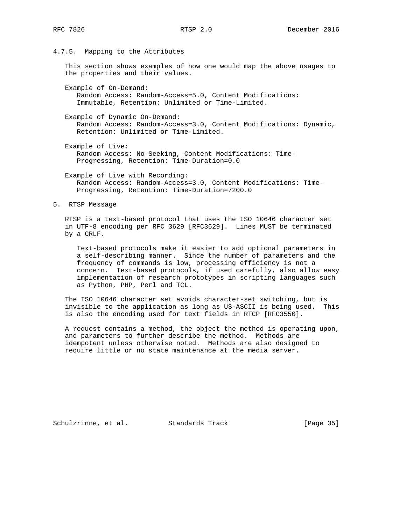4.7.5. Mapping to the Attributes

 This section shows examples of how one would map the above usages to the properties and their values.

 Example of On-Demand: Random Access: Random-Access=5.0, Content Modifications: Immutable, Retention: Unlimited or Time-Limited.

 Example of Dynamic On-Demand: Random Access: Random-Access=3.0, Content Modifications: Dynamic, Retention: Unlimited or Time-Limited.

 Example of Live: Random Access: No-Seeking, Content Modifications: Time- Progressing, Retention: Time-Duration=0.0

 Example of Live with Recording: Random Access: Random-Access=3.0, Content Modifications: Time- Progressing, Retention: Time-Duration=7200.0

5. RTSP Message

 RTSP is a text-based protocol that uses the ISO 10646 character set in UTF-8 encoding per RFC 3629 [RFC3629]. Lines MUST be terminated by a CRLF.

 Text-based protocols make it easier to add optional parameters in a self-describing manner. Since the number of parameters and the frequency of commands is low, processing efficiency is not a concern. Text-based protocols, if used carefully, also allow easy implementation of research prototypes in scripting languages such as Python, PHP, Perl and TCL.

 The ISO 10646 character set avoids character-set switching, but is invisible to the application as long as US-ASCII is being used. This is also the encoding used for text fields in RTCP [RFC3550].

 A request contains a method, the object the method is operating upon, and parameters to further describe the method. Methods are idempotent unless otherwise noted. Methods are also designed to require little or no state maintenance at the media server.

Schulzrinne, et al. Standards Track [Page 35]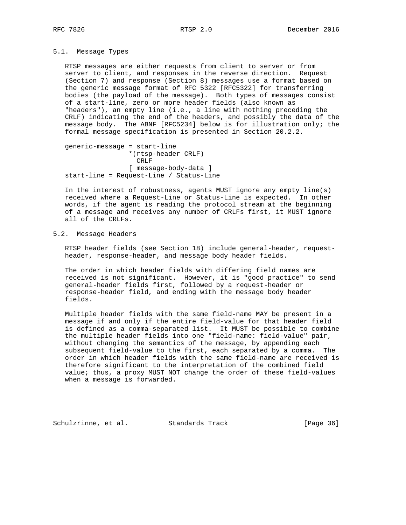## 5.1. Message Types

 RTSP messages are either requests from client to server or from server to client, and responses in the reverse direction. Request (Section 7) and response (Section 8) messages use a format based on the generic message format of RFC 5322 [RFC5322] for transferring bodies (the payload of the message). Both types of messages consist of a start-line, zero or more header fields (also known as "headers"), an empty line (i.e., a line with nothing preceding the CRLF) indicating the end of the headers, and possibly the data of the message body. The ABNF [RFC5234] below is for illustration only; the formal message specification is presented in Section 20.2.2.

 generic-message = start-line \*(rtsp-header CRLF) CRLF [ message-body-data ] start-line = Request-Line / Status-Line

 In the interest of robustness, agents MUST ignore any empty line(s) received where a Request-Line or Status-Line is expected. In other words, if the agent is reading the protocol stream at the beginning of a message and receives any number of CRLFs first, it MUST ignore all of the CRLFs.

# 5.2. Message Headers

 RTSP header fields (see Section 18) include general-header, request header, response-header, and message body header fields.

 The order in which header fields with differing field names are received is not significant. However, it is "good practice" to send general-header fields first, followed by a request-header or response-header field, and ending with the message body header fields.

 Multiple header fields with the same field-name MAY be present in a message if and only if the entire field-value for that header field is defined as a comma-separated list. It MUST be possible to combine the multiple header fields into one "field-name: field-value" pair, without changing the semantics of the message, by appending each subsequent field-value to the first, each separated by a comma. The order in which header fields with the same field-name are received is therefore significant to the interpretation of the combined field value; thus, a proxy MUST NOT change the order of these field-values when a message is forwarded.

Schulzrinne, et al. Standards Track [Page 36]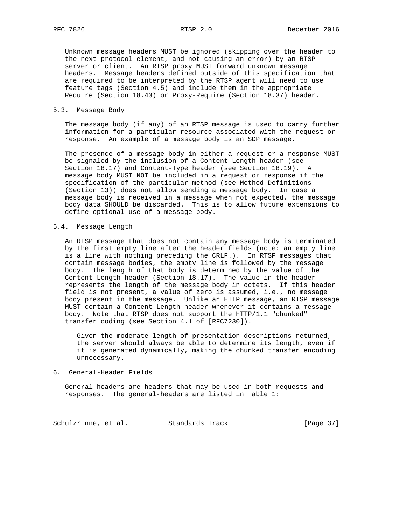Unknown message headers MUST be ignored (skipping over the header to the next protocol element, and not causing an error) by an RTSP server or client. An RTSP proxy MUST forward unknown message headers. Message headers defined outside of this specification that are required to be interpreted by the RTSP agent will need to use feature tags (Section 4.5) and include them in the appropriate Require (Section 18.43) or Proxy-Require (Section 18.37) header.

#### 5.3. Message Body

 The message body (if any) of an RTSP message is used to carry further information for a particular resource associated with the request or response. An example of a message body is an SDP message.

 The presence of a message body in either a request or a response MUST be signaled by the inclusion of a Content-Length header (see Section 18.17) and Content-Type header (see Section 18.19). A message body MUST NOT be included in a request or response if the specification of the particular method (see Method Definitions (Section 13)) does not allow sending a message body. In case a message body is received in a message when not expected, the message body data SHOULD be discarded. This is to allow future extensions to define optional use of a message body.

### 5.4. Message Length

 An RTSP message that does not contain any message body is terminated by the first empty line after the header fields (note: an empty line is a line with nothing preceding the CRLF.). In RTSP messages that contain message bodies, the empty line is followed by the message body. The length of that body is determined by the value of the Content-Length header (Section 18.17). The value in the header represents the length of the message body in octets. If this header field is not present, a value of zero is assumed, i.e., no message body present in the message. Unlike an HTTP message, an RTSP message MUST contain a Content-Length header whenever it contains a message body. Note that RTSP does not support the HTTP/1.1 "chunked" transfer coding (see Section 4.1 of [RFC7230]).

 Given the moderate length of presentation descriptions returned, the server should always be able to determine its length, even if it is generated dynamically, making the chunked transfer encoding unnecessary.

#### 6. General-Header Fields

 General headers are headers that may be used in both requests and responses. The general-headers are listed in Table 1:

Schulzrinne, et al. Standards Track [Page 37]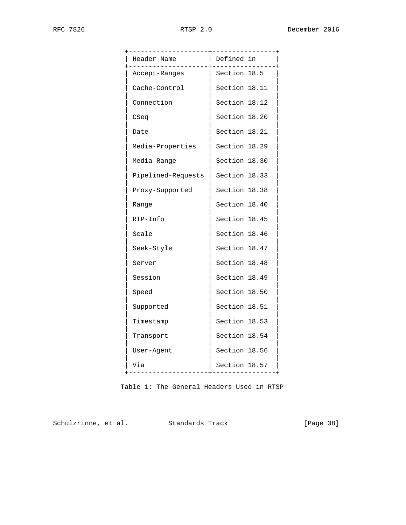| -------------+------     |               |
|--------------------------|---------------|
| Header Name<br>--------+ | Defined in    |
| Accept-Ranges            | Section 18.5  |
| Cache-Control            | Section 18.11 |
| Connection               | Section 18.12 |
| CSeq                     | Section 18.20 |
| Date                     | Section 18.21 |
| Media-Properties         | Section 18.29 |
| Media-Range              | Section 18.30 |
| Pipelined-Requests       | Section 18.33 |
| Proxy-Supported          | Section 18.38 |
| Range                    | Section 18.40 |
| RTP-Info                 | Section 18.45 |
| Scale                    | Section 18.46 |
| Seek-Style               | Section 18.47 |
| Server                   | Section 18.48 |
| Session                  | Section 18.49 |
| Speed                    | Section 18.50 |
| Supported                | Section 18.51 |
| Timestamp                | Section 18.53 |
| Transport                | Section 18.54 |
| User-Agent               | Section 18.56 |
| Via                      | Section 18.57 |
| -----------              |               |

Table 1: The General Headers Used in RTSP

Schulzrinne, et al. Standards Track [Page 38]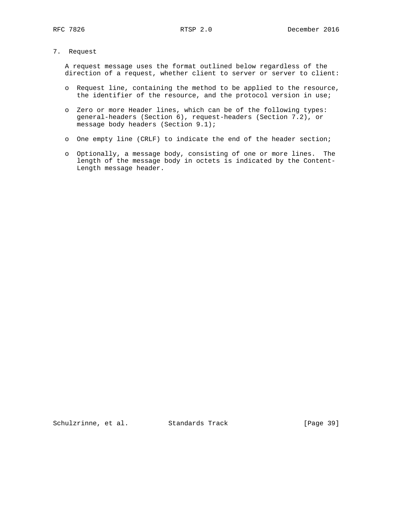# 7. Request

 A request message uses the format outlined below regardless of the direction of a request, whether client to server or server to client:

- o Request line, containing the method to be applied to the resource, the identifier of the resource, and the protocol version in use;
- o Zero or more Header lines, which can be of the following types: general-headers (Section 6), request-headers (Section 7.2), or message body headers (Section 9.1);
- o One empty line (CRLF) to indicate the end of the header section;
- o Optionally, a message body, consisting of one or more lines. The length of the message body in octets is indicated by the Content- Length message header.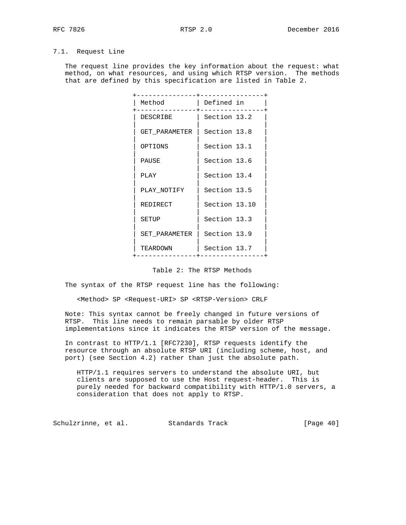# 7.1. Request Line

 The request line provides the key information about the request: what method, on what resources, and using which RTSP version. The methods that are defined by this specification are listed in Table 2.

| Method        | Defined in    |
|---------------|---------------|
| DESCRIBE      | Section 13.2  |
| GET PARAMETER | Section 13.8  |
| OPTIONS       | Section 13.1  |
| PAUSE         | Section 13.6  |
| PLAY          | Section 13.4  |
| PLAY NOTIFY   | Section 13.5  |
| REDIRECT      | Section 13.10 |
| SETUP         | Section 13.3  |
| SET PARAMETER | Section 13.9  |
| TEARDOWN      | Section 13.7  |
|               |               |

### Table 2: The RTSP Methods

The syntax of the RTSP request line has the following:

<Method> SP <Request-URI> SP <RTSP-Version> CRLF

 Note: This syntax cannot be freely changed in future versions of RTSP. This line needs to remain parsable by older RTSP implementations since it indicates the RTSP version of the message.

 In contrast to HTTP/1.1 [RFC7230], RTSP requests identify the resource through an absolute RTSP URI (including scheme, host, and port) (see Section 4.2) rather than just the absolute path.

 HTTP/1.1 requires servers to understand the absolute URI, but clients are supposed to use the Host request-header. This is purely needed for backward compatibility with HTTP/1.0 servers, a consideration that does not apply to RTSP.

Schulzrinne, et al. Standards Track [Page 40]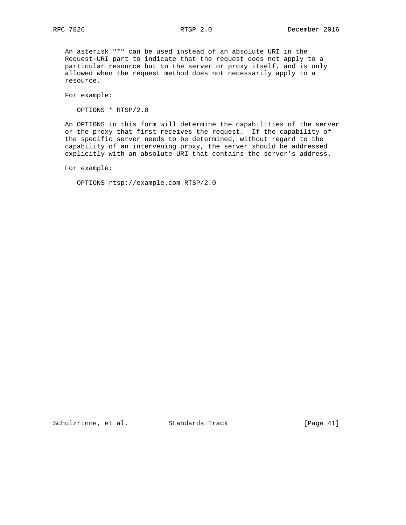An asterisk "\*" can be used instead of an absolute URI in the Request-URI part to indicate that the request does not apply to a particular resource but to the server or proxy itself, and is only allowed when the request method does not necessarily apply to a resource.

For example:

OPTIONS \* RTSP/2.0

 An OPTIONS in this form will determine the capabilities of the server or the proxy that first receives the request. If the capability of the specific server needs to be determined, without regard to the capability of an intervening proxy, the server should be addressed explicitly with an absolute URI that contains the server's address.

For example:

OPTIONS rtsp://example.com RTSP/2.0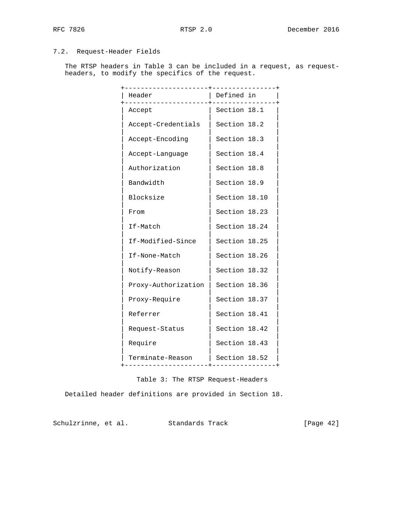# 7.2. Request-Header Fields

 The RTSP headers in Table 3 can be included in a request, as request headers, to modify the specifics of the request.

| Header<br>. <u>.</u> .                                     | Defined in    |
|------------------------------------------------------------|---------------|
| Accept                                                     | Section 18.1  |
| Accept-Credentials                                         | Section 18.2  |
| Accept-Encoding                                            | Section 18.3  |
| Accept-Language                                            | Section 18.4  |
| Authorization                                              | Section 18.8  |
| Bandwidth                                                  | Section 18.9  |
| Blocksize                                                  | Section 18.10 |
| From                                                       | Section 18.23 |
| If-Match                                                   | Section 18.24 |
| If-Modified-Since                                          | Section 18.25 |
| If-None-Match                                              | Section 18.26 |
| Notify-Reason                                              | Section 18.32 |
| Proxy-Authorization                                        | Section 18.36 |
| Proxy-Require                                              | Section 18.37 |
| Referrer                                                   | Section 18.41 |
| Request-Status                                             | Section 18.42 |
| Require                                                    | Section 18.43 |
| Terminate-Reason<br>-------------------+------------------ | Section 18.52 |
|                                                            |               |

Table 3: The RTSP Request-Headers

Detailed header definitions are provided in Section 18.

Schulzrinne, et al. Standards Track [Page 42]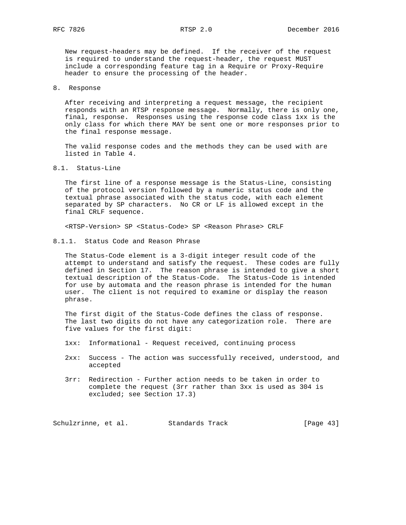New request-headers may be defined. If the receiver of the request is required to understand the request-header, the request MUST include a corresponding feature tag in a Require or Proxy-Require header to ensure the processing of the header.

8. Response

 After receiving and interpreting a request message, the recipient responds with an RTSP response message. Normally, there is only one, final, response. Responses using the response code class 1xx is the only class for which there MAY be sent one or more responses prior to the final response message.

 The valid response codes and the methods they can be used with are listed in Table 4.

8.1. Status-Line

 The first line of a response message is the Status-Line, consisting of the protocol version followed by a numeric status code and the textual phrase associated with the status code, with each element separated by SP characters. No CR or LF is allowed except in the final CRLF sequence.

<RTSP-Version> SP <Status-Code> SP <Reason Phrase> CRLF

8.1.1. Status Code and Reason Phrase

 The Status-Code element is a 3-digit integer result code of the attempt to understand and satisfy the request. These codes are fully defined in Section 17. The reason phrase is intended to give a short textual description of the Status-Code. The Status-Code is intended for use by automata and the reason phrase is intended for the human user. The client is not required to examine or display the reason phrase.

 The first digit of the Status-Code defines the class of response. The last two digits do not have any categorization role. There are five values for the first digit:

- 1xx: Informational Request received, continuing process
- 2xx: Success The action was successfully received, understood, and accepted
- 3rr: Redirection Further action needs to be taken in order to complete the request (3rr rather than 3xx is used as 304 is excluded; see Section 17.3)

Schulzrinne, et al. Standards Track [Page 43]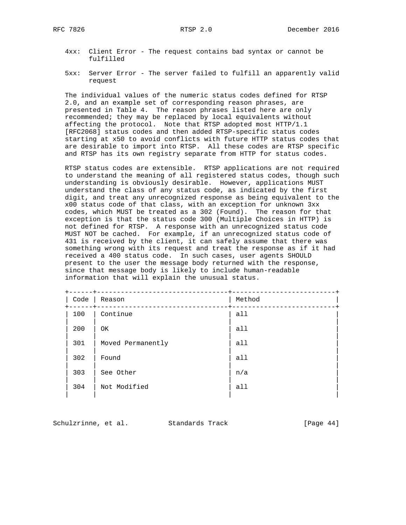- 4xx: Client Error The request contains bad syntax or cannot be fulfilled
- 5xx: Server Error The server failed to fulfill an apparently valid request

 The individual values of the numeric status codes defined for RTSP 2.0, and an example set of corresponding reason phrases, are presented in Table 4. The reason phrases listed here are only recommended; they may be replaced by local equivalents without affecting the protocol. Note that RTSP adopted most HTTP/1.1 [RFC2068] status codes and then added RTSP-specific status codes starting at x50 to avoid conflicts with future HTTP status codes that are desirable to import into RTSP. All these codes are RTSP specific and RTSP has its own registry separate from HTTP for status codes.

 RTSP status codes are extensible. RTSP applications are not required to understand the meaning of all registered status codes, though such understanding is obviously desirable. However, applications MUST understand the class of any status code, as indicated by the first digit, and treat any unrecognized response as being equivalent to the x00 status code of that class, with an exception for unknown 3xx codes, which MUST be treated as a 302 (Found). The reason for that exception is that the status code 300 (Multiple Choices in HTTP) is not defined for RTSP. A response with an unrecognized status code MUST NOT be cached. For example, if an unrecognized status code of 431 is received by the client, it can safely assume that there was something wrong with its request and treat the response as if it had received a 400 status code. In such cases, user agents SHOULD present to the user the message body returned with the response, since that message body is likely to include human-readable information that will explain the unusual status.

| Code | Reason            | Method |  |
|------|-------------------|--------|--|
| 100  | Continue          | a11    |  |
| 200  | OK                | a11    |  |
| 301  | Moved Permanently | a11    |  |
| 302  | Found             | a11    |  |
| 303  | See Other         | n/a    |  |
| 304  | Not Modified      | a11    |  |
|      |                   |        |  |

Schulzrinne, et al. Standards Track [Page 44]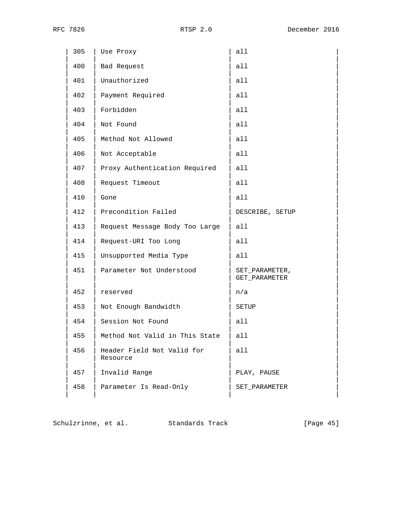| 305 | Use Proxy                              | all                             |
|-----|----------------------------------------|---------------------------------|
| 400 | Bad Request                            | all                             |
| 401 | Unauthorized                           | all                             |
| 402 | Payment Required                       | all                             |
| 403 | Forbidden                              | all                             |
| 404 | Not Found                              | all                             |
| 405 | Method Not Allowed                     | a11                             |
| 406 | Not Acceptable                         | all                             |
| 407 | Proxy Authentication Required          | all                             |
| 408 | Request Timeout                        | all                             |
| 410 | Gone                                   | all                             |
| 412 | Precondition Failed                    | DESCRIBE, SETUP                 |
| 413 | Request Message Body Too Large         | a11                             |
| 414 | Request-URI Too Long                   | all                             |
| 415 | Unsupported Media Type                 | all                             |
| 451 | Parameter Not Understood               | SET PARAMETER,<br>GET_PARAMETER |
| 452 | reserved                               | n/a                             |
| 453 | Not Enough Bandwidth                   | SETUP                           |
| 454 | Session Not Found                      | all                             |
| 455 | Method Not Valid in This State         | all                             |
| 456 | Header Field Not Valid for<br>Resource | all                             |
| 457 | Invalid Range                          | PLAY, PAUSE                     |
| 458 | Parameter Is Read-Only                 | SET_PARAMETER                   |
|     |                                        |                                 |

Schulzrinne, et al. Standards Track [Page 45]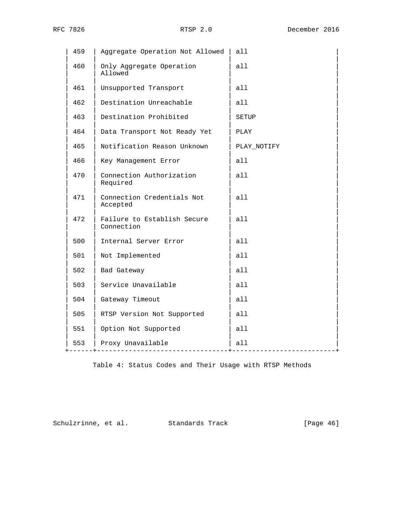| 459 | Aggregate Operation Not Allowed           | all         |
|-----|-------------------------------------------|-------------|
| 460 | Only Aggregate Operation<br>Allowed       | all         |
| 461 | Unsupported Transport                     | all         |
| 462 | Destination Unreachable                   | all         |
| 463 | Destination Prohibited                    | SETUP       |
| 464 | Data Transport Not Ready Yet              | PLAY        |
| 465 | Notification Reason Unknown               | PLAY NOTIFY |
| 466 | Key Management Error                      | all         |
| 470 | Connection Authorization<br>Required      | all         |
| 471 | Connection Credentials Not<br>Accepted    | a11         |
| 472 | Failure to Establish Secure<br>Connection | a11         |
| 500 | Internal Server Error                     | all         |
| 501 | Not Implemented                           | a11         |
| 502 | Bad Gateway                               | all         |
| 503 | Service Unavailable                       | all         |
| 504 | Gateway Timeout                           | all         |
| 505 | RTSP Version Not Supported                | all         |
| 551 | Option Not Supported                      | all         |
| 553 | Proxy Unavailable<br>----------------     | all         |
|     |                                           |             |

Table 4: Status Codes and Their Usage with RTSP Methods

Schulzrinne, et al. Standards Track [Page 46]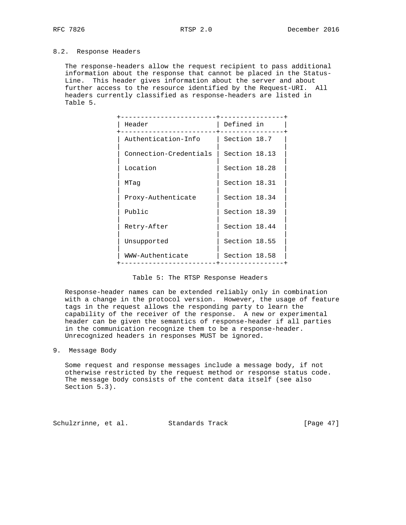## 8.2. Response Headers

 The response-headers allow the request recipient to pass additional information about the response that cannot be placed in the Status- Line. This header gives information about the server and about further access to the resource identified by the Request-URI. All headers currently classified as response-headers are listed in Table 5.

| Header                 | Defined in    |
|------------------------|---------------|
| Authentication-Info    | Section 18.7  |
| Connection-Credentials | Section 18.13 |
| Location               | Section 18.28 |
| MTaq                   | Section 18.31 |
| Proxy-Authenticate     | Section 18.34 |
| Public                 | Section 18.39 |
| Retry-After            | Section 18.44 |
| Unsupported            | Section 18.55 |
| WWW-Authenticate       | Section 18.58 |
|                        |               |

|  |  |  |  | Table 5: The RTSP Response Headers |  |
|--|--|--|--|------------------------------------|--|
|--|--|--|--|------------------------------------|--|

 Response-header names can be extended reliably only in combination with a change in the protocol version. However, the usage of feature tags in the request allows the responding party to learn the capability of the receiver of the response. A new or experimental header can be given the semantics of response-header if all parties in the communication recognize them to be a response-header. Unrecognized headers in responses MUST be ignored.

9. Message Body

 Some request and response messages include a message body, if not otherwise restricted by the request method or response status code. The message body consists of the content data itself (see also Section 5.3).

Schulzrinne, et al. Standards Track [Page 47]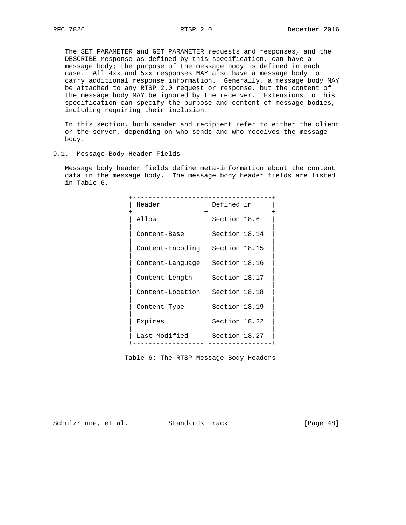The SET\_PARAMETER and GET\_PARAMETER requests and responses, and the DESCRIBE response as defined by this specification, can have a message body; the purpose of the message body is defined in each case. All 4xx and 5xx responses MAY also have a message body to carry additional response information. Generally, a message body MAY be attached to any RTSP 2.0 request or response, but the content of the message body MAY be ignored by the receiver. Extensions to this specification can specify the purpose and content of message bodies, including requiring their inclusion.

 In this section, both sender and recipient refer to either the client or the server, depending on who sends and who receives the message body.

9.1. Message Body Header Fields

 Message body header fields define meta-information about the content data in the message body. The message body header fields are listed in Table 6.

| Header           | Defined in    |
|------------------|---------------|
| Allow            | Section 18.6  |
| Content-Base     | Section 18.14 |
| Content-Encoding | Section 18.15 |
| Content-Language | Section 18.16 |
| Content-Length   | Section 18.17 |
| Content-Location | Section 18.18 |
| Content-Type     | Section 18.19 |
| Expires          | Section 18.22 |
| Last-Modified    | Section 18.27 |
|                  |               |

Table 6: The RTSP Message Body Headers

Schulzrinne, et al. Standards Track [Page 48]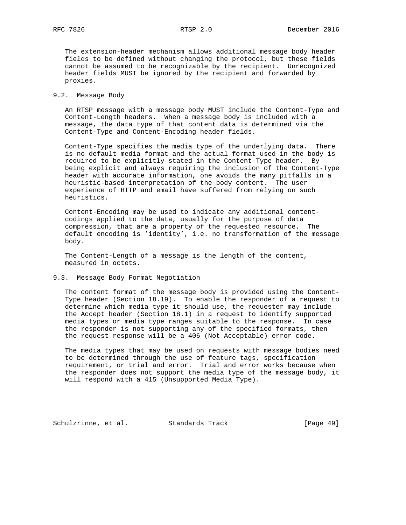The extension-header mechanism allows additional message body header fields to be defined without changing the protocol, but these fields cannot be assumed to be recognizable by the recipient. Unrecognized header fields MUST be ignored by the recipient and forwarded by proxies.

#### 9.2. Message Body

 An RTSP message with a message body MUST include the Content-Type and Content-Length headers. When a message body is included with a message, the data type of that content data is determined via the Content-Type and Content-Encoding header fields.

 Content-Type specifies the media type of the underlying data. There is no default media format and the actual format used in the body is required to be explicitly stated in the Content-Type header. By being explicit and always requiring the inclusion of the Content-Type header with accurate information, one avoids the many pitfalls in a heuristic-based interpretation of the body content. The user experience of HTTP and email have suffered from relying on such heuristics.

 Content-Encoding may be used to indicate any additional content codings applied to the data, usually for the purpose of data compression, that are a property of the requested resource. The default encoding is 'identity', i.e. no transformation of the message body.

 The Content-Length of a message is the length of the content, measured in octets.

### 9.3. Message Body Format Negotiation

 The content format of the message body is provided using the Content- Type header (Section 18.19). To enable the responder of a request to determine which media type it should use, the requester may include the Accept header (Section 18.1) in a request to identify supported media types or media type ranges suitable to the response. In case the responder is not supporting any of the specified formats, then the request response will be a 406 (Not Acceptable) error code.

 The media types that may be used on requests with message bodies need to be determined through the use of feature tags, specification requirement, or trial and error. Trial and error works because when the responder does not support the media type of the message body, it will respond with a 415 (Unsupported Media Type).

Schulzrinne, et al. Standards Track [Page 49]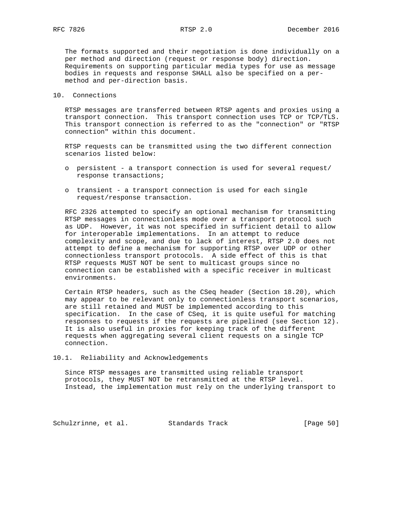The formats supported and their negotiation is done individually on a per method and direction (request or response body) direction. Requirements on supporting particular media types for use as message bodies in requests and response SHALL also be specified on a per method and per-direction basis.

#### 10. Connections

 RTSP messages are transferred between RTSP agents and proxies using a transport connection. This transport connection uses TCP or TCP/TLS. This transport connection is referred to as the "connection" or "RTSP connection" within this document.

 RTSP requests can be transmitted using the two different connection scenarios listed below:

- o persistent a transport connection is used for several request/ response transactions;
- o transient a transport connection is used for each single request/response transaction.

 RFC 2326 attempted to specify an optional mechanism for transmitting RTSP messages in connectionless mode over a transport protocol such as UDP. However, it was not specified in sufficient detail to allow for interoperable implementations. In an attempt to reduce complexity and scope, and due to lack of interest, RTSP 2.0 does not attempt to define a mechanism for supporting RTSP over UDP or other connectionless transport protocols. A side effect of this is that RTSP requests MUST NOT be sent to multicast groups since no connection can be established with a specific receiver in multicast environments.

 Certain RTSP headers, such as the CSeq header (Section 18.20), which may appear to be relevant only to connectionless transport scenarios, are still retained and MUST be implemented according to this specification. In the case of CSeq, it is quite useful for matching responses to requests if the requests are pipelined (see Section 12). It is also useful in proxies for keeping track of the different requests when aggregating several client requests on a single TCP connection.

10.1. Reliability and Acknowledgements

 Since RTSP messages are transmitted using reliable transport protocols, they MUST NOT be retransmitted at the RTSP level. Instead, the implementation must rely on the underlying transport to

Schulzrinne, et al. Standards Track [Page 50]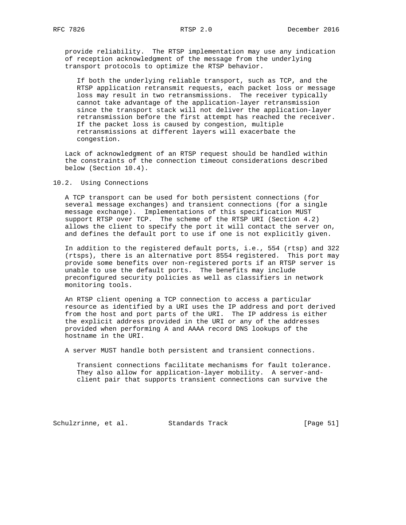provide reliability. The RTSP implementation may use any indication of reception acknowledgment of the message from the underlying transport protocols to optimize the RTSP behavior.

 If both the underlying reliable transport, such as TCP, and the RTSP application retransmit requests, each packet loss or message loss may result in two retransmissions. The receiver typically cannot take advantage of the application-layer retransmission since the transport stack will not deliver the application-layer retransmission before the first attempt has reached the receiver. If the packet loss is caused by congestion, multiple retransmissions at different layers will exacerbate the congestion.

 Lack of acknowledgment of an RTSP request should be handled within the constraints of the connection timeout considerations described below (Section 10.4).

#### 10.2. Using Connections

 A TCP transport can be used for both persistent connections (for several message exchanges) and transient connections (for a single message exchange). Implementations of this specification MUST support RTSP over TCP. The scheme of the RTSP URI (Section 4.2) allows the client to specify the port it will contact the server on, and defines the default port to use if one is not explicitly given.

 In addition to the registered default ports, i.e., 554 (rtsp) and 322 (rtsps), there is an alternative port 8554 registered. This port may provide some benefits over non-registered ports if an RTSP server is unable to use the default ports. The benefits may include preconfigured security policies as well as classifiers in network monitoring tools.

 An RTSP client opening a TCP connection to access a particular resource as identified by a URI uses the IP address and port derived from the host and port parts of the URI. The IP address is either the explicit address provided in the URI or any of the addresses provided when performing A and AAAA record DNS lookups of the hostname in the URI.

A server MUST handle both persistent and transient connections.

 Transient connections facilitate mechanisms for fault tolerance. They also allow for application-layer mobility. A server-and client pair that supports transient connections can survive the

Schulzrinne, et al. Standards Track [Page 51]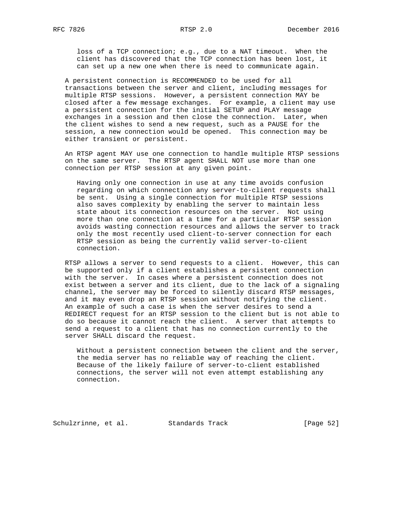loss of a TCP connection; e.g., due to a NAT timeout. When the client has discovered that the TCP connection has been lost, it can set up a new one when there is need to communicate again.

 A persistent connection is RECOMMENDED to be used for all transactions between the server and client, including messages for multiple RTSP sessions. However, a persistent connection MAY be closed after a few message exchanges. For example, a client may use a persistent connection for the initial SETUP and PLAY message exchanges in a session and then close the connection. Later, when the client wishes to send a new request, such as a PAUSE for the session, a new connection would be opened. This connection may be either transient or persistent.

 An RTSP agent MAY use one connection to handle multiple RTSP sessions on the same server. The RTSP agent SHALL NOT use more than one connection per RTSP session at any given point.

 Having only one connection in use at any time avoids confusion regarding on which connection any server-to-client requests shall be sent. Using a single connection for multiple RTSP sessions also saves complexity by enabling the server to maintain less state about its connection resources on the server. Not using more than one connection at a time for a particular RTSP session avoids wasting connection resources and allows the server to track only the most recently used client-to-server connection for each RTSP session as being the currently valid server-to-client connection.

 RTSP allows a server to send requests to a client. However, this can be supported only if a client establishes a persistent connection with the server. In cases where a persistent connection does not exist between a server and its client, due to the lack of a signaling channel, the server may be forced to silently discard RTSP messages, and it may even drop an RTSP session without notifying the client. An example of such a case is when the server desires to send a REDIRECT request for an RTSP session to the client but is not able to do so because it cannot reach the client. A server that attempts to send a request to a client that has no connection currently to the server SHALL discard the request.

 Without a persistent connection between the client and the server, the media server has no reliable way of reaching the client. Because of the likely failure of server-to-client established connections, the server will not even attempt establishing any connection.

Schulzrinne, et al. Standards Track [Page 52]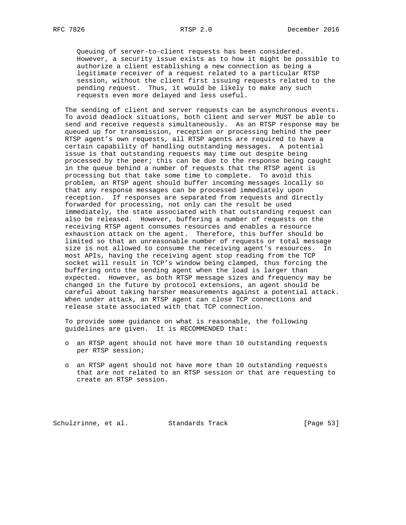Queuing of server-to-client requests has been considered. However, a security issue exists as to how it might be possible to authorize a client establishing a new connection as being a legitimate receiver of a request related to a particular RTSP session, without the client first issuing requests related to the pending request. Thus, it would be likely to make any such requests even more delayed and less useful.

 The sending of client and server requests can be asynchronous events. To avoid deadlock situations, both client and server MUST be able to send and receive requests simultaneously. As an RTSP response may be queued up for transmission, reception or processing behind the peer RTSP agent's own requests, all RTSP agents are required to have a certain capability of handling outstanding messages. A potential issue is that outstanding requests may time out despite being processed by the peer; this can be due to the response being caught in the queue behind a number of requests that the RTSP agent is processing but that take some time to complete. To avoid this problem, an RTSP agent should buffer incoming messages locally so that any response messages can be processed immediately upon reception. If responses are separated from requests and directly forwarded for processing, not only can the result be used immediately, the state associated with that outstanding request can also be released. However, buffering a number of requests on the receiving RTSP agent consumes resources and enables a resource exhaustion attack on the agent. Therefore, this buffer should be limited so that an unreasonable number of requests or total message size is not allowed to consume the receiving agent's resources. In most APIs, having the receiving agent stop reading from the TCP socket will result in TCP's window being clamped, thus forcing the buffering onto the sending agent when the load is larger than expected. However, as both RTSP message sizes and frequency may be changed in the future by protocol extensions, an agent should be careful about taking harsher measurements against a potential attack. When under attack, an RTSP agent can close TCP connections and release state associated with that TCP connection.

 To provide some guidance on what is reasonable, the following guidelines are given. It is RECOMMENDED that:

- o an RTSP agent should not have more than 10 outstanding requests per RTSP session;
- o an RTSP agent should not have more than 10 outstanding requests that are not related to an RTSP session or that are requesting to create an RTSP session.

Schulzrinne, et al. Standards Track [Page 53]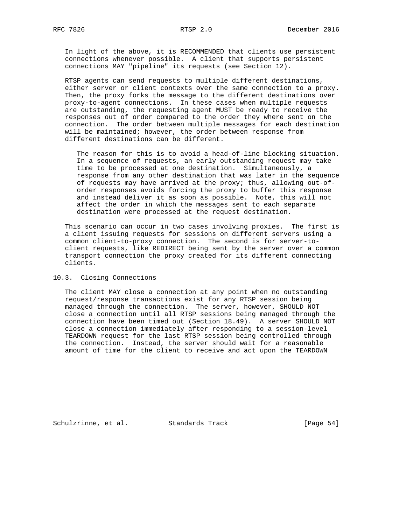In light of the above, it is RECOMMENDED that clients use persistent connections whenever possible. A client that supports persistent connections MAY "pipeline" its requests (see Section 12).

 RTSP agents can send requests to multiple different destinations, either server or client contexts over the same connection to a proxy. Then, the proxy forks the message to the different destinations over proxy-to-agent connections. In these cases when multiple requests are outstanding, the requesting agent MUST be ready to receive the responses out of order compared to the order they where sent on the connection. The order between multiple messages for each destination will be maintained; however, the order between response from different destinations can be different.

 The reason for this is to avoid a head-of-line blocking situation. In a sequence of requests, an early outstanding request may take time to be processed at one destination. Simultaneously, a response from any other destination that was later in the sequence of requests may have arrived at the proxy; thus, allowing out-of order responses avoids forcing the proxy to buffer this response and instead deliver it as soon as possible. Note, this will not affect the order in which the messages sent to each separate destination were processed at the request destination.

 This scenario can occur in two cases involving proxies. The first is a client issuing requests for sessions on different servers using a common client-to-proxy connection. The second is for server-to client requests, like REDIRECT being sent by the server over a common transport connection the proxy created for its different connecting clients.

10.3. Closing Connections

 The client MAY close a connection at any point when no outstanding request/response transactions exist for any RTSP session being managed through the connection. The server, however, SHOULD NOT close a connection until all RTSP sessions being managed through the connection have been timed out (Section 18.49). A server SHOULD NOT close a connection immediately after responding to a session-level TEARDOWN request for the last RTSP session being controlled through the connection. Instead, the server should wait for a reasonable amount of time for the client to receive and act upon the TEARDOWN

Schulzrinne, et al. Standards Track [Page 54]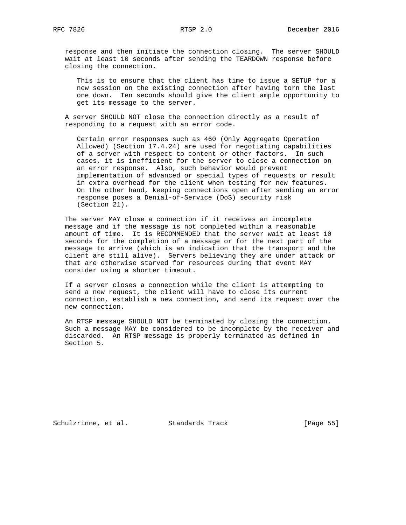response and then initiate the connection closing. The server SHOULD wait at least 10 seconds after sending the TEARDOWN response before closing the connection.

 This is to ensure that the client has time to issue a SETUP for a new session on the existing connection after having torn the last one down. Ten seconds should give the client ample opportunity to get its message to the server.

 A server SHOULD NOT close the connection directly as a result of responding to a request with an error code.

 Certain error responses such as 460 (Only Aggregate Operation Allowed) (Section 17.4.24) are used for negotiating capabilities of a server with respect to content or other factors. In such cases, it is inefficient for the server to close a connection on an error response. Also, such behavior would prevent implementation of advanced or special types of requests or result in extra overhead for the client when testing for new features. On the other hand, keeping connections open after sending an error response poses a Denial-of-Service (DoS) security risk (Section 21).

 The server MAY close a connection if it receives an incomplete message and if the message is not completed within a reasonable amount of time. It is RECOMMENDED that the server wait at least 10 seconds for the completion of a message or for the next part of the message to arrive (which is an indication that the transport and the client are still alive). Servers believing they are under attack or that are otherwise starved for resources during that event MAY consider using a shorter timeout.

 If a server closes a connection while the client is attempting to send a new request, the client will have to close its current connection, establish a new connection, and send its request over the new connection.

 An RTSP message SHOULD NOT be terminated by closing the connection. Such a message MAY be considered to be incomplete by the receiver and discarded. An RTSP message is properly terminated as defined in Section 5.

Schulzrinne, et al. Standards Track [Page 55]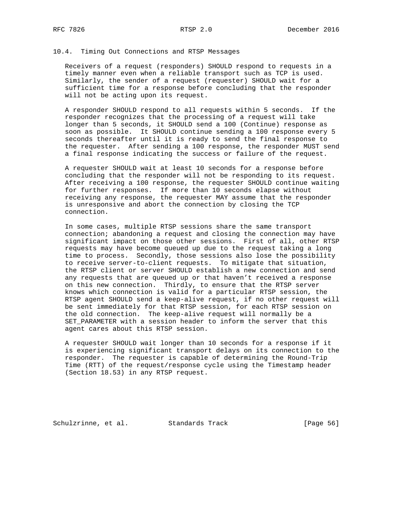#### 10.4. Timing Out Connections and RTSP Messages

 Receivers of a request (responders) SHOULD respond to requests in a timely manner even when a reliable transport such as TCP is used. Similarly, the sender of a request (requester) SHOULD wait for a sufficient time for a response before concluding that the responder will not be acting upon its request.

 A responder SHOULD respond to all requests within 5 seconds. If the responder recognizes that the processing of a request will take longer than 5 seconds, it SHOULD send a 100 (Continue) response as soon as possible. It SHOULD continue sending a 100 response every 5 seconds thereafter until it is ready to send the final response to the requester. After sending a 100 response, the responder MUST send a final response indicating the success or failure of the request.

 A requester SHOULD wait at least 10 seconds for a response before concluding that the responder will not be responding to its request. After receiving a 100 response, the requester SHOULD continue waiting for further responses. If more than 10 seconds elapse without receiving any response, the requester MAY assume that the responder is unresponsive and abort the connection by closing the TCP connection.

 In some cases, multiple RTSP sessions share the same transport connection; abandoning a request and closing the connection may have significant impact on those other sessions. First of all, other RTSP requests may have become queued up due to the request taking a long time to process. Secondly, those sessions also lose the possibility to receive server-to-client requests. To mitigate that situation, the RTSP client or server SHOULD establish a new connection and send any requests that are queued up or that haven't received a response on this new connection. Thirdly, to ensure that the RTSP server knows which connection is valid for a particular RTSP session, the RTSP agent SHOULD send a keep-alive request, if no other request will be sent immediately for that RTSP session, for each RTSP session on the old connection. The keep-alive request will normally be a SET\_PARAMETER with a session header to inform the server that this agent cares about this RTSP session.

 A requester SHOULD wait longer than 10 seconds for a response if it is experiencing significant transport delays on its connection to the responder. The requester is capable of determining the Round-Trip Time (RTT) of the request/response cycle using the Timestamp header (Section 18.53) in any RTSP request.

Schulzrinne, et al. Standards Track [Page 56]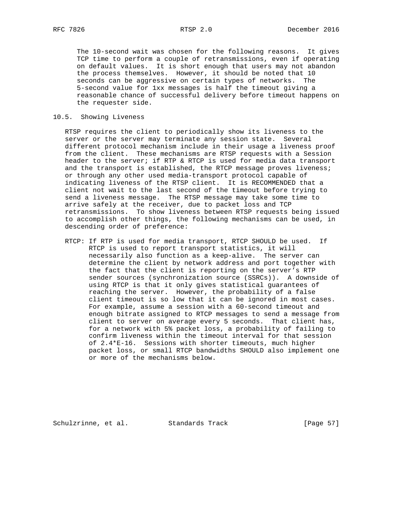The 10-second wait was chosen for the following reasons. It gives TCP time to perform a couple of retransmissions, even if operating on default values. It is short enough that users may not abandon the process themselves. However, it should be noted that 10 seconds can be aggressive on certain types of networks. The 5-second value for 1xx messages is half the timeout giving a reasonable chance of successful delivery before timeout happens on the requester side.

#### 10.5. Showing Liveness

 RTSP requires the client to periodically show its liveness to the server or the server may terminate any session state. Several different protocol mechanism include in their usage a liveness proof from the client. These mechanisms are RTSP requests with a Session header to the server; if RTP & RTCP is used for media data transport and the transport is established, the RTCP message proves liveness; or through any other used media-transport protocol capable of indicating liveness of the RTSP client. It is RECOMMENDED that a client not wait to the last second of the timeout before trying to send a liveness message. The RTSP message may take some time to arrive safely at the receiver, due to packet loss and TCP retransmissions. To show liveness between RTSP requests being issued to accomplish other things, the following mechanisms can be used, in descending order of preference:

 RTCP: If RTP is used for media transport, RTCP SHOULD be used. If RTCP is used to report transport statistics, it will necessarily also function as a keep-alive. The server can determine the client by network address and port together with the fact that the client is reporting on the server's RTP sender sources (synchronization source (SSRCs)). A downside of using RTCP is that it only gives statistical guarantees of reaching the server. However, the probability of a false client timeout is so low that it can be ignored in most cases. For example, assume a session with a 60-second timeout and enough bitrate assigned to RTCP messages to send a message from client to server on average every 5 seconds. That client has, for a network with 5% packet loss, a probability of failing to confirm liveness within the timeout interval for that session of 2.4\*E-16. Sessions with shorter timeouts, much higher packet loss, or small RTCP bandwidths SHOULD also implement one or more of the mechanisms below.

Schulzrinne, et al. Standards Track [Page 57]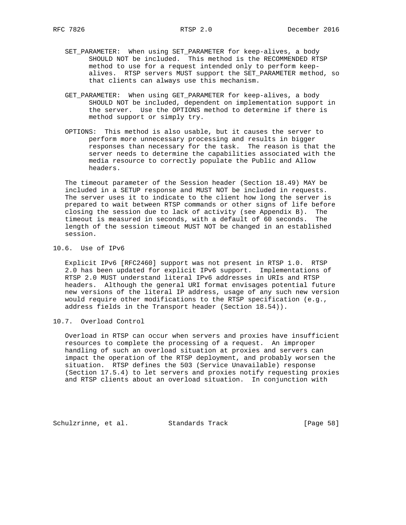- SET\_PARAMETER: When using SET\_PARAMETER for keep-alives, a body SHOULD NOT be included. This method is the RECOMMENDED RTSP method to use for a request intended only to perform keep alives. RTSP servers MUST support the SET\_PARAMETER method, so that clients can always use this mechanism.
- GET\_PARAMETER: When using GET\_PARAMETER for keep-alives, a body SHOULD NOT be included, dependent on implementation support in the server. Use the OPTIONS method to determine if there is method support or simply try.
- OPTIONS: This method is also usable, but it causes the server to perform more unnecessary processing and results in bigger responses than necessary for the task. The reason is that the server needs to determine the capabilities associated with the media resource to correctly populate the Public and Allow headers.

 The timeout parameter of the Session header (Section 18.49) MAY be included in a SETUP response and MUST NOT be included in requests. The server uses it to indicate to the client how long the server is prepared to wait between RTSP commands or other signs of life before closing the session due to lack of activity (see Appendix B). The timeout is measured in seconds, with a default of 60 seconds. The length of the session timeout MUST NOT be changed in an established session.

#### 10.6. Use of IPv6

 Explicit IPv6 [RFC2460] support was not present in RTSP 1.0. RTSP 2.0 has been updated for explicit IPv6 support. Implementations of RTSP 2.0 MUST understand literal IPv6 addresses in URIs and RTSP headers. Although the general URI format envisages potential future new versions of the literal IP address, usage of any such new version would require other modifications to the RTSP specification (e.g., address fields in the Transport header (Section 18.54)).

10.7. Overload Control

 Overload in RTSP can occur when servers and proxies have insufficient resources to complete the processing of a request. An improper handling of such an overload situation at proxies and servers can impact the operation of the RTSP deployment, and probably worsen the situation. RTSP defines the 503 (Service Unavailable) response (Section 17.5.4) to let servers and proxies notify requesting proxies and RTSP clients about an overload situation. In conjunction with

Schulzrinne, et al. Standards Track [Page 58]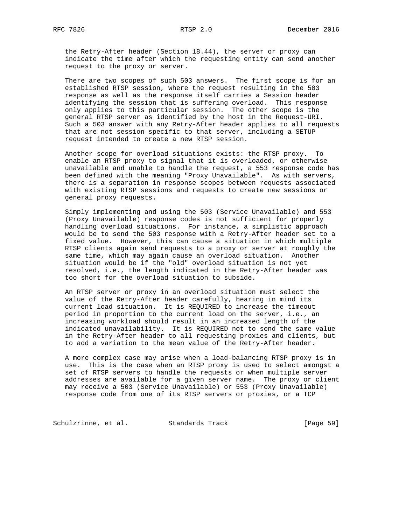the Retry-After header (Section 18.44), the server or proxy can indicate the time after which the requesting entity can send another request to the proxy or server.

 There are two scopes of such 503 answers. The first scope is for an established RTSP session, where the request resulting in the 503 response as well as the response itself carries a Session header identifying the session that is suffering overload. This response only applies to this particular session. The other scope is the general RTSP server as identified by the host in the Request-URI. Such a 503 answer with any Retry-After header applies to all requests that are not session specific to that server, including a SETUP request intended to create a new RTSP session.

 Another scope for overload situations exists: the RTSP proxy. To enable an RTSP proxy to signal that it is overloaded, or otherwise unavailable and unable to handle the request, a 553 response code has been defined with the meaning "Proxy Unavailable". As with servers, there is a separation in response scopes between requests associated with existing RTSP sessions and requests to create new sessions or general proxy requests.

 Simply implementing and using the 503 (Service Unavailable) and 553 (Proxy Unavailable) response codes is not sufficient for properly handling overload situations. For instance, a simplistic approach would be to send the 503 response with a Retry-After header set to a fixed value. However, this can cause a situation in which multiple RTSP clients again send requests to a proxy or server at roughly the same time, which may again cause an overload situation. Another situation would be if the "old" overload situation is not yet resolved, i.e., the length indicated in the Retry-After header was too short for the overload situation to subside.

 An RTSP server or proxy in an overload situation must select the value of the Retry-After header carefully, bearing in mind its current load situation. It is REQUIRED to increase the timeout period in proportion to the current load on the server, i.e., an increasing workload should result in an increased length of the indicated unavailability. It is REQUIRED not to send the same value in the Retry-After header to all requesting proxies and clients, but to add a variation to the mean value of the Retry-After header.

 A more complex case may arise when a load-balancing RTSP proxy is in use. This is the case when an RTSP proxy is used to select amongst a set of RTSP servers to handle the requests or when multiple server addresses are available for a given server name. The proxy or client may receive a 503 (Service Unavailable) or 553 (Proxy Unavailable) response code from one of its RTSP servers or proxies, or a TCP

Schulzrinne, et al. Standards Track [Page 59]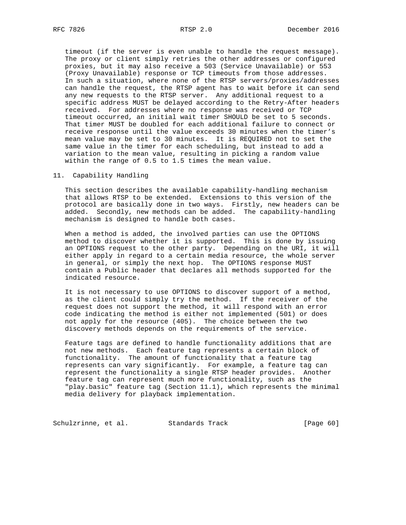timeout (if the server is even unable to handle the request message). The proxy or client simply retries the other addresses or configured proxies, but it may also receive a 503 (Service Unavailable) or 553 (Proxy Unavailable) response or TCP timeouts from those addresses. In such a situation, where none of the RTSP servers/proxies/addresses can handle the request, the RTSP agent has to wait before it can send any new requests to the RTSP server. Any additional request to a specific address MUST be delayed according to the Retry-After headers received. For addresses where no response was received or TCP timeout occurred, an initial wait timer SHOULD be set to 5 seconds. That timer MUST be doubled for each additional failure to connect or receive response until the value exceeds 30 minutes when the timer's mean value may be set to 30 minutes. It is REQUIRED not to set the same value in the timer for each scheduling, but instead to add a variation to the mean value, resulting in picking a random value within the range of 0.5 to 1.5 times the mean value.

11. Capability Handling

 This section describes the available capability-handling mechanism that allows RTSP to be extended. Extensions to this version of the protocol are basically done in two ways. Firstly, new headers can be added. Secondly, new methods can be added. The capability-handling mechanism is designed to handle both cases.

 When a method is added, the involved parties can use the OPTIONS method to discover whether it is supported. This is done by issuing an OPTIONS request to the other party. Depending on the URI, it will either apply in regard to a certain media resource, the whole server in general, or simply the next hop. The OPTIONS response MUST contain a Public header that declares all methods supported for the indicated resource.

 It is not necessary to use OPTIONS to discover support of a method, as the client could simply try the method. If the receiver of the request does not support the method, it will respond with an error code indicating the method is either not implemented (501) or does not apply for the resource (405). The choice between the two discovery methods depends on the requirements of the service.

 Feature tags are defined to handle functionality additions that are not new methods. Each feature tag represents a certain block of functionality. The amount of functionality that a feature tag represents can vary significantly. For example, a feature tag can represent the functionality a single RTSP header provides. Another feature tag can represent much more functionality, such as the "play.basic" feature tag (Section 11.1), which represents the minimal media delivery for playback implementation.

Schulzrinne, et al. Standards Track [Page 60]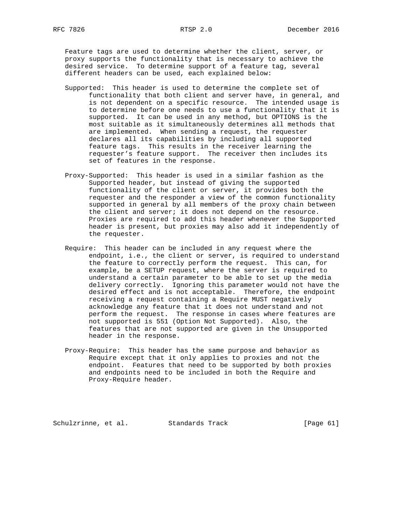Feature tags are used to determine whether the client, server, or proxy supports the functionality that is necessary to achieve the desired service. To determine support of a feature tag, several different headers can be used, each explained below:

- Supported: This header is used to determine the complete set of functionality that both client and server have, in general, and is not dependent on a specific resource. The intended usage is to determine before one needs to use a functionality that it is supported. It can be used in any method, but OPTIONS is the most suitable as it simultaneously determines all methods that are implemented. When sending a request, the requester declares all its capabilities by including all supported feature tags. This results in the receiver learning the requester's feature support. The receiver then includes its set of features in the response.
- Proxy-Supported: This header is used in a similar fashion as the Supported header, but instead of giving the supported functionality of the client or server, it provides both the requester and the responder a view of the common functionality supported in general by all members of the proxy chain between the client and server; it does not depend on the resource. Proxies are required to add this header whenever the Supported header is present, but proxies may also add it independently of the requester.
- Require: This header can be included in any request where the endpoint, i.e., the client or server, is required to understand the feature to correctly perform the request. This can, for example, be a SETUP request, where the server is required to understand a certain parameter to be able to set up the media delivery correctly. Ignoring this parameter would not have the desired effect and is not acceptable. Therefore, the endpoint receiving a request containing a Require MUST negatively acknowledge any feature that it does not understand and not perform the request. The response in cases where features are not supported is 551 (Option Not Supported). Also, the features that are not supported are given in the Unsupported header in the response.
- Proxy-Require: This header has the same purpose and behavior as Require except that it only applies to proxies and not the endpoint. Features that need to be supported by both proxies and endpoints need to be included in both the Require and Proxy-Require header.

Schulzrinne, et al. Standards Track [Page 61]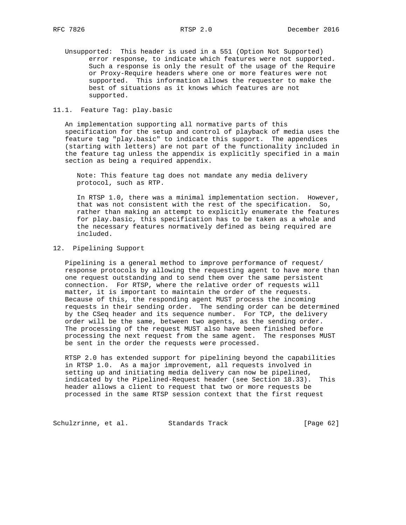Unsupported: This header is used in a 551 (Option Not Supported) error response, to indicate which features were not supported. Such a response is only the result of the usage of the Require or Proxy-Require headers where one or more features were not supported. This information allows the requester to make the best of situations as it knows which features are not supported.

#### 11.1. Feature Tag: play.basic

 An implementation supporting all normative parts of this specification for the setup and control of playback of media uses the feature tag "play.basic" to indicate this support. The appendices (starting with letters) are not part of the functionality included in the feature tag unless the appendix is explicitly specified in a main section as being a required appendix.

 Note: This feature tag does not mandate any media delivery protocol, such as RTP.

 In RTSP 1.0, there was a minimal implementation section. However, that was not consistent with the rest of the specification. So, rather than making an attempt to explicitly enumerate the features for play.basic, this specification has to be taken as a whole and the necessary features normatively defined as being required are included.

#### 12. Pipelining Support

 Pipelining is a general method to improve performance of request/ response protocols by allowing the requesting agent to have more than one request outstanding and to send them over the same persistent connection. For RTSP, where the relative order of requests will matter, it is important to maintain the order of the requests. Because of this, the responding agent MUST process the incoming requests in their sending order. The sending order can be determined by the CSeq header and its sequence number. For TCP, the delivery order will be the same, between two agents, as the sending order. The processing of the request MUST also have been finished before processing the next request from the same agent. The responses MUST be sent in the order the requests were processed.

 RTSP 2.0 has extended support for pipelining beyond the capabilities in RTSP 1.0. As a major improvement, all requests involved in setting up and initiating media delivery can now be pipelined, indicated by the Pipelined-Request header (see Section 18.33). This header allows a client to request that two or more requests be processed in the same RTSP session context that the first request

Schulzrinne, et al. Standards Track [Page 62]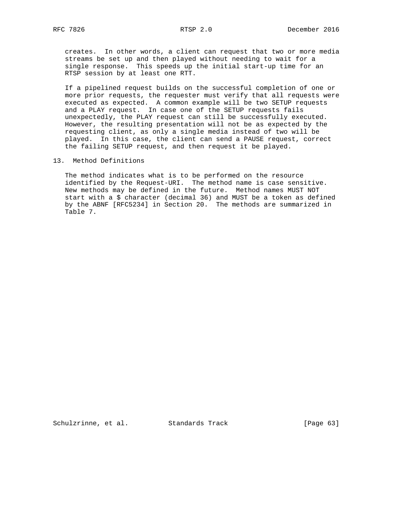creates. In other words, a client can request that two or more media streams be set up and then played without needing to wait for a single response. This speeds up the initial start-up time for an RTSP session by at least one RTT.

 If a pipelined request builds on the successful completion of one or more prior requests, the requester must verify that all requests were executed as expected. A common example will be two SETUP requests and a PLAY request. In case one of the SETUP requests fails unexpectedly, the PLAY request can still be successfully executed. However, the resulting presentation will not be as expected by the requesting client, as only a single media instead of two will be played. In this case, the client can send a PAUSE request, correct the failing SETUP request, and then request it be played.

#### 13. Method Definitions

 The method indicates what is to be performed on the resource identified by the Request-URI. The method name is case sensitive. New methods may be defined in the future. Method names MUST NOT start with a \$ character (decimal 36) and MUST be a token as defined by the ABNF [RFC5234] in Section 20. The methods are summarized in Table 7.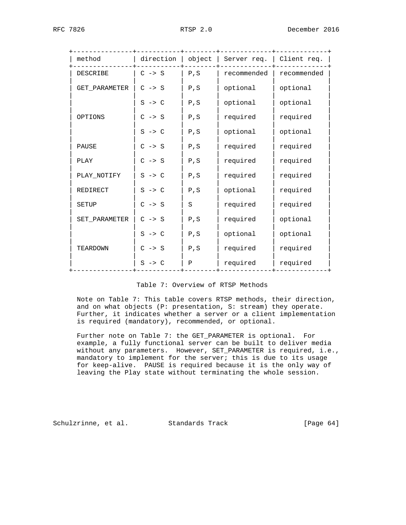| method          | direction         | object | Server req.   Client req. |             |
|-----------------|-------------------|--------|---------------------------|-------------|
| <b>DESCRIBE</b> | $C \rightarrow S$ | P, S   | recommended               | recommended |
| GET_PARAMETER   | $C \rightarrow S$ | P, S   | optional                  | optional    |
|                 | $S \rightarrow C$ | P, S   | optional                  | optional    |
| OPTIONS         | $C \rightarrow S$ | P, S   | required                  | required    |
|                 | $S \rightarrow C$ | P, S   | optional                  | optional    |
| PAUSE           | $C \rightarrow S$ | P, S   | required                  | required    |
| PLAY            | $C \rightarrow S$ | P, S   | required                  | required    |
| PLAY NOTIFY     | $S \rightarrow C$ | P, S   | required                  | required    |
| <b>REDIRECT</b> | $S \rightarrow C$ | P, S   | optional                  | required    |
| <b>SETUP</b>    | $C \rightarrow S$ | S      | required                  | required    |
| SET PARAMETER   | $C \rightarrow S$ | P, S   | required                  | optional    |
|                 | $S \rightarrow C$ | P, S   | optional                  | optional    |
| TEARDOWN        | $C \rightarrow S$ | P, S   | required                  | required    |
|                 | $S \rightarrow C$ | Ρ      | required                  | required    |
|                 |                   |        |                           |             |

### Table 7: Overview of RTSP Methods

 Note on Table 7: This table covers RTSP methods, their direction, and on what objects (P: presentation, S: stream) they operate. Further, it indicates whether a server or a client implementation is required (mandatory), recommended, or optional.

 Further note on Table 7: the GET\_PARAMETER is optional. For example, a fully functional server can be built to deliver media without any parameters. However, SET\_PARAMETER is required, i.e., mandatory to implement for the server; this is due to its usage for keep-alive. PAUSE is required because it is the only way of leaving the Play state without terminating the whole session.

Schulzrinne, et al. Standards Track [Page 64]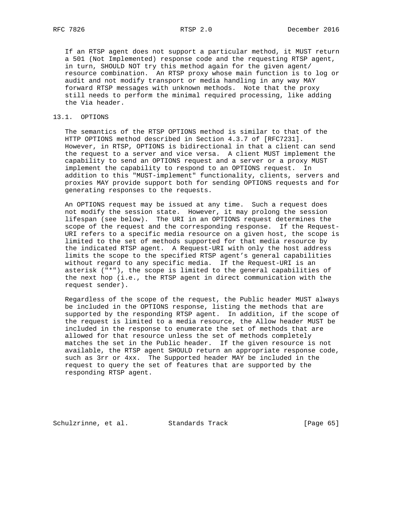If an RTSP agent does not support a particular method, it MUST return a 501 (Not Implemented) response code and the requesting RTSP agent, in turn, SHOULD NOT try this method again for the given agent/ resource combination. An RTSP proxy whose main function is to log or audit and not modify transport or media handling in any way MAY forward RTSP messages with unknown methods. Note that the proxy still needs to perform the minimal required processing, like adding the Via header.

#### 13.1. OPTIONS

 The semantics of the RTSP OPTIONS method is similar to that of the HTTP OPTIONS method described in Section 4.3.7 of [RFC7231]. However, in RTSP, OPTIONS is bidirectional in that a client can send the request to a server and vice versa. A client MUST implement the capability to send an OPTIONS request and a server or a proxy MUST implement the capability to respond to an OPTIONS request. In addition to this "MUST-implement" functionality, clients, servers and proxies MAY provide support both for sending OPTIONS requests and for generating responses to the requests.

 An OPTIONS request may be issued at any time. Such a request does not modify the session state. However, it may prolong the session lifespan (see below). The URI in an OPTIONS request determines the scope of the request and the corresponding response. If the Request- URI refers to a specific media resource on a given host, the scope is limited to the set of methods supported for that media resource by the indicated RTSP agent. A Request-URI with only the host address limits the scope to the specified RTSP agent's general capabilities without regard to any specific media. If the Request-URI is an asterisk ("\*"), the scope is limited to the general capabilities of the next hop (i.e., the RTSP agent in direct communication with the request sender).

 Regardless of the scope of the request, the Public header MUST always be included in the OPTIONS response, listing the methods that are supported by the responding RTSP agent. In addition, if the scope of the request is limited to a media resource, the Allow header MUST be included in the response to enumerate the set of methods that are allowed for that resource unless the set of methods completely matches the set in the Public header. If the given resource is not available, the RTSP agent SHOULD return an appropriate response code, such as 3rr or 4xx. The Supported header MAY be included in the request to query the set of features that are supported by the responding RTSP agent.

Schulzrinne, et al. Standards Track [Page 65]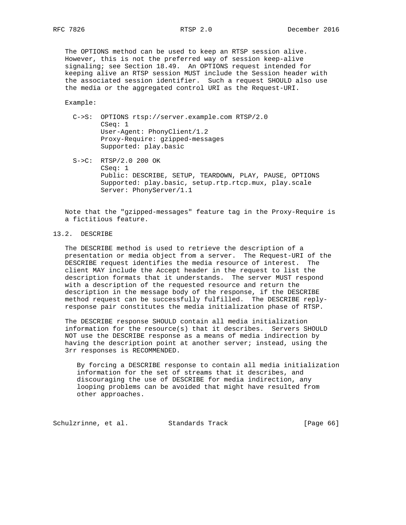The OPTIONS method can be used to keep an RTSP session alive. However, this is not the preferred way of session keep-alive signaling; see Section 18.49. An OPTIONS request intended for keeping alive an RTSP session MUST include the Session header with the associated session identifier. Such a request SHOULD also use the media or the aggregated control URI as the Request-URI.

Example:

- C->S: OPTIONS rtsp://server.example.com RTSP/2.0 CSeq: 1 User-Agent: PhonyClient/1.2 Proxy-Require: gzipped-messages Supported: play.basic
- S->C: RTSP/2.0 200 OK CSeq: 1 Public: DESCRIBE, SETUP, TEARDOWN, PLAY, PAUSE, OPTIONS Supported: play.basic, setup.rtp.rtcp.mux, play.scale Server: PhonyServer/1.1

 Note that the "gzipped-messages" feature tag in the Proxy-Require is a fictitious feature.

# 13.2. DESCRIBE

 The DESCRIBE method is used to retrieve the description of a presentation or media object from a server. The Request-URI of the DESCRIBE request identifies the media resource of interest. The client MAY include the Accept header in the request to list the description formats that it understands. The server MUST respond with a description of the requested resource and return the description in the message body of the response, if the DESCRIBE method request can be successfully fulfilled. The DESCRIBE reply response pair constitutes the media initialization phase of RTSP.

 The DESCRIBE response SHOULD contain all media initialization information for the resource(s) that it describes. Servers SHOULD NOT use the DESCRIBE response as a means of media indirection by having the description point at another server; instead, using the 3rr responses is RECOMMENDED.

 By forcing a DESCRIBE response to contain all media initialization information for the set of streams that it describes, and discouraging the use of DESCRIBE for media indirection, any looping problems can be avoided that might have resulted from other approaches.

Schulzrinne, et al. Standards Track [Page 66]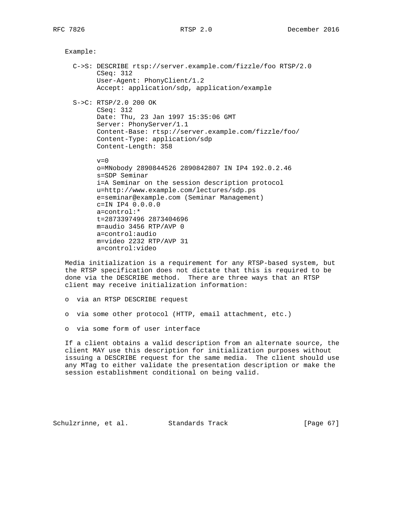```
 Example:
C->S: DESCRIBE rtsp://server.example.com/fizzle/foo RTSP/2.0
      CSeq: 312
      User-Agent: PhonyClient/1.2
      Accept: application/sdp, application/example
S->C: RTSP/2.0 200 OK
      CSeq: 312
      Date: Thu, 23 Jan 1997 15:35:06 GMT
      Server: PhonyServer/1.1
      Content-Base: rtsp://server.example.com/fizzle/foo/
      Content-Type: application/sdp
      Content-Length: 358
     v=0 o=MNobody 2890844526 2890842807 IN IP4 192.0.2.46
      s=SDP Seminar
      i=A Seminar on the session description protocol
      u=http://www.example.com/lectures/sdp.ps
      e=seminar@example.com (Seminar Management)
      c=IN IP4 0.0.0.0
      a=control:*
      t=2873397496 2873404696
      m=audio 3456 RTP/AVP 0
      a=control:audio
      m=video 2232 RTP/AVP 31
      a=control:video
```
 Media initialization is a requirement for any RTSP-based system, but the RTSP specification does not dictate that this is required to be done via the DESCRIBE method. There are three ways that an RTSP client may receive initialization information:

```
 o via an RTSP DESCRIBE request
```
- o via some other protocol (HTTP, email attachment, etc.)
- o via some form of user interface

 If a client obtains a valid description from an alternate source, the client MAY use this description for initialization purposes without issuing a DESCRIBE request for the same media. The client should use any MTag to either validate the presentation description or make the session establishment conditional on being valid.

Schulzrinne, et al. Standards Track [Page 67]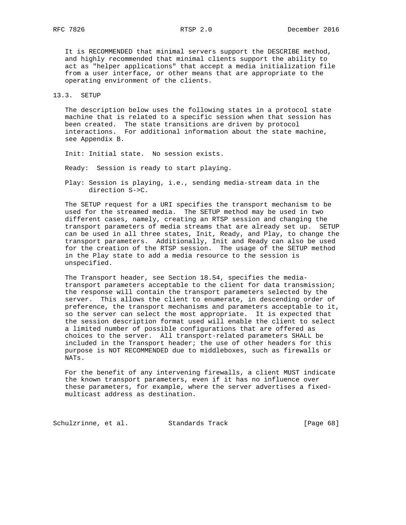It is RECOMMENDED that minimal servers support the DESCRIBE method, and highly recommended that minimal clients support the ability to act as "helper applications" that accept a media initialization file from a user interface, or other means that are appropriate to the operating environment of the clients.

#### 13.3. SETUP

 The description below uses the following states in a protocol state machine that is related to a specific session when that session has been created. The state transitions are driven by protocol interactions. For additional information about the state machine, see Appendix B.

Init: Initial state. No session exists.

Ready: Session is ready to start playing.

 Play: Session is playing, i.e., sending media-stream data in the direction S->C.

 The SETUP request for a URI specifies the transport mechanism to be used for the streamed media. The SETUP method may be used in two different cases, namely, creating an RTSP session and changing the transport parameters of media streams that are already set up. SETUP can be used in all three states, Init, Ready, and Play, to change the transport parameters. Additionally, Init and Ready can also be used for the creation of the RTSP session. The usage of the SETUP method in the Play state to add a media resource to the session is unspecified.

 The Transport header, see Section 18.54, specifies the media transport parameters acceptable to the client for data transmission; the response will contain the transport parameters selected by the server. This allows the client to enumerate, in descending order of preference, the transport mechanisms and parameters acceptable to it, so the server can select the most appropriate. It is expected that the session description format used will enable the client to select a limited number of possible configurations that are offered as choices to the server. All transport-related parameters SHALL be included in the Transport header; the use of other headers for this purpose is NOT RECOMMENDED due to middleboxes, such as firewalls or NATs.

 For the benefit of any intervening firewalls, a client MUST indicate the known transport parameters, even if it has no influence over these parameters, for example, where the server advertises a fixed multicast address as destination.

Schulzrinne, et al. Standards Track [Page 68]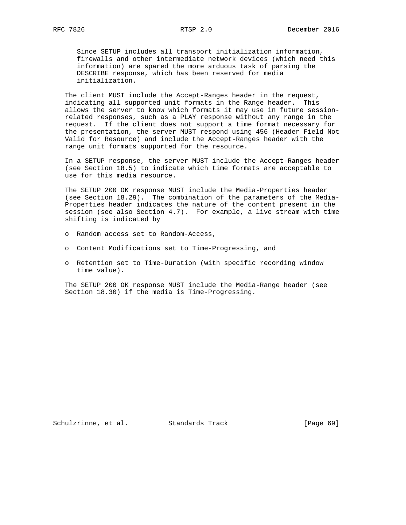Since SETUP includes all transport initialization information, firewalls and other intermediate network devices (which need this information) are spared the more arduous task of parsing the DESCRIBE response, which has been reserved for media initialization.

 The client MUST include the Accept-Ranges header in the request, indicating all supported unit formats in the Range header. This allows the server to know which formats it may use in future session related responses, such as a PLAY response without any range in the request. If the client does not support a time format necessary for the presentation, the server MUST respond using 456 (Header Field Not Valid for Resource) and include the Accept-Ranges header with the range unit formats supported for the resource.

 In a SETUP response, the server MUST include the Accept-Ranges header (see Section 18.5) to indicate which time formats are acceptable to use for this media resource.

 The SETUP 200 OK response MUST include the Media-Properties header (see Section 18.29). The combination of the parameters of the Media- Properties header indicates the nature of the content present in the session (see also Section 4.7). For example, a live stream with time shifting is indicated by

- o Random access set to Random-Access,
- o Content Modifications set to Time-Progressing, and
- o Retention set to Time-Duration (with specific recording window time value).

 The SETUP 200 OK response MUST include the Media-Range header (see Section 18.30) if the media is Time-Progressing.

Schulzrinne, et al. Standards Track [Page 69]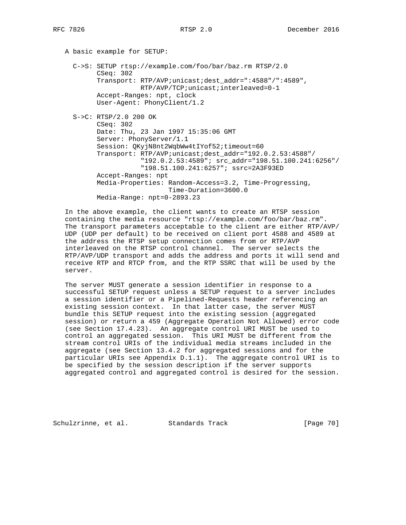A basic example for SETUP: C->S: SETUP rtsp://example.com/foo/bar/baz.rm RTSP/2.0 CSeq: 302 Transport: RTP/AVP;unicast;dest\_addr=":4588"/":4589", RTP/AVP/TCP;unicast;interleaved=0-1 Accept-Ranges: npt, clock User-Agent: PhonyClient/1.2 S->C: RTSP/2.0 200 OK CSeq: 302 Date: Thu, 23 Jan 1997 15:35:06 GMT Server: PhonyServer/1.1 Session: QKyjN8nt2WqbWw4tIYof52;timeout=60 Transport: RTP/AVP;unicast;dest\_addr="192.0.2.53:4588"/ "192.0.2.53:4589"; src\_addr="198.51.100.241:6256"/ "198.51.100.241:6257"; ssrc=2A3F93ED Accept-Ranges: npt Media-Properties: Random-Access=3.2, Time-Progressing, Time-Duration=3600.0 Media-Range: npt=0-2893.23

 In the above example, the client wants to create an RTSP session containing the media resource "rtsp://example.com/foo/bar/baz.rm". The transport parameters acceptable to the client are either RTP/AVP/ UDP (UDP per default) to be received on client port 4588 and 4589 at the address the RTSP setup connection comes from or RTP/AVP interleaved on the RTSP control channel. The server selects the RTP/AVP/UDP transport and adds the address and ports it will send and receive RTP and RTCP from, and the RTP SSRC that will be used by the server.

 The server MUST generate a session identifier in response to a successful SETUP request unless a SETUP request to a server includes a session identifier or a Pipelined-Requests header referencing an existing session context. In that latter case, the server MUST bundle this SETUP request into the existing session (aggregated session) or return a 459 (Aggregate Operation Not Allowed) error code (see Section 17.4.23). An aggregate control URI MUST be used to control an aggregated session. This URI MUST be different from the stream control URIs of the individual media streams included in the aggregate (see Section 13.4.2 for aggregated sessions and for the particular URIs see Appendix D.1.1). The aggregate control URI is to be specified by the session description if the server supports aggregated control and aggregated control is desired for the session.

Schulzrinne, et al. Standards Track [Page 70]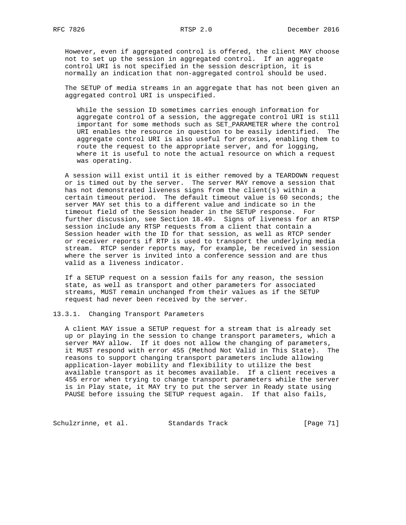However, even if aggregated control is offered, the client MAY choose not to set up the session in aggregated control. If an aggregate control URI is not specified in the session description, it is normally an indication that non-aggregated control should be used.

 The SETUP of media streams in an aggregate that has not been given an aggregated control URI is unspecified.

 While the session ID sometimes carries enough information for aggregate control of a session, the aggregate control URI is still important for some methods such as SET\_PARAMETER where the control URI enables the resource in question to be easily identified. The aggregate control URI is also useful for proxies, enabling them to route the request to the appropriate server, and for logging, where it is useful to note the actual resource on which a request was operating.

 A session will exist until it is either removed by a TEARDOWN request or is timed out by the server. The server MAY remove a session that has not demonstrated liveness signs from the client(s) within a certain timeout period. The default timeout value is 60 seconds; the server MAY set this to a different value and indicate so in the timeout field of the Session header in the SETUP response. For further discussion, see Section 18.49. Signs of liveness for an RTSP session include any RTSP requests from a client that contain a Session header with the ID for that session, as well as RTCP sender or receiver reports if RTP is used to transport the underlying media stream. RTCP sender reports may, for example, be received in session where the server is invited into a conference session and are thus valid as a liveness indicator.

 If a SETUP request on a session fails for any reason, the session state, as well as transport and other parameters for associated streams, MUST remain unchanged from their values as if the SETUP request had never been received by the server.

# 13.3.1. Changing Transport Parameters

 A client MAY issue a SETUP request for a stream that is already set up or playing in the session to change transport parameters, which a server MAY allow. If it does not allow the changing of parameters, it MUST respond with error 455 (Method Not Valid in This State). The reasons to support changing transport parameters include allowing application-layer mobility and flexibility to utilize the best available transport as it becomes available. If a client receives a 455 error when trying to change transport parameters while the server is in Play state, it MAY try to put the server in Ready state using PAUSE before issuing the SETUP request again. If that also fails,

Schulzrinne, et al. Standards Track [Page 71]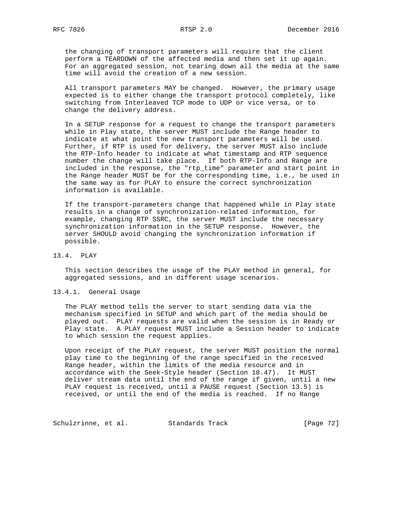the changing of transport parameters will require that the client perform a TEARDOWN of the affected media and then set it up again. For an aggregated session, not tearing down all the media at the same time will avoid the creation of a new session.

 All transport parameters MAY be changed. However, the primary usage expected is to either change the transport protocol completely, like switching from Interleaved TCP mode to UDP or vice versa, or to change the delivery address.

 In a SETUP response for a request to change the transport parameters while in Play state, the server MUST include the Range header to indicate at what point the new transport parameters will be used. Further, if RTP is used for delivery, the server MUST also include the RTP-Info header to indicate at what timestamp and RTP sequence number the change will take place. If both RTP-Info and Range are included in the response, the "rtp\_time" parameter and start point in the Range header MUST be for the corresponding time, i.e., be used in the same way as for PLAY to ensure the correct synchronization information is available.

 If the transport-parameters change that happened while in Play state results in a change of synchronization-related information, for example, changing RTP SSRC, the server MUST include the necessary synchronization information in the SETUP response. However, the server SHOULD avoid changing the synchronization information if possible.

13.4. PLAY

 This section describes the usage of the PLAY method in general, for aggregated sessions, and in different usage scenarios.

#### 13.4.1. General Usage

 The PLAY method tells the server to start sending data via the mechanism specified in SETUP and which part of the media should be played out. PLAY requests are valid when the session is in Ready or Play state. A PLAY request MUST include a Session header to indicate to which session the request applies.

 Upon receipt of the PLAY request, the server MUST position the normal play time to the beginning of the range specified in the received Range header, within the limits of the media resource and in accordance with the Seek-Style header (Section 18.47). It MUST deliver stream data until the end of the range if given, until a new PLAY request is received, until a PAUSE request (Section 13.5) is received, or until the end of the media is reached. If no Range

Schulzrinne, et al. Standards Track [Page 72]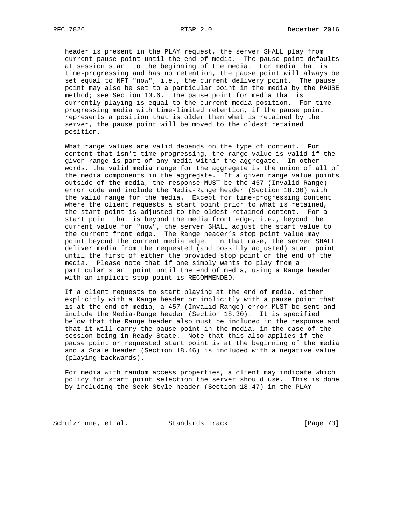header is present in the PLAY request, the server SHALL play from current pause point until the end of media. The pause point defaults at session start to the beginning of the media. For media that is time-progressing and has no retention, the pause point will always be set equal to NPT "now", i.e., the current delivery point. The pause point may also be set to a particular point in the media by the PAUSE method; see Section 13.6. The pause point for media that is currently playing is equal to the current media position. For time progressing media with time-limited retention, if the pause point represents a position that is older than what is retained by the server, the pause point will be moved to the oldest retained position.

 What range values are valid depends on the type of content. For content that isn't time-progressing, the range value is valid if the given range is part of any media within the aggregate. In other words, the valid media range for the aggregate is the union of all of the media components in the aggregate. If a given range value points outside of the media, the response MUST be the 457 (Invalid Range) error code and include the Media-Range header (Section 18.30) with the valid range for the media. Except for time-progressing content where the client requests a start point prior to what is retained, the start point is adjusted to the oldest retained content. For a start point that is beyond the media front edge, i.e., beyond the current value for "now", the server SHALL adjust the start value to the current front edge. The Range header's stop point value may point beyond the current media edge. In that case, the server SHALL deliver media from the requested (and possibly adjusted) start point until the first of either the provided stop point or the end of the media. Please note that if one simply wants to play from a particular start point until the end of media, using a Range header with an implicit stop point is RECOMMENDED.

 If a client requests to start playing at the end of media, either explicitly with a Range header or implicitly with a pause point that is at the end of media, a 457 (Invalid Range) error MUST be sent and include the Media-Range header (Section 18.30). It is specified below that the Range header also must be included in the response and that it will carry the pause point in the media, in the case of the session being in Ready State. Note that this also applies if the pause point or requested start point is at the beginning of the media and a Scale header (Section 18.46) is included with a negative value (playing backwards).

 For media with random access properties, a client may indicate which policy for start point selection the server should use. This is done by including the Seek-Style header (Section 18.47) in the PLAY

Schulzrinne, et al. Standards Track [Page 73]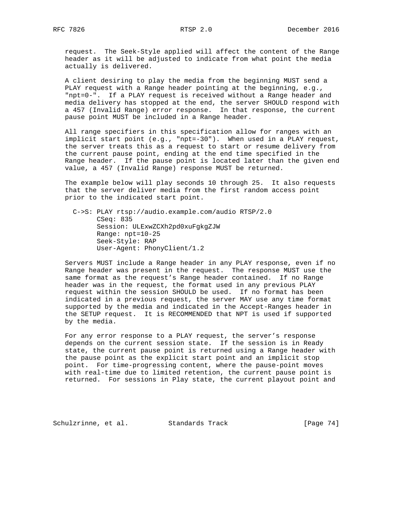request. The Seek-Style applied will affect the content of the Range header as it will be adjusted to indicate from what point the media actually is delivered.

 A client desiring to play the media from the beginning MUST send a PLAY request with a Range header pointing at the beginning, e.g., "npt=0-". If a PLAY request is received without a Range header and media delivery has stopped at the end, the server SHOULD respond with a 457 (Invalid Range) error response. In that response, the current pause point MUST be included in a Range header.

 All range specifiers in this specification allow for ranges with an implicit start point (e.g., "npt=-30"). When used in a PLAY request, the server treats this as a request to start or resume delivery from the current pause point, ending at the end time specified in the Range header. If the pause point is located later than the given end value, a 457 (Invalid Range) response MUST be returned.

 The example below will play seconds 10 through 25. It also requests that the server deliver media from the first random access point prior to the indicated start point.

 C->S: PLAY rtsp://audio.example.com/audio RTSP/2.0 CSeq: 835 Session: ULExwZCXh2pd0xuFgkgZJW Range: npt=10-25 Seek-Style: RAP User-Agent: PhonyClient/1.2

 Servers MUST include a Range header in any PLAY response, even if no Range header was present in the request. The response MUST use the same format as the request's Range header contained. If no Range header was in the request, the format used in any previous PLAY request within the session SHOULD be used. If no format has been indicated in a previous request, the server MAY use any time format supported by the media and indicated in the Accept-Ranges header in the SETUP request. It is RECOMMENDED that NPT is used if supported by the media.

 For any error response to a PLAY request, the server's response depends on the current session state. If the session is in Ready state, the current pause point is returned using a Range header with the pause point as the explicit start point and an implicit stop point. For time-progressing content, where the pause-point moves with real-time due to limited retention, the current pause point is returned. For sessions in Play state, the current playout point and

Schulzrinne, et al. Standards Track [Page 74]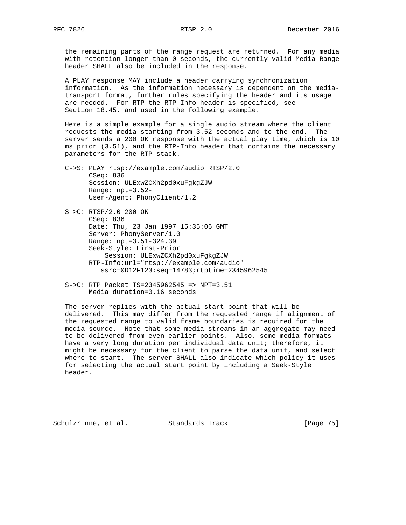the remaining parts of the range request are returned. For any media with retention longer than 0 seconds, the currently valid Media-Range header SHALL also be included in the response.

 A PLAY response MAY include a header carrying synchronization information. As the information necessary is dependent on the media transport format, further rules specifying the header and its usage are needed. For RTP the RTP-Info header is specified, see Section 18.45, and used in the following example.

 Here is a simple example for a single audio stream where the client requests the media starting from 3.52 seconds and to the end. The server sends a 200 OK response with the actual play time, which is 10 ms prior (3.51), and the RTP-Info header that contains the necessary parameters for the RTP stack.

- C->S: PLAY rtsp://example.com/audio RTSP/2.0 CSeq: 836 Session: ULExwZCXh2pd0xuFgkgZJW Range: npt=3.52- User-Agent: PhonyClient/1.2
- S->C: RTSP/2.0 200 OK CSeq: 836 Date: Thu, 23 Jan 1997 15:35:06 GMT Server: PhonyServer/1.0 Range: npt=3.51-324.39 Seek-Style: First-Prior Session: ULExwZCXh2pd0xuFgkgZJW RTP-Info:url="rtsp://example.com/audio" ssrc=0D12F123:seq=14783;rtptime=2345962545
- S->C: RTP Packet TS=2345962545 => NPT=3.51 Media duration=0.16 seconds

 The server replies with the actual start point that will be delivered. This may differ from the requested range if alignment of the requested range to valid frame boundaries is required for the media source. Note that some media streams in an aggregate may need to be delivered from even earlier points. Also, some media formats have a very long duration per individual data unit; therefore, it might be necessary for the client to parse the data unit, and select where to start. The server SHALL also indicate which policy it uses for selecting the actual start point by including a Seek-Style header.

Schulzrinne, et al. Standards Track [Page 75]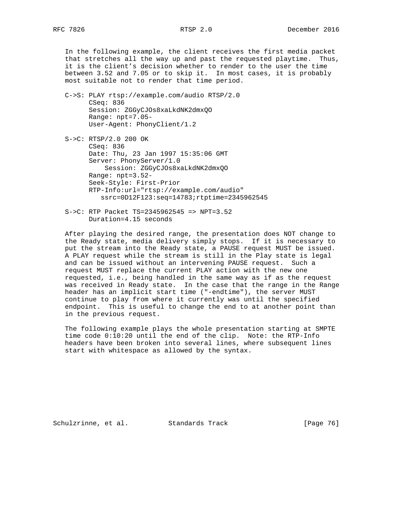In the following example, the client receives the first media packet that stretches all the way up and past the requested playtime. Thus, it is the client's decision whether to render to the user the time between 3.52 and 7.05 or to skip it. In most cases, it is probably most suitable not to render that time period.

 C->S: PLAY rtsp://example.com/audio RTSP/2.0 CSeq: 836 Session: ZGGyCJOs8xaLkdNK2dmxQO Range: npt=7.05- User-Agent: PhonyClient/1.2

 S->C: RTSP/2.0 200 OK CSeq: 836 Date: Thu, 23 Jan 1997 15:35:06 GMT Server: PhonyServer/1.0 Session: ZGGyCJOs8xaLkdNK2dmxQO Range: npt=3.52- Seek-Style: First-Prior RTP-Info:url="rtsp://example.com/audio" ssrc=0D12F123:seq=14783;rtptime=2345962545

 S->C: RTP Packet TS=2345962545 => NPT=3.52 Duration=4.15 seconds

 After playing the desired range, the presentation does NOT change to the Ready state, media delivery simply stops. If it is necessary to put the stream into the Ready state, a PAUSE request MUST be issued. A PLAY request while the stream is still in the Play state is legal and can be issued without an intervening PAUSE request. Such a request MUST replace the current PLAY action with the new one requested, i.e., being handled in the same way as if as the request was received in Ready state. In the case that the range in the Range header has an implicit start time ("-endtime"), the server MUST continue to play from where it currently was until the specified endpoint. This is useful to change the end to at another point than in the previous request.

 The following example plays the whole presentation starting at SMPTE time code 0:10:20 until the end of the clip. Note: the RTP-Info headers have been broken into several lines, where subsequent lines start with whitespace as allowed by the syntax.

Schulzrinne, et al. Standards Track [Page 76]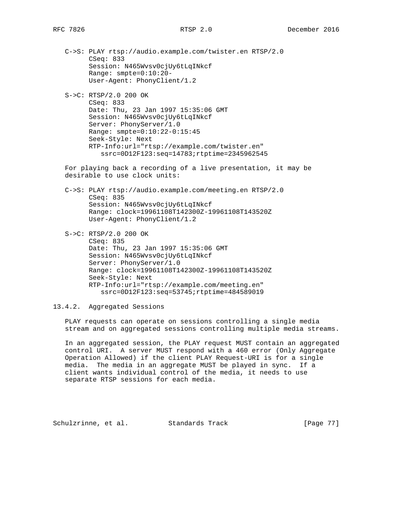S->C: RTSP/2.0 200 OK CSeq: 833 Date: Thu, 23 Jan 1997 15:35:06 GMT Session: N465Wvsv0cjUy6tLqINkcf Server: PhonyServer/1.0 Range: smpte=0:10:22-0:15:45 Seek-Style: Next RTP-Info:url="rtsp://example.com/twister.en" ssrc=0D12F123:seq=14783;rtptime=2345962545

 For playing back a recording of a live presentation, it may be desirable to use clock units:

- C->S: PLAY rtsp://audio.example.com/meeting.en RTSP/2.0 CSeq: 835 Session: N465Wvsv0cjUy6tLqINkcf Range: clock=19961108T142300Z-19961108T143520Z User-Agent: PhonyClient/1.2
- S->C: RTSP/2.0 200 OK CSeq: 835 Date: Thu, 23 Jan 1997 15:35:06 GMT Session: N465Wvsv0cjUy6tLqINkcf Server: PhonyServer/1.0 Range: clock=19961108T142300Z-19961108T143520Z Seek-Style: Next RTP-Info:url="rtsp://example.com/meeting.en" ssrc=0D12F123:seq=53745;rtptime=484589019

13.4.2. Aggregated Sessions

 PLAY requests can operate on sessions controlling a single media stream and on aggregated sessions controlling multiple media streams.

 In an aggregated session, the PLAY request MUST contain an aggregated control URI. A server MUST respond with a 460 error (Only Aggregate Operation Allowed) if the client PLAY Request-URI is for a single media. The media in an aggregate MUST be played in sync. If a client wants individual control of the media, it needs to use separate RTSP sessions for each media.

Schulzrinne, et al. Standards Track [Page 77]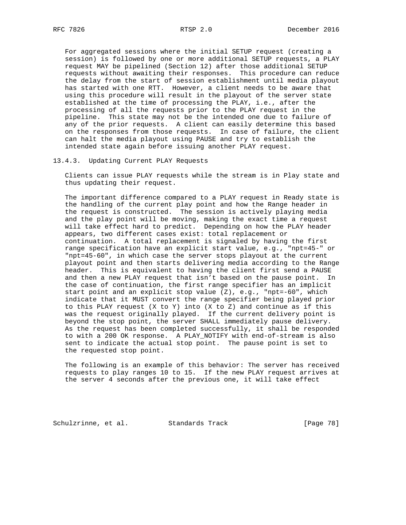For aggregated sessions where the initial SETUP request (creating a session) is followed by one or more additional SETUP requests, a PLAY request MAY be pipelined (Section 12) after those additional SETUP requests without awaiting their responses. This procedure can reduce the delay from the start of session establishment until media playout has started with one RTT. However, a client needs to be aware that using this procedure will result in the playout of the server state established at the time of processing the PLAY, i.e., after the processing of all the requests prior to the PLAY request in the pipeline. This state may not be the intended one due to failure of any of the prior requests. A client can easily determine this based on the responses from those requests. In case of failure, the client can halt the media playout using PAUSE and try to establish the intended state again before issuing another PLAY request.

### 13.4.3. Updating Current PLAY Requests

 Clients can issue PLAY requests while the stream is in Play state and thus updating their request.

 The important difference compared to a PLAY request in Ready state is the handling of the current play point and how the Range header in the request is constructed. The session is actively playing media and the play point will be moving, making the exact time a request will take effect hard to predict. Depending on how the PLAY header appears, two different cases exist: total replacement or continuation. A total replacement is signaled by having the first range specification have an explicit start value, e.g., "npt=45-" or "npt=45-60", in which case the server stops playout at the current playout point and then starts delivering media according to the Range header. This is equivalent to having the client first send a PAUSE and then a new PLAY request that isn't based on the pause point. In the case of continuation, the first range specifier has an implicit start point and an explicit stop value (Z), e.g., "npt=-60", which indicate that it MUST convert the range specifier being played prior to this PLAY request  $(X \tto Y)$  into  $(X \tto Z)$  and continue as if this was the request originally played. If the current delivery point is beyond the stop point, the server SHALL immediately pause delivery. As the request has been completed successfully, it shall be responded to with a 200 OK response. A PLAY\_NOTIFY with end-of-stream is also sent to indicate the actual stop point. The pause point is set to the requested stop point.

 The following is an example of this behavior: The server has received requests to play ranges 10 to 15. If the new PLAY request arrives at the server 4 seconds after the previous one, it will take effect

Schulzrinne, et al. Standards Track [Page 78]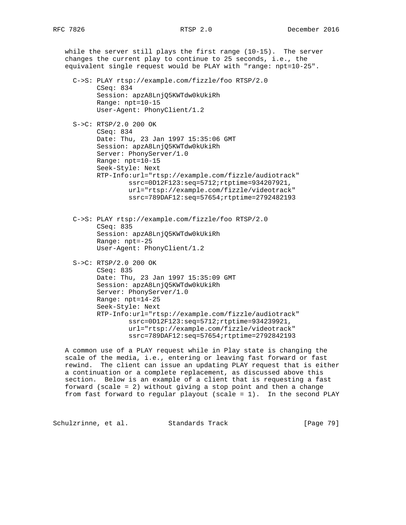while the server still plays the first range (10-15). The server changes the current play to continue to 25 seconds, i.e., the equivalent single request would be PLAY with "range: npt=10-25". C->S: PLAY rtsp://example.com/fizzle/foo RTSP/2.0 CSeq: 834 Session: apzA8LnjQ5KWTdw0kUkiRh Range: npt=10-15 User-Agent: PhonyClient/1.2 S->C: RTSP/2.0 200 OK CSeq: 834 Date: Thu, 23 Jan 1997 15:35:06 GMT Session: apzA8LnjQ5KWTdw0kUkiRh Server: PhonyServer/1.0 Range: npt=10-15 Seek-Style: Next RTP-Info:url="rtsp://example.com/fizzle/audiotrack" ssrc=0D12F123:seq=5712;rtptime=934207921, url="rtsp://example.com/fizzle/videotrack" ssrc=789DAF12:seq=57654;rtptime=2792482193 C->S: PLAY rtsp://example.com/fizzle/foo RTSP/2.0 CSeq: 835 Session: apzA8LnjQ5KWTdw0kUkiRh Range: npt=-25 User-Agent: PhonyClient/1.2 S->C: RTSP/2.0 200 OK CSeq: 835 Date: Thu, 23 Jan 1997 15:35:09 GMT Session: apzA8LnjQ5KWTdw0kUkiRh Server: PhonyServer/1.0 Range: npt=14-25 Seek-Style: Next RTP-Info:url="rtsp://example.com/fizzle/audiotrack" ssrc=0D12F123:seq=5712;rtptime=934239921, url="rtsp://example.com/fizzle/videotrack" ssrc=789DAF12:seq=57654;rtptime=2792842193

 A common use of a PLAY request while in Play state is changing the scale of the media, i.e., entering or leaving fast forward or fast rewind. The client can issue an updating PLAY request that is either a continuation or a complete replacement, as discussed above this section. Below is an example of a client that is requesting a fast forward (scale = 2) without giving a stop point and then a change from fast forward to regular playout (scale = 1). In the second PLAY

Schulzrinne, et al. Standards Track [Page 79]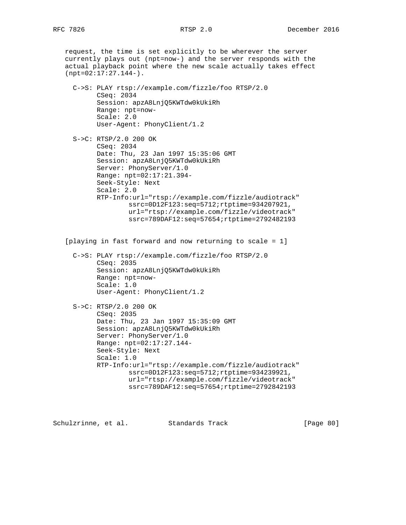request, the time is set explicitly to be wherever the server currently plays out (npt=now-) and the server responds with the actual playback point where the new scale actually takes effect (npt=02:17:27.144-).

 C->S: PLAY rtsp://example.com/fizzle/foo RTSP/2.0 CSeq: 2034 Session: apzA8LnjQ5KWTdw0kUkiRh Range: npt=now- Scale: 2.0 User-Agent: PhonyClient/1.2

 S->C: RTSP/2.0 200 OK CSeq: 2034 Date: Thu, 23 Jan 1997 15:35:06 GMT Session: apzA8LnjQ5KWTdw0kUkiRh Server: PhonyServer/1.0 Range: npt=02:17:21.394- Seek-Style: Next Scale: 2.0 RTP-Info:url="rtsp://example.com/fizzle/audiotrack" ssrc=0D12F123:seq=5712;rtptime=934207921, url="rtsp://example.com/fizzle/videotrack" ssrc=789DAF12:seq=57654;rtptime=2792482193

[playing in fast forward and now returning to scale = 1]

 C->S: PLAY rtsp://example.com/fizzle/foo RTSP/2.0 CSeq: 2035 Session: apzA8LnjQ5KWTdw0kUkiRh Range: npt=now- Scale: 1.0 User-Agent: PhonyClient/1.2

 S->C: RTSP/2.0 200 OK CSeq: 2035 Date: Thu, 23 Jan 1997 15:35:09 GMT Session: apzA8LnjQ5KWTdw0kUkiRh Server: PhonyServer/1.0 Range: npt=02:17:27.144- Seek-Style: Next Scale: 1.0 RTP-Info:url="rtsp://example.com/fizzle/audiotrack" ssrc=0D12F123:seq=5712;rtptime=934239921, url="rtsp://example.com/fizzle/videotrack" ssrc=789DAF12:seq=57654;rtptime=2792842193

Schulzrinne, et al. Standards Track [Page 80]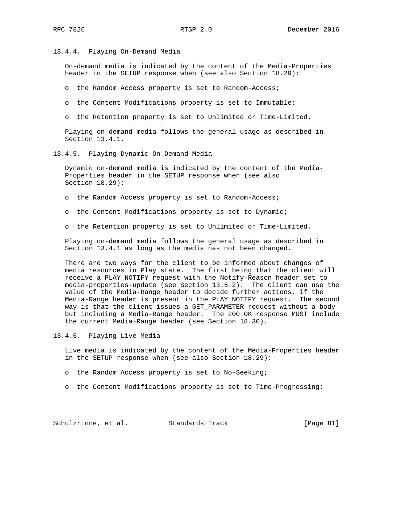13.4.4. Playing On-Demand Media

 On-demand media is indicated by the content of the Media-Properties header in the SETUP response when (see also Section 18.29):

o the Random Access property is set to Random-Access;

- o the Content Modifications property is set to Immutable;
- o the Retention property is set to Unlimited or Time-Limited.

 Playing on-demand media follows the general usage as described in Section 13.4.1.

13.4.5. Playing Dynamic On-Demand Media

 Dynamic on-demand media is indicated by the content of the Media- Properties header in the SETUP response when (see also Section 18.29):

- o the Random Access property is set to Random-Access;
- o the Content Modifications property is set to Dynamic;
- o the Retention property is set to Unlimited or Time-Limited.

 Playing on-demand media follows the general usage as described in Section 13.4.1 as long as the media has not been changed.

 There are two ways for the client to be informed about changes of media resources in Play state. The first being that the client will receive a PLAY\_NOTIFY request with the Notify-Reason header set to media-properties-update (see Section 13.5.2). The client can use the value of the Media-Range header to decide further actions, if the Media-Range header is present in the PLAY\_NOTIFY request. The second way is that the client issues a GET\_PARAMETER request without a body but including a Media-Range header. The 200 OK response MUST include the current Media-Range header (see Section 18.30).

13.4.6. Playing Live Media

 Live media is indicated by the content of the Media-Properties header in the SETUP response when (see also Section 18.29):

- o the Random Access property is set to No-Seeking;
- o the Content Modifications property is set to Time-Progressing;

Schulzrinne, et al. Standards Track [Page 81]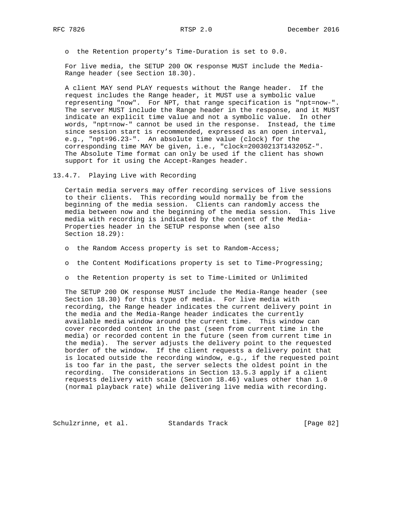o the Retention property's Time-Duration is set to 0.0.

 For live media, the SETUP 200 OK response MUST include the Media- Range header (see Section 18.30).

 A client MAY send PLAY requests without the Range header. If the request includes the Range header, it MUST use a symbolic value representing "now". For NPT, that range specification is "npt=now-". The server MUST include the Range header in the response, and it MUST indicate an explicit time value and not a symbolic value. In other words, "npt=now-" cannot be used in the response. Instead, the time since session start is recommended, expressed as an open interval, e.g., "npt=96.23-". An absolute time value (clock) for the corresponding time MAY be given, i.e., "clock=20030213T143205Z-". The Absolute Time format can only be used if the client has shown support for it using the Accept-Ranges header.

13.4.7. Playing Live with Recording

 Certain media servers may offer recording services of live sessions to their clients. This recording would normally be from the beginning of the media session. Clients can randomly access the media between now and the beginning of the media session. This live media with recording is indicated by the content of the Media- Properties header in the SETUP response when (see also Section 18.29):

- o the Random Access property is set to Random-Access;
- o the Content Modifications property is set to Time-Progressing;
- o the Retention property is set to Time-Limited or Unlimited

 The SETUP 200 OK response MUST include the Media-Range header (see Section 18.30) for this type of media. For live media with recording, the Range header indicates the current delivery point in the media and the Media-Range header indicates the currently available media window around the current time. This window can cover recorded content in the past (seen from current time in the media) or recorded content in the future (seen from current time in the media). The server adjusts the delivery point to the requested border of the window. If the client requests a delivery point that is located outside the recording window, e.g., if the requested point is too far in the past, the server selects the oldest point in the recording. The considerations in Section 13.5.3 apply if a client requests delivery with scale (Section 18.46) values other than 1.0 (normal playback rate) while delivering live media with recording.

Schulzrinne, et al. Standards Track [Page 82]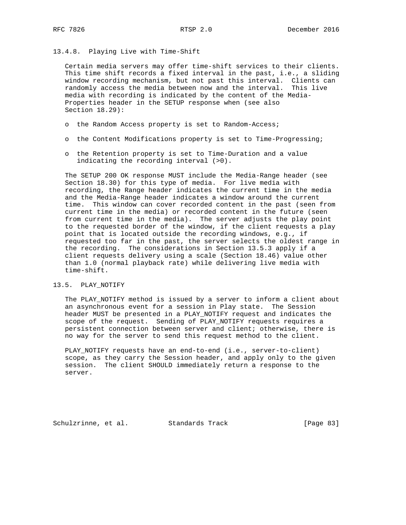## 13.4.8. Playing Live with Time-Shift

 Certain media servers may offer time-shift services to their clients. This time shift records a fixed interval in the past, i.e., a sliding window recording mechanism, but not past this interval. Clients can randomly access the media between now and the interval. This live media with recording is indicated by the content of the Media- Properties header in the SETUP response when (see also Section 18.29):

- o the Random Access property is set to Random-Access;
- o the Content Modifications property is set to Time-Progressing;
- o the Retention property is set to Time-Duration and a value indicating the recording interval (>0).

 The SETUP 200 OK response MUST include the Media-Range header (see Section 18.30) for this type of media. For live media with recording, the Range header indicates the current time in the media and the Media-Range header indicates a window around the current time. This window can cover recorded content in the past (seen from current time in the media) or recorded content in the future (seen from current time in the media). The server adjusts the play point to the requested border of the window, if the client requests a play point that is located outside the recording windows, e.g., if requested too far in the past, the server selects the oldest range in the recording. The considerations in Section 13.5.3 apply if a client requests delivery using a scale (Section 18.46) value other than 1.0 (normal playback rate) while delivering live media with time-shift.

### 13.5. PLAY\_NOTIFY

 The PLAY\_NOTIFY method is issued by a server to inform a client about an asynchronous event for a session in Play state. The Session header MUST be presented in a PLAY\_NOTIFY request and indicates the scope of the request. Sending of PLAY\_NOTIFY requests requires a persistent connection between server and client; otherwise, there is no way for the server to send this request method to the client.

 PLAY\_NOTIFY requests have an end-to-end (i.e., server-to-client) scope, as they carry the Session header, and apply only to the given session. The client SHOULD immediately return a response to the server.

Schulzrinne, et al. Standards Track [Page 83]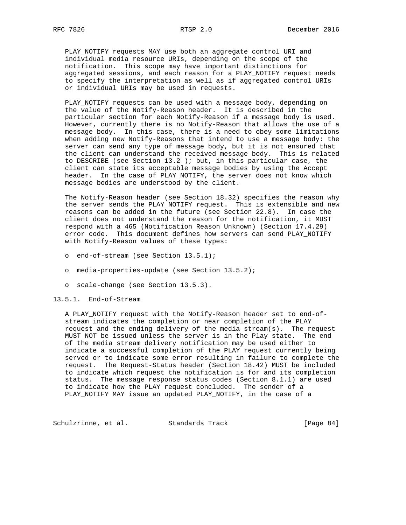PLAY\_NOTIFY requests MAY use both an aggregate control URI and individual media resource URIs, depending on the scope of the notification. This scope may have important distinctions for aggregated sessions, and each reason for a PLAY\_NOTIFY request needs to specify the interpretation as well as if aggregated control URIs or individual URIs may be used in requests.

 PLAY\_NOTIFY requests can be used with a message body, depending on the value of the Notify-Reason header. It is described in the particular section for each Notify-Reason if a message body is used. However, currently there is no Notify-Reason that allows the use of a message body. In this case, there is a need to obey some limitations when adding new Notify-Reasons that intend to use a message body: the server can send any type of message body, but it is not ensured that the client can understand the received message body. This is related to DESCRIBE (see Section 13.2 ); but, in this particular case, the client can state its acceptable message bodies by using the Accept header. In the case of PLAY\_NOTIFY, the server does not know which message bodies are understood by the client.

 The Notify-Reason header (see Section 18.32) specifies the reason why the server sends the PLAY\_NOTIFY request. This is extensible and new reasons can be added in the future (see Section 22.8). In case the client does not understand the reason for the notification, it MUST respond with a 465 (Notification Reason Unknown) (Section 17.4.29) error code. This document defines how servers can send PLAY\_NOTIFY with Notify-Reason values of these types:

- o end-of-stream (see Section 13.5.1);
- o media-properties-update (see Section 13.5.2);
- o scale-change (see Section 13.5.3).

# 13.5.1. End-of-Stream

 A PLAY\_NOTIFY request with the Notify-Reason header set to end-of stream indicates the completion or near completion of the PLAY request and the ending delivery of the media stream(s). The request MUST NOT be issued unless the server is in the Play state. The end of the media stream delivery notification may be used either to indicate a successful completion of the PLAY request currently being served or to indicate some error resulting in failure to complete the request. The Request-Status header (Section 18.42) MUST be included to indicate which request the notification is for and its completion status. The message response status codes (Section 8.1.1) are used to indicate how the PLAY request concluded. The sender of a PLAY\_NOTIFY MAY issue an updated PLAY\_NOTIFY, in the case of a

Schulzrinne, et al. Standards Track [Page 84]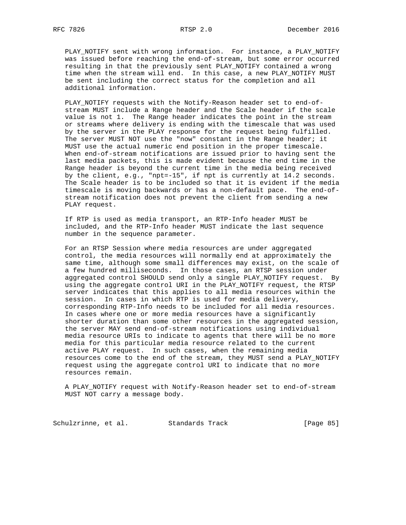PLAY\_NOTIFY sent with wrong information. For instance, a PLAY\_NOTIFY was issued before reaching the end-of-stream, but some error occurred resulting in that the previously sent PLAY\_NOTIFY contained a wrong time when the stream will end. In this case, a new PLAY\_NOTIFY MUST be sent including the correct status for the completion and all additional information.

 PLAY\_NOTIFY requests with the Notify-Reason header set to end-of stream MUST include a Range header and the Scale header if the scale value is not 1. The Range header indicates the point in the stream or streams where delivery is ending with the timescale that was used by the server in the PLAY response for the request being fulfilled. The server MUST NOT use the "now" constant in the Range header; it MUST use the actual numeric end position in the proper timescale. When end-of-stream notifications are issued prior to having sent the last media packets, this is made evident because the end time in the Range header is beyond the current time in the media being received by the client, e.g., "npt=-15", if npt is currently at 14.2 seconds. The Scale header is to be included so that it is evident if the media timescale is moving backwards or has a non-default pace. The end-of stream notification does not prevent the client from sending a new PLAY request.

 If RTP is used as media transport, an RTP-Info header MUST be included, and the RTP-Info header MUST indicate the last sequence number in the sequence parameter.

 For an RTSP Session where media resources are under aggregated control, the media resources will normally end at approximately the same time, although some small differences may exist, on the scale of a few hundred milliseconds. In those cases, an RTSP session under aggregated control SHOULD send only a single PLAY\_NOTIFY request. By using the aggregate control URI in the PLAY\_NOTIFY request, the RTSP server indicates that this applies to all media resources within the session. In cases in which RTP is used for media delivery, corresponding RTP-Info needs to be included for all media resources. In cases where one or more media resources have a significantly shorter duration than some other resources in the aggregated session, the server MAY send end-of-stream notifications using individual media resource URIs to indicate to agents that there will be no more media for this particular media resource related to the current active PLAY request. In such cases, when the remaining media resources come to the end of the stream, they MUST send a PLAY\_NOTIFY request using the aggregate control URI to indicate that no more resources remain.

 A PLAY\_NOTIFY request with Notify-Reason header set to end-of-stream MUST NOT carry a message body.

Schulzrinne, et al. Standards Track [Page 85]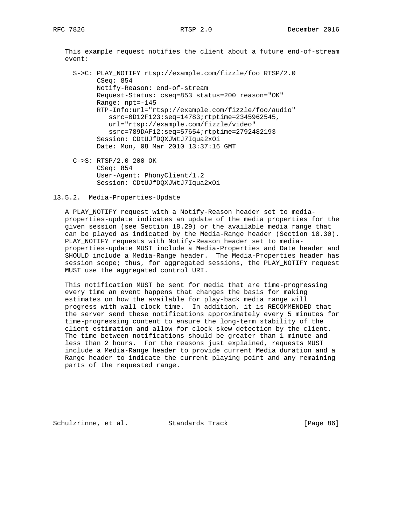This example request notifies the client about a future end-of-stream event:

 S->C: PLAY\_NOTIFY rtsp://example.com/fizzle/foo RTSP/2.0 CSeq: 854 Notify-Reason: end-of-stream Request-Status: cseq=853 status=200 reason="OK" Range: npt=-145 RTP-Info:url="rtsp://example.com/fizzle/foo/audio" ssrc=0D12F123:seq=14783;rtptime=2345962545, url="rtsp://example.com/fizzle/video" ssrc=789DAF12:seq=57654;rtptime=2792482193 Session: CDtUJfDQXJWtJ7Iqua2xOi Date: Mon, 08 Mar 2010 13:37:16 GMT

 C->S: RTSP/2.0 200 OK CSeq: 854 User-Agent: PhonyClient/1.2 Session: CDtUJfDQXJWtJ7Iqua2xOi

13.5.2. Media-Properties-Update

 A PLAY\_NOTIFY request with a Notify-Reason header set to media properties-update indicates an update of the media properties for the given session (see Section 18.29) or the available media range that can be played as indicated by the Media-Range header (Section 18.30). PLAY\_NOTIFY requests with Notify-Reason header set to media properties-update MUST include a Media-Properties and Date header and SHOULD include a Media-Range header. The Media-Properties header has session scope; thus, for aggregated sessions, the PLAY\_NOTIFY request MUST use the aggregated control URI.

 This notification MUST be sent for media that are time-progressing every time an event happens that changes the basis for making estimates on how the available for play-back media range will progress with wall clock time. In addition, it is RECOMMENDED that the server send these notifications approximately every 5 minutes for time-progressing content to ensure the long-term stability of the client estimation and allow for clock skew detection by the client. The time between notifications should be greater than 1 minute and less than 2 hours. For the reasons just explained, requests MUST include a Media-Range header to provide current Media duration and a Range header to indicate the current playing point and any remaining parts of the requested range.

Schulzrinne, et al. Standards Track [Page 86]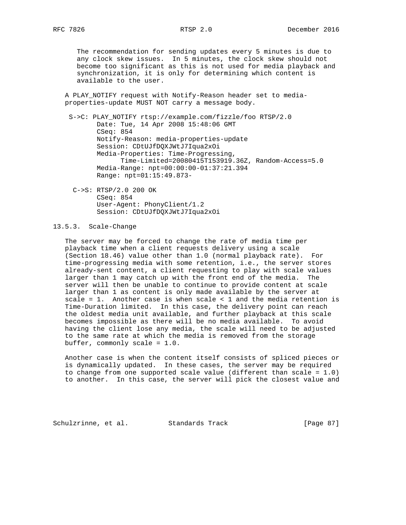The recommendation for sending updates every 5 minutes is due to any clock skew issues. In 5 minutes, the clock skew should not become too significant as this is not used for media playback and synchronization, it is only for determining which content is available to the user.

 A PLAY\_NOTIFY request with Notify-Reason header set to media properties-update MUST NOT carry a message body.

 S->C: PLAY\_NOTIFY rtsp://example.com/fizzle/foo RTSP/2.0 Date: Tue, 14 Apr 2008 15:48:06 GMT CSeq: 854 Notify-Reason: media-properties-update Session: CDtUJfDQXJWtJ7Iqua2xOi Media-Properties: Time-Progressing, Time-Limited=20080415T153919.36Z, Random-Access=5.0 Media-Range: npt=00:00:00-01:37:21.394 Range: npt=01:15:49.873-

 C->S: RTSP/2.0 200 OK CSeq: 854 User-Agent: PhonyClient/1.2 Session: CDtUJfDQXJWtJ7Iqua2xOi

# 13.5.3. Scale-Change

 The server may be forced to change the rate of media time per playback time when a client requests delivery using a scale (Section 18.46) value other than 1.0 (normal playback rate). For time-progressing media with some retention, i.e., the server stores already-sent content, a client requesting to play with scale values larger than 1 may catch up with the front end of the media. The server will then be unable to continue to provide content at scale larger than 1 as content is only made available by the server at scale = 1. Another case is when scale < 1 and the media retention is Time-Duration limited. In this case, the delivery point can reach the oldest media unit available, and further playback at this scale becomes impossible as there will be no media available. To avoid having the client lose any media, the scale will need to be adjusted to the same rate at which the media is removed from the storage buffer, commonly scale = 1.0.

 Another case is when the content itself consists of spliced pieces or is dynamically updated. In these cases, the server may be required to change from one supported scale value (different than scale = 1.0) to another. In this case, the server will pick the closest value and

Schulzrinne, et al. Standards Track [Page 87]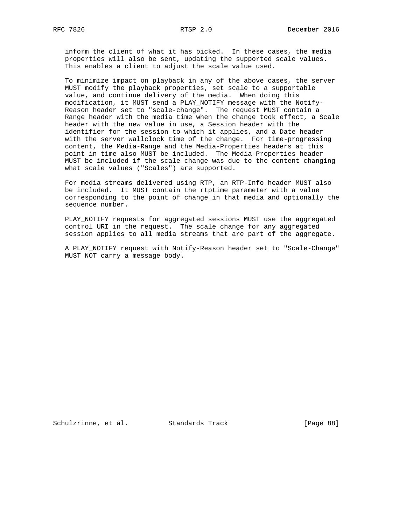inform the client of what it has picked. In these cases, the media properties will also be sent, updating the supported scale values. This enables a client to adjust the scale value used.

 To minimize impact on playback in any of the above cases, the server MUST modify the playback properties, set scale to a supportable value, and continue delivery of the media. When doing this modification, it MUST send a PLAY\_NOTIFY message with the Notify- Reason header set to "scale-change". The request MUST contain a Range header with the media time when the change took effect, a Scale header with the new value in use, a Session header with the identifier for the session to which it applies, and a Date header with the server wallclock time of the change. For time-progressing content, the Media-Range and the Media-Properties headers at this point in time also MUST be included. The Media-Properties header MUST be included if the scale change was due to the content changing what scale values ("Scales") are supported.

 For media streams delivered using RTP, an RTP-Info header MUST also be included. It MUST contain the rtptime parameter with a value corresponding to the point of change in that media and optionally the sequence number.

 PLAY\_NOTIFY requests for aggregated sessions MUST use the aggregated control URI in the request. The scale change for any aggregated session applies to all media streams that are part of the aggregate.

 A PLAY\_NOTIFY request with Notify-Reason header set to "Scale-Change" MUST NOT carry a message body.

Schulzrinne, et al. Standards Track [Page 88]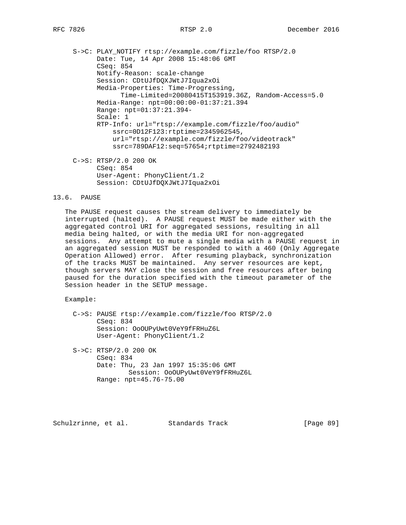S->C: PLAY\_NOTIFY rtsp://example.com/fizzle/foo RTSP/2.0 Date: Tue, 14 Apr 2008 15:48:06 GMT CSeq: 854 Notify-Reason: scale-change Session: CDtUJfDQXJWtJ7Iqua2xOi Media-Properties: Time-Progressing, Time-Limited=20080415T153919.36Z, Random-Access=5.0 Media-Range: npt=00:00:00-01:37:21.394 Range: npt=01:37:21.394- Scale: 1 RTP-Info: url="rtsp://example.com/fizzle/foo/audio" ssrc=0D12F123:rtptime=2345962545, url="rtsp://example.com/fizzle/foo/videotrack" ssrc=789DAF12:seq=57654;rtptime=2792482193 C->S: RTSP/2.0 200 OK

 CSeq: 854 User-Agent: PhonyClient/1.2 Session: CDtUJfDQXJWtJ7Iqua2xOi

# 13.6. PAUSE

 The PAUSE request causes the stream delivery to immediately be interrupted (halted). A PAUSE request MUST be made either with the aggregated control URI for aggregated sessions, resulting in all media being halted, or with the media URI for non-aggregated sessions. Any attempt to mute a single media with a PAUSE request in an aggregated session MUST be responded to with a 460 (Only Aggregate Operation Allowed) error. After resuming playback, synchronization of the tracks MUST be maintained. Any server resources are kept, though servers MAY close the session and free resources after being paused for the duration specified with the timeout parameter of the Session header in the SETUP message.

Example:

 C->S: PAUSE rtsp://example.com/fizzle/foo RTSP/2.0 CSeq: 834 Session: OoOUPyUwt0VeY9fFRHuZ6L User-Agent: PhonyClient/1.2

 S->C: RTSP/2.0 200 OK CSeq: 834 Date: Thu, 23 Jan 1997 15:35:06 GMT Session: OoOUPyUwt0VeY9fFRHuZ6L Range: npt=45.76-75.00

Schulzrinne, et al. Standards Track [Page 89]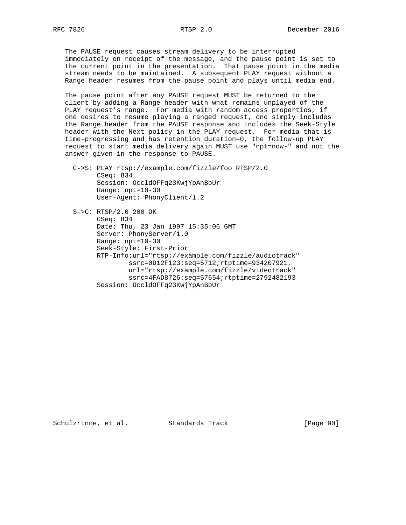The PAUSE request causes stream delivery to be interrupted immediately on receipt of the message, and the pause point is set to the current point in the presentation. That pause point in the media stream needs to be maintained. A subsequent PLAY request without a Range header resumes from the pause point and plays until media end.

 The pause point after any PAUSE request MUST be returned to the client by adding a Range header with what remains unplayed of the PLAY request's range. For media with random access properties, if one desires to resume playing a ranged request, one simply includes the Range header from the PAUSE response and includes the Seek-Style header with the Next policy in the PLAY request. For media that is time-progressing and has retention duration=0, the follow-up PLAY request to start media delivery again MUST use "npt=now-" and not the answer given in the response to PAUSE.

 C->S: PLAY rtsp://example.com/fizzle/foo RTSP/2.0 CSeq: 834 Session: OccldOFFq23KwjYpAnBbUr Range: npt=10-30 User-Agent: PhonyClient/1.2

 S->C: RTSP/2.0 200 OK CSeq: 834 Date: Thu, 23 Jan 1997 15:35:06 GMT Server: PhonyServer/1.0 Range: npt=10-30 Seek-Style: First-Prior RTP-Info:url="rtsp://example.com/fizzle/audiotrack" ssrc=0D12F123:seq=5712;rtptime=934207921, url="rtsp://example.com/fizzle/videotrack" ssrc=4FAD8726:seq=57654;rtptime=2792482193 Session: OccldOFFq23KwjYpAnBbUr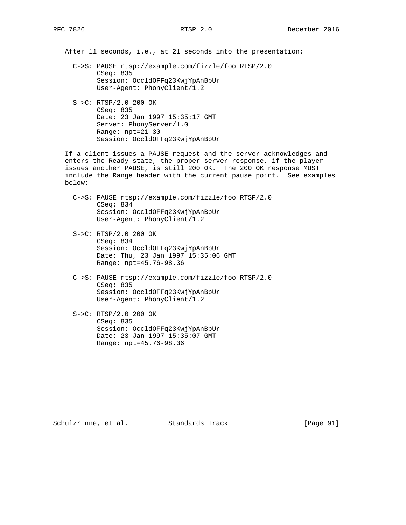After 11 seconds, i.e., at 21 seconds into the presentation:

- C->S: PAUSE rtsp://example.com/fizzle/foo RTSP/2.0 CSeq: 835 Session: OccldOFFq23KwjYpAnBbUr User-Agent: PhonyClient/1.2
- S->C: RTSP/2.0 200 OK CSeq: 835 Date: 23 Jan 1997 15:35:17 GMT Server: PhonyServer/1.0 Range: npt=21-30 Session: OccldOFFq23KwjYpAnBbUr

 If a client issues a PAUSE request and the server acknowledges and enters the Ready state, the proper server response, if the player issues another PAUSE, is still 200 OK. The 200 OK response MUST include the Range header with the current pause point. See examples below:

- C->S: PAUSE rtsp://example.com/fizzle/foo RTSP/2.0 CSeq: 834 Session: OccldOFFq23KwjYpAnBbUr User-Agent: PhonyClient/1.2
- S->C: RTSP/2.0 200 OK CSeq: 834 Session: OccldOFFq23KwjYpAnBbUr Date: Thu, 23 Jan 1997 15:35:06 GMT Range: npt=45.76-98.36
- C->S: PAUSE rtsp://example.com/fizzle/foo RTSP/2.0 CSeq: 835 Session: OccldOFFq23KwjYpAnBbUr User-Agent: PhonyClient/1.2
- S->C: RTSP/2.0 200 OK CSeq: 835 Session: OccldOFFq23KwjYpAnBbUr Date: 23 Jan 1997 15:35:07 GMT Range: npt=45.76-98.36

Schulzrinne, et al. Standards Track [Page 91]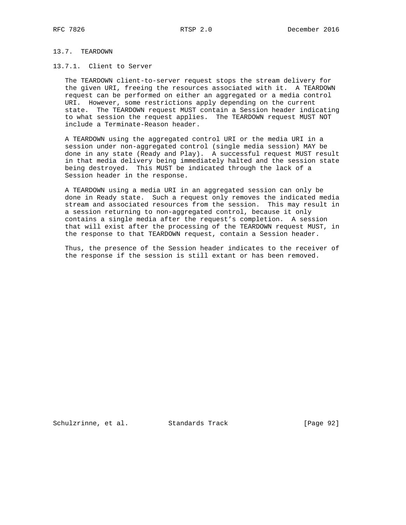# 13.7. TEARDOWN

# 13.7.1. Client to Server

 The TEARDOWN client-to-server request stops the stream delivery for the given URI, freeing the resources associated with it. A TEARDOWN request can be performed on either an aggregated or a media control URI. However, some restrictions apply depending on the current state. The TEARDOWN request MUST contain a Session header indicating to what session the request applies. The TEARDOWN request MUST NOT include a Terminate-Reason header.

 A TEARDOWN using the aggregated control URI or the media URI in a session under non-aggregated control (single media session) MAY be done in any state (Ready and Play). A successful request MUST result in that media delivery being immediately halted and the session state being destroyed. This MUST be indicated through the lack of a Session header in the response.

 A TEARDOWN using a media URI in an aggregated session can only be done in Ready state. Such a request only removes the indicated media stream and associated resources from the session. This may result in a session returning to non-aggregated control, because it only contains a single media after the request's completion. A session that will exist after the processing of the TEARDOWN request MUST, in the response to that TEARDOWN request, contain a Session header.

 Thus, the presence of the Session header indicates to the receiver of the response if the session is still extant or has been removed.

Schulzrinne, et al. Standards Track [Page 92]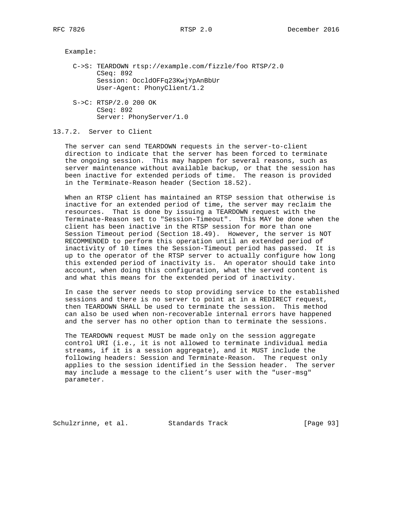Example:

- C->S: TEARDOWN rtsp://example.com/fizzle/foo RTSP/2.0 CSeq: 892 Session: OccldOFFq23KwjYpAnBbUr User-Agent: PhonyClient/1.2
- S->C: RTSP/2.0 200 OK CSeq: 892 Server: PhonyServer/1.0

13.7.2. Server to Client

 The server can send TEARDOWN requests in the server-to-client direction to indicate that the server has been forced to terminate the ongoing session. This may happen for several reasons, such as server maintenance without available backup, or that the session has been inactive for extended periods of time. The reason is provided in the Terminate-Reason header (Section 18.52).

 When an RTSP client has maintained an RTSP session that otherwise is inactive for an extended period of time, the server may reclaim the resources. That is done by issuing a TEARDOWN request with the Terminate-Reason set to "Session-Timeout". This MAY be done when the client has been inactive in the RTSP session for more than one Session Timeout period (Section 18.49). However, the server is NOT RECOMMENDED to perform this operation until an extended period of inactivity of 10 times the Session-Timeout period has passed. It is up to the operator of the RTSP server to actually configure how long this extended period of inactivity is. An operator should take into account, when doing this configuration, what the served content is and what this means for the extended period of inactivity.

 In case the server needs to stop providing service to the established sessions and there is no server to point at in a REDIRECT request, then TEARDOWN SHALL be used to terminate the session. This method can also be used when non-recoverable internal errors have happened and the server has no other option than to terminate the sessions.

 The TEARDOWN request MUST be made only on the session aggregate control URI (i.e., it is not allowed to terminate individual media streams, if it is a session aggregate), and it MUST include the following headers: Session and Terminate-Reason. The request only applies to the session identified in the Session header. The server may include a message to the client's user with the "user-msg" parameter.

Schulzrinne, et al. Standards Track [Page 93]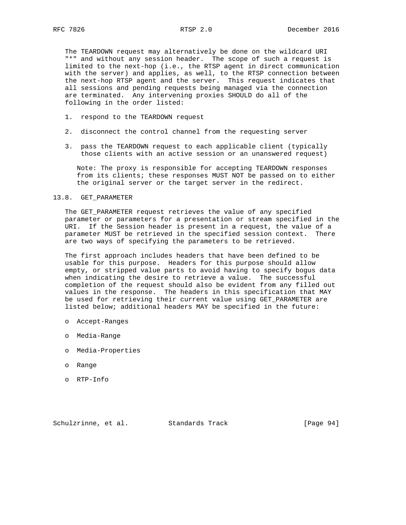The TEARDOWN request may alternatively be done on the wildcard URI "\*" and without any session header. The scope of such a request is limited to the next-hop (i.e., the RTSP agent in direct communication with the server) and applies, as well, to the RTSP connection between the next-hop RTSP agent and the server. This request indicates that all sessions and pending requests being managed via the connection are terminated. Any intervening proxies SHOULD do all of the following in the order listed:

- 1. respond to the TEARDOWN request
- 2. disconnect the control channel from the requesting server
- 3. pass the TEARDOWN request to each applicable client (typically those clients with an active session or an unanswered request)

 Note: The proxy is responsible for accepting TEARDOWN responses from its clients; these responses MUST NOT be passed on to either the original server or the target server in the redirect.

## 13.8. GET\_PARAMETER

 The GET\_PARAMETER request retrieves the value of any specified parameter or parameters for a presentation or stream specified in the URI. If the Session header is present in a request, the value of a parameter MUST be retrieved in the specified session context. There are two ways of specifying the parameters to be retrieved.

 The first approach includes headers that have been defined to be usable for this purpose. Headers for this purpose should allow empty, or stripped value parts to avoid having to specify bogus data when indicating the desire to retrieve a value. The successful completion of the request should also be evident from any filled out values in the response. The headers in this specification that MAY be used for retrieving their current value using GET\_PARAMETER are listed below; additional headers MAY be specified in the future:

- o Accept-Ranges
- o Media-Range
- o Media-Properties
- o Range
- o RTP-Info

Schulzrinne, et al. Standards Track [Page 94]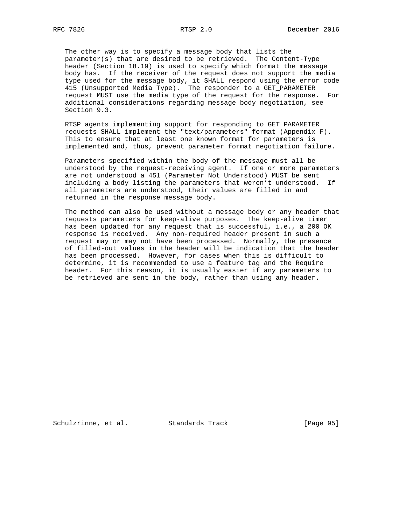The other way is to specify a message body that lists the parameter(s) that are desired to be retrieved. The Content-Type header (Section 18.19) is used to specify which format the message body has. If the receiver of the request does not support the media type used for the message body, it SHALL respond using the error code 415 (Unsupported Media Type). The responder to a GET\_PARAMETER request MUST use the media type of the request for the response. For

 RTSP agents implementing support for responding to GET\_PARAMETER requests SHALL implement the "text/parameters" format (Appendix F). This to ensure that at least one known format for parameters is implemented and, thus, prevent parameter format negotiation failure.

additional considerations regarding message body negotiation, see

 Parameters specified within the body of the message must all be understood by the request-receiving agent. If one or more parameters are not understood a 451 (Parameter Not Understood) MUST be sent including a body listing the parameters that weren't understood. If all parameters are understood, their values are filled in and returned in the response message body.

 The method can also be used without a message body or any header that requests parameters for keep-alive purposes. The keep-alive timer has been updated for any request that is successful, i.e., a 200 OK response is received. Any non-required header present in such a request may or may not have been processed. Normally, the presence of filled-out values in the header will be indication that the header has been processed. However, for cases when this is difficult to determine, it is recommended to use a feature tag and the Require header. For this reason, it is usually easier if any parameters to be retrieved are sent in the body, rather than using any header.

Section 9.3.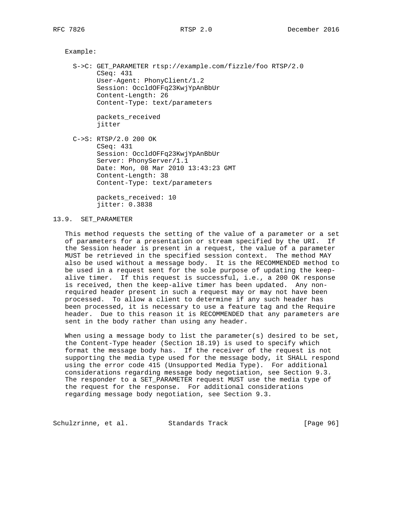Example:

 S->C: GET\_PARAMETER rtsp://example.com/fizzle/foo RTSP/2.0 CSeq: 431 User-Agent: PhonyClient/1.2 Session: OccldOFFq23KwjYpAnBbUr Content-Length: 26 Content-Type: text/parameters

> packets\_received jitter

 C->S: RTSP/2.0 200 OK CSeq: 431 Session: OccldOFFq23KwjYpAnBbUr Server: PhonyServer/1.1 Date: Mon, 08 Mar 2010 13:43:23 GMT Content-Length: 38 Content-Type: text/parameters

> packets\_received: 10 jitter: 0.3838

## 13.9. SET\_PARAMETER

 This method requests the setting of the value of a parameter or a set of parameters for a presentation or stream specified by the URI. If the Session header is present in a request, the value of a parameter MUST be retrieved in the specified session context. The method MAY also be used without a message body. It is the RECOMMENDED method to be used in a request sent for the sole purpose of updating the keep alive timer. If this request is successful, i.e., a 200 OK response is received, then the keep-alive timer has been updated. Any non required header present in such a request may or may not have been processed. To allow a client to determine if any such header has been processed, it is necessary to use a feature tag and the Require header. Due to this reason it is RECOMMENDED that any parameters are sent in the body rather than using any header.

When using a message body to list the parameter(s) desired to be set, the Content-Type header (Section 18.19) is used to specify which format the message body has. If the receiver of the request is not supporting the media type used for the message body, it SHALL respond using the error code 415 (Unsupported Media Type). For additional considerations regarding message body negotiation, see Section 9.3. The responder to a SET\_PARAMETER request MUST use the media type of the request for the response. For additional considerations regarding message body negotiation, see Section 9.3.

Schulzrinne, et al. Standards Track [Page 96]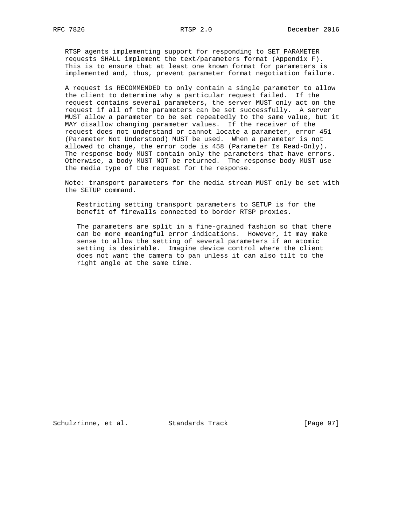RTSP agents implementing support for responding to SET\_PARAMETER requests SHALL implement the text/parameters format (Appendix F). This is to ensure that at least one known format for parameters is implemented and, thus, prevent parameter format negotiation failure.

 A request is RECOMMENDED to only contain a single parameter to allow the client to determine why a particular request failed. If the request contains several parameters, the server MUST only act on the request if all of the parameters can be set successfully. A server MUST allow a parameter to be set repeatedly to the same value, but it MAY disallow changing parameter values. If the receiver of the request does not understand or cannot locate a parameter, error 451 (Parameter Not Understood) MUST be used. When a parameter is not allowed to change, the error code is 458 (Parameter Is Read-Only). The response body MUST contain only the parameters that have errors. Otherwise, a body MUST NOT be returned. The response body MUST use the media type of the request for the response.

 Note: transport parameters for the media stream MUST only be set with the SETUP command.

 Restricting setting transport parameters to SETUP is for the benefit of firewalls connected to border RTSP proxies.

 The parameters are split in a fine-grained fashion so that there can be more meaningful error indications. However, it may make sense to allow the setting of several parameters if an atomic setting is desirable. Imagine device control where the client does not want the camera to pan unless it can also tilt to the right angle at the same time.

Schulzrinne, et al. Standards Track [Page 97]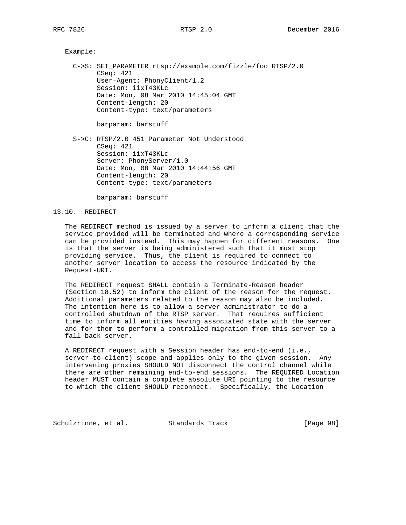### Example:

 C->S: SET\_PARAMETER rtsp://example.com/fizzle/foo RTSP/2.0 CSeq: 421 User-Agent: PhonyClient/1.2 Session: iixT43KLc Date: Mon, 08 Mar 2010 14:45:04 GMT Content-length: 20 Content-type: text/parameters

barparam: barstuff

 S->C: RTSP/2.0 451 Parameter Not Understood CSeq: 421 Session: iixT43KLc Server: PhonyServer/1.0 Date: Mon, 08 Mar 2010 14:44:56 GMT Content-length: 20 Content-type: text/parameters

barparam: barstuff

### 13.10. REDIRECT

 The REDIRECT method is issued by a server to inform a client that the service provided will be terminated and where a corresponding service can be provided instead. This may happen for different reasons. One is that the server is being administered such that it must stop providing service. Thus, the client is required to connect to another server location to access the resource indicated by the Request-URI.

 The REDIRECT request SHALL contain a Terminate-Reason header (Section 18.52) to inform the client of the reason for the request. Additional parameters related to the reason may also be included. The intention here is to allow a server administrator to do a controlled shutdown of the RTSP server. That requires sufficient time to inform all entities having associated state with the server and for them to perform a controlled migration from this server to a fall-back server.

 A REDIRECT request with a Session header has end-to-end (i.e., server-to-client) scope and applies only to the given session. Any intervening proxies SHOULD NOT disconnect the control channel while there are other remaining end-to-end sessions. The REQUIRED Location header MUST contain a complete absolute URI pointing to the resource to which the client SHOULD reconnect. Specifically, the Location

Schulzrinne, et al. Standards Track [Page 98]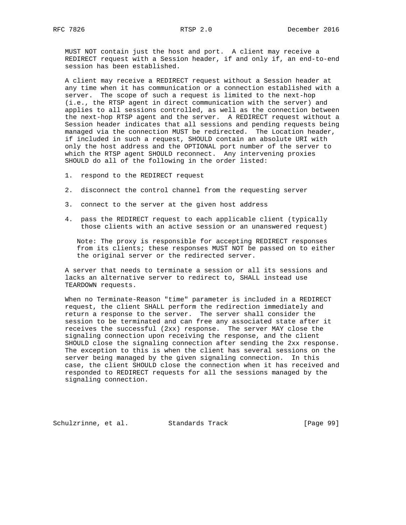RFC 7826 **RTSP 2.0** RTSP 2.0 **December 2016** 

 MUST NOT contain just the host and port. A client may receive a REDIRECT request with a Session header, if and only if, an end-to-end session has been established.

 A client may receive a REDIRECT request without a Session header at any time when it has communication or a connection established with a server. The scope of such a request is limited to the next-hop (i.e., the RTSP agent in direct communication with the server) and applies to all sessions controlled, as well as the connection between the next-hop RTSP agent and the server. A REDIRECT request without a Session header indicates that all sessions and pending requests being managed via the connection MUST be redirected. The Location header, if included in such a request, SHOULD contain an absolute URI with only the host address and the OPTIONAL port number of the server to which the RTSP agent SHOULD reconnect. Any intervening proxies SHOULD do all of the following in the order listed:

- 1. respond to the REDIRECT request
- 2. disconnect the control channel from the requesting server
- 3. connect to the server at the given host address
- 4. pass the REDIRECT request to each applicable client (typically those clients with an active session or an unanswered request)

 Note: The proxy is responsible for accepting REDIRECT responses from its clients; these responses MUST NOT be passed on to either the original server or the redirected server.

 A server that needs to terminate a session or all its sessions and lacks an alternative server to redirect to, SHALL instead use TEARDOWN requests.

 When no Terminate-Reason "time" parameter is included in a REDIRECT request, the client SHALL perform the redirection immediately and return a response to the server. The server shall consider the session to be terminated and can free any associated state after it receives the successful (2xx) response. The server MAY close the signaling connection upon receiving the response, and the client SHOULD close the signaling connection after sending the 2xx response. The exception to this is when the client has several sessions on the server being managed by the given signaling connection. In this case, the client SHOULD close the connection when it has received and responded to REDIRECT requests for all the sessions managed by the signaling connection.

Schulzrinne, et al. Standards Track [Page 99]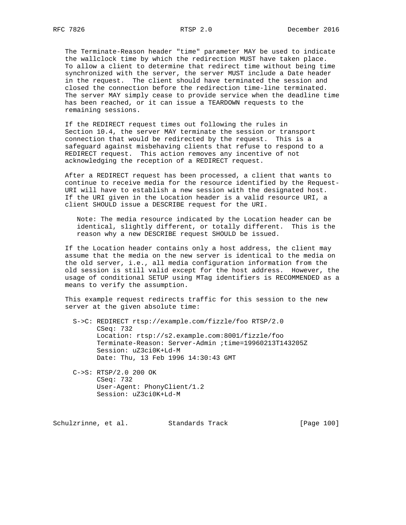The Terminate-Reason header "time" parameter MAY be used to indicate the wallclock time by which the redirection MUST have taken place. To allow a client to determine that redirect time without being time synchronized with the server, the server MUST include a Date header in the request. The client should have terminated the session and closed the connection before the redirection time-line terminated. The server MAY simply cease to provide service when the deadline time has been reached, or it can issue a TEARDOWN requests to the remaining sessions.

 If the REDIRECT request times out following the rules in Section 10.4, the server MAY terminate the session or transport connection that would be redirected by the request. This is a safeguard against misbehaving clients that refuse to respond to a REDIRECT request. This action removes any incentive of not acknowledging the reception of a REDIRECT request.

 After a REDIRECT request has been processed, a client that wants to continue to receive media for the resource identified by the Request- URI will have to establish a new session with the designated host. If the URI given in the Location header is a valid resource URI, a client SHOULD issue a DESCRIBE request for the URI.

 Note: The media resource indicated by the Location header can be identical, slightly different, or totally different. This is the reason why a new DESCRIBE request SHOULD be issued.

 If the Location header contains only a host address, the client may assume that the media on the new server is identical to the media on the old server, i.e., all media configuration information from the old session is still valid except for the host address. However, the usage of conditional SETUP using MTag identifiers is RECOMMENDED as a means to verify the assumption.

 This example request redirects traffic for this session to the new server at the given absolute time:

 S->C: REDIRECT rtsp://example.com/fizzle/foo RTSP/2.0 CSeq: 732 Location: rtsp://s2.example.com:8001/fizzle/foo Terminate-Reason: Server-Admin ;time=19960213T143205Z Session: uZ3ci0K+Ld-M Date: Thu, 13 Feb 1996 14:30:43 GMT

 C->S: RTSP/2.0 200 OK CSeq: 732 User-Agent: PhonyClient/1.2 Session: uZ3ci0K+Ld-M

Schulzrinne, et al. Standards Track [Page 100]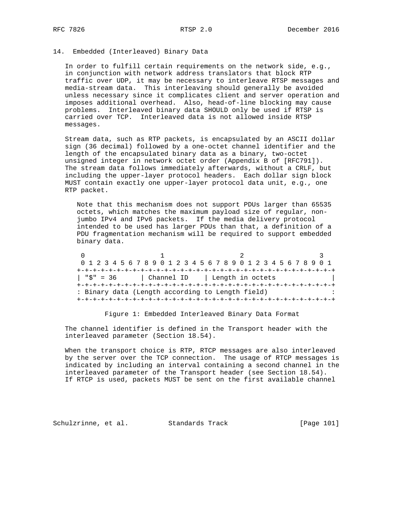## 14. Embedded (Interleaved) Binary Data

 In order to fulfill certain requirements on the network side, e.g., in conjunction with network address translators that block RTP traffic over UDP, it may be necessary to interleave RTSP messages and media-stream data. This interleaving should generally be avoided unless necessary since it complicates client and server operation and imposes additional overhead. Also, head-of-line blocking may cause problems. Interleaved binary data SHOULD only be used if RTSP is carried over TCP. Interleaved data is not allowed inside RTSP messages.

 Stream data, such as RTP packets, is encapsulated by an ASCII dollar sign (36 decimal) followed by a one-octet channel identifier and the length of the encapsulated binary data as a binary, two-octet unsigned integer in network octet order (Appendix B of [RFC791]). The stream data follows immediately afterwards, without a CRLF, but including the upper-layer protocol headers. Each dollar sign block MUST contain exactly one upper-layer protocol data unit, e.g., one RTP packet.

 Note that this mechanism does not support PDUs larger than 65535 octets, which matches the maximum payload size of regular, non jumbo IPv4 and IPv6 packets. If the media delivery protocol intended to be used has larger PDUs than that, a definition of a PDU fragmentation mechanism will be required to support embedded binary data.

|          | 0 1 2 3 4 5 6 7 8 9 0 1 2 3 4 5 6 7 8 9 0 1 2 3 4 5 6 7 8 9 0 1 |  |
|----------|-----------------------------------------------------------------|--|
|          |                                                                 |  |
| "S" = 36 | Channel ID   Length in octets                                   |  |
|          |                                                                 |  |
|          | : Binary data (Length according to Length field)                |  |
|          |                                                                 |  |

Figure 1: Embedded Interleaved Binary Data Format

 The channel identifier is defined in the Transport header with the interleaved parameter (Section 18.54).

 When the transport choice is RTP, RTCP messages are also interleaved by the server over the TCP connection. The usage of RTCP messages is indicated by including an interval containing a second channel in the interleaved parameter of the Transport header (see Section 18.54). If RTCP is used, packets MUST be sent on the first available channel

Schulzrinne, et al. Standards Track [Page 101]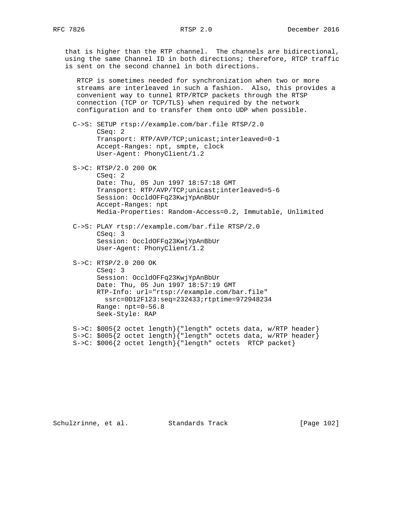that is higher than the RTP channel. The channels are bidirectional, using the same Channel ID in both directions; therefore, RTCP traffic is sent on the second channel in both directions.

 RTCP is sometimes needed for synchronization when two or more streams are interleaved in such a fashion. Also, this provides a convenient way to tunnel RTP/RTCP packets through the RTSP connection (TCP or TCP/TLS) when required by the network configuration and to transfer them onto UDP when possible.

 C->S: SETUP rtsp://example.com/bar.file RTSP/2.0 CSeq: 2 Transport: RTP/AVP/TCP;unicast;interleaved=0-1 Accept-Ranges: npt, smpte, clock User-Agent: PhonyClient/1.2

 S->C: RTSP/2.0 200 OK CSeq: 2 Date: Thu, 05 Jun 1997 18:57:18 GMT Transport: RTP/AVP/TCP;unicast;interleaved=5-6 Session: OccldOFFq23KwjYpAnBbUr Accept-Ranges: npt Media-Properties: Random-Access=0.2, Immutable, Unlimited

 C->S: PLAY rtsp://example.com/bar.file RTSP/2.0 CSeq: 3 Session: OccldOFFq23KwjYpAnBbUr User-Agent: PhonyClient/1.2

```
 S->C: RTSP/2.0 200 OK
CSeq: 3
Session: OccldOFFq23KwjYpAnBbUr
Date: Thu, 05 Jun 1997 18:57:19 GMT
RTP-Info: url="rtsp://example.com/bar.file"
 ssrc=0D12F123:seq=232433;rtptime=972948234
Range: npt=0-56.8
Seek-Style: RAP
```
 S->C: \$005{2 octet length}{"length" octets data, w/RTP header} S->C: \$005{2 octet length}{"length" octets data, w/RTP header} S->C: \$006{2 octet length}{"length" octets RTCP packet}

Schulzrinne, et al. Standards Track [Page 102]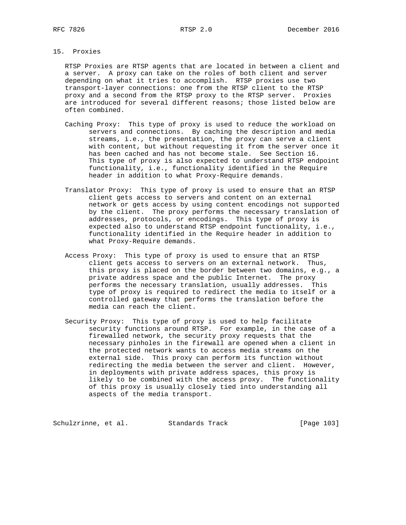# 15. Proxies

 RTSP Proxies are RTSP agents that are located in between a client and a server. A proxy can take on the roles of both client and server depending on what it tries to accomplish. RTSP proxies use two transport-layer connections: one from the RTSP client to the RTSP proxy and a second from the RTSP proxy to the RTSP server. Proxies are introduced for several different reasons; those listed below are often combined.

- Caching Proxy: This type of proxy is used to reduce the workload on servers and connections. By caching the description and media streams, i.e., the presentation, the proxy can serve a client with content, but without requesting it from the server once it has been cached and has not become stale. See Section 16. This type of proxy is also expected to understand RTSP endpoint functionality, i.e., functionality identified in the Require header in addition to what Proxy-Require demands.
- Translator Proxy: This type of proxy is used to ensure that an RTSP client gets access to servers and content on an external network or gets access by using content encodings not supported by the client. The proxy performs the necessary translation of addresses, protocols, or encodings. This type of proxy is expected also to understand RTSP endpoint functionality, i.e., functionality identified in the Require header in addition to what Proxy-Require demands.
- Access Proxy: This type of proxy is used to ensure that an RTSP client gets access to servers on an external network. Thus, this proxy is placed on the border between two domains, e.g., a private address space and the public Internet. The proxy performs the necessary translation, usually addresses. This type of proxy is required to redirect the media to itself or a controlled gateway that performs the translation before the media can reach the client.
- Security Proxy: This type of proxy is used to help facilitate security functions around RTSP. For example, in the case of a firewalled network, the security proxy requests that the necessary pinholes in the firewall are opened when a client in the protected network wants to access media streams on the external side. This proxy can perform its function without redirecting the media between the server and client. However, in deployments with private address spaces, this proxy is likely to be combined with the access proxy. The functionality of this proxy is usually closely tied into understanding all aspects of the media transport.

Schulzrinne, et al. Standards Track [Page 103]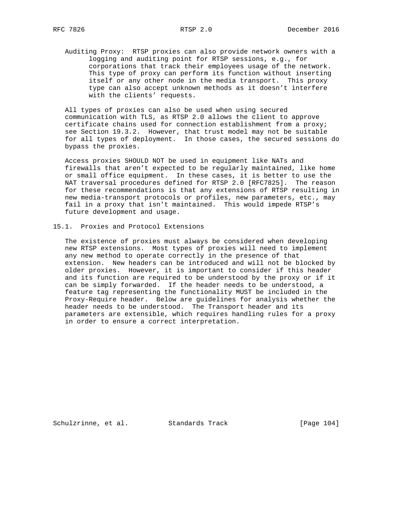Auditing Proxy: RTSP proxies can also provide network owners with a logging and auditing point for RTSP sessions, e.g., for corporations that track their employees usage of the network. This type of proxy can perform its function without inserting itself or any other node in the media transport. This proxy type can also accept unknown methods as it doesn't interfere with the clients' requests.

 All types of proxies can also be used when using secured communication with TLS, as RTSP 2.0 allows the client to approve certificate chains used for connection establishment from a proxy; see Section 19.3.2. However, that trust model may not be suitable for all types of deployment. In those cases, the secured sessions do bypass the proxies.

 Access proxies SHOULD NOT be used in equipment like NATs and firewalls that aren't expected to be regularly maintained, like home or small office equipment. In these cases, it is better to use the NAT traversal procedures defined for RTSP 2.0 [RFC7825]. The reason for these recommendations is that any extensions of RTSP resulting in new media-transport protocols or profiles, new parameters, etc., may fail in a proxy that isn't maintained. This would impede RTSP's future development and usage.

15.1. Proxies and Protocol Extensions

 The existence of proxies must always be considered when developing new RTSP extensions. Most types of proxies will need to implement any new method to operate correctly in the presence of that extension. New headers can be introduced and will not be blocked by older proxies. However, it is important to consider if this header and its function are required to be understood by the proxy or if it can be simply forwarded. If the header needs to be understood, a feature tag representing the functionality MUST be included in the Proxy-Require header. Below are guidelines for analysis whether the header needs to be understood. The Transport header and its parameters are extensible, which requires handling rules for a proxy in order to ensure a correct interpretation.

Schulzrinne, et al. Standards Track [Page 104]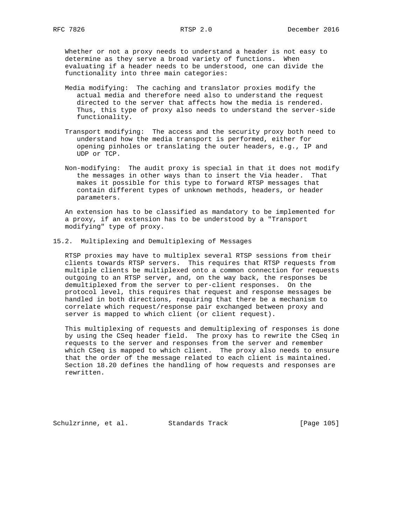Whether or not a proxy needs to understand a header is not easy to determine as they serve a broad variety of functions. When evaluating if a header needs to be understood, one can divide the functionality into three main categories:

- Media modifying: The caching and translator proxies modify the actual media and therefore need also to understand the request directed to the server that affects how the media is rendered. Thus, this type of proxy also needs to understand the server-side functionality.
- Transport modifying: The access and the security proxy both need to understand how the media transport is performed, either for opening pinholes or translating the outer headers, e.g., IP and UDP or TCP.
- Non-modifying: The audit proxy is special in that it does not modify the messages in other ways than to insert the Via header. That makes it possible for this type to forward RTSP messages that contain different types of unknown methods, headers, or header parameters.

 An extension has to be classified as mandatory to be implemented for a proxy, if an extension has to be understood by a "Transport modifying" type of proxy.

15.2. Multiplexing and Demultiplexing of Messages

 RTSP proxies may have to multiplex several RTSP sessions from their clients towards RTSP servers. This requires that RTSP requests from multiple clients be multiplexed onto a common connection for requests outgoing to an RTSP server, and, on the way back, the responses be demultiplexed from the server to per-client responses. On the protocol level, this requires that request and response messages be handled in both directions, requiring that there be a mechanism to correlate which request/response pair exchanged between proxy and server is mapped to which client (or client request).

 This multiplexing of requests and demultiplexing of responses is done by using the CSeq header field. The proxy has to rewrite the CSeq in requests to the server and responses from the server and remember which CSeq is mapped to which client. The proxy also needs to ensure that the order of the message related to each client is maintained. Section 18.20 defines the handling of how requests and responses are rewritten.

Schulzrinne, et al. Standards Track [Page 105]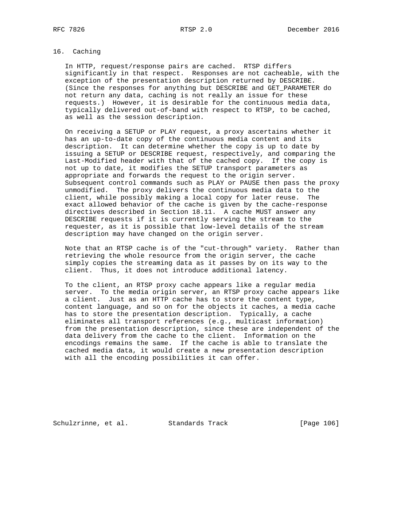# 16. Caching

 In HTTP, request/response pairs are cached. RTSP differs significantly in that respect. Responses are not cacheable, with the exception of the presentation description returned by DESCRIBE. (Since the responses for anything but DESCRIBE and GET\_PARAMETER do not return any data, caching is not really an issue for these requests.) However, it is desirable for the continuous media data, typically delivered out-of-band with respect to RTSP, to be cached, as well as the session description.

 On receiving a SETUP or PLAY request, a proxy ascertains whether it has an up-to-date copy of the continuous media content and its description. It can determine whether the copy is up to date by issuing a SETUP or DESCRIBE request, respectively, and comparing the Last-Modified header with that of the cached copy. If the copy is not up to date, it modifies the SETUP transport parameters as appropriate and forwards the request to the origin server. Subsequent control commands such as PLAY or PAUSE then pass the proxy unmodified. The proxy delivers the continuous media data to the client, while possibly making a local copy for later reuse. The exact allowed behavior of the cache is given by the cache-response directives described in Section 18.11. A cache MUST answer any DESCRIBE requests if it is currently serving the stream to the requester, as it is possible that low-level details of the stream description may have changed on the origin server.

 Note that an RTSP cache is of the "cut-through" variety. Rather than retrieving the whole resource from the origin server, the cache simply copies the streaming data as it passes by on its way to the client. Thus, it does not introduce additional latency.

 To the client, an RTSP proxy cache appears like a regular media server. To the media origin server, an RTSP proxy cache appears like a client. Just as an HTTP cache has to store the content type, content language, and so on for the objects it caches, a media cache has to store the presentation description. Typically, a cache eliminates all transport references (e.g., multicast information) from the presentation description, since these are independent of the data delivery from the cache to the client. Information on the encodings remains the same. If the cache is able to translate the cached media data, it would create a new presentation description with all the encoding possibilities it can offer.

Schulzrinne, et al. Standards Track [Page 106]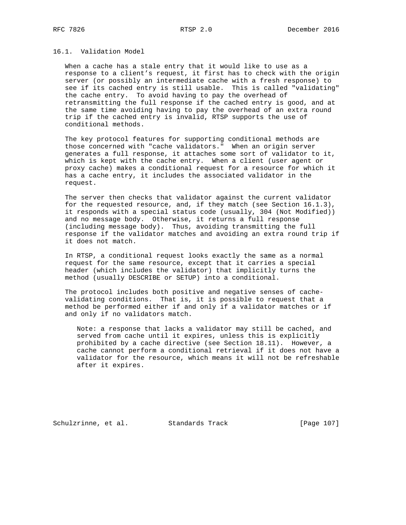# 16.1. Validation Model

 When a cache has a stale entry that it would like to use as a response to a client's request, it first has to check with the origin server (or possibly an intermediate cache with a fresh response) to see if its cached entry is still usable. This is called "validating" the cache entry. To avoid having to pay the overhead of retransmitting the full response if the cached entry is good, and at the same time avoiding having to pay the overhead of an extra round trip if the cached entry is invalid, RTSP supports the use of conditional methods.

 The key protocol features for supporting conditional methods are those concerned with "cache validators." When an origin server generates a full response, it attaches some sort of validator to it, which is kept with the cache entry. When a client (user agent or proxy cache) makes a conditional request for a resource for which it has a cache entry, it includes the associated validator in the request.

 The server then checks that validator against the current validator for the requested resource, and, if they match (see Section 16.1.3), it responds with a special status code (usually, 304 (Not Modified)) and no message body. Otherwise, it returns a full response (including message body). Thus, avoiding transmitting the full response if the validator matches and avoiding an extra round trip if it does not match.

 In RTSP, a conditional request looks exactly the same as a normal request for the same resource, except that it carries a special header (which includes the validator) that implicitly turns the method (usually DESCRIBE or SETUP) into a conditional.

 The protocol includes both positive and negative senses of cache validating conditions. That is, it is possible to request that a method be performed either if and only if a validator matches or if and only if no validators match.

 Note: a response that lacks a validator may still be cached, and served from cache until it expires, unless this is explicitly prohibited by a cache directive (see Section 18.11). However, a cache cannot perform a conditional retrieval if it does not have a validator for the resource, which means it will not be refreshable after it expires.

Schulzrinne, et al. Standards Track [Page 107]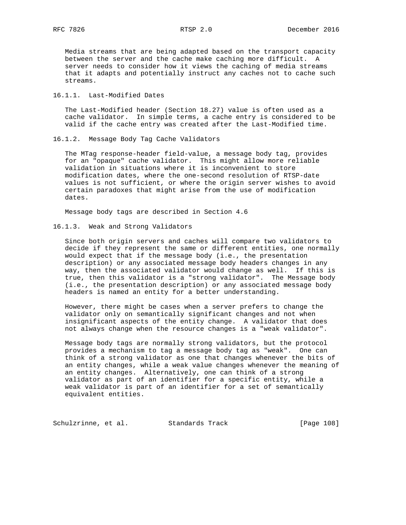Media streams that are being adapted based on the transport capacity between the server and the cache make caching more difficult. A server needs to consider how it views the caching of media streams that it adapts and potentially instruct any caches not to cache such streams.

# 16.1.1. Last-Modified Dates

 The Last-Modified header (Section 18.27) value is often used as a cache validator. In simple terms, a cache entry is considered to be valid if the cache entry was created after the Last-Modified time.

16.1.2. Message Body Tag Cache Validators

 The MTag response-header field-value, a message body tag, provides for an "opaque" cache validator. This might allow more reliable validation in situations where it is inconvenient to store modification dates, where the one-second resolution of RTSP-date values is not sufficient, or where the origin server wishes to avoid certain paradoxes that might arise from the use of modification dates.

Message body tags are described in Section 4.6

## 16.1.3. Weak and Strong Validators

 Since both origin servers and caches will compare two validators to decide if they represent the same or different entities, one normally would expect that if the message body (i.e., the presentation description) or any associated message body headers changes in any way, then the associated validator would change as well. If this is true, then this validator is a "strong validator". The Message body (i.e., the presentation description) or any associated message body headers is named an entity for a better understanding.

 However, there might be cases when a server prefers to change the validator only on semantically significant changes and not when insignificant aspects of the entity change. A validator that does not always change when the resource changes is a "weak validator".

 Message body tags are normally strong validators, but the protocol provides a mechanism to tag a message body tag as "weak". One can think of a strong validator as one that changes whenever the bits of an entity changes, while a weak value changes whenever the meaning of an entity changes. Alternatively, one can think of a strong validator as part of an identifier for a specific entity, while a weak validator is part of an identifier for a set of semantically equivalent entities.

Schulzrinne, et al. Standards Track [Page 108]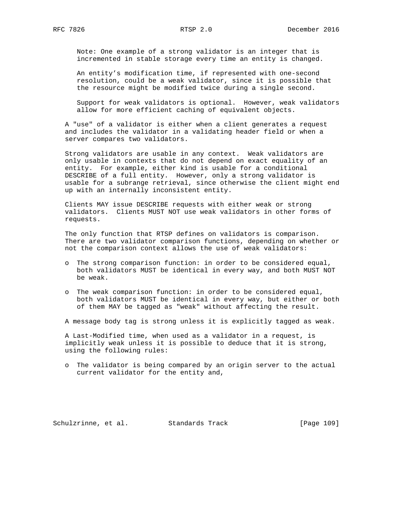Note: One example of a strong validator is an integer that is incremented in stable storage every time an entity is changed.

 An entity's modification time, if represented with one-second resolution, could be a weak validator, since it is possible that the resource might be modified twice during a single second.

 Support for weak validators is optional. However, weak validators allow for more efficient caching of equivalent objects.

 A "use" of a validator is either when a client generates a request and includes the validator in a validating header field or when a server compares two validators.

 Strong validators are usable in any context. Weak validators are only usable in contexts that do not depend on exact equality of an entity. For example, either kind is usable for a conditional DESCRIBE of a full entity. However, only a strong validator is usable for a subrange retrieval, since otherwise the client might end up with an internally inconsistent entity.

 Clients MAY issue DESCRIBE requests with either weak or strong validators. Clients MUST NOT use weak validators in other forms of requests.

 The only function that RTSP defines on validators is comparison. There are two validator comparison functions, depending on whether or not the comparison context allows the use of weak validators:

- o The strong comparison function: in order to be considered equal, both validators MUST be identical in every way, and both MUST NOT be weak.
- o The weak comparison function: in order to be considered equal, both validators MUST be identical in every way, but either or both of them MAY be tagged as "weak" without affecting the result.

A message body tag is strong unless it is explicitly tagged as weak.

 A Last-Modified time, when used as a validator in a request, is implicitly weak unless it is possible to deduce that it is strong, using the following rules:

 o The validator is being compared by an origin server to the actual current validator for the entity and,

Schulzrinne, et al. Standards Track [Page 109]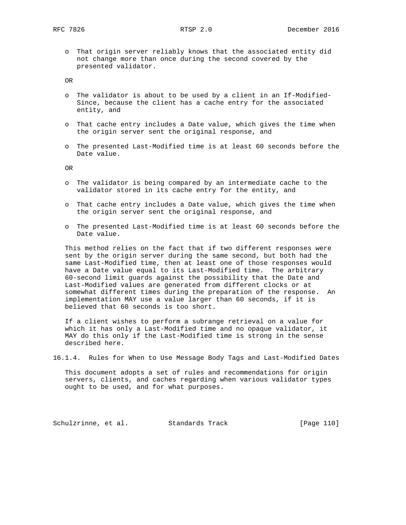o That origin server reliably knows that the associated entity did not change more than once during the second covered by the presented validator.

OR

- o The validator is about to be used by a client in an If-Modified- Since, because the client has a cache entry for the associated entity, and
- o That cache entry includes a Date value, which gives the time when the origin server sent the original response, and
- o The presented Last-Modified time is at least 60 seconds before the Date value.

OR

- o The validator is being compared by an intermediate cache to the validator stored in its cache entry for the entity, and
- o That cache entry includes a Date value, which gives the time when the origin server sent the original response, and
- o The presented Last-Modified time is at least 60 seconds before the Date value.

 This method relies on the fact that if two different responses were sent by the origin server during the same second, but both had the same Last-Modified time, then at least one of those responses would have a Date value equal to its Last-Modified time. The arbitrary 60-second limit guards against the possibility that the Date and Last-Modified values are generated from different clocks or at somewhat different times during the preparation of the response. An implementation MAY use a value larger than 60 seconds, if it is believed that 60 seconds is too short.

 If a client wishes to perform a subrange retrieval on a value for which it has only a Last-Modified time and no opaque validator, it MAY do this only if the Last-Modified time is strong in the sense described here.

16.1.4. Rules for When to Use Message Body Tags and Last-Modified Dates

 This document adopts a set of rules and recommendations for origin servers, clients, and caches regarding when various validator types ought to be used, and for what purposes.

Schulzrinne, et al. Standards Track [Page 110]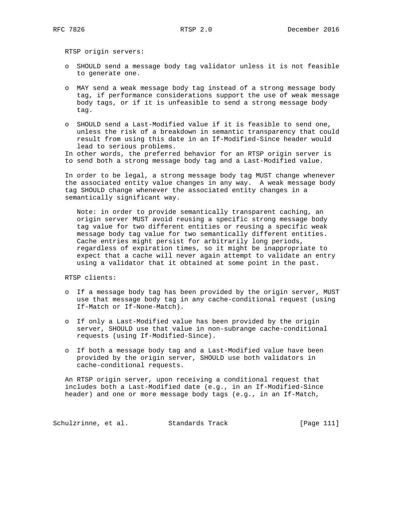RTSP origin servers:

- o SHOULD send a message body tag validator unless it is not feasible to generate one.
- o MAY send a weak message body tag instead of a strong message body tag, if performance considerations support the use of weak message body tags, or if it is unfeasible to send a strong message body tag.
- o SHOULD send a Last-Modified value if it is feasible to send one, unless the risk of a breakdown in semantic transparency that could result from using this date in an If-Modified-Since header would lead to serious problems.

 In other words, the preferred behavior for an RTSP origin server is to send both a strong message body tag and a Last-Modified value.

 In order to be legal, a strong message body tag MUST change whenever the associated entity value changes in any way. A weak message body tag SHOULD change whenever the associated entity changes in a semantically significant way.

 Note: in order to provide semantically transparent caching, an origin server MUST avoid reusing a specific strong message body tag value for two different entities or reusing a specific weak message body tag value for two semantically different entities. Cache entries might persist for arbitrarily long periods, regardless of expiration times, so it might be inappropriate to expect that a cache will never again attempt to validate an entry using a validator that it obtained at some point in the past.

RTSP clients:

- o If a message body tag has been provided by the origin server, MUST use that message body tag in any cache-conditional request (using If-Match or If-None-Match).
- o If only a Last-Modified value has been provided by the origin server, SHOULD use that value in non-subrange cache-conditional requests (using If-Modified-Since).
- o If both a message body tag and a Last-Modified value have been provided by the origin server, SHOULD use both validators in cache-conditional requests.

 An RTSP origin server, upon receiving a conditional request that includes both a Last-Modified date (e.g., in an If-Modified-Since header) and one or more message body tags (e.g., in an If-Match,

Schulzrinne, et al. Standards Track [Page 111]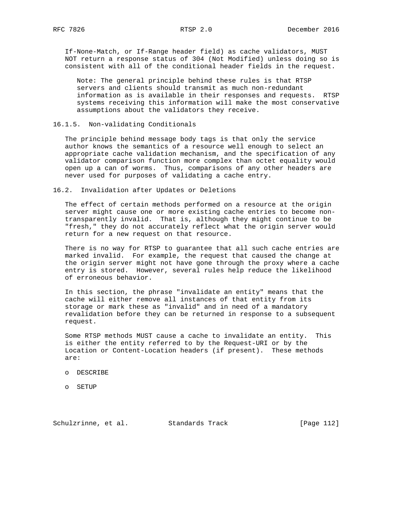If-None-Match, or If-Range header field) as cache validators, MUST NOT return a response status of 304 (Not Modified) unless doing so is consistent with all of the conditional header fields in the request.

 Note: The general principle behind these rules is that RTSP servers and clients should transmit as much non-redundant information as is available in their responses and requests. RTSP systems receiving this information will make the most conservative assumptions about the validators they receive.

#### 16.1.5. Non-validating Conditionals

 The principle behind message body tags is that only the service author knows the semantics of a resource well enough to select an appropriate cache validation mechanism, and the specification of any validator comparison function more complex than octet equality would open up a can of worms. Thus, comparisons of any other headers are never used for purposes of validating a cache entry.

16.2. Invalidation after Updates or Deletions

 The effect of certain methods performed on a resource at the origin server might cause one or more existing cache entries to become non transparently invalid. That is, although they might continue to be "fresh," they do not accurately reflect what the origin server would return for a new request on that resource.

 There is no way for RTSP to guarantee that all such cache entries are marked invalid. For example, the request that caused the change at the origin server might not have gone through the proxy where a cache entry is stored. However, several rules help reduce the likelihood of erroneous behavior.

 In this section, the phrase "invalidate an entity" means that the cache will either remove all instances of that entity from its storage or mark these as "invalid" and in need of a mandatory revalidation before they can be returned in response to a subsequent request.

 Some RTSP methods MUST cause a cache to invalidate an entity. This is either the entity referred to by the Request-URI or by the Location or Content-Location headers (if present). These methods are:

- o DESCRIBE
- o SETUP

Schulzrinne, et al. Standards Track [Page 112]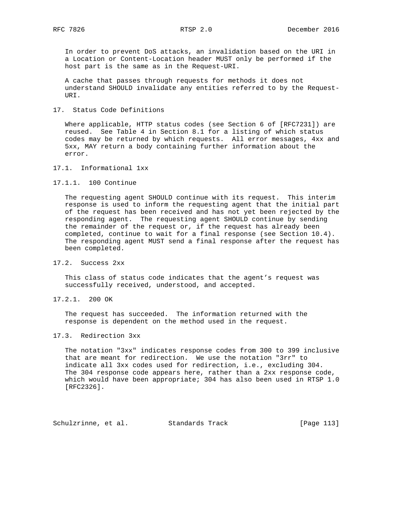In order to prevent DoS attacks, an invalidation based on the URI in a Location or Content-Location header MUST only be performed if the host part is the same as in the Request-URI.

 A cache that passes through requests for methods it does not understand SHOULD invalidate any entities referred to by the Request- URI.

17. Status Code Definitions

 Where applicable, HTTP status codes (see Section 6 of [RFC7231]) are reused. See Table 4 in Section 8.1 for a listing of which status codes may be returned by which requests. All error messages, 4xx and 5xx, MAY return a body containing further information about the error.

17.1. Informational 1xx

17.1.1. 100 Continue

 The requesting agent SHOULD continue with its request. This interim response is used to inform the requesting agent that the initial part of the request has been received and has not yet been rejected by the responding agent. The requesting agent SHOULD continue by sending the remainder of the request or, if the request has already been completed, continue to wait for a final response (see Section 10.4). The responding agent MUST send a final response after the request has been completed.

17.2. Success 2xx

 This class of status code indicates that the agent's request was successfully received, understood, and accepted.

17.2.1. 200 OK

 The request has succeeded. The information returned with the response is dependent on the method used in the request.

17.3. Redirection 3xx

 The notation "3xx" indicates response codes from 300 to 399 inclusive that are meant for redirection. We use the notation "3rr" to indicate all 3xx codes used for redirection, i.e., excluding 304. The 304 response code appears here, rather than a 2xx response code, which would have been appropriate; 304 has also been used in RTSP 1.0 [RFC2326].

Schulzrinne, et al. Standards Track [Page 113]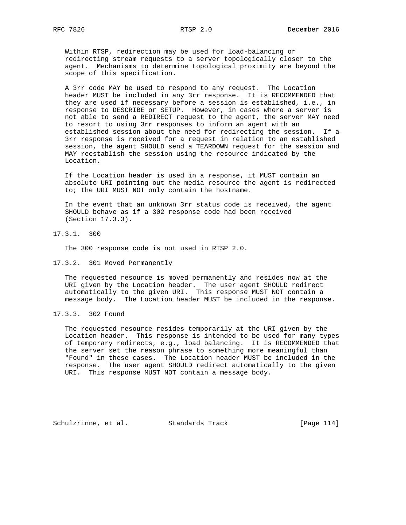Within RTSP, redirection may be used for load-balancing or redirecting stream requests to a server topologically closer to the agent. Mechanisms to determine topological proximity are beyond the scope of this specification.

 A 3rr code MAY be used to respond to any request. The Location header MUST be included in any 3rr response. It is RECOMMENDED that they are used if necessary before a session is established, i.e., in response to DESCRIBE or SETUP. However, in cases where a server is not able to send a REDIRECT request to the agent, the server MAY need to resort to using 3rr responses to inform an agent with an established session about the need for redirecting the session. If a 3rr response is received for a request in relation to an established session, the agent SHOULD send a TEARDOWN request for the session and MAY reestablish the session using the resource indicated by the Location.

 If the Location header is used in a response, it MUST contain an absolute URI pointing out the media resource the agent is redirected to; the URI MUST NOT only contain the hostname.

 In the event that an unknown 3rr status code is received, the agent SHOULD behave as if a 302 response code had been received (Section 17.3.3).

17.3.1. 300

The 300 response code is not used in RTSP 2.0.

17.3.2. 301 Moved Permanently

 The requested resource is moved permanently and resides now at the URI given by the Location header. The user agent SHOULD redirect automatically to the given URI. This response MUST NOT contain a message body. The Location header MUST be included in the response.

17.3.3. 302 Found

 The requested resource resides temporarily at the URI given by the Location header. This response is intended to be used for many types of temporary redirects, e.g., load balancing. It is RECOMMENDED that the server set the reason phrase to something more meaningful than "Found" in these cases. The Location header MUST be included in the response. The user agent SHOULD redirect automatically to the given URI. This response MUST NOT contain a message body.

Schulzrinne, et al. Standards Track [Page 114]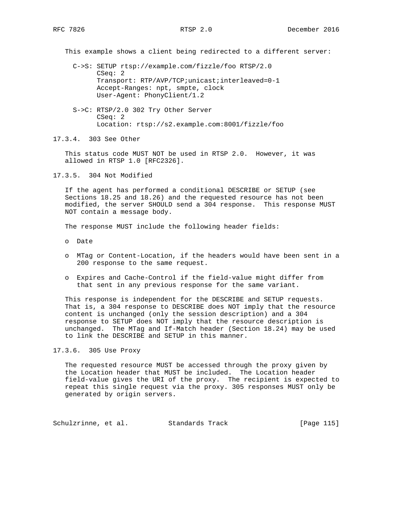This example shows a client being redirected to a different server:

 C->S: SETUP rtsp://example.com/fizzle/foo RTSP/2.0 CSeq: 2 Transport: RTP/AVP/TCP;unicast;interleaved=0-1 Accept-Ranges: npt, smpte, clock User-Agent: PhonyClient/1.2

 S->C: RTSP/2.0 302 Try Other Server CSeq: 2 Location: rtsp://s2.example.com:8001/fizzle/foo

17.3.4. 303 See Other

 This status code MUST NOT be used in RTSP 2.0. However, it was allowed in RTSP 1.0 [RFC2326].

17.3.5. 304 Not Modified

 If the agent has performed a conditional DESCRIBE or SETUP (see Sections 18.25 and 18.26) and the requested resource has not been modified, the server SHOULD send a 304 response. This response MUST NOT contain a message body.

The response MUST include the following header fields:

- o Date
- o MTag or Content-Location, if the headers would have been sent in a 200 response to the same request.
- o Expires and Cache-Control if the field-value might differ from that sent in any previous response for the same variant.

 This response is independent for the DESCRIBE and SETUP requests. That is, a 304 response to DESCRIBE does NOT imply that the resource content is unchanged (only the session description) and a 304 response to SETUP does NOT imply that the resource description is unchanged. The MTag and If-Match header (Section 18.24) may be used to link the DESCRIBE and SETUP in this manner.

## 17.3.6. 305 Use Proxy

 The requested resource MUST be accessed through the proxy given by the Location header that MUST be included. The Location header field-value gives the URI of the proxy. The recipient is expected to repeat this single request via the proxy. 305 responses MUST only be generated by origin servers.

Schulzrinne, et al. Standards Track [Page 115]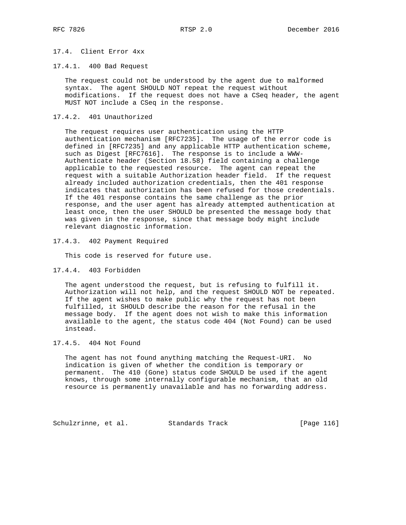# 17.4. Client Error 4xx

17.4.1. 400 Bad Request

 The request could not be understood by the agent due to malformed syntax. The agent SHOULD NOT repeat the request without modifications. If the request does not have a CSeq header, the agent MUST NOT include a CSeq in the response.

#### 17.4.2. 401 Unauthorized

 The request requires user authentication using the HTTP authentication mechanism [RFC7235]. The usage of the error code is defined in [RFC7235] and any applicable HTTP authentication scheme, such as Digest [RFC7616]. The response is to include a WWW- Authenticate header (Section 18.58) field containing a challenge applicable to the requested resource. The agent can repeat the request with a suitable Authorization header field. If the request already included authorization credentials, then the 401 response indicates that authorization has been refused for those credentials. If the 401 response contains the same challenge as the prior response, and the user agent has already attempted authentication at least once, then the user SHOULD be presented the message body that was given in the response, since that message body might include relevant diagnostic information.

17.4.3. 402 Payment Required

This code is reserved for future use.

17.4.4. 403 Forbidden

 The agent understood the request, but is refusing to fulfill it. Authorization will not help, and the request SHOULD NOT be repeated. If the agent wishes to make public why the request has not been fulfilled, it SHOULD describe the reason for the refusal in the message body. If the agent does not wish to make this information available to the agent, the status code 404 (Not Found) can be used instead.

#### 17.4.5. 404 Not Found

 The agent has not found anything matching the Request-URI. No indication is given of whether the condition is temporary or permanent. The 410 (Gone) status code SHOULD be used if the agent knows, through some internally configurable mechanism, that an old resource is permanently unavailable and has no forwarding address.

Schulzrinne, et al. Standards Track [Page 116]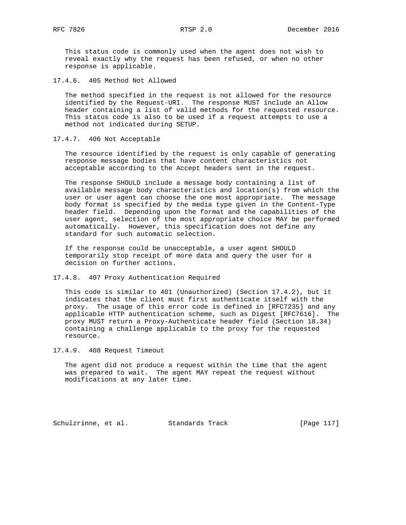This status code is commonly used when the agent does not wish to reveal exactly why the request has been refused, or when no other response is applicable.

17.4.6. 405 Method Not Allowed

 The method specified in the request is not allowed for the resource identified by the Request-URI. The response MUST include an Allow header containing a list of valid methods for the requested resource. This status code is also to be used if a request attempts to use a method not indicated during SETUP.

17.4.7. 406 Not Acceptable

 The resource identified by the request is only capable of generating response message bodies that have content characteristics not acceptable according to the Accept headers sent in the request.

 The response SHOULD include a message body containing a list of available message body characteristics and location(s) from which the user or user agent can choose the one most appropriate. The message body format is specified by the media type given in the Content-Type header field. Depending upon the format and the capabilities of the user agent, selection of the most appropriate choice MAY be performed automatically. However, this specification does not define any standard for such automatic selection.

 If the response could be unacceptable, a user agent SHOULD temporarily stop receipt of more data and query the user for a decision on further actions.

17.4.8. 407 Proxy Authentication Required

 This code is similar to 401 (Unauthorized) (Section 17.4.2), but it indicates that the client must first authenticate itself with the proxy. The usage of this error code is defined in [RFC7235] and any applicable HTTP authentication scheme, such as Digest [RFC7616]. The proxy MUST return a Proxy-Authenticate header field (Section 18.34) containing a challenge applicable to the proxy for the requested resource.

17.4.9. 408 Request Timeout

 The agent did not produce a request within the time that the agent was prepared to wait. The agent MAY repeat the request without modifications at any later time.

Schulzrinne, et al. Standards Track [Page 117]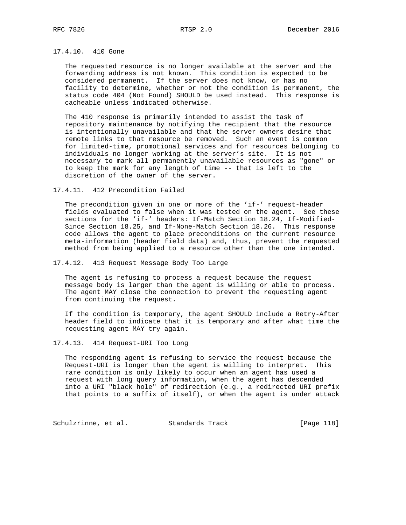## 17.4.10. 410 Gone

 The requested resource is no longer available at the server and the forwarding address is not known. This condition is expected to be considered permanent. If the server does not know, or has no facility to determine, whether or not the condition is permanent, the status code 404 (Not Found) SHOULD be used instead. This response is cacheable unless indicated otherwise.

 The 410 response is primarily intended to assist the task of repository maintenance by notifying the recipient that the resource is intentionally unavailable and that the server owners desire that remote links to that resource be removed. Such an event is common for limited-time, promotional services and for resources belonging to individuals no longer working at the server's site. It is not necessary to mark all permanently unavailable resources as "gone" or to keep the mark for any length of time -- that is left to the discretion of the owner of the server.

17.4.11. 412 Precondition Failed

 The precondition given in one or more of the 'if-' request-header fields evaluated to false when it was tested on the agent. See these sections for the 'if-' headers: If-Match Section 18.24, If-Modified- Since Section 18.25, and If-None-Match Section 18.26. This response code allows the agent to place preconditions on the current resource meta-information (header field data) and, thus, prevent the requested method from being applied to a resource other than the one intended.

## 17.4.12. 413 Request Message Body Too Large

 The agent is refusing to process a request because the request message body is larger than the agent is willing or able to process. The agent MAY close the connection to prevent the requesting agent from continuing the request.

 If the condition is temporary, the agent SHOULD include a Retry-After header field to indicate that it is temporary and after what time the requesting agent MAY try again.

17.4.13. 414 Request-URI Too Long

 The responding agent is refusing to service the request because the Request-URI is longer than the agent is willing to interpret. This rare condition is only likely to occur when an agent has used a request with long query information, when the agent has descended into a URI "black hole" of redirection (e.g., a redirected URI prefix that points to a suffix of itself), or when the agent is under attack

Schulzrinne, et al. Standards Track [Page 118]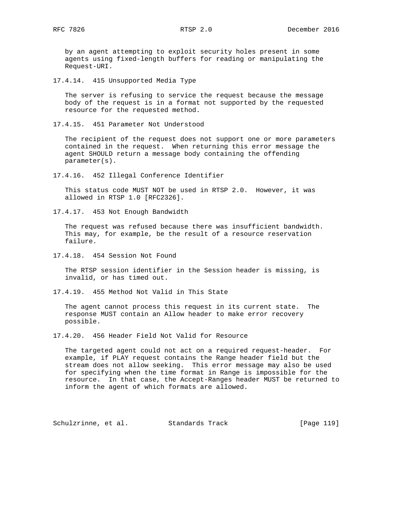by an agent attempting to exploit security holes present in some agents using fixed-length buffers for reading or manipulating the Request-URI.

17.4.14. 415 Unsupported Media Type

 The server is refusing to service the request because the message body of the request is in a format not supported by the requested resource for the requested method.

17.4.15. 451 Parameter Not Understood

 The recipient of the request does not support one or more parameters contained in the request. When returning this error message the agent SHOULD return a message body containing the offending parameter(s).

17.4.16. 452 Illegal Conference Identifier

 This status code MUST NOT be used in RTSP 2.0. However, it was allowed in RTSP 1.0 [RFC2326].

17.4.17. 453 Not Enough Bandwidth

 The request was refused because there was insufficient bandwidth. This may, for example, be the result of a resource reservation failure.

17.4.18. 454 Session Not Found

 The RTSP session identifier in the Session header is missing, is invalid, or has timed out.

17.4.19. 455 Method Not Valid in This State

 The agent cannot process this request in its current state. The response MUST contain an Allow header to make error recovery possible.

17.4.20. 456 Header Field Not Valid for Resource

 The targeted agent could not act on a required request-header. For example, if PLAY request contains the Range header field but the stream does not allow seeking. This error message may also be used for specifying when the time format in Range is impossible for the resource. In that case, the Accept-Ranges header MUST be returned to inform the agent of which formats are allowed.

Schulzrinne, et al. Standards Track [Page 119]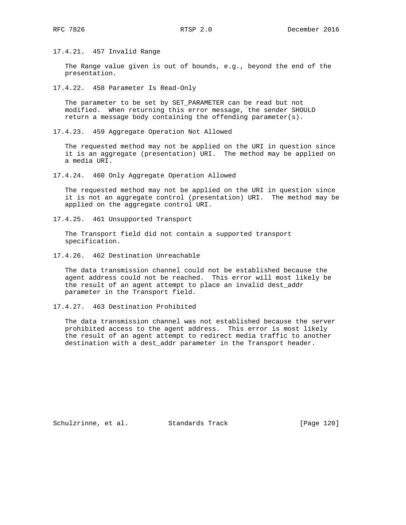17.4.21. 457 Invalid Range

 The Range value given is out of bounds, e.g., beyond the end of the presentation.

17.4.22. 458 Parameter Is Read-Only

 The parameter to be set by SET\_PARAMETER can be read but not modified. When returning this error message, the sender SHOULD return a message body containing the offending parameter(s).

17.4.23. 459 Aggregate Operation Not Allowed

 The requested method may not be applied on the URI in question since it is an aggregate (presentation) URI. The method may be applied on a media URI.

17.4.24. 460 Only Aggregate Operation Allowed

 The requested method may not be applied on the URI in question since it is not an aggregate control (presentation) URI. The method may be applied on the aggregate control URI.

17.4.25. 461 Unsupported Transport

 The Transport field did not contain a supported transport specification.

17.4.26. 462 Destination Unreachable

 The data transmission channel could not be established because the agent address could not be reached. This error will most likely be the result of an agent attempt to place an invalid dest\_addr parameter in the Transport field.

17.4.27. 463 Destination Prohibited

 The data transmission channel was not established because the server prohibited access to the agent address. This error is most likely the result of an agent attempt to redirect media traffic to another destination with a dest\_addr parameter in the Transport header.

Schulzrinne, et al. Standards Track [Page 120]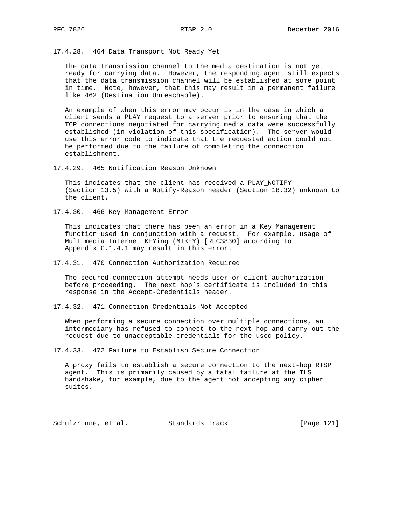17.4.28. 464 Data Transport Not Ready Yet

 The data transmission channel to the media destination is not yet ready for carrying data. However, the responding agent still expects that the data transmission channel will be established at some point in time. Note, however, that this may result in a permanent failure like 462 (Destination Unreachable).

 An example of when this error may occur is in the case in which a client sends a PLAY request to a server prior to ensuring that the TCP connections negotiated for carrying media data were successfully established (in violation of this specification). The server would use this error code to indicate that the requested action could not be performed due to the failure of completing the connection establishment.

17.4.29. 465 Notification Reason Unknown

 This indicates that the client has received a PLAY\_NOTIFY (Section 13.5) with a Notify-Reason header (Section 18.32) unknown to the client.

17.4.30. 466 Key Management Error

 This indicates that there has been an error in a Key Management function used in conjunction with a request. For example, usage of Multimedia Internet KEYing (MIKEY) [RFC3830] according to Appendix C.1.4.1 may result in this error.

17.4.31. 470 Connection Authorization Required

 The secured connection attempt needs user or client authorization before proceeding. The next hop's certificate is included in this response in the Accept-Credentials header.

17.4.32. 471 Connection Credentials Not Accepted

 When performing a secure connection over multiple connections, an intermediary has refused to connect to the next hop and carry out the request due to unacceptable credentials for the used policy.

17.4.33. 472 Failure to Establish Secure Connection

 A proxy fails to establish a secure connection to the next-hop RTSP agent. This is primarily caused by a fatal failure at the TLS handshake, for example, due to the agent not accepting any cipher suites.

Schulzrinne, et al. Standards Track [Page 121]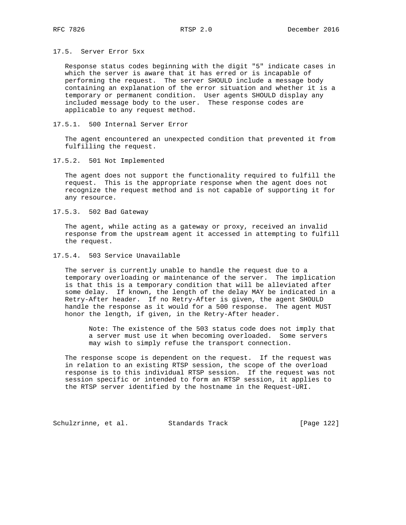## 17.5. Server Error 5xx

 Response status codes beginning with the digit "5" indicate cases in which the server is aware that it has erred or is incapable of performing the request. The server SHOULD include a message body containing an explanation of the error situation and whether it is a temporary or permanent condition. User agents SHOULD display any included message body to the user. These response codes are applicable to any request method.

#### 17.5.1. 500 Internal Server Error

 The agent encountered an unexpected condition that prevented it from fulfilling the request.

17.5.2. 501 Not Implemented

 The agent does not support the functionality required to fulfill the request. This is the appropriate response when the agent does not recognize the request method and is not capable of supporting it for any resource.

17.5.3. 502 Bad Gateway

 The agent, while acting as a gateway or proxy, received an invalid response from the upstream agent it accessed in attempting to fulfill the request.

17.5.4. 503 Service Unavailable

 The server is currently unable to handle the request due to a temporary overloading or maintenance of the server. The implication is that this is a temporary condition that will be alleviated after some delay. If known, the length of the delay MAY be indicated in a Retry-After header. If no Retry-After is given, the agent SHOULD handle the response as it would for a 500 response. The agent MUST honor the length, if given, in the Retry-After header.

 Note: The existence of the 503 status code does not imply that a server must use it when becoming overloaded. Some servers may wish to simply refuse the transport connection.

 The response scope is dependent on the request. If the request was in relation to an existing RTSP session, the scope of the overload response is to this individual RTSP session. If the request was not session specific or intended to form an RTSP session, it applies to the RTSP server identified by the hostname in the Request-URI.

Schulzrinne, et al. Standards Track [Page 122]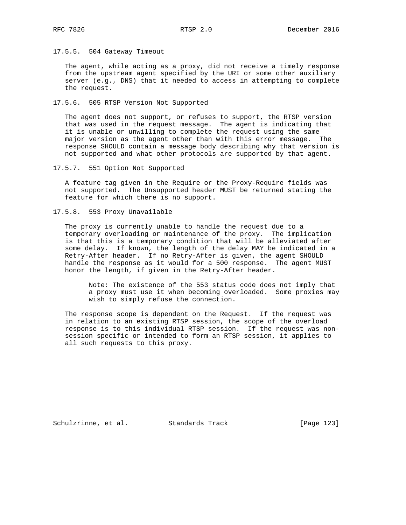17.5.5. 504 Gateway Timeout

 The agent, while acting as a proxy, did not receive a timely response from the upstream agent specified by the URI or some other auxiliary server (e.g., DNS) that it needed to access in attempting to complete the request.

17.5.6. 505 RTSP Version Not Supported

 The agent does not support, or refuses to support, the RTSP version that was used in the request message. The agent is indicating that it is unable or unwilling to complete the request using the same major version as the agent other than with this error message. The response SHOULD contain a message body describing why that version is not supported and what other protocols are supported by that agent.

17.5.7. 551 Option Not Supported

 A feature tag given in the Require or the Proxy-Require fields was not supported. The Unsupported header MUST be returned stating the feature for which there is no support.

17.5.8. 553 Proxy Unavailable

 The proxy is currently unable to handle the request due to a temporary overloading or maintenance of the proxy. The implication is that this is a temporary condition that will be alleviated after some delay. If known, the length of the delay MAY be indicated in a Retry-After header. If no Retry-After is given, the agent SHOULD handle the response as it would for a 500 response. The agent MUST honor the length, if given in the Retry-After header.

 Note: The existence of the 553 status code does not imply that a proxy must use it when becoming overloaded. Some proxies may wish to simply refuse the connection.

 The response scope is dependent on the Request. If the request was in relation to an existing RTSP session, the scope of the overload response is to this individual RTSP session. If the request was non session specific or intended to form an RTSP session, it applies to all such requests to this proxy.

Schulzrinne, et al. Standards Track [Page 123]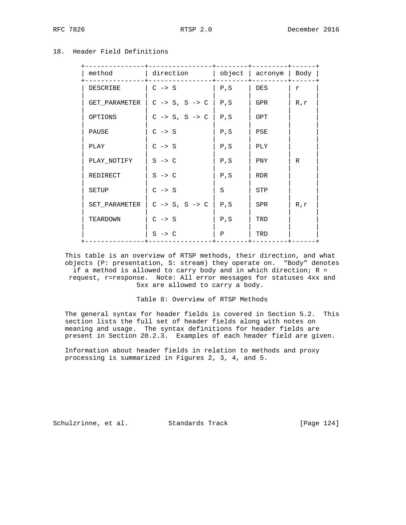# 18. Header Field Definitions

| method        | direction                          |      | $object \mid acronym \mid Body \mid$ |     |
|---------------|------------------------------------|------|--------------------------------------|-----|
| DESCRIBE      | $C \rightarrow S$                  | P, S | DES                                  | r   |
| GET_PARAMETER | $C \rightarrow S, S \rightarrow C$ | P, S | GPR.                                 | R,r |
| OPTIONS       | $C \rightarrow S, S \rightarrow C$ | P, S | OPT                                  |     |
| PAUSE         | $C \rightarrow S$                  | P, S | PSE                                  |     |
| PLAY          | $C \rightarrow S$                  | P, S | PLY                                  |     |
| PLAY_NOTIFY   | $S \rightarrow C$                  | P, S | <b>PNY</b>                           | R   |
| REDIRECT      | $S \rightarrow C$                  | P, S | <b>RDR</b>                           |     |
| SETUP         | $C \rightarrow S$                  | S    | STP                                  |     |
| SET_PARAMETER | $C \rightarrow S, S \rightarrow C$ | P, S | SPR.                                 | R,r |
| TEARDOWN      | $C \rightarrow S$                  | P, S | TRD                                  |     |
|               | $S \rightarrow C$                  | Ρ    | TRD                                  |     |
|               |                                    |      |                                      |     |

 This table is an overview of RTSP methods, their direction, and what objects (P: presentation, S: stream) they operate on. "Body" denotes if a method is allowed to carry body and in which direction;  $R =$  request, r=response. Note: All error messages for statuses 4xx and 5xx are allowed to carry a body.

## Table 8: Overview of RTSP Methods

 The general syntax for header fields is covered in Section 5.2. This section lists the full set of header fields along with notes on meaning and usage. The syntax definitions for header fields are present in Section 20.2.3. Examples of each header field are given.

 Information about header fields in relation to methods and proxy processing is summarized in Figures 2, 3, 4, and 5.

Schulzrinne, et al. Standards Track [Page 124]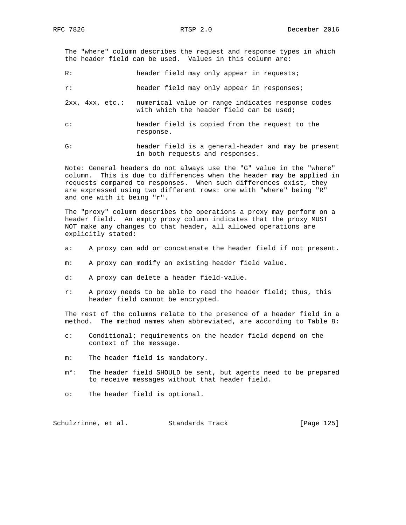The "where" column describes the request and response types in which the header field can be used. Values in this column are:

R: header field may only appear in requests;

r: header field may only appear in responses;

- 2xx, 4xx, etc.: numerical value or range indicates response codes with which the header field can be used;
- c: header field is copied from the request to the response.
- G: header field is a general-header and may be present in both requests and responses.

 Note: General headers do not always use the "G" value in the "where" column. This is due to differences when the header may be applied in requests compared to responses. When such differences exist, they are expressed using two different rows: one with "where" being "R" and one with it being "r".

 The "proxy" column describes the operations a proxy may perform on a header field. An empty proxy column indicates that the proxy MUST NOT make any changes to that header, all allowed operations are explicitly stated:

- a: A proxy can add or concatenate the header field if not present.
- m: A proxy can modify an existing header field value.
- d: A proxy can delete a header field-value.
- r: A proxy needs to be able to read the header field; thus, this header field cannot be encrypted.

 The rest of the columns relate to the presence of a header field in a method. The method names when abbreviated, are according to Table 8:

- c: Conditional; requirements on the header field depend on the context of the message.
- m: The header field is mandatory.
- m\*: The header field SHOULD be sent, but agents need to be prepared to receive messages without that header field.
- o: The header field is optional.

Schulzrinne, et al. Standards Track [Page 125]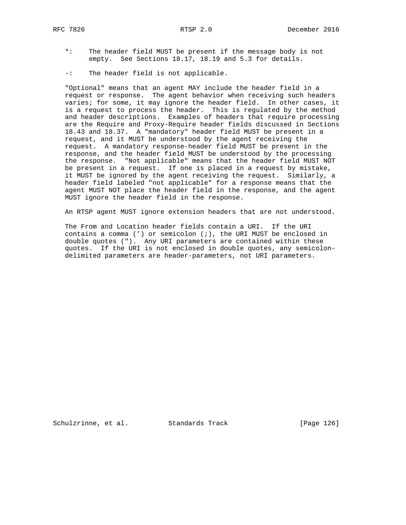- \*: The header field MUST be present if the message body is not empty. See Sections 18.17, 18.19 and 5.3 for details.
- -: The header field is not applicable.

 "Optional" means that an agent MAY include the header field in a request or response. The agent behavior when receiving such headers varies; for some, it may ignore the header field. In other cases, it is a request to process the header. This is regulated by the method and header descriptions. Examples of headers that require processing are the Require and Proxy-Require header fields discussed in Sections 18.43 and 18.37. A "mandatory" header field MUST be present in a request, and it MUST be understood by the agent receiving the request. A mandatory response-header field MUST be present in the response, and the header field MUST be understood by the processing the response. "Not applicable" means that the header field MUST NOT be present in a request. If one is placed in a request by mistake, it MUST be ignored by the agent receiving the request. Similarly, a header field labeled "not applicable" for a response means that the agent MUST NOT place the header field in the response, and the agent MUST ignore the header field in the response.

An RTSP agent MUST ignore extension headers that are not understood.

 The From and Location header fields contain a URI. If the URI contains a comma (') or semicolon (;), the URI MUST be enclosed in double quotes ("). Any URI parameters are contained within these quotes. If the URI is not enclosed in double quotes, any semicolon delimited parameters are header-parameters, not URI parameters.

Schulzrinne, et al. Standards Track [Page 126]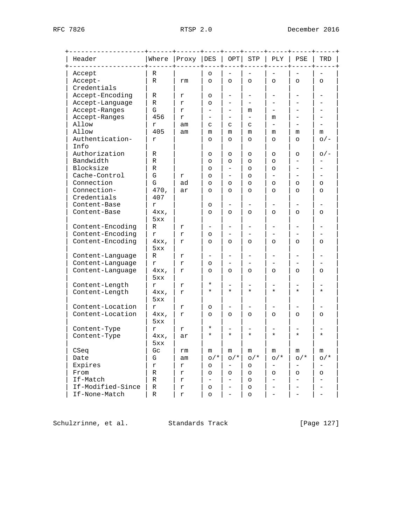| Header                  | Where            | Proxy | DES                      | OPT      | ${\tt STP}$              | PLY               | PSE                      | TRD      |
|-------------------------|------------------|-------|--------------------------|----------|--------------------------|-------------------|--------------------------|----------|
| Accept                  | R                |       | O                        |          |                          |                   |                          |          |
| Accept-                 | $\mathbb R$      | rm    | $\circ$                  | $\circ$  | $\circ$                  | $\circ$           | $\circ$                  | $\circ$  |
| Credentials             |                  |       |                          |          |                          |                   |                          |          |
| Accept-Encoding         | R                | r     | O                        |          | -                        |                   | -                        |          |
| Accept-Language         | R                | r     | $\circ$                  |          |                          |                   |                          |          |
| Accept-Ranges           | G                | r     | $\equiv$                 |          | m                        |                   |                          |          |
| Accept-Ranges           | 456              | r     | -                        |          | $\overline{\phantom{0}}$ | m                 |                          |          |
| Allow                   | r                | am    | C                        | C        | C                        | $\equiv$          |                          |          |
| Allow                   | 405              | am    | m                        | m        | m                        | m                 | m                        | m        |
| Authentication-<br>Info | r                |       | $\circ$                  | O        | $\circ$                  | $\circ$           | $\circ$                  | $O/-$    |
| Authorization           | R                |       | O                        | O        | $\circ$                  | $\circ$           | $\circ$                  | $O/-$    |
| Bandwidth               | R                |       | O                        | O        | $\circ$                  | $\circ$           | ▃                        |          |
| Blocksize               | R                |       | $\circ$                  |          | $\circ$                  | $\circ$           |                          |          |
| Cache-Control           | ${\mathbf G}$    | r     | O                        |          | $\circ$                  |                   |                          |          |
| Connection              | G                | ad    | O                        | $\circ$  | $\circ$                  | $\circ$           | $\circ$                  | O        |
| Connection-             | 470,             | ar    | $\circ$                  | $\circ$  | $\circ$                  | $\circ$           | $\circ$                  | $\circ$  |
| Credentials             | 407              |       |                          |          |                          |                   |                          |          |
| Content-Base            | r                |       | O                        |          | -                        |                   |                          |          |
| Content-Base            | 4xx,<br>5xx      |       | $\circ$                  | $\circ$  | $\circ$                  | $\circ$           | $\circ$                  | $\circ$  |
| Content-Encoding        | R                | r     | $\overline{\phantom{0}}$ |          | $\qquad \qquad -$        |                   | -                        |          |
| Content-Encoding        | r                | r     | $\circ$                  |          |                          |                   |                          |          |
| Content-Encoding        | $4xx$ ,<br>5xx   | r     | $\circ$                  | $\circ$  | $\circ$                  | $\circ$           | $\circ$                  | $\circ$  |
| Content-Language        | R                | r     |                          |          |                          |                   |                          |          |
| Content-Language        | r                | r     | $\circ$                  |          |                          |                   |                          |          |
| Content-Language        | $4xx$ ,<br>5xx   | r     | $\circ$                  | $\circ$  | $\circ$                  | $\circ$           | $\circ$                  | $\circ$  |
| Content-Length          | r                | r     | $^\star$                 |          |                          |                   |                          |          |
| Content-Length          | $4xx$ ,<br>5xx   | r     | $^\star$                 | $^\star$ | $\star$                  | $\star$           | $\star$                  | $^\star$ |
| Content-Location        | r                | r     | O                        |          |                          |                   |                          |          |
| Content-Location        | $4xx$ ,<br>5xx   | r     | $\circ$                  | $\circ$  | $\circ$                  | $\circ$           | $\circ$                  | $\circ$  |
| Content-Type            | r                | r     | *                        |          |                          |                   |                          |          |
| Content-Type            | $4xx$ ,<br>5xx   | ar    | $^\star$                 | *        | ¥                        | $\star$           | $\star$                  | $^\star$ |
| CSeq                    | $G_{\mathbb{C}}$ | rm    | m                        | m        | m                        | m                 | m                        | m        |
| Date                    | G                | am    | $O/$ *                   | $O/$ *   | $O/$ *                   | $O/$ *            | $O/$ *                   | $O/$ *   |
| Expires                 | r                | r     | O                        | -        | $\circ$                  | $\qquad \qquad -$ |                          | -        |
| From                    | R                | r     | O                        | O        | $\circ$                  | $\circ$           | $\circ$                  | O        |
| If-Match                | R                | r     | $\overline{\phantom{0}}$ |          | $\circ$                  |                   | $\overline{\phantom{0}}$ |          |
| If-Modified-Since       | R                | r     | O                        |          | $\circ$                  |                   |                          |          |
| If-None-Match           | ${\mathbb R}$    | r     | O                        |          | $\circ$                  |                   |                          |          |

Schulzrinne, et al. Standards Track [Page 127]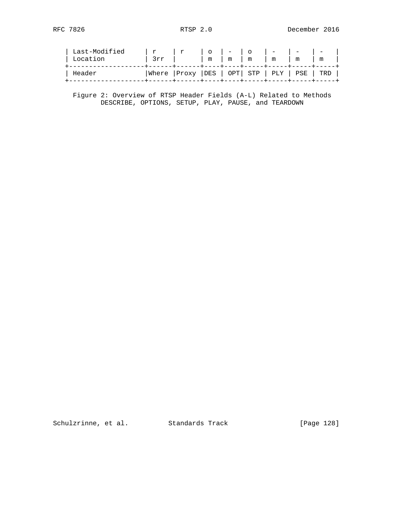| Last-Modified<br>Location | r<br>3rr | . r                                                                                         | $\circ$<br>m | $\mathbf{1}$ and $\mathbf{1}$ and $\mathbf{1}$<br>m | $\overline{O}$<br>m | $\sim$ $   -$<br>m | the contract of the contract of<br>m | m |  |
|---------------------------|----------|---------------------------------------------------------------------------------------------|--------------|-----------------------------------------------------|---------------------|--------------------|--------------------------------------|---|--|
| Header                    |          | Where  Proxy  DES   OPT  STP   PLY   PSE   TRD<br>-+------+----+----+-----+----+----+----+- |              |                                                     |                     |                    |                                      |   |  |

 Figure 2: Overview of RTSP Header Fields (A-L) Related to Methods DESCRIBE, OPTIONS, SETUP, PLAY, PAUSE, and TEARDOWN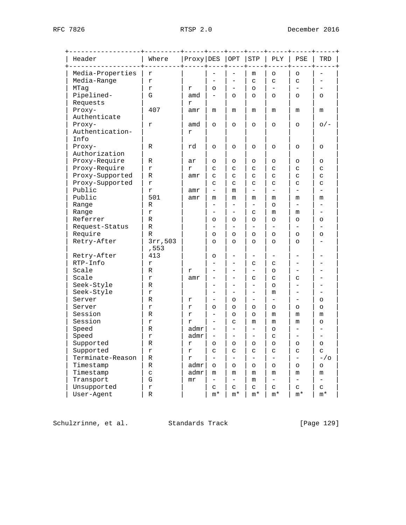| Header           | Where            | Proxy DES  |                          | $\overline{OPT}$         | ${\tt STP}$              | PLY                      | PSE                      | TRD                      |
|------------------|------------------|------------|--------------------------|--------------------------|--------------------------|--------------------------|--------------------------|--------------------------|
| Media-Properties | $\mathbf r$      |            |                          |                          | m                        | O                        | $\circ$                  |                          |
| Media-Range      | $\mathbf r$      |            |                          |                          | C                        | C                        | C                        |                          |
| MTaq             | $\mathbf r$      | r          | O                        | $\overline{\phantom{0}}$ | $\circ$                  |                          |                          |                          |
| Pipelined-       | G                | amd        | $\qquad \qquad -$        | $\circ$                  | $\circ$                  | $\circ$                  | $\circ$                  | $\circ$                  |
| Requests         |                  | r          |                          |                          |                          |                          |                          |                          |
| Proxy-           | 407              | amr        | m                        | m                        | m                        | m                        | m                        | m                        |
| Authenticate     |                  |            |                          |                          |                          |                          |                          |                          |
| Proxy-           | r                | amd        | $\circ$                  | $\circ$                  | $\circ$                  | $\circ$                  | O                        | $\circ$ / –              |
| Authentication-  |                  | r          |                          |                          |                          |                          |                          |                          |
| Info             |                  |            |                          |                          |                          |                          |                          |                          |
| Proxy-           | R                | rd         | $\circ$                  | $\circ$                  | $\circ$                  | O                        | O                        | $\circ$                  |
| Authorization    |                  |            |                          |                          |                          |                          |                          |                          |
| Proxy-Require    | R                | ar         | O                        | $\circ$                  | $\circ$                  | O                        | O                        | O                        |
| Proxy-Require    | r                | r          | C                        | C                        | C                        | C                        | C                        | C                        |
| Proxy-Supported  | R                | amr        | C                        | C                        | C                        | C                        | C                        | C                        |
| Proxy-Supported  | r                |            | C                        | C                        | C                        | C                        | C                        | C                        |
| Public           | $\mathbf r$      | amr        | $\qquad \qquad -$        | m                        |                          | ÷.                       |                          |                          |
| Public           | 501              | amr        | m                        | m                        | m                        | m                        | m                        | m                        |
| Range            | R                |            |                          | -                        | -                        | O                        | $\overline{\phantom{0}}$ |                          |
| Range            | r                |            |                          |                          | C                        | m                        | m                        |                          |
| Referrer         | R                |            | O                        | O                        | O                        | $\circ$                  | O                        | O                        |
| Request-Status   | R                |            |                          | $\overline{\phantom{0}}$ | $\overline{a}$           | $\qquad \qquad -$        |                          |                          |
| Require          | R                |            | $\circ$                  | $\circ$                  | O                        | O                        | O                        | O                        |
| Retry-After      | 3rr, 503<br>,553 |            | O                        | $\circ$                  | $\circ$                  | $\circ$                  | $\circ$                  |                          |
| Retry-After      | 413              |            | O                        |                          |                          |                          |                          |                          |
| RTP-Info         | $\mathbf r$      |            |                          |                          | C                        | C                        |                          |                          |
| Scale            | R                | r          |                          |                          | -                        | O                        |                          |                          |
| Scale            | r                | amr        |                          |                          | C                        | C                        | C                        |                          |
| Seek-Style       | R                |            |                          | ▃                        | ▃                        | $\circ$                  |                          |                          |
| Seek-Style       | r                |            |                          |                          | -                        | m                        |                          |                          |
| Server           | R                | r          |                          | O                        |                          |                          |                          | O                        |
| Server           | $\mathbf r$      | r          | O                        | O                        | O                        | O                        | O                        | O                        |
| Session          | R                | r          |                          | $\circ$                  | O                        | m                        | m                        | m                        |
| Session          | $\mathbf r$      | r          | $\overline{\phantom{0}}$ | C                        | m                        | m                        | m                        | O                        |
| Speed            | R                | admr       | $\overline{\phantom{0}}$ | $\equiv$                 | $\overline{\phantom{0}}$ | O                        |                          |                          |
| Speed            | r                | admr       |                          |                          |                          | C                        |                          |                          |
| Supported        | R                | r          | $\circ$                  | $\circ$                  | $\circ$                  | O                        | O                        | $\circ$                  |
| Supported        | $\mathfrak{L}$   | r          | C                        | C                        | C                        | C                        | C                        | C                        |
| Terminate-Reason | R                | $\Upsilon$ | $\qquad \qquad -$        | $\overline{\phantom{0}}$ | -                        | $\overline{\phantom{0}}$ | $\qquad \qquad -$        | $-\frac{1}{\alpha}$      |
| Timestamp        | R                | admr       | $\circ$                  | $\circ$                  | O                        | $\circ$                  | O                        | O                        |
| Timestamp        | C                | admr       | m                        | m                        | m                        | m                        | m                        | m                        |
| Transport        | G                | mr         | $\overline{\phantom{0}}$ | $\overline{\phantom{0}}$ | m                        | $\overline{\phantom{0}}$ | $\overline{\phantom{a}}$ | $\overline{\phantom{0}}$ |
|                  |                  |            | C                        | C                        | C                        | C                        | C                        | C                        |
| Unsupported      | r                |            |                          |                          |                          |                          |                          |                          |

Schulzrinne, et al. Standards Track [Page 129]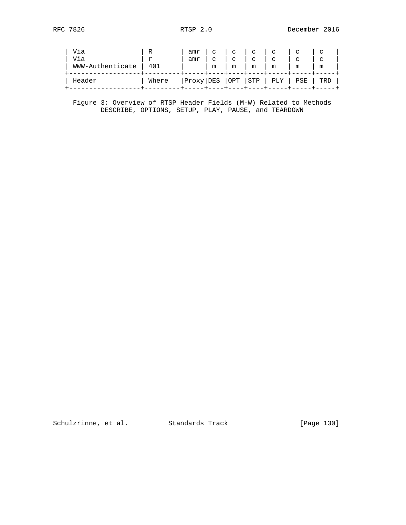| Via              | R     | amr | C      | $\mathbf{C}$ | $\mathbf C$ | C                         | $\sim$ |        |  |
|------------------|-------|-----|--------|--------------|-------------|---------------------------|--------|--------|--|
| Via              |       | amr | $\sim$ | C            | C           | C                         | C      | $\sim$ |  |
| WWW-Authenticate | 401   |     | m      | m            | m           | m                         | m      | m      |  |
| Header           | Where |     |        |              |             | Proxy DES  OPT  STP   PLY | PSE    | TRD    |  |

 Figure 3: Overview of RTSP Header Fields (M-W) Related to Methods DESCRIBE, OPTIONS, SETUP, PLAY, PAUSE, and TEARDOWN

Schulzrinne, et al. Standards Track [Page 130]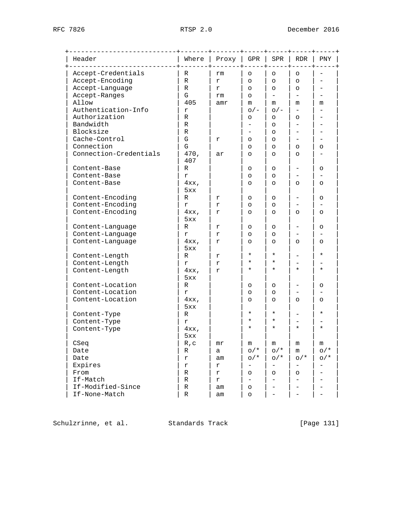| Header                 | Where          | Proxy          | GPR                      | SPR                      | RDR                      | PNY                      |
|------------------------|----------------|----------------|--------------------------|--------------------------|--------------------------|--------------------------|
| Accept-Credentials     | R              | rm             | O                        | $\circ$                  | $\circ$                  |                          |
| Accept-Encoding        | R              | r              | $\circ$                  | $\circ$                  | $\circ$                  |                          |
| Accept-Language        | R              | r              | $\circ$                  | $\circ$                  | $\circ$                  |                          |
| Accept-Ranges          | G              | rm             | $\circ$                  | $\equiv$                 | $\qquad \qquad -$        |                          |
| Allow                  | 405            | amr            | m                        | m                        | m                        | m                        |
| Authentication-Info    | $\mathbf r$    |                | $O/-$                    | $O/-$                    |                          |                          |
| Authorization          | R              |                | O                        | $\circ$                  | O                        |                          |
| Bandwidth              | R              |                |                          | $\circ$                  |                          |                          |
| Blocksize              | R              |                |                          | $\circ$                  |                          |                          |
| Cache-Control          | ${\mathbf G}$  | r              | $\circ$                  | $\circ$                  | $\overline{\phantom{0}}$ |                          |
| Connection             | G              |                | $\circ$                  | $\circ$                  | O                        | O                        |
| Connection-Credentials | 470,<br>407    | ar             | $\circ$                  | $\circ$                  | $\circ$                  |                          |
| Content-Base           | R              |                | O                        | $\circ$                  |                          | O                        |
| Content-Base           | $\Upsilon$     |                | O                        | $\circ$                  |                          |                          |
| Content-Base           | $4xx$ ,<br>5xx |                | $\circ$                  | $\circ$                  | $\circ$                  | O                        |
| Content-Encoding       | R              | r              | O                        | $\circ$                  |                          | O                        |
| Content-Encoding       | r              | r              | $\circ$                  | $\circ$                  |                          |                          |
| Content-Encoding       | $4xx$ ,<br>5xx | r              | $\circ$                  | $\circ$                  | $\circ$                  | $\circ$                  |
| Content-Language       | R              | r              | O                        | $\circ$                  | $\overline{\phantom{0}}$ | O                        |
| Content-Language       | r              | r              | $\circ$                  | $\circ$                  |                          |                          |
| Content-Language       | $4xx$ ,<br>5xx | r              | $\circ$                  | $\circ$                  | $\circ$                  | O                        |
| Content-Length         | R              | r              | $\star$                  | $\star$                  |                          | $^\star$                 |
| Content-Length         | r              | $\,$ $\,$ $\,$ | ¥                        | $\star$                  |                          |                          |
| Content-Length         | $4xx$ ,<br>5xx | r              | $^\star$                 | $^\star$                 | $^\star$                 | $^\star$                 |
| Content-Location       | R              |                | O                        | $\circ$                  |                          | O                        |
| Content-Location       | r              |                | $\circ$                  | $\circ$                  |                          |                          |
| Content-Location       | $4xx$ ,<br>5xx |                | $\circ$                  | $\circ$                  | $\circ$                  | $\circ$                  |
| Content-Type           | R              |                | ¥                        | $^\star$                 | $\overline{\phantom{0}}$ | *                        |
| Content-Type           | r              |                | $\star$                  | $\star$                  |                          |                          |
| Content-Type           | $4xx$ ,<br>5xx |                | *                        | *                        | $^\star$                 | $^\star$                 |
| CSeq                   | R, c           | $m\mathbf{r}$  | m                        | m                        | m                        | m                        |
| Date                   | R              | а              | $O/*$                    | $O/*$                    | m                        | $O/$ *                   |
| Date                   | r              | am             | $O/$ *                   | $O/$ *                   | $O/$ *                   | $O/$ *                   |
| Expires                | r              | r              | $\overline{\phantom{0}}$ | $\overline{\phantom{0}}$ |                          | $\overline{\phantom{0}}$ |
| From                   | R              | r              | $\circ$                  | O                        | O                        |                          |
| If-Match               | R              | r              | $-$                      | $\overline{\phantom{0}}$ |                          |                          |
| If-Modified-Since      | R              | am             | $\circ$                  |                          |                          |                          |
| If-None-Match          | R              | am             | $\circ$                  |                          |                          |                          |

Schulzrinne, et al. Standards Track [Page 131]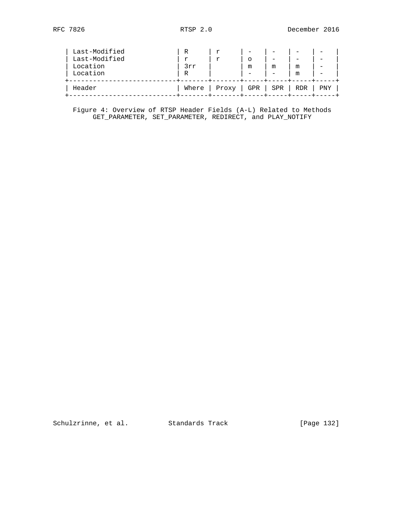| Header                                | Where         | Proxy | GPR | l SPR | RDR    | PNY |
|---------------------------------------|---------------|-------|-----|-------|--------|-----|
| Last-Modified<br>Location<br>Location | r<br>3rr<br>R |       | m   | m     | m<br>m |     |
| Last-Modified                         | R             | r     |     |       |        |     |

 Figure 4: Overview of RTSP Header Fields (A-L) Related to Methods GET\_PARAMETER, SET\_PARAMETER, REDIRECT, and PLAY\_NOTIFY

Schulzrinne, et al. Standards Track [Page 132]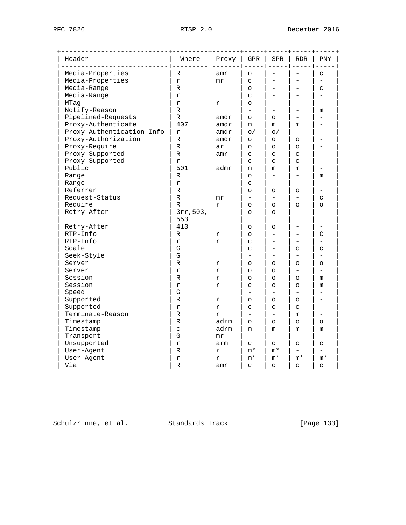| Header                    | Where          | Proxy       | GPR                      | SPR                    | RDR                      | PNY                      |  |
|---------------------------|----------------|-------------|--------------------------|------------------------|--------------------------|--------------------------|--|
| Media-Properties          | R              | amr         | $\circ$                  |                        |                          | C                        |  |
| Media-Properties          | r              | $m$ $r$     | C                        |                        |                          | $\overline{\phantom{0}}$ |  |
| Media-Range               | $\mathbb R$    |             | $\circ$                  |                        |                          | C                        |  |
| Media-Range               | r              |             | C                        |                        |                          |                          |  |
| MTaq                      | $\mathbf r$    | r           | $\circ$                  |                        |                          |                          |  |
| Notify-Reason             | R              |             | $=$                      |                        |                          | m                        |  |
| Pipelined-Requests        | R              | amdr        | $\circ$                  | $\circ$                |                          |                          |  |
| Proxy-Authenticate        | 407            | amdr        | m                        | m                      | m                        |                          |  |
| Proxy-Authentication-Info | $\mathbf r$    | amdr        | $O/-$                    | $O/$ –                 |                          |                          |  |
| Proxy-Authorization       | $\mathbb R$    | amdr        | $\circ$                  | $\circ$                | $\circ$                  |                          |  |
| Proxy-Require             | $\mathbb R$    | ar          | $\circ$                  | $\circ$                | $\circ$                  |                          |  |
| Proxy-Supported           | R              | amr         | C                        | C                      | C                        |                          |  |
| Proxy-Supported           | r              |             | C                        | C                      | C                        |                          |  |
| Public                    | 501            | admr        | m                        | m                      | m                        |                          |  |
| Range                     | R              |             | $\circ$                  | $\equiv$               | $\equiv$                 | m                        |  |
| Range                     | r              |             | C                        |                        |                          |                          |  |
| Referrer                  | R              |             | $\circ$                  | $\circ$                | $\circ$                  |                          |  |
| Request-Status            | $\mathbb R$    | $m$ $r$     | $\overline{\phantom{0}}$ |                        | $\overline{\phantom{0}}$ | C                        |  |
| Require                   | $\mathbb{R}$   | r           | $\circ$                  | $\Omega$               | $\Omega$                 | $\circ$                  |  |
| Retry-After               | 3rr, 503,      |             | $\circ$                  | $\circ$                |                          |                          |  |
|                           | 553            |             |                          |                        |                          |                          |  |
| Retry-After               | 413            |             | O                        | O                      |                          |                          |  |
| RTP-Info                  | R              | r           | $\circ$                  | -                      |                          | C                        |  |
| RTP-Info                  | r              | r           | C                        |                        |                          |                          |  |
| Scale                     | G              |             | C                        |                        | C                        | C                        |  |
| Seek-Style                | ${\bf G}$      |             | ÷                        |                        | $\equiv$                 |                          |  |
| Server                    | R              | r           | $\circ$                  | $\circ$                | $\circ$                  | $\circ$                  |  |
| Server                    | $\,$ $\,$ $\,$ | r           | $\circ$                  | $\circ$                | $\overline{\phantom{0}}$ | $\equiv$                 |  |
| Session                   | R              | r           | $\circ$                  | $\Omega$               | $\Omega$                 | m                        |  |
| Session                   | $\mathbf r$    | $\mathbf r$ | C                        | C                      | $\circ$                  | m                        |  |
| Speed                     | G              |             | ÷                        | $\overline{a}$         |                          |                          |  |
| Supported                 | R              | r           | O                        | $\circ$                | $\circ$                  |                          |  |
| Supported                 | $\mathbf r$    | r           | C                        | C                      | C                        |                          |  |
| Terminate-Reason          | R              | r           | $\equiv$                 | $\equiv$               | m                        |                          |  |
| Timestamp                 | R              | adrm        | $\circ$                  | $\circ$                | $\circ$                  | O                        |  |
| Timestamp                 | $\mathtt{C}$   | adrm        | m                        | m                      | m                        | m                        |  |
| Transport                 | G              | $m$ $r$     |                          | $\equiv$               |                          |                          |  |
| Unsupported               | $\,$ $\,$ $\,$ | arm         | C                        | $\mathsf{C}$           | C                        | C                        |  |
| User-Agent                | R              | r           | $m*$                     | $m*$                   |                          |                          |  |
| User-Agent                | r              | r           | $m*$                     | $\mathfrak{m}^{\star}$ | $\mathfrak{m}^{\star}$   | m*                       |  |
| Via                       | R              | amr         | C                        | C                      | C                        | C                        |  |
|                           |                |             |                          |                        |                          |                          |  |

Schulzrinne, et al. Standards Track [Page 133]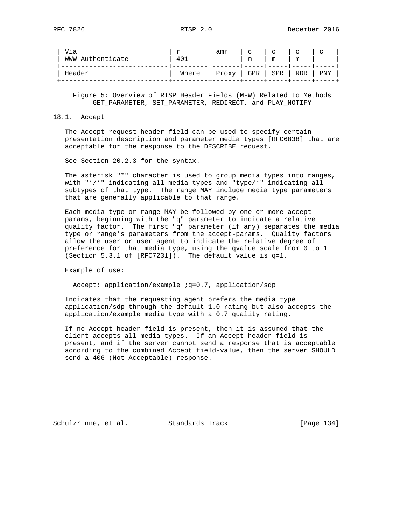| Via<br>WWW-Authenticate | $\mathbf{r}$<br>40 <sup>1</sup> | amr                                             | $\overline{c}$   $\overline{c}$<br>m | m | $\mathbf{C}$<br>m | $\mathbf{C}$<br>$\overline{\phantom{a}}$ |
|-------------------------|---------------------------------|-------------------------------------------------|--------------------------------------|---|-------------------|------------------------------------------|
| Header                  |                                 | Where $ $ Proxy $ $ GPR $ $ SPR $ $ RDR $ $ PNY |                                      |   |                   |                                          |

 Figure 5: Overview of RTSP Header Fields (M-W) Related to Methods GET\_PARAMETER, SET\_PARAMETER, REDIRECT, and PLAY\_NOTIFY

#### 18.1. Accept

 The Accept request-header field can be used to specify certain presentation description and parameter media types [RFC6838] that are acceptable for the response to the DESCRIBE request.

See Section 20.2.3 for the syntax.

 The asterisk "\*" character is used to group media types into ranges, with "\*/\*" indicating all media types and "type/\*" indicating all subtypes of that type. The range MAY include media type parameters that are generally applicable to that range.

 Each media type or range MAY be followed by one or more accept params, beginning with the "q" parameter to indicate a relative quality factor. The first "q" parameter (if any) separates the media type or range's parameters from the accept-params. Quality factors allow the user or user agent to indicate the relative degree of preference for that media type, using the qvalue scale from 0 to 1 (Section 5.3.1 of [RFC7231]). The default value is q=1.

Example of use:

Accept: application/example : q=0.7, application/sdp

 Indicates that the requesting agent prefers the media type application/sdp through the default 1.0 rating but also accepts the application/example media type with a 0.7 quality rating.

 If no Accept header field is present, then it is assumed that the client accepts all media types. If an Accept header field is present, and if the server cannot send a response that is acceptable according to the combined Accept field-value, then the server SHOULD send a 406 (Not Acceptable) response.

Schulzrinne, et al. Standards Track [Page 134]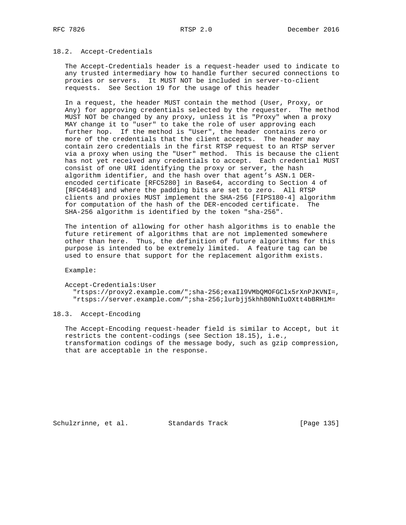#### 18.2. Accept-Credentials

 The Accept-Credentials header is a request-header used to indicate to any trusted intermediary how to handle further secured connections to proxies or servers. It MUST NOT be included in server-to-client requests. See Section 19 for the usage of this header

 In a request, the header MUST contain the method (User, Proxy, or Any) for approving credentials selected by the requester. The method MUST NOT be changed by any proxy, unless it is "Proxy" when a proxy MAY change it to "user" to take the role of user approving each further hop. If the method is "User", the header contains zero or more of the credentials that the client accepts. The header may contain zero credentials in the first RTSP request to an RTSP server via a proxy when using the "User" method. This is because the client has not yet received any credentials to accept. Each credential MUST consist of one URI identifying the proxy or server, the hash algorithm identifier, and the hash over that agent's ASN.1 DER encoded certificate [RFC5280] in Base64, according to Section 4 of [RFC4648] and where the padding bits are set to zero. All RTSP clients and proxies MUST implement the SHA-256 [FIPS180-4] algorithm for computation of the hash of the DER-encoded certificate. The SHA-256 algorithm is identified by the token "sha-256".

 The intention of allowing for other hash algorithms is to enable the future retirement of algorithms that are not implemented somewhere other than here. Thus, the definition of future algorithms for this purpose is intended to be extremely limited. A feature tag can be used to ensure that support for the replacement algorithm exists.

Example:

Accept-Credentials:User

 "rtsps://proxy2.example.com/";sha-256;exaIl9VMbQMOFGClx5rXnPJKVNI=, "rtsps://server.example.com/";sha-256;lurbjj5khhB0NhIuOXtt4bBRH1M=

18.3. Accept-Encoding

 The Accept-Encoding request-header field is similar to Accept, but it restricts the content-codings (see Section 18.15), i.e., transformation codings of the message body, such as gzip compression, that are acceptable in the response.

Schulzrinne, et al. Standards Track [Page 135]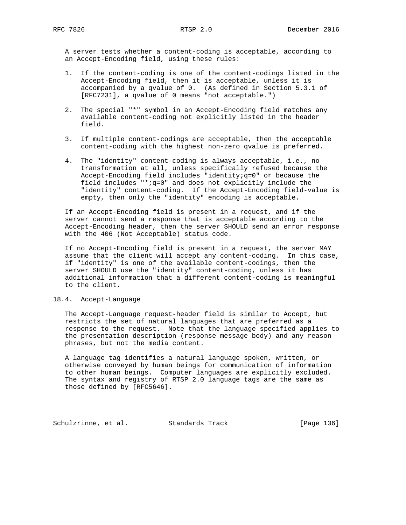A server tests whether a content-coding is acceptable, according to an Accept-Encoding field, using these rules:

- 1. If the content-coding is one of the content-codings listed in the Accept-Encoding field, then it is acceptable, unless it is accompanied by a qvalue of 0. (As defined in Section 5.3.1 of [RFC7231], a qvalue of 0 means "not acceptable.")
- 2. The special "\*" symbol in an Accept-Encoding field matches any available content-coding not explicitly listed in the header field.
- 3. If multiple content-codings are acceptable, then the acceptable content-coding with the highest non-zero qvalue is preferred.
- 4. The "identity" content-coding is always acceptable, i.e., no transformation at all, unless specifically refused because the Accept-Encoding field includes "identity;q=0" or because the field includes "\*;q=0" and does not explicitly include the "identity" content-coding. If the Accept-Encoding field-value is empty, then only the "identity" encoding is acceptable.

 If an Accept-Encoding field is present in a request, and if the server cannot send a response that is acceptable according to the Accept-Encoding header, then the server SHOULD send an error response with the 406 (Not Acceptable) status code.

 If no Accept-Encoding field is present in a request, the server MAY assume that the client will accept any content-coding. In this case, if "identity" is one of the available content-codings, then the server SHOULD use the "identity" content-coding, unless it has additional information that a different content-coding is meaningful to the client.

## 18.4. Accept-Language

 The Accept-Language request-header field is similar to Accept, but restricts the set of natural languages that are preferred as a response to the request. Note that the language specified applies to the presentation description (response message body) and any reason phrases, but not the media content.

 A language tag identifies a natural language spoken, written, or otherwise conveyed by human beings for communication of information to other human beings. Computer languages are explicitly excluded. The syntax and registry of RTSP 2.0 language tags are the same as those defined by [RFC5646].

Schulzrinne, et al. Standards Track [Page 136]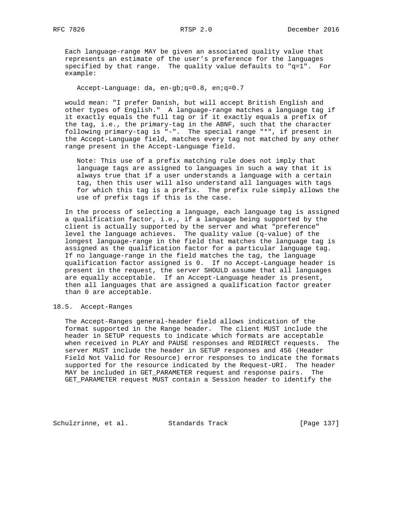Each language-range MAY be given an associated quality value that represents an estimate of the user's preference for the languages specified by that range. The quality value defaults to "q=1". For example:

Accept-Language: da, en-gb;q=0.8, en;q=0.7

 would mean: "I prefer Danish, but will accept British English and other types of English." A language-range matches a language tag if it exactly equals the full tag or if it exactly equals a prefix of the tag, i.e., the primary-tag in the ABNF, such that the character following primary-tag is "-". The special range "\*", if present in the Accept-Language field, matches every tag not matched by any other range present in the Accept-Language field.

 Note: This use of a prefix matching rule does not imply that language tags are assigned to languages in such a way that it is always true that if a user understands a language with a certain tag, then this user will also understand all languages with tags for which this tag is a prefix. The prefix rule simply allows the use of prefix tags if this is the case.

 In the process of selecting a language, each language tag is assigned a qualification factor, i.e., if a language being supported by the client is actually supported by the server and what "preference" level the language achieves. The quality value (q-value) of the longest language-range in the field that matches the language tag is assigned as the qualification factor for a particular language tag. If no language-range in the field matches the tag, the language qualification factor assigned is 0. If no Accept-Language header is present in the request, the server SHOULD assume that all languages are equally acceptable. If an Accept-Language header is present, then all languages that are assigned a qualification factor greater than 0 are acceptable.

# 18.5. Accept-Ranges

 The Accept-Ranges general-header field allows indication of the format supported in the Range header. The client MUST include the header in SETUP requests to indicate which formats are acceptable when received in PLAY and PAUSE responses and REDIRECT requests. The server MUST include the header in SETUP responses and 456 (Header Field Not Valid for Resource) error responses to indicate the formats supported for the resource indicated by the Request-URI. The header MAY be included in GET\_PARAMETER request and response pairs. The GET\_PARAMETER request MUST contain a Session header to identify the

Schulzrinne, et al. Standards Track [Page 137]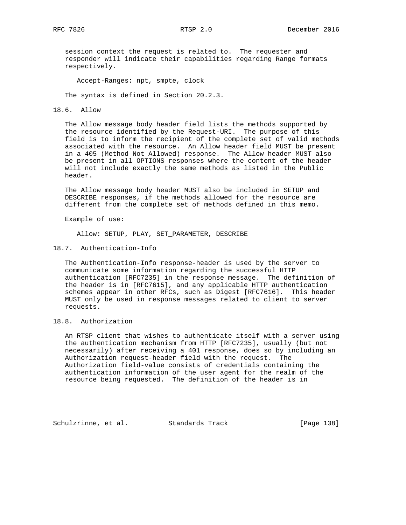session context the request is related to. The requester and responder will indicate their capabilities regarding Range formats respectively.

Accept-Ranges: npt, smpte, clock

The syntax is defined in Section 20.2.3.

18.6. Allow

 The Allow message body header field lists the methods supported by the resource identified by the Request-URI. The purpose of this field is to inform the recipient of the complete set of valid methods associated with the resource. An Allow header field MUST be present in a 405 (Method Not Allowed) response. The Allow header MUST also be present in all OPTIONS responses where the content of the header will not include exactly the same methods as listed in the Public header.

 The Allow message body header MUST also be included in SETUP and DESCRIBE responses, if the methods allowed for the resource are different from the complete set of methods defined in this memo.

Example of use:

Allow: SETUP, PLAY, SET\_PARAMETER, DESCRIBE

18.7. Authentication-Info

 The Authentication-Info response-header is used by the server to communicate some information regarding the successful HTTP authentication [RFC7235] in the response message. The definition of the header is in [RFC7615], and any applicable HTTP authentication schemes appear in other RFCs, such as Digest [RFC7616]. This header MUST only be used in response messages related to client to server requests.

18.8. Authorization

 An RTSP client that wishes to authenticate itself with a server using the authentication mechanism from HTTP [RFC7235], usually (but not necessarily) after receiving a 401 response, does so by including an Authorization request-header field with the request. The Authorization field-value consists of credentials containing the authentication information of the user agent for the realm of the resource being requested. The definition of the header is in

Schulzrinne, et al. Standards Track [Page 138]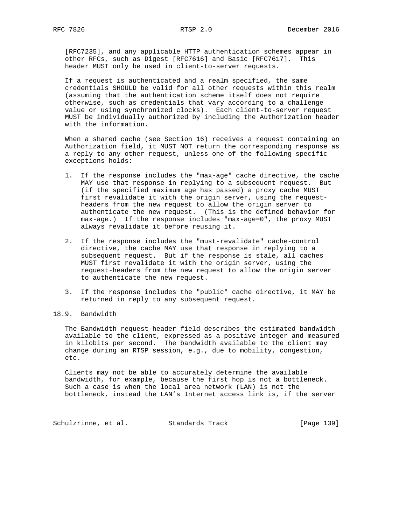[RFC7235], and any applicable HTTP authentication schemes appear in other RFCs, such as Digest [RFC7616] and Basic [RFC7617]. This header MUST only be used in client-to-server requests.

 If a request is authenticated and a realm specified, the same credentials SHOULD be valid for all other requests within this realm (assuming that the authentication scheme itself does not require otherwise, such as credentials that vary according to a challenge value or using synchronized clocks). Each client-to-server request MUST be individually authorized by including the Authorization header with the information.

 When a shared cache (see Section 16) receives a request containing an Authorization field, it MUST NOT return the corresponding response as a reply to any other request, unless one of the following specific exceptions holds:

- 1. If the response includes the "max-age" cache directive, the cache MAY use that response in replying to a subsequent request. But (if the specified maximum age has passed) a proxy cache MUST first revalidate it with the origin server, using the request headers from the new request to allow the origin server to authenticate the new request. (This is the defined behavior for max-age.) If the response includes "max-age=0", the proxy MUST always revalidate it before reusing it.
- 2. If the response includes the "must-revalidate" cache-control directive, the cache MAY use that response in replying to a subsequent request. But if the response is stale, all caches MUST first revalidate it with the origin server, using the request-headers from the new request to allow the origin server to authenticate the new request.
- 3. If the response includes the "public" cache directive, it MAY be returned in reply to any subsequent request.
- 18.9. Bandwidth

 The Bandwidth request-header field describes the estimated bandwidth available to the client, expressed as a positive integer and measured in kilobits per second. The bandwidth available to the client may change during an RTSP session, e.g., due to mobility, congestion, etc.

 Clients may not be able to accurately determine the available bandwidth, for example, because the first hop is not a bottleneck. Such a case is when the local area network (LAN) is not the bottleneck, instead the LAN's Internet access link is, if the server

Schulzrinne, et al. Standards Track [Page 139]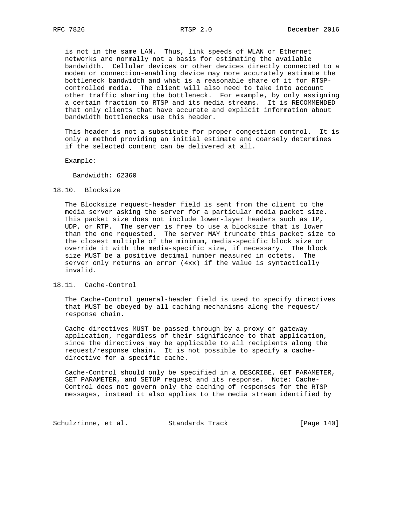is not in the same LAN. Thus, link speeds of WLAN or Ethernet networks are normally not a basis for estimating the available bandwidth. Cellular devices or other devices directly connected to a modem or connection-enabling device may more accurately estimate the bottleneck bandwidth and what is a reasonable share of it for RTSP controlled media. The client will also need to take into account other traffic sharing the bottleneck. For example, by only assigning a certain fraction to RTSP and its media streams. It is RECOMMENDED that only clients that have accurate and explicit information about bandwidth bottlenecks use this header.

 This header is not a substitute for proper congestion control. It is only a method providing an initial estimate and coarsely determines if the selected content can be delivered at all.

Example:

Bandwidth: 62360

#### 18.10. Blocksize

 The Blocksize request-header field is sent from the client to the media server asking the server for a particular media packet size. This packet size does not include lower-layer headers such as IP, UDP, or RTP. The server is free to use a blocksize that is lower than the one requested. The server MAY truncate this packet size to the closest multiple of the minimum, media-specific block size or override it with the media-specific size, if necessary. The block size MUST be a positive decimal number measured in octets. The server only returns an error (4xx) if the value is syntactically invalid.

#### 18.11. Cache-Control

 The Cache-Control general-header field is used to specify directives that MUST be obeyed by all caching mechanisms along the request/ response chain.

 Cache directives MUST be passed through by a proxy or gateway application, regardless of their significance to that application, since the directives may be applicable to all recipients along the request/response chain. It is not possible to specify a cache directive for a specific cache.

 Cache-Control should only be specified in a DESCRIBE, GET\_PARAMETER, SET\_PARAMETER, and SETUP request and its response. Note: Cache- Control does not govern only the caching of responses for the RTSP messages, instead it also applies to the media stream identified by

Schulzrinne, et al. Standards Track [Page 140]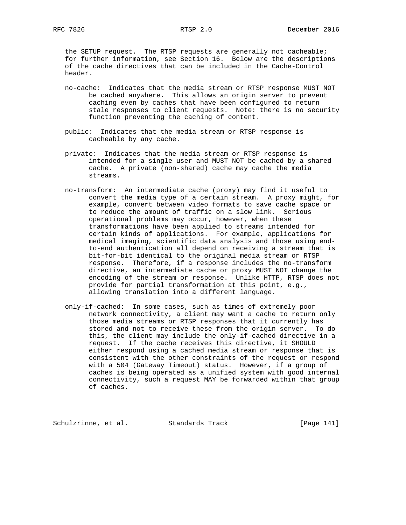the SETUP request. The RTSP requests are generally not cacheable; for further information, see Section 16. Below are the descriptions of the cache directives that can be included in the Cache-Control header.

- no-cache: Indicates that the media stream or RTSP response MUST NOT be cached anywhere. This allows an origin server to prevent caching even by caches that have been configured to return stale responses to client requests. Note: there is no security function preventing the caching of content.
- public: Indicates that the media stream or RTSP response is cacheable by any cache.
- private: Indicates that the media stream or RTSP response is intended for a single user and MUST NOT be cached by a shared cache. A private (non-shared) cache may cache the media streams.
- no-transform: An intermediate cache (proxy) may find it useful to convert the media type of a certain stream. A proxy might, for example, convert between video formats to save cache space or to reduce the amount of traffic on a slow link. Serious operational problems may occur, however, when these transformations have been applied to streams intended for certain kinds of applications. For example, applications for medical imaging, scientific data analysis and those using end to-end authentication all depend on receiving a stream that is bit-for-bit identical to the original media stream or RTSP response. Therefore, if a response includes the no-transform directive, an intermediate cache or proxy MUST NOT change the encoding of the stream or response. Unlike HTTP, RTSP does not provide for partial transformation at this point, e.g., allowing translation into a different language.
- only-if-cached: In some cases, such as times of extremely poor network connectivity, a client may want a cache to return only those media streams or RTSP responses that it currently has stored and not to receive these from the origin server. To do this, the client may include the only-if-cached directive in a request. If the cache receives this directive, it SHOULD either respond using a cached media stream or response that is consistent with the other constraints of the request or respond with a 504 (Gateway Timeout) status. However, if a group of caches is being operated as a unified system with good internal connectivity, such a request MAY be forwarded within that group of caches.

Schulzrinne, et al. Standards Track [Page 141]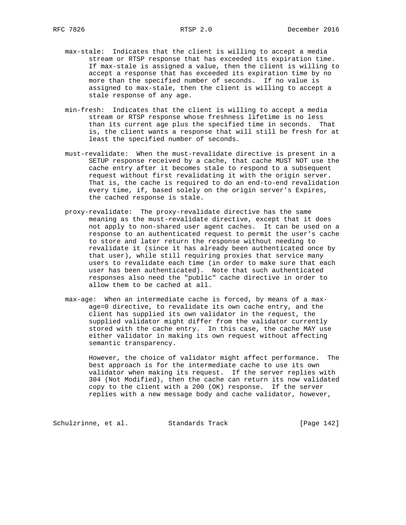- max-stale: Indicates that the client is willing to accept a media stream or RTSP response that has exceeded its expiration time. If max-stale is assigned a value, then the client is willing to accept a response that has exceeded its expiration time by no more than the specified number of seconds. If no value is assigned to max-stale, then the client is willing to accept a stale response of any age.
- min-fresh: Indicates that the client is willing to accept a media stream or RTSP response whose freshness lifetime is no less than its current age plus the specified time in seconds. That is, the client wants a response that will still be fresh for at least the specified number of seconds.
- must-revalidate: When the must-revalidate directive is present in a SETUP response received by a cache, that cache MUST NOT use the cache entry after it becomes stale to respond to a subsequent request without first revalidating it with the origin server. That is, the cache is required to do an end-to-end revalidation every time, if, based solely on the origin server's Expires, the cached response is stale.
- proxy-revalidate: The proxy-revalidate directive has the same meaning as the must-revalidate directive, except that it does not apply to non-shared user agent caches. It can be used on a response to an authenticated request to permit the user's cache to store and later return the response without needing to revalidate it (since it has already been authenticated once by that user), while still requiring proxies that service many users to revalidate each time (in order to make sure that each user has been authenticated). Note that such authenticated responses also need the "public" cache directive in order to allow them to be cached at all.
- max-age: When an intermediate cache is forced, by means of a max age=0 directive, to revalidate its own cache entry, and the client has supplied its own validator in the request, the supplied validator might differ from the validator currently stored with the cache entry. In this case, the cache MAY use either validator in making its own request without affecting semantic transparency.

 However, the choice of validator might affect performance. The best approach is for the intermediate cache to use its own validator when making its request. If the server replies with 304 (Not Modified), then the cache can return its now validated copy to the client with a 200 (OK) response. If the server replies with a new message body and cache validator, however,

Schulzrinne, et al. Standards Track [Page 142]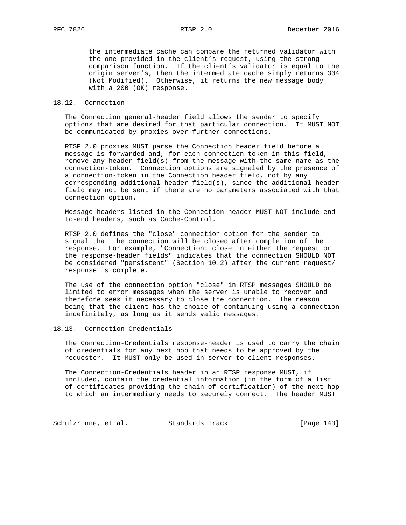the intermediate cache can compare the returned validator with the one provided in the client's request, using the strong comparison function. If the client's validator is equal to the origin server's, then the intermediate cache simply returns 304 (Not Modified). Otherwise, it returns the new message body with a 200 (OK) response.

## 18.12. Connection

 The Connection general-header field allows the sender to specify options that are desired for that particular connection. It MUST NOT be communicated by proxies over further connections.

 RTSP 2.0 proxies MUST parse the Connection header field before a message is forwarded and, for each connection-token in this field, remove any header field(s) from the message with the same name as the connection-token. Connection options are signaled by the presence of a connection-token in the Connection header field, not by any corresponding additional header field(s), since the additional header field may not be sent if there are no parameters associated with that connection option.

 Message headers listed in the Connection header MUST NOT include end to-end headers, such as Cache-Control.

 RTSP 2.0 defines the "close" connection option for the sender to signal that the connection will be closed after completion of the response. For example, "Connection: close in either the request or the response-header fields" indicates that the connection SHOULD NOT be considered "persistent" (Section 10.2) after the current request/ response is complete.

 The use of the connection option "close" in RTSP messages SHOULD be limited to error messages when the server is unable to recover and therefore sees it necessary to close the connection. The reason being that the client has the choice of continuing using a connection indefinitely, as long as it sends valid messages.

## 18.13. Connection-Credentials

 The Connection-Credentials response-header is used to carry the chain of credentials for any next hop that needs to be approved by the requester. It MUST only be used in server-to-client responses.

 The Connection-Credentials header in an RTSP response MUST, if included, contain the credential information (in the form of a list of certificates providing the chain of certification) of the next hop to which an intermediary needs to securely connect. The header MUST

Schulzrinne, et al. Standards Track [Page 143]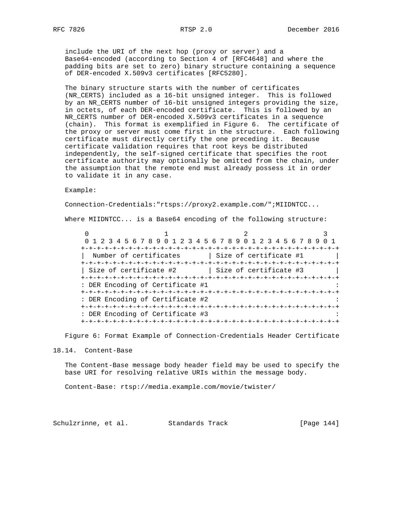include the URI of the next hop (proxy or server) and a Base64-encoded (according to Section 4 of [RFC4648] and where the padding bits are set to zero) binary structure containing a sequence of DER-encoded X.509v3 certificates [RFC5280].

 The binary structure starts with the number of certificates (NR\_CERTS) included as a 16-bit unsigned integer. This is followed by an NR\_CERTS number of 16-bit unsigned integers providing the size, in octets, of each DER-encoded certificate. This is followed by an NR\_CERTS number of DER-encoded X.509v3 certificates in a sequence (chain). This format is exemplified in Figure 6. The certificate of the proxy or server must come first in the structure. Each following certificate must directly certify the one preceding it. Because certificate validation requires that root keys be distributed independently, the self-signed certificate that specifies the root certificate authority may optionally be omitted from the chain, under the assumption that the remote end must already possess it in order to validate it in any case.

Example:

Connection-Credentials:"rtsps://proxy2.example.com/";MIIDNTCC...

Where MIIDNTCC... is a Base64 encoding of the following structure:

 $0$  1 2 3 0 1 2 3 4 5 6 7 8 9 0 1 2 3 4 5 6 7 8 9 0 1 2 3 4 5 6 7 8 9 0 1 +-+-+-+-+-+-+-+-+-+-+-+-+-+-+-+-+-+-+-+-+-+-+-+-+-+-+-+-+-+-+-+-+ | Number of certificates | Size of certificate #1 | | +-+-+-+-+-+-+-+-+-+-+-+-+-+-+-+-+-+-+-+-+-+-+-+-+-+-+-+-+-+-+-+-+ | Size of certificate #2 | Size of certificate #3 +-+-+-+-+-+-+-+-+-+-+-+-+-+-+-+-+-+-+-+-+-+-+-+-+-+-+-+-+-+-+-+-+ : DER Encoding of Certificate #1 +-+-+-+-+-+-+-+-+-+-+-+-+-+-+-+-+-+-+-+-+-+-+-+-+-+-+-+-+-+-+-+-+ : DER Encoding of Certificate #2 +-+-+-+-+-+-+-+-+-+-+-+-+-+-+-+-+-+-+-+-+-+-+-+-+-+-+-+-+-+-+-+-+ : DER Encoding of Certificate #3 +-+-+-+-+-+-+-+-+-+-+-+-+-+-+-+-+-+-+-+-+-+-+-+-+-+-+-+-+-+-+-+-+

Figure 6: Format Example of Connection-Credentials Header Certificate

#### 18.14. Content-Base

 The Content-Base message body header field may be used to specify the base URI for resolving relative URIs within the message body.

Content-Base: rtsp://media.example.com/movie/twister/

Schulzrinne, et al. Standards Track [Page 144]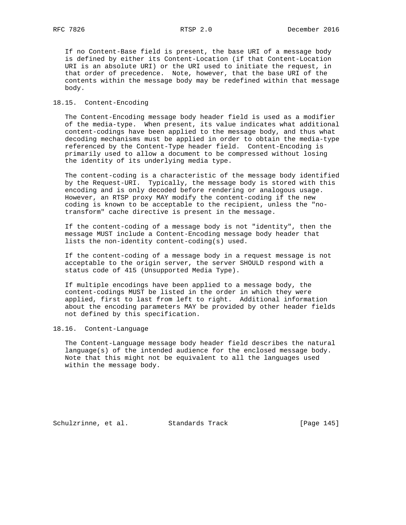If no Content-Base field is present, the base URI of a message body is defined by either its Content-Location (if that Content-Location URI is an absolute URI) or the URI used to initiate the request, in that order of precedence. Note, however, that the base URI of the contents within the message body may be redefined within that message body.

#### 18.15. Content-Encoding

 The Content-Encoding message body header field is used as a modifier of the media-type. When present, its value indicates what additional content-codings have been applied to the message body, and thus what decoding mechanisms must be applied in order to obtain the media-type referenced by the Content-Type header field. Content-Encoding is primarily used to allow a document to be compressed without losing the identity of its underlying media type.

 The content-coding is a characteristic of the message body identified by the Request-URI. Typically, the message body is stored with this encoding and is only decoded before rendering or analogous usage. However, an RTSP proxy MAY modify the content-coding if the new coding is known to be acceptable to the recipient, unless the "no transform" cache directive is present in the message.

 If the content-coding of a message body is not "identity", then the message MUST include a Content-Encoding message body header that lists the non-identity content-coding(s) used.

 If the content-coding of a message body in a request message is not acceptable to the origin server, the server SHOULD respond with a status code of 415 (Unsupported Media Type).

 If multiple encodings have been applied to a message body, the content-codings MUST be listed in the order in which they were applied, first to last from left to right. Additional information about the encoding parameters MAY be provided by other header fields not defined by this specification.

# 18.16. Content-Language

 The Content-Language message body header field describes the natural language(s) of the intended audience for the enclosed message body. Note that this might not be equivalent to all the languages used within the message body.

Schulzrinne, et al. Standards Track [Page 145]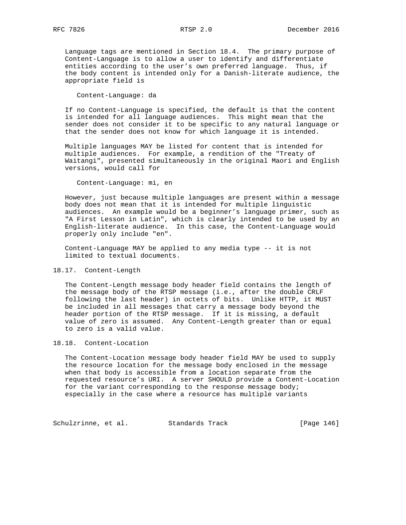Language tags are mentioned in Section 18.4. The primary purpose of Content-Language is to allow a user to identify and differentiate entities according to the user's own preferred language. Thus, if the body content is intended only for a Danish-literate audience, the appropriate field is

Content-Language: da

 If no Content-Language is specified, the default is that the content is intended for all language audiences. This might mean that the sender does not consider it to be specific to any natural language or that the sender does not know for which language it is intended.

 Multiple languages MAY be listed for content that is intended for multiple audiences. For example, a rendition of the "Treaty of Waitangi", presented simultaneously in the original Maori and English versions, would call for

Content-Language: mi, en

 However, just because multiple languages are present within a message body does not mean that it is intended for multiple linguistic audiences. An example would be a beginner's language primer, such as "A First Lesson in Latin", which is clearly intended to be used by an English-literate audience. In this case, the Content-Language would properly only include "en".

 Content-Language MAY be applied to any media type -- it is not limited to textual documents.

## 18.17. Content-Length

 The Content-Length message body header field contains the length of the message body of the RTSP message (i.e., after the double CRLF following the last header) in octets of bits. Unlike HTTP, it MUST be included in all messages that carry a message body beyond the header portion of the RTSP message. If it is missing, a default value of zero is assumed. Any Content-Length greater than or equal to zero is a valid value.

## 18.18. Content-Location

 The Content-Location message body header field MAY be used to supply the resource location for the message body enclosed in the message when that body is accessible from a location separate from the requested resource's URI. A server SHOULD provide a Content-Location for the variant corresponding to the response message body; especially in the case where a resource has multiple variants

Schulzrinne, et al. Standards Track [Page 146]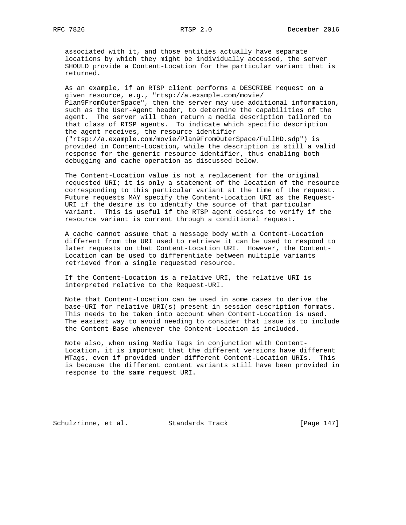associated with it, and those entities actually have separate locations by which they might be individually accessed, the server SHOULD provide a Content-Location for the particular variant that is returned.

 As an example, if an RTSP client performs a DESCRIBE request on a given resource, e.g., "rtsp://a.example.com/movie/ Plan9FromOuterSpace", then the server may use additional information, such as the User-Agent header, to determine the capabilities of the agent. The server will then return a media description tailored to that class of RTSP agents. To indicate which specific description the agent receives, the resource identifier ("rtsp://a.example.com/movie/Plan9FromOuterSpace/FullHD.sdp") is provided in Content-Location, while the description is still a valid response for the generic resource identifier, thus enabling both debugging and cache operation as discussed below.

 The Content-Location value is not a replacement for the original requested URI; it is only a statement of the location of the resource corresponding to this particular variant at the time of the request. Future requests MAY specify the Content-Location URI as the Request- URI if the desire is to identify the source of that particular variant. This is useful if the RTSP agent desires to verify if the resource variant is current through a conditional request.

 A cache cannot assume that a message body with a Content-Location different from the URI used to retrieve it can be used to respond to later requests on that Content-Location URI. However, the Content- Location can be used to differentiate between multiple variants retrieved from a single requested resource.

 If the Content-Location is a relative URI, the relative URI is interpreted relative to the Request-URI.

 Note that Content-Location can be used in some cases to derive the base-URI for relative URI(s) present in session description formats. This needs to be taken into account when Content-Location is used. The easiest way to avoid needing to consider that issue is to include the Content-Base whenever the Content-Location is included.

 Note also, when using Media Tags in conjunction with Content- Location, it is important that the different versions have different MTags, even if provided under different Content-Location URIs. This is because the different content variants still have been provided in response to the same request URI.

Schulzrinne, et al. Standards Track [Page 147]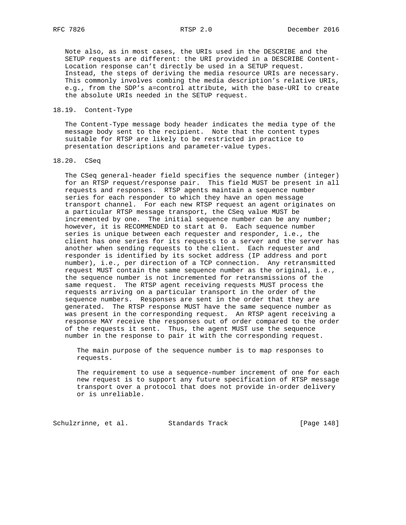Note also, as in most cases, the URIs used in the DESCRIBE and the SETUP requests are different: the URI provided in a DESCRIBE Content- Location response can't directly be used in a SETUP request. Instead, the steps of deriving the media resource URIs are necessary. This commonly involves combing the media description's relative URIs, e.g., from the SDP's a=control attribute, with the base-URI to create the absolute URIs needed in the SETUP request.

## 18.19. Content-Type

 The Content-Type message body header indicates the media type of the message body sent to the recipient. Note that the content types suitable for RTSP are likely to be restricted in practice to presentation descriptions and parameter-value types.

## 18.20. CSeq

 The CSeq general-header field specifies the sequence number (integer) for an RTSP request/response pair. This field MUST be present in all requests and responses. RTSP agents maintain a sequence number series for each responder to which they have an open message transport channel. For each new RTSP request an agent originates on a particular RTSP message transport, the CSeq value MUST be incremented by one. The initial sequence number can be any number; however, it is RECOMMENDED to start at 0. Each sequence number series is unique between each requester and responder, i.e., the client has one series for its requests to a server and the server has another when sending requests to the client. Each requester and responder is identified by its socket address (IP address and port number), i.e., per direction of a TCP connection. Any retransmitted request MUST contain the same sequence number as the original, i.e., the sequence number is not incremented for retransmissions of the same request. The RTSP agent receiving requests MUST process the requests arriving on a particular transport in the order of the sequence numbers. Responses are sent in the order that they are generated. The RTSP response MUST have the same sequence number as was present in the corresponding request. An RTSP agent receiving a response MAY receive the responses out of order compared to the order of the requests it sent. Thus, the agent MUST use the sequence number in the response to pair it with the corresponding request.

 The main purpose of the sequence number is to map responses to requests.

 The requirement to use a sequence-number increment of one for each new request is to support any future specification of RTSP message transport over a protocol that does not provide in-order delivery or is unreliable.

Schulzrinne, et al. Standards Track [Page 148]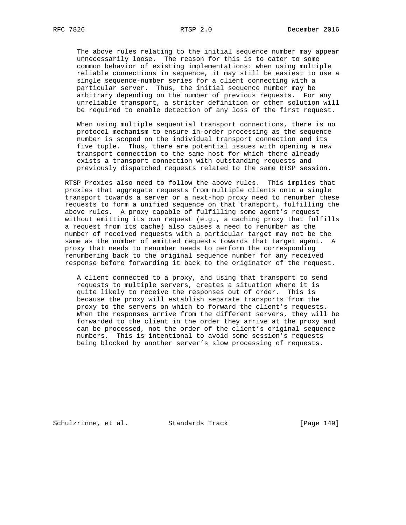The above rules relating to the initial sequence number may appear unnecessarily loose. The reason for this is to cater to some common behavior of existing implementations: when using multiple reliable connections in sequence, it may still be easiest to use a single sequence-number series for a client connecting with a particular server. Thus, the initial sequence number may be arbitrary depending on the number of previous requests. For any unreliable transport, a stricter definition or other solution will be required to enable detection of any loss of the first request.

 When using multiple sequential transport connections, there is no protocol mechanism to ensure in-order processing as the sequence number is scoped on the individual transport connection and its five tuple. Thus, there are potential issues with opening a new transport connection to the same host for which there already exists a transport connection with outstanding requests and previously dispatched requests related to the same RTSP session.

 RTSP Proxies also need to follow the above rules. This implies that proxies that aggregate requests from multiple clients onto a single transport towards a server or a next-hop proxy need to renumber these requests to form a unified sequence on that transport, fulfilling the above rules. A proxy capable of fulfilling some agent's request without emitting its own request (e.g., a caching proxy that fulfills a request from its cache) also causes a need to renumber as the number of received requests with a particular target may not be the same as the number of emitted requests towards that target agent. A proxy that needs to renumber needs to perform the corresponding renumbering back to the original sequence number for any received response before forwarding it back to the originator of the request.

 A client connected to a proxy, and using that transport to send requests to multiple servers, creates a situation where it is quite likely to receive the responses out of order. This is because the proxy will establish separate transports from the proxy to the servers on which to forward the client's requests. When the responses arrive from the different servers, they will be forwarded to the client in the order they arrive at the proxy and can be processed, not the order of the client's original sequence numbers. This is intentional to avoid some session's requests being blocked by another server's slow processing of requests.

Schulzrinne, et al. Standards Track [Page 149]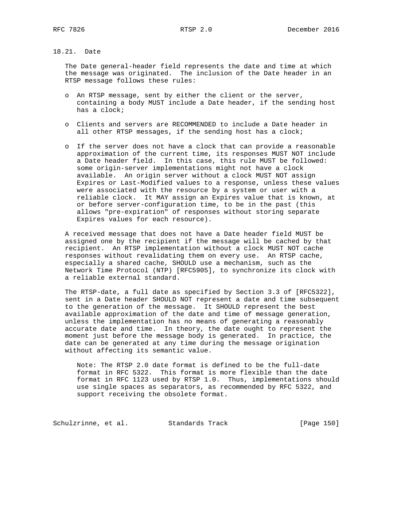# 18.21. Date

 The Date general-header field represents the date and time at which the message was originated. The inclusion of the Date header in an RTSP message follows these rules:

- o An RTSP message, sent by either the client or the server, containing a body MUST include a Date header, if the sending host has a clock;
- o Clients and servers are RECOMMENDED to include a Date header in all other RTSP messages, if the sending host has a clock;
- o If the server does not have a clock that can provide a reasonable approximation of the current time, its responses MUST NOT include a Date header field. In this case, this rule MUST be followed: some origin-server implementations might not have a clock available. An origin server without a clock MUST NOT assign Expires or Last-Modified values to a response, unless these values were associated with the resource by a system or user with a reliable clock. It MAY assign an Expires value that is known, at or before server-configuration time, to be in the past (this allows "pre-expiration" of responses without storing separate Expires values for each resource).

 A received message that does not have a Date header field MUST be assigned one by the recipient if the message will be cached by that recipient. An RTSP implementation without a clock MUST NOT cache responses without revalidating them on every use. An RTSP cache, especially a shared cache, SHOULD use a mechanism, such as the Network Time Protocol (NTP) [RFC5905], to synchronize its clock with a reliable external standard.

 The RTSP-date, a full date as specified by Section 3.3 of [RFC5322], sent in a Date header SHOULD NOT represent a date and time subsequent to the generation of the message. It SHOULD represent the best available approximation of the date and time of message generation, unless the implementation has no means of generating a reasonably accurate date and time. In theory, the date ought to represent the moment just before the message body is generated. In practice, the date can be generated at any time during the message origination without affecting its semantic value.

 Note: The RTSP 2.0 date format is defined to be the full-date format in RFC 5322. This format is more flexible than the date format in RFC 1123 used by RTSP 1.0. Thus, implementations should use single spaces as separators, as recommended by RFC 5322, and support receiving the obsolete format.

Schulzrinne, et al. Standards Track [Page 150]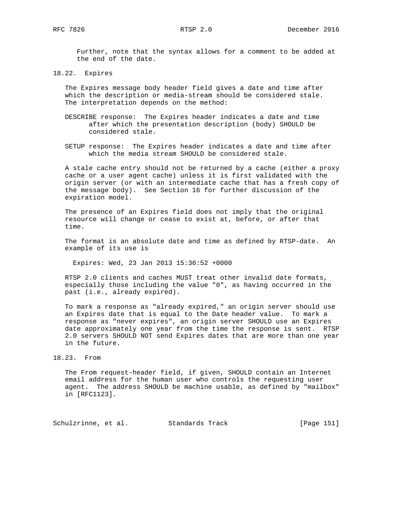Further, note that the syntax allows for a comment to be added at the end of the date.

18.22. Expires

 The Expires message body header field gives a date and time after which the description or media-stream should be considered stale. The interpretation depends on the method:

- DESCRIBE response: The Expires header indicates a date and time after which the presentation description (body) SHOULD be considered stale.
- SETUP response: The Expires header indicates a date and time after which the media stream SHOULD be considered stale.

 A stale cache entry should not be returned by a cache (either a proxy cache or a user agent cache) unless it is first validated with the origin server (or with an intermediate cache that has a fresh copy of the message body). See Section 16 for further discussion of the expiration model.

 The presence of an Expires field does not imply that the original resource will change or cease to exist at, before, or after that time.

 The format is an absolute date and time as defined by RTSP-date. An example of its use is

Expires: Wed, 23 Jan 2013 15:36:52 +0000

 RTSP 2.0 clients and caches MUST treat other invalid date formats, especially those including the value "0", as having occurred in the past (i.e., already expired).

 To mark a response as "already expired," an origin server should use an Expires date that is equal to the Date header value. To mark a response as "never expires", an origin server SHOULD use an Expires date approximately one year from the time the response is sent. RTSP 2.0 servers SHOULD NOT send Expires dates that are more than one year in the future.

 The From request-header field, if given, SHOULD contain an Internet email address for the human user who controls the requesting user agent. The address SHOULD be machine usable, as defined by "mailbox" in [RFC1123].

Schulzrinne, et al. Standards Track [Page 151]

<sup>18.23.</sup> From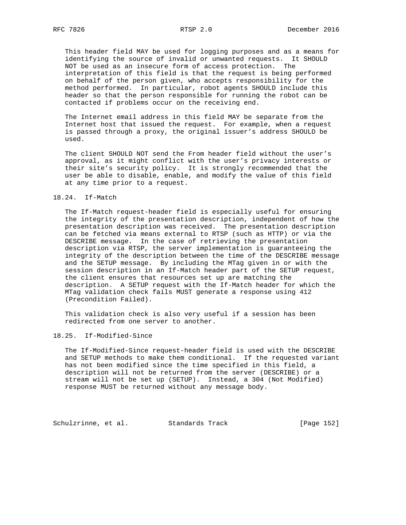This header field MAY be used for logging purposes and as a means for identifying the source of invalid or unwanted requests. It SHOULD NOT be used as an insecure form of access protection. The interpretation of this field is that the request is being performed on behalf of the person given, who accepts responsibility for the method performed. In particular, robot agents SHOULD include this header so that the person responsible for running the robot can be contacted if problems occur on the receiving end.

 The Internet email address in this field MAY be separate from the Internet host that issued the request. For example, when a request is passed through a proxy, the original issuer's address SHOULD be used.

 The client SHOULD NOT send the From header field without the user's approval, as it might conflict with the user's privacy interests or their site's security policy. It is strongly recommended that the user be able to disable, enable, and modify the value of this field at any time prior to a request.

## 18.24. If-Match

 The If-Match request-header field is especially useful for ensuring the integrity of the presentation description, independent of how the presentation description was received. The presentation description can be fetched via means external to RTSP (such as HTTP) or via the DESCRIBE message. In the case of retrieving the presentation description via RTSP, the server implementation is guaranteeing the integrity of the description between the time of the DESCRIBE message and the SETUP message. By including the MTag given in or with the session description in an If-Match header part of the SETUP request, the client ensures that resources set up are matching the description. A SETUP request with the If-Match header for which the MTag validation check fails MUST generate a response using 412 (Precondition Failed).

 This validation check is also very useful if a session has been redirected from one server to another.

#### 18.25. If-Modified-Since

 The If-Modified-Since request-header field is used with the DESCRIBE and SETUP methods to make them conditional. If the requested variant has not been modified since the time specified in this field, a description will not be returned from the server (DESCRIBE) or a stream will not be set up (SETUP). Instead, a 304 (Not Modified) response MUST be returned without any message body.

Schulzrinne, et al. Standards Track [Page 152]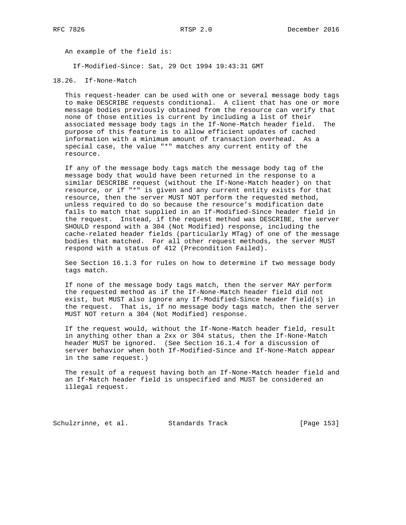An example of the field is:

If-Modified-Since: Sat, 29 Oct 1994 19:43:31 GMT

18.26. If-None-Match

 This request-header can be used with one or several message body tags to make DESCRIBE requests conditional. A client that has one or more message bodies previously obtained from the resource can verify that none of those entities is current by including a list of their associated message body tags in the If-None-Match header field. The purpose of this feature is to allow efficient updates of cached information with a minimum amount of transaction overhead. As a special case, the value "\*" matches any current entity of the resource.

 If any of the message body tags match the message body tag of the message body that would have been returned in the response to a similar DESCRIBE request (without the If-None-Match header) on that resource, or if "\*" is given and any current entity exists for that resource, then the server MUST NOT perform the requested method, unless required to do so because the resource's modification date fails to match that supplied in an If-Modified-Since header field in the request. Instead, if the request method was DESCRIBE, the server SHOULD respond with a 304 (Not Modified) response, including the cache-related header fields (particularly MTag) of one of the message bodies that matched. For all other request methods, the server MUST respond with a status of 412 (Precondition Failed).

 See Section 16.1.3 for rules on how to determine if two message body tags match.

 If none of the message body tags match, then the server MAY perform the requested method as if the If-None-Match header field did not exist, but MUST also ignore any If-Modified-Since header field(s) in the request. That is, if no message body tags match, then the server MUST NOT return a 304 (Not Modified) response.

 If the request would, without the If-None-Match header field, result in anything other than a 2xx or 304 status, then the If-None-Match header MUST be ignored. (See Section 16.1.4 for a discussion of server behavior when both If-Modified-Since and If-None-Match appear in the same request.)

 The result of a request having both an If-None-Match header field and an If-Match header field is unspecified and MUST be considered an illegal request.

Schulzrinne, et al. Standards Track [Page 153]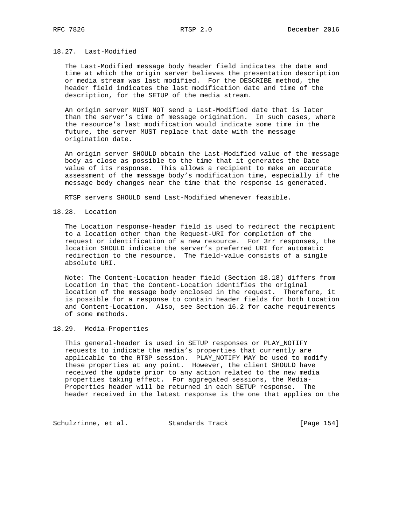## 18.27. Last-Modified

 The Last-Modified message body header field indicates the date and time at which the origin server believes the presentation description or media stream was last modified. For the DESCRIBE method, the header field indicates the last modification date and time of the description, for the SETUP of the media stream.

 An origin server MUST NOT send a Last-Modified date that is later than the server's time of message origination. In such cases, where the resource's last modification would indicate some time in the future, the server MUST replace that date with the message origination date.

 An origin server SHOULD obtain the Last-Modified value of the message body as close as possible to the time that it generates the Date value of its response. This allows a recipient to make an accurate assessment of the message body's modification time, especially if the message body changes near the time that the response is generated.

RTSP servers SHOULD send Last-Modified whenever feasible.

### 18.28. Location

 The Location response-header field is used to redirect the recipient to a location other than the Request-URI for completion of the request or identification of a new resource. For 3rr responses, the location SHOULD indicate the server's preferred URI for automatic redirection to the resource. The field-value consists of a single absolute URI.

 Note: The Content-Location header field (Section 18.18) differs from Location in that the Content-Location identifies the original location of the message body enclosed in the request. Therefore, it is possible for a response to contain header fields for both Location and Content-Location. Also, see Section 16.2 for cache requirements of some methods.

# 18.29. Media-Properties

 This general-header is used in SETUP responses or PLAY\_NOTIFY requests to indicate the media's properties that currently are applicable to the RTSP session. PLAY\_NOTIFY MAY be used to modify these properties at any point. However, the client SHOULD have received the update prior to any action related to the new media properties taking effect. For aggregated sessions, the Media- Properties header will be returned in each SETUP response. The header received in the latest response is the one that applies on the

Schulzrinne, et al. Standards Track [Page 154]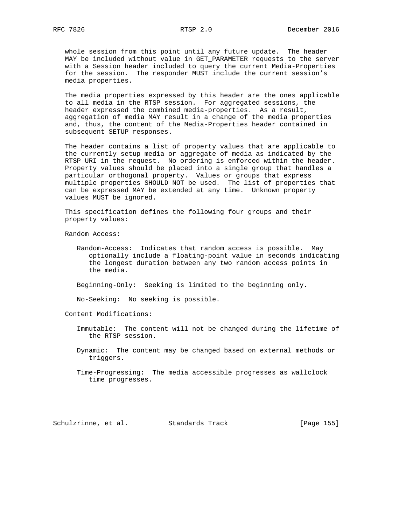whole session from this point until any future update. The header MAY be included without value in GET\_PARAMETER requests to the server with a Session header included to query the current Media-Properties for the session. The responder MUST include the current session's media properties.

 The media properties expressed by this header are the ones applicable to all media in the RTSP session. For aggregated sessions, the header expressed the combined media-properties. As a result, aggregation of media MAY result in a change of the media properties and, thus, the content of the Media-Properties header contained in subsequent SETUP responses.

 The header contains a list of property values that are applicable to the currently setup media or aggregate of media as indicated by the RTSP URI in the request. No ordering is enforced within the header. Property values should be placed into a single group that handles a particular orthogonal property. Values or groups that express multiple properties SHOULD NOT be used. The list of properties that can be expressed MAY be extended at any time. Unknown property values MUST be ignored.

 This specification defines the following four groups and their property values:

Random Access:

 Random-Access: Indicates that random access is possible. May optionally include a floating-point value in seconds indicating the longest duration between any two random access points in the media.

Beginning-Only: Seeking is limited to the beginning only.

No-Seeking: No seeking is possible.

Content Modifications:

- Immutable: The content will not be changed during the lifetime of the RTSP session.
- Dynamic: The content may be changed based on external methods or triggers.
- Time-Progressing: The media accessible progresses as wallclock time progresses.

Schulzrinne, et al. Standards Track [Page 155]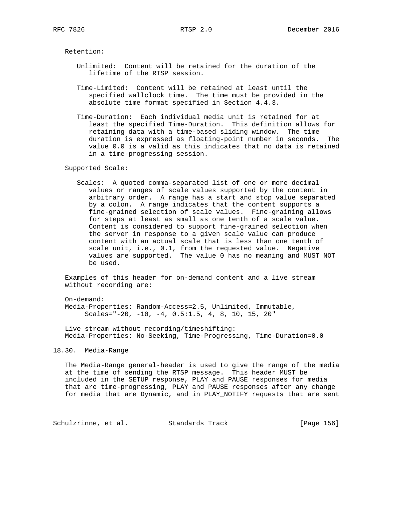Retention:

- Unlimited: Content will be retained for the duration of the lifetime of the RTSP session.
- Time-Limited: Content will be retained at least until the specified wallclock time. The time must be provided in the absolute time format specified in Section 4.4.3.
- Time-Duration: Each individual media unit is retained for at least the specified Time-Duration. This definition allows for retaining data with a time-based sliding window. The time duration is expressed as floating-point number in seconds. The value 0.0 is a valid as this indicates that no data is retained in a time-progressing session.

Supported Scale:

 Scales: A quoted comma-separated list of one or more decimal values or ranges of scale values supported by the content in arbitrary order. A range has a start and stop value separated by a colon. A range indicates that the content supports a fine-grained selection of scale values. Fine-graining allows for steps at least as small as one tenth of a scale value. Content is considered to support fine-grained selection when the server in response to a given scale value can produce content with an actual scale that is less than one tenth of scale unit, i.e., 0.1, from the requested value. Negative values are supported. The value 0 has no meaning and MUST NOT be used.

 Examples of this header for on-demand content and a live stream without recording are:

 On-demand: Media-Properties: Random-Access=2.5, Unlimited, Immutable, Scales="-20, -10, -4, 0.5:1.5, 4, 8, 10, 15, 20"

 Live stream without recording/timeshifting: Media-Properties: No-Seeking, Time-Progressing, Time-Duration=0.0

## 18.30. Media-Range

 The Media-Range general-header is used to give the range of the media at the time of sending the RTSP message. This header MUST be included in the SETUP response, PLAY and PAUSE responses for media that are time-progressing, PLAY and PAUSE responses after any change for media that are Dynamic, and in PLAY\_NOTIFY requests that are sent

Schulzrinne, et al. Standards Track [Page 156]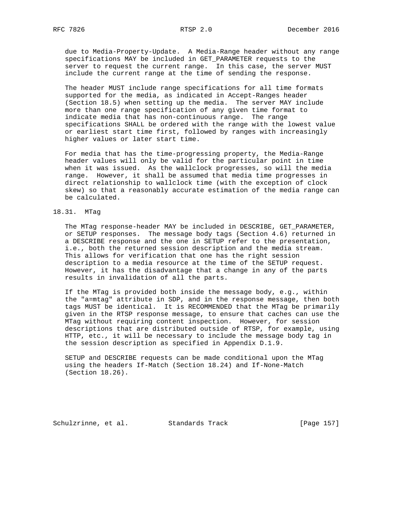due to Media-Property-Update. A Media-Range header without any range specifications MAY be included in GET\_PARAMETER requests to the server to request the current range. In this case, the server MUST include the current range at the time of sending the response.

 The header MUST include range specifications for all time formats supported for the media, as indicated in Accept-Ranges header (Section 18.5) when setting up the media. The server MAY include more than one range specification of any given time format to indicate media that has non-continuous range. The range specifications SHALL be ordered with the range with the lowest value or earliest start time first, followed by ranges with increasingly higher values or later start time.

 For media that has the time-progressing property, the Media-Range header values will only be valid for the particular point in time when it was issued. As the wallclock progresses, so will the media range. However, it shall be assumed that media time progresses in direct relationship to wallclock time (with the exception of clock skew) so that a reasonably accurate estimation of the media range can be calculated.

#### 18.31. MTag

 The MTag response-header MAY be included in DESCRIBE, GET\_PARAMETER, or SETUP responses. The message body tags (Section 4.6) returned in a DESCRIBE response and the one in SETUP refer to the presentation, i.e., both the returned session description and the media stream. This allows for verification that one has the right session description to a media resource at the time of the SETUP request. However, it has the disadvantage that a change in any of the parts results in invalidation of all the parts.

 If the MTag is provided both inside the message body, e.g., within the "a=mtag" attribute in SDP, and in the response message, then both tags MUST be identical. It is RECOMMENDED that the MTag be primarily given in the RTSP response message, to ensure that caches can use the MTag without requiring content inspection. However, for session descriptions that are distributed outside of RTSP, for example, using HTTP, etc., it will be necessary to include the message body tag in the session description as specified in Appendix D.1.9.

 SETUP and DESCRIBE requests can be made conditional upon the MTag using the headers If-Match (Section 18.24) and If-None-Match (Section 18.26).

Schulzrinne, et al. Standards Track [Page 157]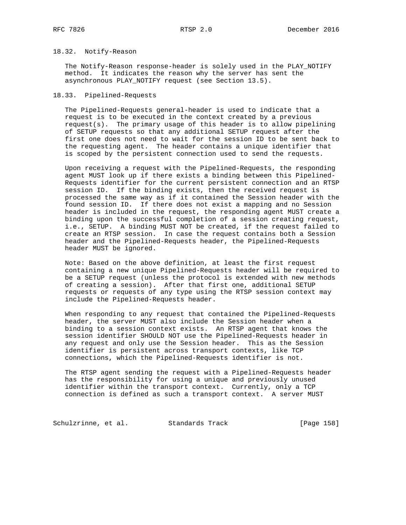# 18.32. Notify-Reason

 The Notify-Reason response-header is solely used in the PLAY\_NOTIFY method. It indicates the reason why the server has sent the asynchronous PLAY\_NOTIFY request (see Section 13.5).

## 18.33. Pipelined-Requests

 The Pipelined-Requests general-header is used to indicate that a request is to be executed in the context created by a previous request(s). The primary usage of this header is to allow pipelining of SETUP requests so that any additional SETUP request after the first one does not need to wait for the session ID to be sent back to the requesting agent. The header contains a unique identifier that is scoped by the persistent connection used to send the requests.

 Upon receiving a request with the Pipelined-Requests, the responding agent MUST look up if there exists a binding between this Pipelined- Requests identifier for the current persistent connection and an RTSP session ID. If the binding exists, then the received request is processed the same way as if it contained the Session header with the found session ID. If there does not exist a mapping and no Session header is included in the request, the responding agent MUST create a binding upon the successful completion of a session creating request, i.e., SETUP. A binding MUST NOT be created, if the request failed to create an RTSP session. In case the request contains both a Session header and the Pipelined-Requests header, the Pipelined-Requests header MUST be ignored.

 Note: Based on the above definition, at least the first request containing a new unique Pipelined-Requests header will be required to be a SETUP request (unless the protocol is extended with new methods of creating a session). After that first one, additional SETUP requests or requests of any type using the RTSP session context may include the Pipelined-Requests header.

 When responding to any request that contained the Pipelined-Requests header, the server MUST also include the Session header when a binding to a session context exists. An RTSP agent that knows the session identifier SHOULD NOT use the Pipelined-Requests header in any request and only use the Session header. This as the Session identifier is persistent across transport contexts, like TCP connections, which the Pipelined-Requests identifier is not.

 The RTSP agent sending the request with a Pipelined-Requests header has the responsibility for using a unique and previously unused identifier within the transport context. Currently, only a TCP connection is defined as such a transport context. A server MUST

Schulzrinne, et al. Standards Track [Page 158]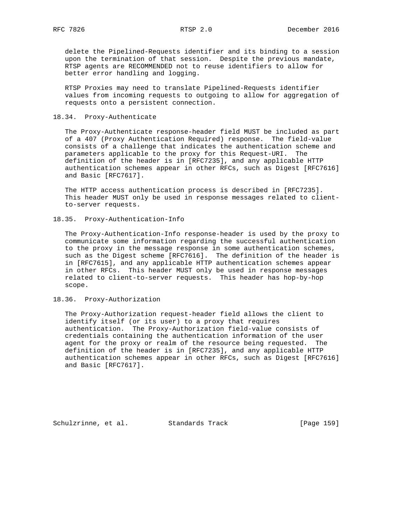delete the Pipelined-Requests identifier and its binding to a session upon the termination of that session. Despite the previous mandate, RTSP agents are RECOMMENDED not to reuse identifiers to allow for better error handling and logging.

 RTSP Proxies may need to translate Pipelined-Requests identifier values from incoming requests to outgoing to allow for aggregation of requests onto a persistent connection.

## 18.34. Proxy-Authenticate

 The Proxy-Authenticate response-header field MUST be included as part of a 407 (Proxy Authentication Required) response. The field-value consists of a challenge that indicates the authentication scheme and parameters applicable to the proxy for this Request-URI. The definition of the header is in [RFC7235], and any applicable HTTP authentication schemes appear in other RFCs, such as Digest [RFC7616] and Basic [RFC7617].

 The HTTP access authentication process is described in [RFC7235]. This header MUST only be used in response messages related to client to-server requests.

## 18.35. Proxy-Authentication-Info

 The Proxy-Authentication-Info response-header is used by the proxy to communicate some information regarding the successful authentication to the proxy in the message response in some authentication schemes, such as the Digest scheme [RFC7616]. The definition of the header is in [RFC7615], and any applicable HTTP authentication schemes appear in other RFCs. This header MUST only be used in response messages related to client-to-server requests. This header has hop-by-hop scope.

### 18.36. Proxy-Authorization

 The Proxy-Authorization request-header field allows the client to identify itself (or its user) to a proxy that requires authentication. The Proxy-Authorization field-value consists of credentials containing the authentication information of the user agent for the proxy or realm of the resource being requested. The definition of the header is in [RFC7235], and any applicable HTTP authentication schemes appear in other RFCs, such as Digest [RFC7616] and Basic [RFC7617].

Schulzrinne, et al. Standards Track [Page 159]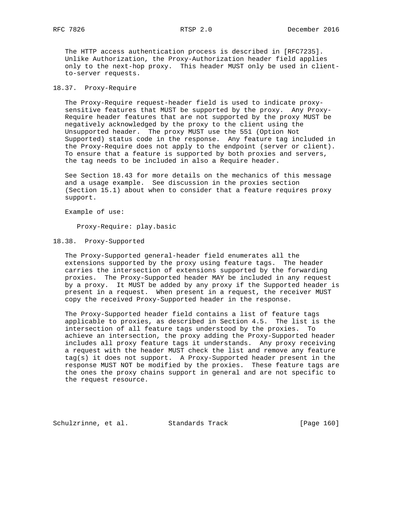The HTTP access authentication process is described in [RFC7235]. Unlike Authorization, the Proxy-Authorization header field applies only to the next-hop proxy. This header MUST only be used in client to-server requests.

## 18.37. Proxy-Require

 The Proxy-Require request-header field is used to indicate proxy sensitive features that MUST be supported by the proxy. Any Proxy- Require header features that are not supported by the proxy MUST be negatively acknowledged by the proxy to the client using the Unsupported header. The proxy MUST use the 551 (Option Not Supported) status code in the response. Any feature tag included in the Proxy-Require does not apply to the endpoint (server or client). To ensure that a feature is supported by both proxies and servers, the tag needs to be included in also a Require header.

 See Section 18.43 for more details on the mechanics of this message and a usage example. See discussion in the proxies section (Section 15.1) about when to consider that a feature requires proxy support.

Example of use:

Proxy-Require: play.basic

### 18.38. Proxy-Supported

 The Proxy-Supported general-header field enumerates all the extensions supported by the proxy using feature tags. The header carries the intersection of extensions supported by the forwarding proxies. The Proxy-Supported header MAY be included in any request by a proxy. It MUST be added by any proxy if the Supported header is present in a request. When present in a request, the receiver MUST copy the received Proxy-Supported header in the response.

 The Proxy-Supported header field contains a list of feature tags applicable to proxies, as described in Section 4.5. The list is the intersection of all feature tags understood by the proxies. To achieve an intersection, the proxy adding the Proxy-Supported header includes all proxy feature tags it understands. Any proxy receiving a request with the header MUST check the list and remove any feature tag(s) it does not support. A Proxy-Supported header present in the response MUST NOT be modified by the proxies. These feature tags are the ones the proxy chains support in general and are not specific to the request resource.

Schulzrinne, et al. Standards Track [Page 160]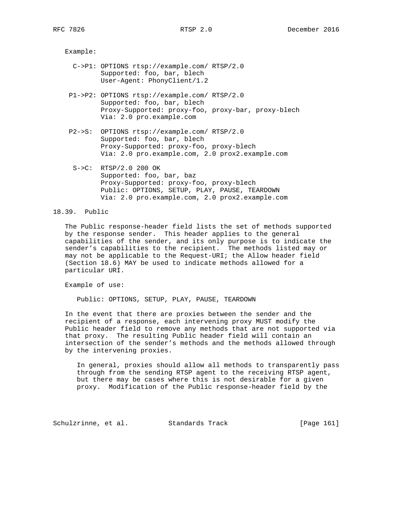Example:

- C->P1: OPTIONS rtsp://example.com/ RTSP/2.0 Supported: foo, bar, blech User-Agent: PhonyClient/1.2
- P1->P2: OPTIONS rtsp://example.com/ RTSP/2.0 Supported: foo, bar, blech Proxy-Supported: proxy-foo, proxy-bar, proxy-blech Via: 2.0 pro.example.com
- P2->S: OPTIONS rtsp://example.com/ RTSP/2.0 Supported: foo, bar, blech Proxy-Supported: proxy-foo, proxy-blech Via: 2.0 pro.example.com, 2.0 prox2.example.com
- S->C: RTSP/2.0 200 OK Supported: foo, bar, baz Proxy-Supported: proxy-foo, proxy-blech Public: OPTIONS, SETUP, PLAY, PAUSE, TEARDOWN Via: 2.0 pro.example.com, 2.0 prox2.example.com

## 18.39. Public

 The Public response-header field lists the set of methods supported by the response sender. This header applies to the general capabilities of the sender, and its only purpose is to indicate the sender's capabilities to the recipient. The methods listed may or may not be applicable to the Request-URI; the Allow header field (Section 18.6) MAY be used to indicate methods allowed for a particular URI.

Example of use:

Public: OPTIONS, SETUP, PLAY, PAUSE, TEARDOWN

 In the event that there are proxies between the sender and the recipient of a response, each intervening proxy MUST modify the Public header field to remove any methods that are not supported via that proxy. The resulting Public header field will contain an intersection of the sender's methods and the methods allowed through by the intervening proxies.

 In general, proxies should allow all methods to transparently pass through from the sending RTSP agent to the receiving RTSP agent, but there may be cases where this is not desirable for a given proxy. Modification of the Public response-header field by the

Schulzrinne, et al. Standards Track [Page 161]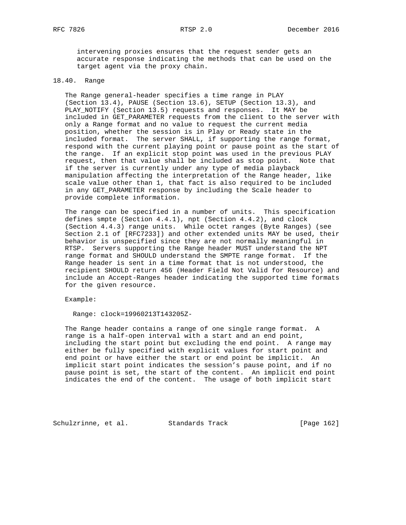intervening proxies ensures that the request sender gets an accurate response indicating the methods that can be used on the target agent via the proxy chain.

## 18.40. Range

 The Range general-header specifies a time range in PLAY (Section 13.4), PAUSE (Section 13.6), SETUP (Section 13.3), and PLAY\_NOTIFY (Section 13.5) requests and responses. It MAY be included in GET\_PARAMETER requests from the client to the server with only a Range format and no value to request the current media position, whether the session is in Play or Ready state in the included format. The server SHALL, if supporting the range format, respond with the current playing point or pause point as the start of the range. If an explicit stop point was used in the previous PLAY request, then that value shall be included as stop point. Note that if the server is currently under any type of media playback manipulation affecting the interpretation of the Range header, like scale value other than 1, that fact is also required to be included in any GET\_PARAMETER response by including the Scale header to provide complete information.

 The range can be specified in a number of units. This specification defines smpte (Section 4.4.1), npt (Section 4.4.2), and clock (Section 4.4.3) range units. While octet ranges (Byte Ranges) (see Section 2.1 of [RFC7233]) and other extended units MAY be used, their behavior is unspecified since they are not normally meaningful in RTSP. Servers supporting the Range header MUST understand the NPT range format and SHOULD understand the SMPTE range format. If the Range header is sent in a time format that is not understood, the recipient SHOULD return 456 (Header Field Not Valid for Resource) and include an Accept-Ranges header indicating the supported time formats for the given resource.

Example:

Range: clock=19960213T143205Z-

 The Range header contains a range of one single range format. A range is a half-open interval with a start and an end point, including the start point but excluding the end point. A range may either be fully specified with explicit values for start point and end point or have either the start or end point be implicit. An implicit start point indicates the session's pause point, and if no pause point is set, the start of the content. An implicit end point indicates the end of the content. The usage of both implicit start

Schulzrinne, et al. Standards Track [Page 162]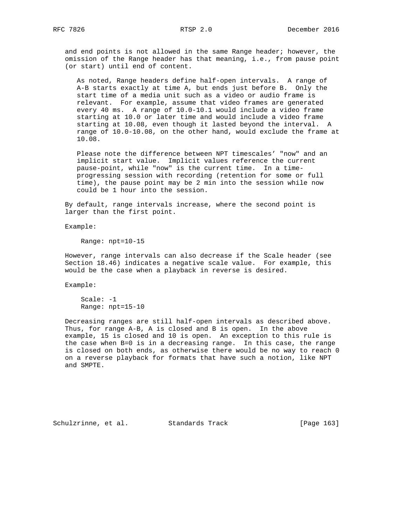and end points is not allowed in the same Range header; however, the omission of the Range header has that meaning, i.e., from pause point (or start) until end of content.

 As noted, Range headers define half-open intervals. A range of A-B starts exactly at time A, but ends just before B. Only the start time of a media unit such as a video or audio frame is relevant. For example, assume that video frames are generated every 40 ms. A range of 10.0-10.1 would include a video frame starting at 10.0 or later time and would include a video frame starting at 10.08, even though it lasted beyond the interval. A range of 10.0-10.08, on the other hand, would exclude the frame at 10.08.

 Please note the difference between NPT timescales' "now" and an implicit start value. Implicit values reference the current pause-point, while "now" is the current time. In a time progressing session with recording (retention for some or full time), the pause point may be 2 min into the session while now could be 1 hour into the session.

 By default, range intervals increase, where the second point is larger than the first point.

Example:

Range: npt=10-15

 However, range intervals can also decrease if the Scale header (see Section 18.46) indicates a negative scale value. For example, this would be the case when a playback in reverse is desired.

Example:

 Scale: -1 Range: npt=15-10

 Decreasing ranges are still half-open intervals as described above. Thus, for range A-B, A is closed and B is open. In the above example, 15 is closed and 10 is open. An exception to this rule is the case when B=0 is in a decreasing range. In this case, the range is closed on both ends, as otherwise there would be no way to reach 0 on a reverse playback for formats that have such a notion, like NPT and SMPTE.

Schulzrinne, et al. Standards Track [Page 163]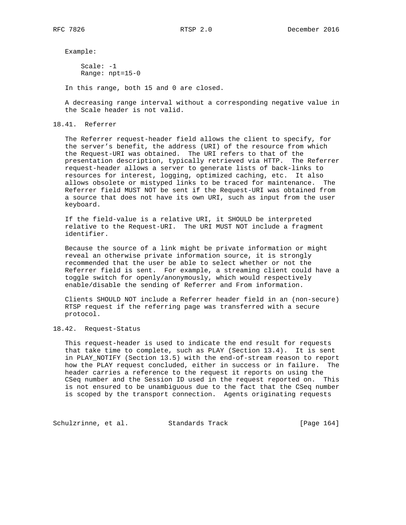Example:

 Scale: -1 Range: npt=15-0

In this range, both 15 and 0 are closed.

 A decreasing range interval without a corresponding negative value in the Scale header is not valid.

#### 18.41. Referrer

 The Referrer request-header field allows the client to specify, for the server's benefit, the address (URI) of the resource from which the Request-URI was obtained. The URI refers to that of the presentation description, typically retrieved via HTTP. The Referrer request-header allows a server to generate lists of back-links to resources for interest, logging, optimized caching, etc. It also allows obsolete or mistyped links to be traced for maintenance. The Referrer field MUST NOT be sent if the Request-URI was obtained from a source that does not have its own URI, such as input from the user keyboard.

 If the field-value is a relative URI, it SHOULD be interpreted relative to the Request-URI. The URI MUST NOT include a fragment identifier.

 Because the source of a link might be private information or might reveal an otherwise private information source, it is strongly recommended that the user be able to select whether or not the Referrer field is sent. For example, a streaming client could have a toggle switch for openly/anonymously, which would respectively enable/disable the sending of Referrer and From information.

 Clients SHOULD NOT include a Referrer header field in an (non-secure) RTSP request if the referring page was transferred with a secure protocol.

# 18.42. Request-Status

 This request-header is used to indicate the end result for requests that take time to complete, such as PLAY (Section 13.4). It is sent in PLAY\_NOTIFY (Section 13.5) with the end-of-stream reason to report how the PLAY request concluded, either in success or in failure. The header carries a reference to the request it reports on using the CSeq number and the Session ID used in the request reported on. This is not ensured to be unambiguous due to the fact that the CSeq number is scoped by the transport connection. Agents originating requests

Schulzrinne, et al. Standards Track [Page 164]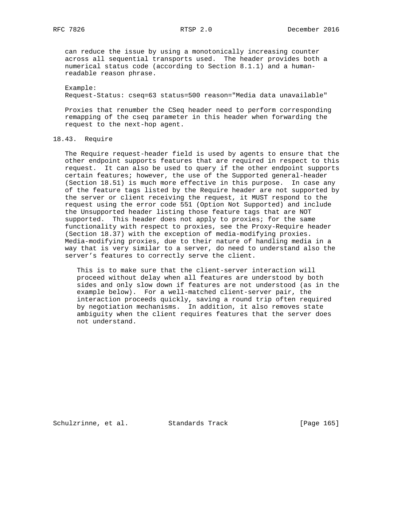can reduce the issue by using a monotonically increasing counter across all sequential transports used. The header provides both a numerical status code (according to Section 8.1.1) and a human readable reason phrase.

 Example: Request-Status: cseq=63 status=500 reason="Media data unavailable"

 Proxies that renumber the CSeq header need to perform corresponding remapping of the cseq parameter in this header when forwarding the request to the next-hop agent.

# 18.43. Require

 The Require request-header field is used by agents to ensure that the other endpoint supports features that are required in respect to this request. It can also be used to query if the other endpoint supports certain features; however, the use of the Supported general-header (Section 18.51) is much more effective in this purpose. In case any of the feature tags listed by the Require header are not supported by the server or client receiving the request, it MUST respond to the request using the error code 551 (Option Not Supported) and include the Unsupported header listing those feature tags that are NOT supported. This header does not apply to proxies; for the same functionality with respect to proxies, see the Proxy-Require header (Section 18.37) with the exception of media-modifying proxies. Media-modifying proxies, due to their nature of handling media in a way that is very similar to a server, do need to understand also the server's features to correctly serve the client.

 This is to make sure that the client-server interaction will proceed without delay when all features are understood by both sides and only slow down if features are not understood (as in the example below). For a well-matched client-server pair, the interaction proceeds quickly, saving a round trip often required by negotiation mechanisms. In addition, it also removes state ambiguity when the client requires features that the server does not understand.

Schulzrinne, et al. Standards Track [Page 165]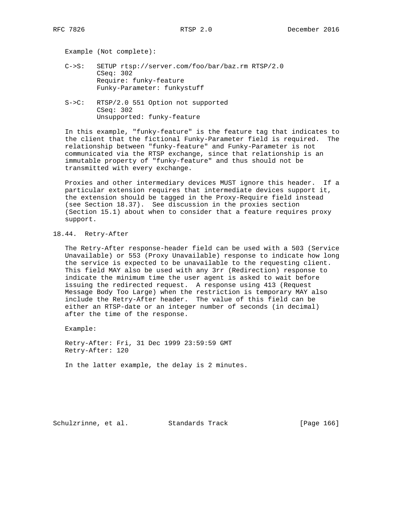Example (Not complete):

- C->S: SETUP rtsp://server.com/foo/bar/baz.rm RTSP/2.0 CSeq: 302 Require: funky-feature Funky-Parameter: funkystuff
- S->C: RTSP/2.0 551 Option not supported CSeq: 302 Unsupported: funky-feature

 In this example, "funky-feature" is the feature tag that indicates to the client that the fictional Funky-Parameter field is required. The relationship between "funky-feature" and Funky-Parameter is not communicated via the RTSP exchange, since that relationship is an immutable property of "funky-feature" and thus should not be transmitted with every exchange.

 Proxies and other intermediary devices MUST ignore this header. If a particular extension requires that intermediate devices support it, the extension should be tagged in the Proxy-Require field instead (see Section 18.37). See discussion in the proxies section (Section 15.1) about when to consider that a feature requires proxy support.

# 18.44. Retry-After

 The Retry-After response-header field can be used with a 503 (Service Unavailable) or 553 (Proxy Unavailable) response to indicate how long the service is expected to be unavailable to the requesting client. This field MAY also be used with any 3rr (Redirection) response to indicate the minimum time the user agent is asked to wait before issuing the redirected request. A response using 413 (Request Message Body Too Large) when the restriction is temporary MAY also include the Retry-After header. The value of this field can be either an RTSP-date or an integer number of seconds (in decimal) after the time of the response.

Example:

 Retry-After: Fri, 31 Dec 1999 23:59:59 GMT Retry-After: 120

In the latter example, the delay is 2 minutes.

Schulzrinne, et al. Standards Track [Page 166]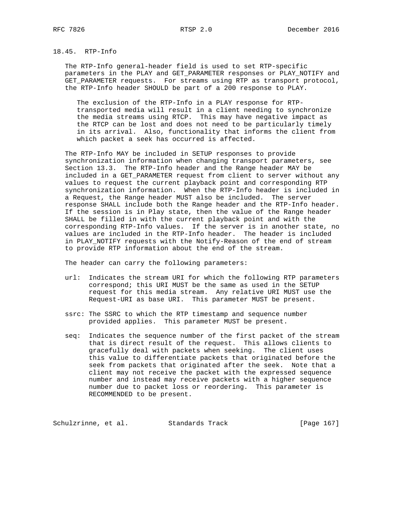# 18.45. RTP-Info

 The RTP-Info general-header field is used to set RTP-specific parameters in the PLAY and GET\_PARAMETER responses or PLAY\_NOTIFY and GET\_PARAMETER requests. For streams using RTP as transport protocol, the RTP-Info header SHOULD be part of a 200 response to PLAY.

 The exclusion of the RTP-Info in a PLAY response for RTP transported media will result in a client needing to synchronize the media streams using RTCP. This may have negative impact as the RTCP can be lost and does not need to be particularly timely in its arrival. Also, functionality that informs the client from which packet a seek has occurred is affected.

 The RTP-Info MAY be included in SETUP responses to provide synchronization information when changing transport parameters, see Section 13.3. The RTP-Info header and the Range header MAY be included in a GET\_PARAMETER request from client to server without any values to request the current playback point and corresponding RTP synchronization information. When the RTP-Info header is included in a Request, the Range header MUST also be included. The server response SHALL include both the Range header and the RTP-Info header. If the session is in Play state, then the value of the Range header SHALL be filled in with the current playback point and with the corresponding RTP-Info values. If the server is in another state, no values are included in the RTP-Info header. The header is included in PLAY\_NOTIFY requests with the Notify-Reason of the end of stream to provide RTP information about the end of the stream.

The header can carry the following parameters:

- url: Indicates the stream URI for which the following RTP parameters correspond; this URI MUST be the same as used in the SETUP request for this media stream. Any relative URI MUST use the Request-URI as base URI. This parameter MUST be present.
- ssrc: The SSRC to which the RTP timestamp and sequence number provided applies. This parameter MUST be present.
- seq: Indicates the sequence number of the first packet of the stream that is direct result of the request. This allows clients to gracefully deal with packets when seeking. The client uses this value to differentiate packets that originated before the seek from packets that originated after the seek. Note that a client may not receive the packet with the expressed sequence number and instead may receive packets with a higher sequence number due to packet loss or reordering. This parameter is RECOMMENDED to be present.

Schulzrinne, et al. Standards Track [Page 167]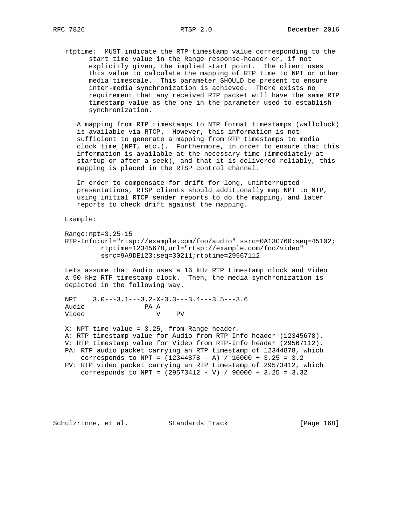rtptime: MUST indicate the RTP timestamp value corresponding to the start time value in the Range response-header or, if not explicitly given, the implied start point. The client uses this value to calculate the mapping of RTP time to NPT or other media timescale. This parameter SHOULD be present to ensure inter-media synchronization is achieved. There exists no requirement that any received RTP packet will have the same RTP timestamp value as the one in the parameter used to establish synchronization.

 A mapping from RTP timestamps to NTP format timestamps (wallclock) is available via RTCP. However, this information is not sufficient to generate a mapping from RTP timestamps to media clock time (NPT, etc.). Furthermore, in order to ensure that this information is available at the necessary time (immediately at startup or after a seek), and that it is delivered reliably, this mapping is placed in the RTSP control channel.

 In order to compensate for drift for long, uninterrupted presentations, RTSP clients should additionally map NPT to NTP, using initial RTCP sender reports to do the mapping, and later reports to check drift against the mapping.

Example:

 Range:npt=3.25-15 RTP-Info:url="rtsp://example.com/foo/audio" ssrc=0A13C760:seq=45102; rtptime=12345678,url="rtsp://example.com/foo/video" ssrc=9A9DE123:seq=30211;rtptime=29567112

 Lets assume that Audio uses a 16 kHz RTP timestamp clock and Video a 90 kHz RTP timestamp clock. Then, the media synchronization is depicted in the following way.

 NPT 3.0---3.1---3.2-X-3.3---3.4---3.5---3.6 Audio PA A<br>Video V Video V PV

 X: NPT time value = 3.25, from Range header. A: RTP timestamp value for Audio from RTP-Info header (12345678). V: RTP timestamp value for Video from RTP-Info header (29567112). PA: RTP audio packet carrying an RTP timestamp of 12344878, which corresponds to NPT = (12344878 - A) / 16000 + 3.25 = 3.2 PV: RTP video packet carrying an RTP timestamp of 29573412, which corresponds to NPT =  $(29573412 - V)$  / 90000 + 3.25 = 3.32

Schulzrinne, et al. Standards Track [Page 168]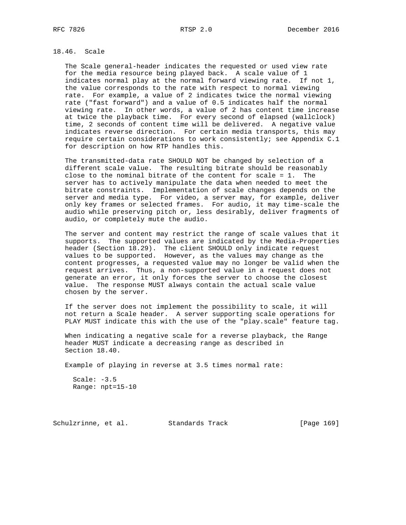# 18.46. Scale

 The Scale general-header indicates the requested or used view rate for the media resource being played back. A scale value of 1 indicates normal play at the normal forward viewing rate. If not 1, the value corresponds to the rate with respect to normal viewing rate. For example, a value of 2 indicates twice the normal viewing rate ("fast forward") and a value of 0.5 indicates half the normal viewing rate. In other words, a value of 2 has content time increase at twice the playback time. For every second of elapsed (wallclock) time, 2 seconds of content time will be delivered. A negative value indicates reverse direction. For certain media transports, this may require certain considerations to work consistently; see Appendix C.1 for description on how RTP handles this.

 The transmitted-data rate SHOULD NOT be changed by selection of a different scale value. The resulting bitrate should be reasonably close to the nominal bitrate of the content for scale = 1. The server has to actively manipulate the data when needed to meet the bitrate constraints. Implementation of scale changes depends on the server and media type. For video, a server may, for example, deliver only key frames or selected frames. For audio, it may time-scale the audio while preserving pitch or, less desirably, deliver fragments of audio, or completely mute the audio.

 The server and content may restrict the range of scale values that it supports. The supported values are indicated by the Media-Properties header (Section 18.29). The client SHOULD only indicate request values to be supported. However, as the values may change as the content progresses, a requested value may no longer be valid when the request arrives. Thus, a non-supported value in a request does not generate an error, it only forces the server to choose the closest value. The response MUST always contain the actual scale value chosen by the server.

 If the server does not implement the possibility to scale, it will not return a Scale header. A server supporting scale operations for PLAY MUST indicate this with the use of the "play.scale" feature tag.

 When indicating a negative scale for a reverse playback, the Range header MUST indicate a decreasing range as described in Section 18.40.

Example of playing in reverse at 3.5 times normal rate:

Scale: -3.5 Range: npt=15-10

Schulzrinne, et al. Standards Track [Page 169]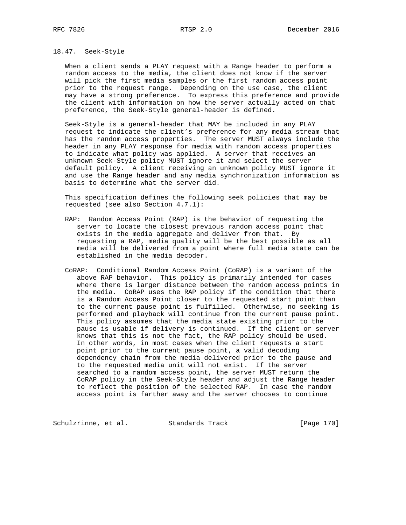### 18.47. Seek-Style

 When a client sends a PLAY request with a Range header to perform a random access to the media, the client does not know if the server will pick the first media samples or the first random access point prior to the request range. Depending on the use case, the client may have a strong preference. To express this preference and provide the client with information on how the server actually acted on that preference, the Seek-Style general-header is defined.

 Seek-Style is a general-header that MAY be included in any PLAY request to indicate the client's preference for any media stream that has the random access properties. The server MUST always include the header in any PLAY response for media with random access properties to indicate what policy was applied. A server that receives an unknown Seek-Style policy MUST ignore it and select the server default policy. A client receiving an unknown policy MUST ignore it and use the Range header and any media synchronization information as basis to determine what the server did.

 This specification defines the following seek policies that may be requested (see also Section 4.7.1):

- RAP: Random Access Point (RAP) is the behavior of requesting the server to locate the closest previous random access point that exists in the media aggregate and deliver from that. By requesting a RAP, media quality will be the best possible as all media will be delivered from a point where full media state can be established in the media decoder.
- CoRAP: Conditional Random Access Point (CoRAP) is a variant of the above RAP behavior. This policy is primarily intended for cases where there is larger distance between the random access points in the media. CoRAP uses the RAP policy if the condition that there is a Random Access Point closer to the requested start point than to the current pause point is fulfilled. Otherwise, no seeking is performed and playback will continue from the current pause point. This policy assumes that the media state existing prior to the pause is usable if delivery is continued. If the client or server knows that this is not the fact, the RAP policy should be used. In other words, in most cases when the client requests a start point prior to the current pause point, a valid decoding dependency chain from the media delivered prior to the pause and to the requested media unit will not exist. If the server searched to a random access point, the server MUST return the CoRAP policy in the Seek-Style header and adjust the Range header to reflect the position of the selected RAP. In case the random access point is farther away and the server chooses to continue

Schulzrinne, et al. Standards Track [Page 170]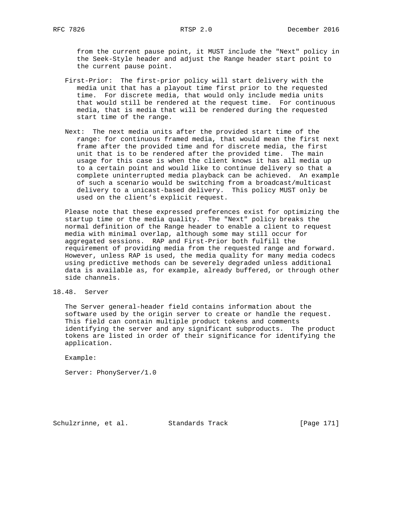from the current pause point, it MUST include the "Next" policy in the Seek-Style header and adjust the Range header start point to the current pause point.

- First-Prior: The first-prior policy will start delivery with the media unit that has a playout time first prior to the requested time. For discrete media, that would only include media units that would still be rendered at the request time. For continuous media, that is media that will be rendered during the requested start time of the range.
- Next: The next media units after the provided start time of the range: for continuous framed media, that would mean the first next frame after the provided time and for discrete media, the first unit that is to be rendered after the provided time. The main usage for this case is when the client knows it has all media up to a certain point and would like to continue delivery so that a complete uninterrupted media playback can be achieved. An example of such a scenario would be switching from a broadcast/multicast delivery to a unicast-based delivery. This policy MUST only be used on the client's explicit request.

 Please note that these expressed preferences exist for optimizing the startup time or the media quality. The "Next" policy breaks the normal definition of the Range header to enable a client to request media with minimal overlap, although some may still occur for aggregated sessions. RAP and First-Prior both fulfill the requirement of providing media from the requested range and forward. However, unless RAP is used, the media quality for many media codecs using predictive methods can be severely degraded unless additional data is available as, for example, already buffered, or through other side channels.

18.48. Server

 The Server general-header field contains information about the software used by the origin server to create or handle the request. This field can contain multiple product tokens and comments identifying the server and any significant subproducts. The product tokens are listed in order of their significance for identifying the application.

Example:

Server: PhonyServer/1.0

Schulzrinne, et al. Standards Track [Page 171]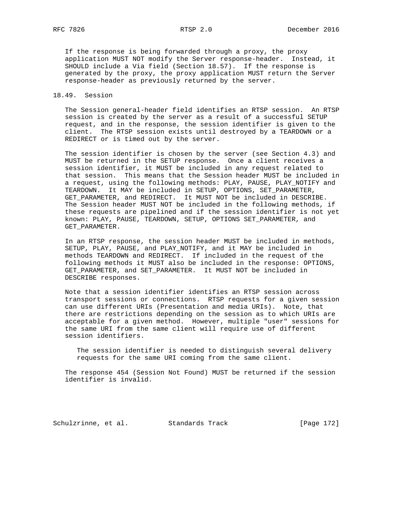If the response is being forwarded through a proxy, the proxy application MUST NOT modify the Server response-header. Instead, it SHOULD include a Via field (Section 18.57). If the response is generated by the proxy, the proxy application MUST return the Server response-header as previously returned by the server.

## 18.49. Session

 The Session general-header field identifies an RTSP session. An RTSP session is created by the server as a result of a successful SETUP request, and in the response, the session identifier is given to the client. The RTSP session exists until destroyed by a TEARDOWN or a REDIRECT or is timed out by the server.

 The session identifier is chosen by the server (see Section 4.3) and MUST be returned in the SETUP response. Once a client receives a session identifier, it MUST be included in any request related to that session. This means that the Session header MUST be included in a request, using the following methods: PLAY, PAUSE, PLAY\_NOTIFY and TEARDOWN. It MAY be included in SETUP, OPTIONS, SET\_PARAMETER, GET\_PARAMETER, and REDIRECT. It MUST NOT be included in DESCRIBE. The Session header MUST NOT be included in the following methods, if these requests are pipelined and if the session identifier is not yet known: PLAY, PAUSE, TEARDOWN, SETUP, OPTIONS SET\_PARAMETER, and GET\_PARAMETER.

 In an RTSP response, the session header MUST be included in methods, SETUP, PLAY, PAUSE, and PLAY\_NOTIFY, and it MAY be included in methods TEARDOWN and REDIRECT. If included in the request of the following methods it MUST also be included in the response: OPTIONS, GET\_PARAMETER, and SET\_PARAMETER. It MUST NOT be included in DESCRIBE responses.

 Note that a session identifier identifies an RTSP session across transport sessions or connections. RTSP requests for a given session can use different URIs (Presentation and media URIs). Note, that there are restrictions depending on the session as to which URIs are acceptable for a given method. However, multiple "user" sessions for the same URI from the same client will require use of different session identifiers.

 The session identifier is needed to distinguish several delivery requests for the same URI coming from the same client.

 The response 454 (Session Not Found) MUST be returned if the session identifier is invalid.

Schulzrinne, et al. Standards Track [Page 172]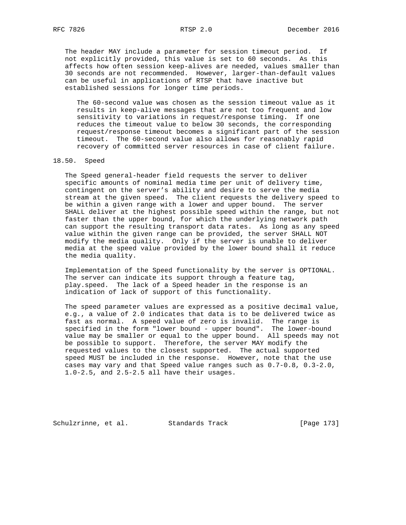The header MAY include a parameter for session timeout period. If not explicitly provided, this value is set to 60 seconds. As this affects how often session keep-alives are needed, values smaller than 30 seconds are not recommended. However, larger-than-default values can be useful in applications of RTSP that have inactive but established sessions for longer time periods.

 The 60-second value was chosen as the session timeout value as it results in keep-alive messages that are not too frequent and low sensitivity to variations in request/response timing. If one reduces the timeout value to below 30 seconds, the corresponding request/response timeout becomes a significant part of the session timeout. The 60-second value also allows for reasonably rapid recovery of committed server resources in case of client failure.

#### 18.50. Speed

 The Speed general-header field requests the server to deliver specific amounts of nominal media time per unit of delivery time, contingent on the server's ability and desire to serve the media stream at the given speed. The client requests the delivery speed to be within a given range with a lower and upper bound. The server SHALL deliver at the highest possible speed within the range, but not faster than the upper bound, for which the underlying network path can support the resulting transport data rates. As long as any speed value within the given range can be provided, the server SHALL NOT modify the media quality. Only if the server is unable to deliver media at the speed value provided by the lower bound shall it reduce the media quality.

 Implementation of the Speed functionality by the server is OPTIONAL. The server can indicate its support through a feature tag, play.speed. The lack of a Speed header in the response is an indication of lack of support of this functionality.

 The speed parameter values are expressed as a positive decimal value, e.g., a value of 2.0 indicates that data is to be delivered twice as fast as normal. A speed value of zero is invalid. The range is specified in the form "lower bound - upper bound". The lower-bound value may be smaller or equal to the upper bound. All speeds may not be possible to support. Therefore, the server MAY modify the requested values to the closest supported. The actual supported speed MUST be included in the response. However, note that the use cases may vary and that Speed value ranges such as 0.7-0.8, 0.3-2.0, 1.0-2.5, and 2.5-2.5 all have their usages.

Schulzrinne, et al. Standards Track [Page 173]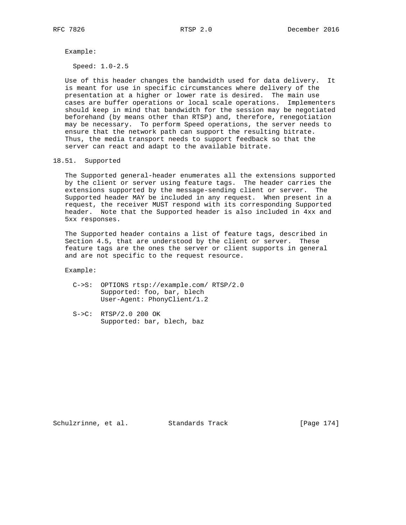Example:

Speed: 1.0-2.5

 Use of this header changes the bandwidth used for data delivery. It is meant for use in specific circumstances where delivery of the presentation at a higher or lower rate is desired. The main use cases are buffer operations or local scale operations. Implementers should keep in mind that bandwidth for the session may be negotiated beforehand (by means other than RTSP) and, therefore, renegotiation may be necessary. To perform Speed operations, the server needs to ensure that the network path can support the resulting bitrate. Thus, the media transport needs to support feedback so that the server can react and adapt to the available bitrate.

18.51. Supported

 The Supported general-header enumerates all the extensions supported by the client or server using feature tags. The header carries the extensions supported by the message-sending client or server. The Supported header MAY be included in any request. When present in a request, the receiver MUST respond with its corresponding Supported header. Note that the Supported header is also included in 4xx and 5xx responses.

 The Supported header contains a list of feature tags, described in Section 4.5, that are understood by the client or server. These feature tags are the ones the server or client supports in general and are not specific to the request resource.

Example:

- C->S: OPTIONS rtsp://example.com/ RTSP/2.0 Supported: foo, bar, blech User-Agent: PhonyClient/1.2
- S->C: RTSP/2.0 200 OK Supported: bar, blech, baz

Schulzrinne, et al. Standards Track [Page 174]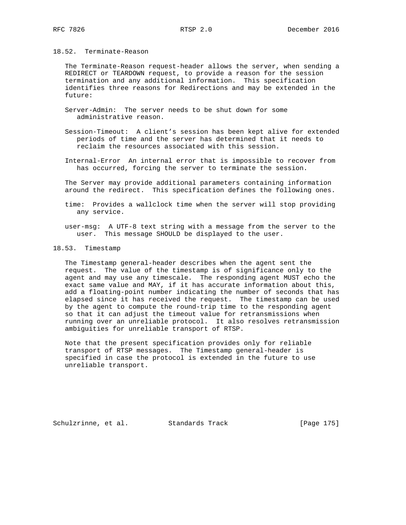## 18.52. Terminate-Reason

 The Terminate-Reason request-header allows the server, when sending a REDIRECT or TEARDOWN request, to provide a reason for the session termination and any additional information. This specification identifies three reasons for Redirections and may be extended in the future:

- Server-Admin: The server needs to be shut down for some administrative reason.
- Session-Timeout: A client's session has been kept alive for extended periods of time and the server has determined that it needs to reclaim the resources associated with this session.
- Internal-Error An internal error that is impossible to recover from has occurred, forcing the server to terminate the session.

 The Server may provide additional parameters containing information around the redirect. This specification defines the following ones.

- time: Provides a wallclock time when the server will stop providing any service.
- user-msg: A UTF-8 text string with a message from the server to the user. This message SHOULD be displayed to the user.

#### 18.53. Timestamp

 The Timestamp general-header describes when the agent sent the request. The value of the timestamp is of significance only to the agent and may use any timescale. The responding agent MUST echo the exact same value and MAY, if it has accurate information about this, add a floating-point number indicating the number of seconds that has elapsed since it has received the request. The timestamp can be used by the agent to compute the round-trip time to the responding agent so that it can adjust the timeout value for retransmissions when running over an unreliable protocol. It also resolves retransmission ambiguities for unreliable transport of RTSP.

 Note that the present specification provides only for reliable transport of RTSP messages. The Timestamp general-header is specified in case the protocol is extended in the future to use unreliable transport.

Schulzrinne, et al. Standards Track [Page 175]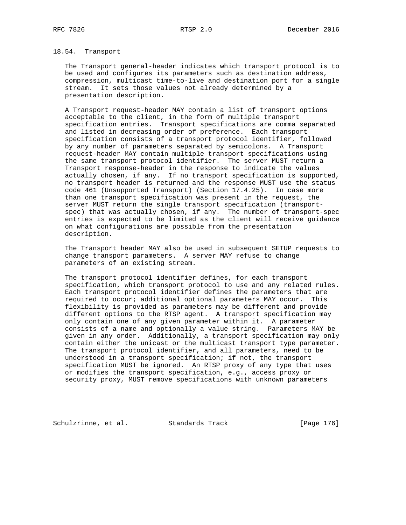# 18.54. Transport

 The Transport general-header indicates which transport protocol is to be used and configures its parameters such as destination address, compression, multicast time-to-live and destination port for a single stream. It sets those values not already determined by a presentation description.

 A Transport request-header MAY contain a list of transport options acceptable to the client, in the form of multiple transport specification entries. Transport specifications are comma separated and listed in decreasing order of preference. Each transport specification consists of a transport protocol identifier, followed by any number of parameters separated by semicolons. A Transport request-header MAY contain multiple transport specifications using the same transport protocol identifier. The server MUST return a Transport response-header in the response to indicate the values actually chosen, if any. If no transport specification is supported, no transport header is returned and the response MUST use the status code 461 (Unsupported Transport) (Section 17.4.25). In case more than one transport specification was present in the request, the server MUST return the single transport specification (transport spec) that was actually chosen, if any. The number of transport-spec entries is expected to be limited as the client will receive guidance on what configurations are possible from the presentation description.

 The Transport header MAY also be used in subsequent SETUP requests to change transport parameters. A server MAY refuse to change parameters of an existing stream.

 The transport protocol identifier defines, for each transport specification, which transport protocol to use and any related rules. Each transport protocol identifier defines the parameters that are required to occur; additional optional parameters MAY occur. This flexibility is provided as parameters may be different and provide different options to the RTSP agent. A transport specification may only contain one of any given parameter within it. A parameter consists of a name and optionally a value string. Parameters MAY be given in any order. Additionally, a transport specification may only contain either the unicast or the multicast transport type parameter. The transport protocol identifier, and all parameters, need to be understood in a transport specification; if not, the transport specification MUST be ignored. An RTSP proxy of any type that uses or modifies the transport specification, e.g., access proxy or security proxy, MUST remove specifications with unknown parameters

Schulzrinne, et al. Standards Track [Page 176]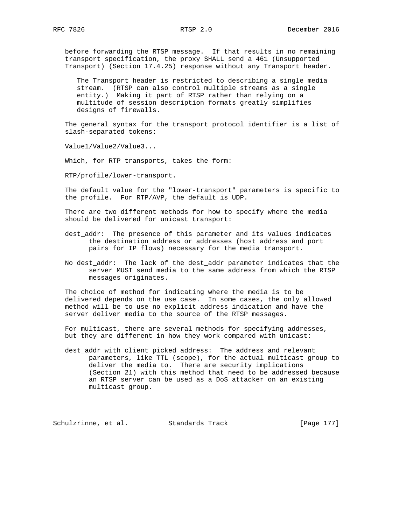before forwarding the RTSP message. If that results in no remaining transport specification, the proxy SHALL send a 461 (Unsupported Transport) (Section 17.4.25) response without any Transport header.

 The Transport header is restricted to describing a single media stream. (RTSP can also control multiple streams as a single entity.) Making it part of RTSP rather than relying on a multitude of session description formats greatly simplifies designs of firewalls.

 The general syntax for the transport protocol identifier is a list of slash-separated tokens:

Value1/Value2/Value3...

Which, for RTP transports, takes the form:

RTP/profile/lower-transport.

 The default value for the "lower-transport" parameters is specific to the profile. For RTP/AVP, the default is UDP.

 There are two different methods for how to specify where the media should be delivered for unicast transport:

- dest\_addr: The presence of this parameter and its values indicates the destination address or addresses (host address and port pairs for IP flows) necessary for the media transport.
- No dest\_addr: The lack of the dest\_addr parameter indicates that the server MUST send media to the same address from which the RTSP messages originates.

 The choice of method for indicating where the media is to be delivered depends on the use case. In some cases, the only allowed method will be to use no explicit address indication and have the server deliver media to the source of the RTSP messages.

 For multicast, there are several methods for specifying addresses, but they are different in how they work compared with unicast:

 dest\_addr with client picked address: The address and relevant parameters, like TTL (scope), for the actual multicast group to deliver the media to. There are security implications (Section 21) with this method that need to be addressed because an RTSP server can be used as a DoS attacker on an existing multicast group.

Schulzrinne, et al. Standards Track [Page 177]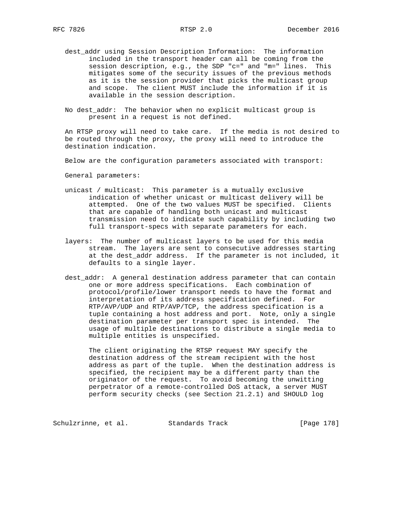- dest\_addr using Session Description Information: The information included in the transport header can all be coming from the session description, e.g., the SDP "c=" and "m=" lines. This mitigates some of the security issues of the previous methods as it is the session provider that picks the multicast group and scope. The client MUST include the information if it is available in the session description.
- No dest\_addr: The behavior when no explicit multicast group is present in a request is not defined.

 An RTSP proxy will need to take care. If the media is not desired to be routed through the proxy, the proxy will need to introduce the destination indication.

Below are the configuration parameters associated with transport:

General parameters:

- unicast / multicast: This parameter is a mutually exclusive indication of whether unicast or multicast delivery will be attempted. One of the two values MUST be specified. Clients that are capable of handling both unicast and multicast transmission need to indicate such capability by including two full transport-specs with separate parameters for each.
- layers: The number of multicast layers to be used for this media stream. The layers are sent to consecutive addresses starting at the dest\_addr address. If the parameter is not included, it defaults to a single layer.
- dest\_addr: A general destination address parameter that can contain one or more address specifications. Each combination of protocol/profile/lower transport needs to have the format and interpretation of its address specification defined. For RTP/AVP/UDP and RTP/AVP/TCP, the address specification is a tuple containing a host address and port. Note, only a single destination parameter per transport spec is intended. The usage of multiple destinations to distribute a single media to multiple entities is unspecified.

 The client originating the RTSP request MAY specify the destination address of the stream recipient with the host address as part of the tuple. When the destination address is specified, the recipient may be a different party than the originator of the request. To avoid becoming the unwitting perpetrator of a remote-controlled DoS attack, a server MUST perform security checks (see Section 21.2.1) and SHOULD log

Schulzrinne, et al. Standards Track [Page 178]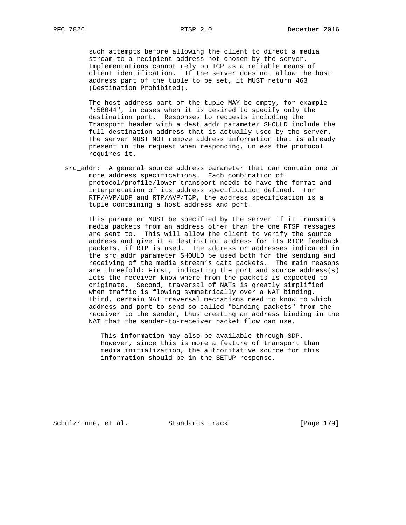such attempts before allowing the client to direct a media stream to a recipient address not chosen by the server. Implementations cannot rely on TCP as a reliable means of client identification. If the server does not allow the host address part of the tuple to be set, it MUST return 463 (Destination Prohibited).

 The host address part of the tuple MAY be empty, for example ":58044", in cases when it is desired to specify only the destination port. Responses to requests including the Transport header with a dest\_addr parameter SHOULD include the full destination address that is actually used by the server. The server MUST NOT remove address information that is already present in the request when responding, unless the protocol requires it.

 src\_addr: A general source address parameter that can contain one or more address specifications. Each combination of protocol/profile/lower transport needs to have the format and interpretation of its address specification defined. For RTP/AVP/UDP and RTP/AVP/TCP, the address specification is a tuple containing a host address and port.

 This parameter MUST be specified by the server if it transmits media packets from an address other than the one RTSP messages are sent to. This will allow the client to verify the source address and give it a destination address for its RTCP feedback packets, if RTP is used. The address or addresses indicated in the src\_addr parameter SHOULD be used both for the sending and receiving of the media stream's data packets. The main reasons are threefold: First, indicating the port and source address(s) lets the receiver know where from the packets is expected to originate. Second, traversal of NATs is greatly simplified when traffic is flowing symmetrically over a NAT binding. Third, certain NAT traversal mechanisms need to know to which address and port to send so-called "binding packets" from the receiver to the sender, thus creating an address binding in the NAT that the sender-to-receiver packet flow can use.

 This information may also be available through SDP. However, since this is more a feature of transport than media initialization, the authoritative source for this information should be in the SETUP response.

Schulzrinne, et al. Standards Track [Page 179]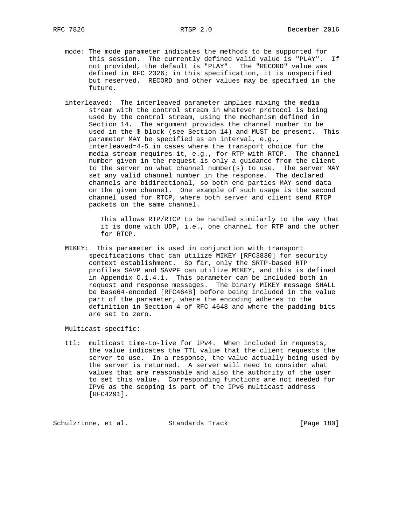- - mode: The mode parameter indicates the methods to be supported for this session. The currently defined valid value is "PLAY". If not provided, the default is "PLAY". The "RECORD" value was defined in RFC 2326; in this specification, it is unspecified but reserved. RECORD and other values may be specified in the future.
	- interleaved: The interleaved parameter implies mixing the media stream with the control stream in whatever protocol is being used by the control stream, using the mechanism defined in Section 14. The argument provides the channel number to be used in the \$ block (see Section 14) and MUST be present. This parameter MAY be specified as an interval, e.g., interleaved=4-5 in cases where the transport choice for the media stream requires it, e.g., for RTP with RTCP. The channel number given in the request is only a guidance from the client to the server on what channel number(s) to use. The server MAY set any valid channel number in the response. The declared channels are bidirectional, so both end parties MAY send data on the given channel. One example of such usage is the second channel used for RTCP, where both server and client send RTCP packets on the same channel.

 This allows RTP/RTCP to be handled similarly to the way that it is done with UDP, i.e., one channel for RTP and the other for RTCP.

 MIKEY: This parameter is used in conjunction with transport specifications that can utilize MIKEY [RFC3830] for security context establishment. So far, only the SRTP-based RTP profiles SAVP and SAVPF can utilize MIKEY, and this is defined in Appendix C.1.4.1. This parameter can be included both in request and response messages. The binary MIKEY message SHALL be Base64-encoded [RFC4648] before being included in the value part of the parameter, where the encoding adheres to the definition in Section 4 of RFC 4648 and where the padding bits are set to zero.

Multicast-specific:

 ttl: multicast time-to-live for IPv4. When included in requests, the value indicates the TTL value that the client requests the server to use. In a response, the value actually being used by the server is returned. A server will need to consider what values that are reasonable and also the authority of the user to set this value. Corresponding functions are not needed for IPv6 as the scoping is part of the IPv6 multicast address [RFC4291].

Schulzrinne, et al. Standards Track [Page 180]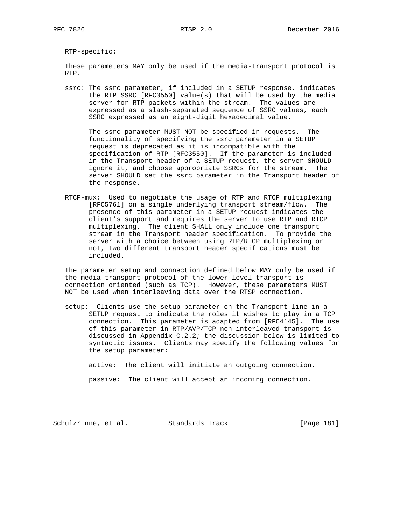RTP-specific:

 These parameters MAY only be used if the media-transport protocol is RTP.

 ssrc: The ssrc parameter, if included in a SETUP response, indicates the RTP SSRC [RFC3550] value(s) that will be used by the media server for RTP packets within the stream. The values are expressed as a slash-separated sequence of SSRC values, each SSRC expressed as an eight-digit hexadecimal value.

 The ssrc parameter MUST NOT be specified in requests. The functionality of specifying the ssrc parameter in a SETUP request is deprecated as it is incompatible with the specification of RTP [RFC3550]. If the parameter is included in the Transport header of a SETUP request, the server SHOULD ignore it, and choose appropriate SSRCs for the stream. The server SHOULD set the ssrc parameter in the Transport header of the response.

 RTCP-mux: Used to negotiate the usage of RTP and RTCP multiplexing [RFC5761] on a single underlying transport stream/flow. The presence of this parameter in a SETUP request indicates the client's support and requires the server to use RTP and RTCP multiplexing. The client SHALL only include one transport stream in the Transport header specification. To provide the server with a choice between using RTP/RTCP multiplexing or not, two different transport header specifications must be included.

 The parameter setup and connection defined below MAY only be used if the media-transport protocol of the lower-level transport is connection oriented (such as TCP). However, these parameters MUST NOT be used when interleaving data over the RTSP connection.

 setup: Clients use the setup parameter on the Transport line in a SETUP request to indicate the roles it wishes to play in a TCP connection. This parameter is adapted from [RFC4145]. The use of this parameter in RTP/AVP/TCP non-interleaved transport is discussed in Appendix C.2.2; the discussion below is limited to syntactic issues. Clients may specify the following values for the setup parameter:

active: The client will initiate an outgoing connection.

passive: The client will accept an incoming connection.

Schulzrinne, et al. Standards Track [Page 181]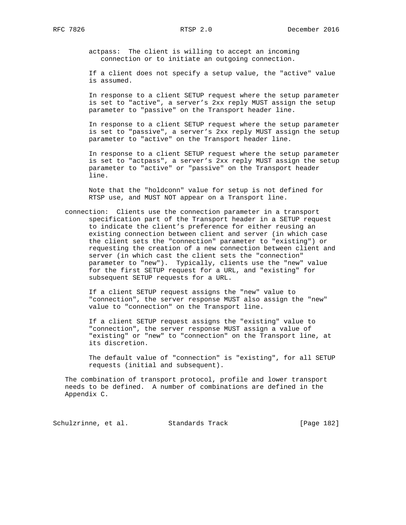actpass: The client is willing to accept an incoming connection or to initiate an outgoing connection.

 If a client does not specify a setup value, the "active" value is assumed.

 In response to a client SETUP request where the setup parameter is set to "active", a server's 2xx reply MUST assign the setup parameter to "passive" on the Transport header line.

 In response to a client SETUP request where the setup parameter is set to "passive", a server's 2xx reply MUST assign the setup parameter to "active" on the Transport header line.

 In response to a client SETUP request where the setup parameter is set to "actpass", a server's 2xx reply MUST assign the setup parameter to "active" or "passive" on the Transport header line.

 Note that the "holdconn" value for setup is not defined for RTSP use, and MUST NOT appear on a Transport line.

 connection: Clients use the connection parameter in a transport specification part of the Transport header in a SETUP request to indicate the client's preference for either reusing an existing connection between client and server (in which case the client sets the "connection" parameter to "existing") or requesting the creation of a new connection between client and server (in which cast the client sets the "connection" parameter to "new"). Typically, clients use the "new" value for the first SETUP request for a URL, and "existing" for subsequent SETUP requests for a URL.

 If a client SETUP request assigns the "new" value to "connection", the server response MUST also assign the "new" value to "connection" on the Transport line.

 If a client SETUP request assigns the "existing" value to "connection", the server response MUST assign a value of "existing" or "new" to "connection" on the Transport line, at its discretion.

 The default value of "connection" is "existing", for all SETUP requests (initial and subsequent).

 The combination of transport protocol, profile and lower transport needs to be defined. A number of combinations are defined in the Appendix C.

Schulzrinne, et al. Standards Track [Page 182]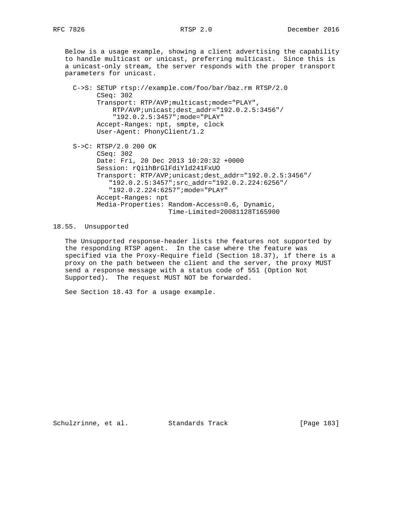Below is a usage example, showing a client advertising the capability to handle multicast or unicast, preferring multicast. Since this is a unicast-only stream, the server responds with the proper transport parameters for unicast.

 C->S: SETUP rtsp://example.com/foo/bar/baz.rm RTSP/2.0 CSeq: 302 Transport: RTP/AVP;multicast;mode="PLAY", RTP/AVP;unicast;dest\_addr="192.0.2.5:3456"/ "192.0.2.5:3457";mode="PLAY" Accept-Ranges: npt, smpte, clock User-Agent: PhonyClient/1.2 S->C: RTSP/2.0 200 OK CSeq: 302 Date: Fri, 20 Dec 2013 10:20:32 +0000 Session: rQi1hBrGlFdiYld241FxUO Transport: RTP/AVP;unicast;dest\_addr="192.0.2.5:3456"/ "192.0.2.5:3457";src\_addr="192.0.2.224:6256"/ "192.0.2.224:6257";mode="PLAY" Accept-Ranges: npt Media-Properties: Random-Access=0.6, Dynamic, Time-Limited=20081128T165900

18.55. Unsupported

 The Unsupported response-header lists the features not supported by the responding RTSP agent. In the case where the feature was specified via the Proxy-Require field (Section 18.37), if there is a proxy on the path between the client and the server, the proxy MUST send a response message with a status code of 551 (Option Not Supported). The request MUST NOT be forwarded.

See Section 18.43 for a usage example.

Schulzrinne, et al. Standards Track [Page 183]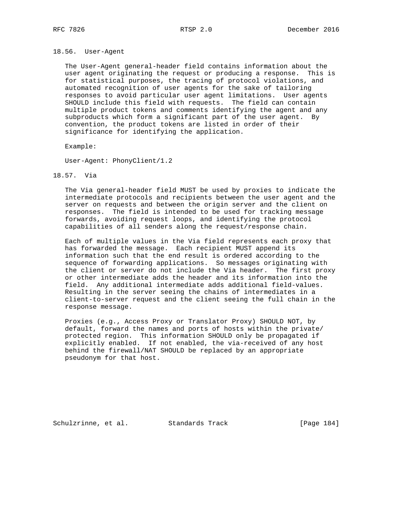## 18.56. User-Agent

 The User-Agent general-header field contains information about the user agent originating the request or producing a response. This is for statistical purposes, the tracing of protocol violations, and automated recognition of user agents for the sake of tailoring responses to avoid particular user agent limitations. User agents SHOULD include this field with requests. The field can contain multiple product tokens and comments identifying the agent and any subproducts which form a significant part of the user agent. By convention, the product tokens are listed in order of their significance for identifying the application.

Example:

User-Agent: PhonyClient/1.2

## 18.57. Via

 The Via general-header field MUST be used by proxies to indicate the intermediate protocols and recipients between the user agent and the server on requests and between the origin server and the client on responses. The field is intended to be used for tracking message forwards, avoiding request loops, and identifying the protocol capabilities of all senders along the request/response chain.

 Each of multiple values in the Via field represents each proxy that has forwarded the message. Each recipient MUST append its information such that the end result is ordered according to the sequence of forwarding applications. So messages originating with the client or server do not include the Via header. The first proxy or other intermediate adds the header and its information into the field. Any additional intermediate adds additional field-values. Resulting in the server seeing the chains of intermediates in a client-to-server request and the client seeing the full chain in the response message.

 Proxies (e.g., Access Proxy or Translator Proxy) SHOULD NOT, by default, forward the names and ports of hosts within the private/ protected region. This information SHOULD only be propagated if explicitly enabled. If not enabled, the via-received of any host behind the firewall/NAT SHOULD be replaced by an appropriate pseudonym for that host.

Schulzrinne, et al. Standards Track [Page 184]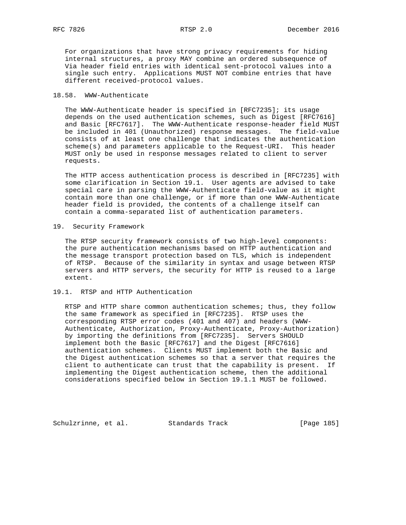For organizations that have strong privacy requirements for hiding internal structures, a proxy MAY combine an ordered subsequence of Via header field entries with identical sent-protocol values into a single such entry. Applications MUST NOT combine entries that have different received-protocol values.

## 18.58. WWW-Authenticate

 The WWW-Authenticate header is specified in [RFC7235]; its usage depends on the used authentication schemes, such as Digest [RFC7616] and Basic [RFC7617]. The WWW-Authenticate response-header field MUST be included in 401 (Unauthorized) response messages. The field-value consists of at least one challenge that indicates the authentication scheme(s) and parameters applicable to the Request-URI. This header MUST only be used in response messages related to client to server requests.

 The HTTP access authentication process is described in [RFC7235] with some clarification in Section 19.1. User agents are advised to take special care in parsing the WWW-Authenticate field-value as it might contain more than one challenge, or if more than one WWW-Authenticate header field is provided, the contents of a challenge itself can contain a comma-separated list of authentication parameters.

19. Security Framework

 The RTSP security framework consists of two high-level components: the pure authentication mechanisms based on HTTP authentication and the message transport protection based on TLS, which is independent of RTSP. Because of the similarity in syntax and usage between RTSP servers and HTTP servers, the security for HTTP is reused to a large extent.

## 19.1. RTSP and HTTP Authentication

 RTSP and HTTP share common authentication schemes; thus, they follow the same framework as specified in [RFC7235]. RTSP uses the corresponding RTSP error codes (401 and 407) and headers (WWW- Authenticate, Authorization, Proxy-Authenticate, Proxy-Authorization) by importing the definitions from [RFC7235]. Servers SHOULD implement both the Basic [RFC7617] and the Digest [RFC7616] authentication schemes. Clients MUST implement both the Basic and the Digest authentication schemes so that a server that requires the client to authenticate can trust that the capability is present. If implementing the Digest authentication scheme, then the additional considerations specified below in Section 19.1.1 MUST be followed.

Schulzrinne, et al. Standards Track [Page 185]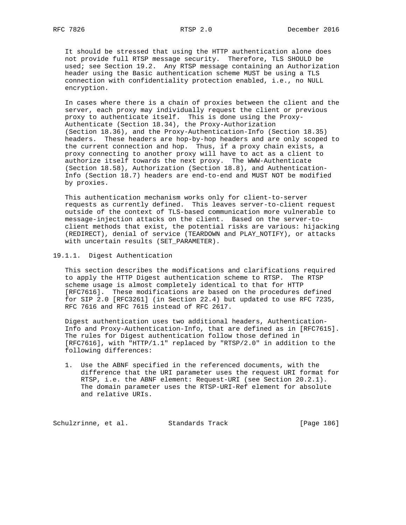It should be stressed that using the HTTP authentication alone does not provide full RTSP message security. Therefore, TLS SHOULD be used; see Section 19.2. Any RTSP message containing an Authorization header using the Basic authentication scheme MUST be using a TLS connection with confidentiality protection enabled, i.e., no NULL encryption.

 In cases where there is a chain of proxies between the client and the server, each proxy may individually request the client or previous proxy to authenticate itself. This is done using the Proxy- Authenticate (Section 18.34), the Proxy-Authorization (Section 18.36), and the Proxy-Authentication-Info (Section 18.35) headers. These headers are hop-by-hop headers and are only scoped to the current connection and hop. Thus, if a proxy chain exists, a proxy connecting to another proxy will have to act as a client to authorize itself towards the next proxy. The WWW-Authenticate (Section 18.58), Authorization (Section 18.8), and Authentication- Info (Section 18.7) headers are end-to-end and MUST NOT be modified by proxies.

 This authentication mechanism works only for client-to-server requests as currently defined. This leaves server-to-client request outside of the context of TLS-based communication more vulnerable to message-injection attacks on the client. Based on the server-to client methods that exist, the potential risks are various: hijacking (REDIRECT), denial of service (TEARDOWN and PLAY\_NOTIFY), or attacks with uncertain results (SET\_PARAMETER).

19.1.1. Digest Authentication

 This section describes the modifications and clarifications required to apply the HTTP Digest authentication scheme to RTSP. The RTSP scheme usage is almost completely identical to that for HTTP [RFC7616]. These modifications are based on the procedures defined for SIP 2.0 [RFC3261] (in Section 22.4) but updated to use RFC 7235, RFC 7616 and RFC 7615 instead of RFC 2617.

 Digest authentication uses two additional headers, Authentication- Info and Proxy-Authentication-Info, that are defined as in [RFC7615]. The rules for Digest authentication follow those defined in [RFC7616], with "HTTP/1.1" replaced by "RTSP/2.0" in addition to the following differences:

 1. Use the ABNF specified in the referenced documents, with the difference that the URI parameter uses the request URI format for RTSP, i.e. the ABNF element: Request-URI (see Section 20.2.1). The domain parameter uses the RTSP-URI-Ref element for absolute and relative URIs.

Schulzrinne, et al. Standards Track [Page 186]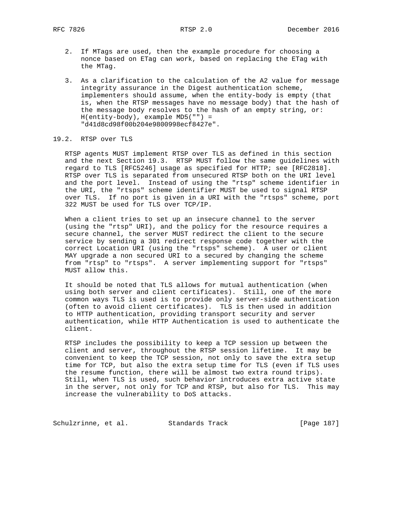- 2. If MTags are used, then the example procedure for choosing a nonce based on ETag can work, based on replacing the ETag with the MTag.
- 3. As a clarification to the calculation of the A2 value for message integrity assurance in the Digest authentication scheme, implementers should assume, when the entity-body is empty (that is, when the RTSP messages have no message body) that the hash of the message body resolves to the hash of an empty string, or: H(entity-body), example MD5("") = "d41d8cd98f00b204e9800998ecf8427e".

# 19.2. RTSP over TLS

 RTSP agents MUST implement RTSP over TLS as defined in this section and the next Section 19.3. RTSP MUST follow the same guidelines with regard to TLS [RFC5246] usage as specified for HTTP; see [RFC2818]. RTSP over TLS is separated from unsecured RTSP both on the URI level and the port level. Instead of using the "rtsp" scheme identifier in the URI, the "rtsps" scheme identifier MUST be used to signal RTSP over TLS. If no port is given in a URI with the "rtsps" scheme, port 322 MUST be used for TLS over TCP/IP.

 When a client tries to set up an insecure channel to the server (using the "rtsp" URI), and the policy for the resource requires a secure channel, the server MUST redirect the client to the secure service by sending a 301 redirect response code together with the correct Location URI (using the "rtsps" scheme). A user or client MAY upgrade a non secured URI to a secured by changing the scheme from "rtsp" to "rtsps". A server implementing support for "rtsps" MUST allow this.

 It should be noted that TLS allows for mutual authentication (when using both server and client certificates). Still, one of the more common ways TLS is used is to provide only server-side authentication (often to avoid client certificates). TLS is then used in addition to HTTP authentication, providing transport security and server authentication, while HTTP Authentication is used to authenticate the client.

 RTSP includes the possibility to keep a TCP session up between the client and server, throughout the RTSP session lifetime. It may be convenient to keep the TCP session, not only to save the extra setup time for TCP, but also the extra setup time for TLS (even if TLS uses the resume function, there will be almost two extra round trips). Still, when TLS is used, such behavior introduces extra active state in the server, not only for TCP and RTSP, but also for TLS. This may increase the vulnerability to DoS attacks.

Schulzrinne, et al. Standards Track [Page 187]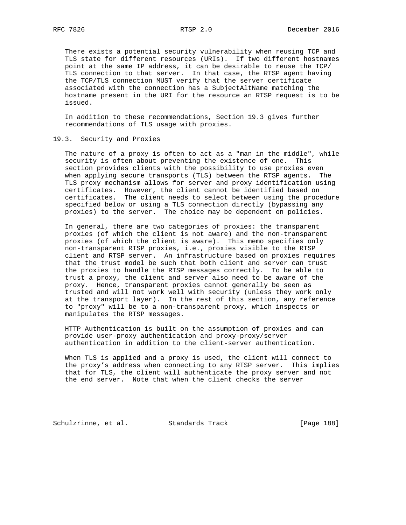There exists a potential security vulnerability when reusing TCP and TLS state for different resources (URIs). If two different hostnames point at the same IP address, it can be desirable to reuse the TCP/ TLS connection to that server. In that case, the RTSP agent having the TCP/TLS connection MUST verify that the server certificate associated with the connection has a SubjectAltName matching the hostname present in the URI for the resource an RTSP request is to be issued.

 In addition to these recommendations, Section 19.3 gives further recommendations of TLS usage with proxies.

## 19.3. Security and Proxies

 The nature of a proxy is often to act as a "man in the middle", while security is often about preventing the existence of one. This section provides clients with the possibility to use proxies even when applying secure transports (TLS) between the RTSP agents. The TLS proxy mechanism allows for server and proxy identification using certificates. However, the client cannot be identified based on certificates. The client needs to select between using the procedure specified below or using a TLS connection directly (bypassing any proxies) to the server. The choice may be dependent on policies.

 In general, there are two categories of proxies: the transparent proxies (of which the client is not aware) and the non-transparent proxies (of which the client is aware). This memo specifies only non-transparent RTSP proxies, i.e., proxies visible to the RTSP client and RTSP server. An infrastructure based on proxies requires that the trust model be such that both client and server can trust the proxies to handle the RTSP messages correctly. To be able to trust a proxy, the client and server also need to be aware of the proxy. Hence, transparent proxies cannot generally be seen as trusted and will not work well with security (unless they work only at the transport layer). In the rest of this section, any reference to "proxy" will be to a non-transparent proxy, which inspects or manipulates the RTSP messages.

 HTTP Authentication is built on the assumption of proxies and can provide user-proxy authentication and proxy-proxy/server authentication in addition to the client-server authentication.

 When TLS is applied and a proxy is used, the client will connect to the proxy's address when connecting to any RTSP server. This implies that for TLS, the client will authenticate the proxy server and not the end server. Note that when the client checks the server

Schulzrinne, et al. Standards Track [Page 188]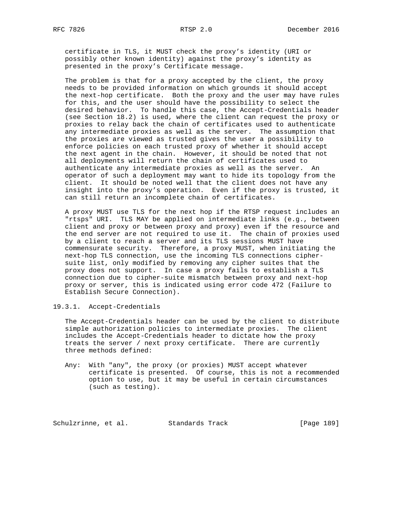certificate in TLS, it MUST check the proxy's identity (URI or possibly other known identity) against the proxy's identity as presented in the proxy's Certificate message.

 The problem is that for a proxy accepted by the client, the proxy needs to be provided information on which grounds it should accept the next-hop certificate. Both the proxy and the user may have rules for this, and the user should have the possibility to select the desired behavior. To handle this case, the Accept-Credentials header (see Section 18.2) is used, where the client can request the proxy or proxies to relay back the chain of certificates used to authenticate any intermediate proxies as well as the server. The assumption that the proxies are viewed as trusted gives the user a possibility to enforce policies on each trusted proxy of whether it should accept the next agent in the chain. However, it should be noted that not all deployments will return the chain of certificates used to authenticate any intermediate proxies as well as the server. An operator of such a deployment may want to hide its topology from the client. It should be noted well that the client does not have any insight into the proxy's operation. Even if the proxy is trusted, it can still return an incomplete chain of certificates.

 A proxy MUST use TLS for the next hop if the RTSP request includes an "rtsps" URI. TLS MAY be applied on intermediate links (e.g., between client and proxy or between proxy and proxy) even if the resource and the end server are not required to use it. The chain of proxies used by a client to reach a server and its TLS sessions MUST have commensurate security. Therefore, a proxy MUST, when initiating the next-hop TLS connection, use the incoming TLS connections cipher suite list, only modified by removing any cipher suites that the proxy does not support. In case a proxy fails to establish a TLS connection due to cipher-suite mismatch between proxy and next-hop proxy or server, this is indicated using error code 472 (Failure to Establish Secure Connection).

19.3.1. Accept-Credentials

 The Accept-Credentials header can be used by the client to distribute simple authorization policies to intermediate proxies. The client includes the Accept-Credentials header to dictate how the proxy treats the server / next proxy certificate. There are currently three methods defined:

 Any: With "any", the proxy (or proxies) MUST accept whatever certificate is presented. Of course, this is not a recommended option to use, but it may be useful in certain circumstances (such as testing).

Schulzrinne, et al. Standards Track [Page 189]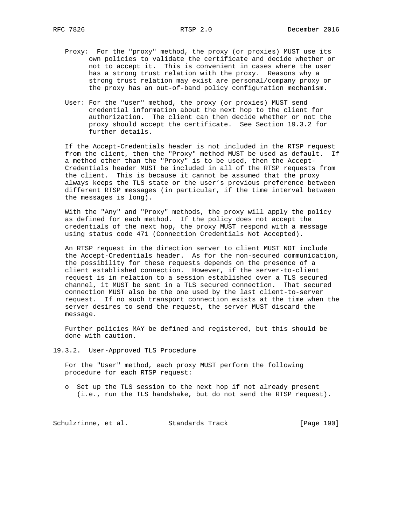- Proxy: For the "proxy" method, the proxy (or proxies) MUST use its own policies to validate the certificate and decide whether or not to accept it. This is convenient in cases where the user has a strong trust relation with the proxy. Reasons why a strong trust relation may exist are personal/company proxy or the proxy has an out-of-band policy configuration mechanism.
	- User: For the "user" method, the proxy (or proxies) MUST send credential information about the next hop to the client for authorization. The client can then decide whether or not the proxy should accept the certificate. See Section 19.3.2 for further details.

 If the Accept-Credentials header is not included in the RTSP request from the client, then the "Proxy" method MUST be used as default. If a method other than the "Proxy" is to be used, then the Accept- Credentials header MUST be included in all of the RTSP requests from the client. This is because it cannot be assumed that the proxy always keeps the TLS state or the user's previous preference between different RTSP messages (in particular, if the time interval between the messages is long).

 With the "Any" and "Proxy" methods, the proxy will apply the policy as defined for each method. If the policy does not accept the credentials of the next hop, the proxy MUST respond with a message using status code 471 (Connection Credentials Not Accepted).

 An RTSP request in the direction server to client MUST NOT include the Accept-Credentials header. As for the non-secured communication, the possibility for these requests depends on the presence of a client established connection. However, if the server-to-client request is in relation to a session established over a TLS secured channel, it MUST be sent in a TLS secured connection. That secured connection MUST also be the one used by the last client-to-server request. If no such transport connection exists at the time when the server desires to send the request, the server MUST discard the message.

 Further policies MAY be defined and registered, but this should be done with caution.

19.3.2. User-Approved TLS Procedure

 For the "User" method, each proxy MUST perform the following procedure for each RTSP request:

 o Set up the TLS session to the next hop if not already present (i.e., run the TLS handshake, but do not send the RTSP request).

Schulzrinne, et al. Standards Track [Page 190]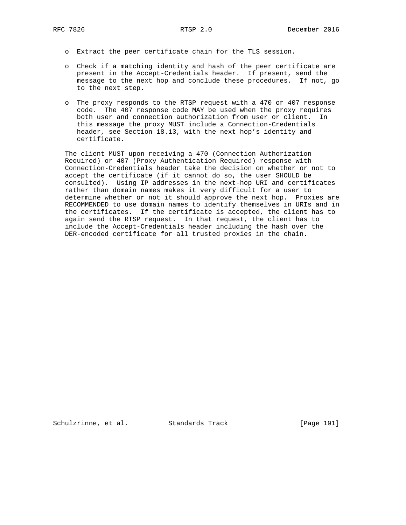- o Extract the peer certificate chain for the TLS session.
- o Check if a matching identity and hash of the peer certificate are present in the Accept-Credentials header. If present, send the message to the next hop and conclude these procedures. If not, go to the next step.
- o The proxy responds to the RTSP request with a 470 or 407 response code. The 407 response code MAY be used when the proxy requires both user and connection authorization from user or client. In this message the proxy MUST include a Connection-Credentials header, see Section 18.13, with the next hop's identity and certificate.

 The client MUST upon receiving a 470 (Connection Authorization Required) or 407 (Proxy Authentication Required) response with Connection-Credentials header take the decision on whether or not to accept the certificate (if it cannot do so, the user SHOULD be consulted). Using IP addresses in the next-hop URI and certificates rather than domain names makes it very difficult for a user to determine whether or not it should approve the next hop. Proxies are RECOMMENDED to use domain names to identify themselves in URIs and in the certificates. If the certificate is accepted, the client has to again send the RTSP request. In that request, the client has to include the Accept-Credentials header including the hash over the DER-encoded certificate for all trusted proxies in the chain.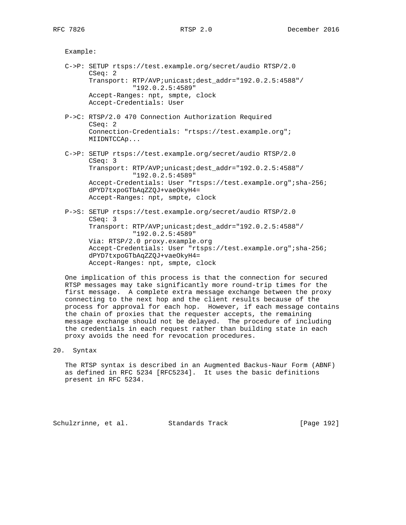Example:

- C->P: SETUP rtsps://test.example.org/secret/audio RTSP/2.0 CSeq: 2 Transport: RTP/AVP;unicast;dest\_addr="192.0.2.5:4588"/ "192.0.2.5:4589" Accept-Ranges: npt, smpte, clock Accept-Credentials: User
- P->C: RTSP/2.0 470 Connection Authorization Required CSeq: 2 Connection-Credentials: "rtsps://test.example.org"; MIIDNTCCAp...
- C->P: SETUP rtsps://test.example.org/secret/audio RTSP/2.0 CSeq: 3 Transport: RTP/AVP;unicast;dest\_addr="192.0.2.5:4588"/ "192.0.2.5:4589" Accept-Credentials: User "rtsps://test.example.org";sha-256; dPYD7txpoGTbAqZZQJ+vaeOkyH4= Accept-Ranges: npt, smpte, clock
- P->S: SETUP rtsps://test.example.org/secret/audio RTSP/2.0 CSeq: 3 Transport: RTP/AVP;unicast;dest\_addr="192.0.2.5:4588"/ "192.0.2.5:4589" Via: RTSP/2.0 proxy.example.org Accept-Credentials: User "rtsps://test.example.org";sha-256; dPYD7txpoGTbAqZZQJ+vaeOkyH4= Accept-Ranges: npt, smpte, clock

 One implication of this process is that the connection for secured RTSP messages may take significantly more round-trip times for the first message. A complete extra message exchange between the proxy connecting to the next hop and the client results because of the process for approval for each hop. However, if each message contains the chain of proxies that the requester accepts, the remaining message exchange should not be delayed. The procedure of including the credentials in each request rather than building state in each proxy avoids the need for revocation procedures.

20. Syntax

 The RTSP syntax is described in an Augmented Backus-Naur Form (ABNF) as defined in RFC 5234 [RFC5234]. It uses the basic definitions present in RFC 5234.

Schulzrinne, et al. Standards Track [Page 192]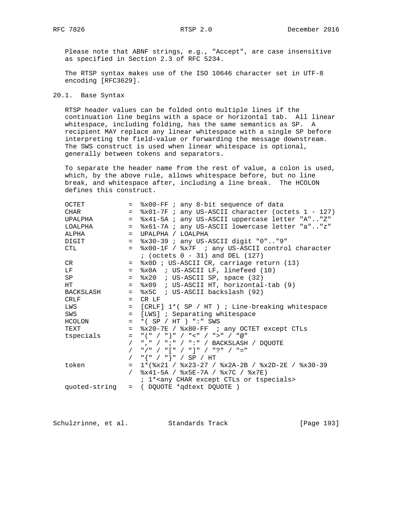Please note that ABNF strings, e.g., "Accept", are case insensitive as specified in Section 2.3 of RFC 5234.

 The RTSP syntax makes use of the ISO 10646 character set in UTF-8 encoding [RFC3629].

# 20.1. Base Syntax

 RTSP header values can be folded onto multiple lines if the continuation line begins with a space or horizontal tab. All linear whitespace, including folding, has the same semantics as SP. A recipient MAY replace any linear whitespace with a single SP before interpreting the field-value or forwarding the message downstream. The SWS construct is used when linear whitespace is optional, generally between tokens and separators.

 To separate the header name from the rest of value, a colon is used, which, by the above rule, allows whitespace before, but no line break, and whitespace after, including a line break. The HCOLON defines this construct.

| OCTET         |         | = %x00-FF; any 8-bit sequence of data                         |
|---------------|---------|---------------------------------------------------------------|
| CHAR          |         | $=$ $x01-7F$ ; any US-ASCII character (octets 1 - 127)        |
| UPALPHA       | $=$ $-$ | %x41-5A ; any US-ASCII uppercase letter "A""Z"                |
| LOALPHA       |         | = %x61-7A ; any US-ASCII lowercase letter "a""z"              |
| ALPHA         | $=$ $-$ | UPALPHA / LOALPHA                                             |
| DIGIT         |         | $=$ $8x30-39$ ; any US-ASCII digit "0""9"                     |
| CTL           | $=$     | %x00-1F / %x7F ; any US-ASCII control character               |
|               |         | $i$ (octets $0 - 31$ ) and DEL (127)                          |
| CR            |         | = %x0D ; US-ASCII CR, carriage return (13)                    |
| LF            |         | $=$ $x0A$ ; US-ASCII LF, linefeed (10)                        |
| SP            |         | $=$ $x20$ ; US-ASCII SP, space (32)                           |
| HT.           |         | = %x09 ; US-ASCII HT, horizontal-tab (9)                      |
| BACKSLASH     |         | $=$ $x5C$ ; US-ASCII backslash (92)                           |
| CRLF          |         | $=$ CR LF                                                     |
| LWS           |         | = [CRLF] 1*( SP / HT ) ; Line-breaking whitespace             |
| SWS           |         | = [LWS] ; Separating whitespace                               |
| HCOLON        |         | $= * ( SP / HT ) " : " SWS$                                   |
| TEXT          |         | = %x20-7E / %x80-FF ; any OCTET except CTLs                   |
| tspecials     |         | $=$ "(" / ")" / "<" / ">" / "@"                               |
|               |         | / "," / ";" / ":" / BACKSLASH / DQUOTE                        |
|               |         | / "/" / "[" / "]" / "?" / "="                                 |
|               |         | $/$ " $\{$ " $/$ " $\}$ " $/$ SP $/$ HT                       |
| token         | $=$     | $1*(8x21 / 8x23 - 27 / 8x2A - 2B / 8x2D - 2E / 8x30 - 39$     |
|               |         | / $8x41-5A$ / $8x5E-7A$ / $8x7C$ / $8x7E$ )                   |
|               |         | ; 1* <any char="" ctls="" except="" or="" tspecials=""></any> |
| quoted-string |         | = (DQUOTE *qdtext DQUOTE )                                    |

Schulzrinne, et al. Standards Track [Page 193]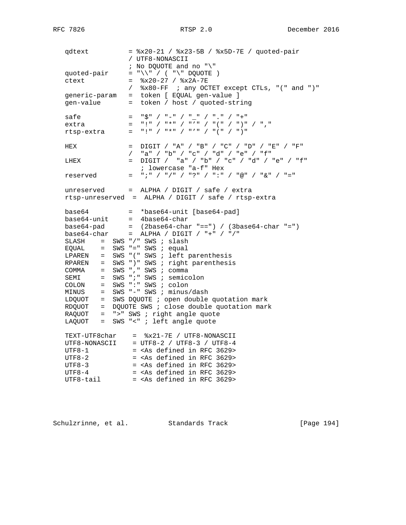qdtext = %x20-21 / %x23-5B / %x5D-7E / quoted-pair / UTF8-NONASCII ; No DQUOTE and no "\" quoted-pair = " $\sqrt{\}$  ( " $\sqrt$ " DQUOTE ) ctext = %x20-27 / %x2A-7E / %x80-FF ; any OCTET except CTLs, "(" and ")" generic-param = token [ EQUAL gen-value ] gen-value = token / host / quoted-string safe = " $\ddot{\varsigma}$ " / "-" / "\_" / "." / "+"<br>extra = "i" / "\*" / "/" / "/" / " extra = "!" / "\*" / "'" / "(" / ")" / "," rtsp-extra = "!" / "\*" / "'" / "(" / ")" HEX  $=$   $\text{Diff}$  / "A" / "B" / "C" / "D" / "E" / "F" / "a" / "b" / "c" / "d" / "e" / "f" LHEX = DIGIT / "a" / "b" / "c" / "d" / "e" / "f"<br>
; lowercase "a-f" Hex ; lowercase "a-f" Hex reserved = ";" / "/" / "?" / ":" / "@" / "&" / "="  $unreserved = ALPHA / DIGIT / safe / extra$  rtsp-unreserved = ALPHA / DIGIT / safe / rtsp-extra base64 = \*base64-unit [base64-pad] base64-unit = 4base64-char base64-pad = (2base64-char "==") / (3base64-char "=") base64-char = ALPHA / DIGIT / "+" / "/" SLASH = SWS "/" SWS ; slash EQUAL = SWS "=" SWS ; equal LPAREN = SWS "(" SWS ; left parenthesis RPAREN = SWS ")" SWS ; right parenthesis  $COMMA = SWS$  ", " SWS ; comma SEMI = SWS ";" SWS ; semicolon COLON = SWS ":" SWS ; colon MINUS = SWS "-" SWS ; minus/dash LDQUOT = SWS DQUOTE ; open double quotation mark RDQUOT = DQUOTE SWS ; close double quotation mark  $RAQUOT$  = ">" SWS ; right angle quote LAQUOT = SWS "<" ; left angle quote TEXT-UTF8char = %x21-7E / UTF8-NONASCII UTF8-NONASCII = UTF8-2 / UTF8-3 / UTF8-4  $UTF8-1$  = <As defined in RFC 3629>  $UTF8-2$  = <As defined in RFC 3629>  $UTF8-3$  = <As defined in RFC 3629>  $UTF8-4$  = <As defined in RFC 3629>

UTF8-tail = <As defined in RFC 3629>

Schulzrinne, et al. Standards Track [Page 194]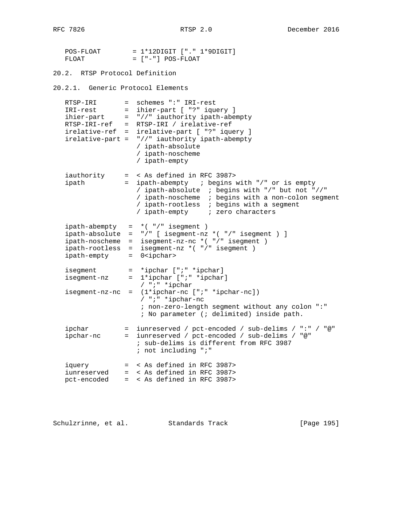| POS-FLOAT | $= 1*12$ DIGIT $[$ ". " $1*9$ DIGIT] |
|-----------|--------------------------------------|
| FLOAT.    | = ["-"] POS-FLOAT                    |

20.2. RTSP Protocol Definition 20.2.1. Generic Protocol Elements RTSP-IRI = schemes ":" IRI-rest<br>IRI-rest = ihier-part [ "?" ique IRI-rest = ihier-part [ "?" iquery ] ihier-part = "//" iauthority ipath-abempty RTSP-IRI-ref = RTSP-IRI / irelative-ref irelative-ref = irelative-part [ "?" iquery ] irelative-part = "//" iauthority ipath-abempty / ipath-absolute / ipath-noscheme / ipath-empty iauthority = < As defined in RFC 3987> ipath = ipath-abempty ; begins with "/" or is empty / ipath-absolute ; begins with "/" but not "//" / ipath-noscheme ; begins with a non-colon segment / ipath-rootless ; begins with a segment / ipath-empty ; zero characters ipath-abempty = \*( "/" isegment ) ipath-absolute = "/" [ isegment-nz \*( "/" isegment ) ] ipath-noscheme = isegment-nz-nc \*( "/" isegment ) ipath-rootless = isegment-nz \*( "/" isegment ) ipath-empty = 0<ipchar> isegment = \*ipchar [";" \*ipchar] isegment-nz = 1\*ipchar [";" \*ipchar] / ";" \*ipchar isegment-nz-nc = (1\*ipchar-nc [";" \*ipchar-nc]) / ";" \*ipchar-nc ; non-zero-length segment without any colon ":" ; No parameter (; delimited) inside path. ipchar = iunreserved / pct-encoded / sub-delims / ":" / "@" ipchar-nc = iunreserved / pct-encoded / sub-delims / "@" ; sub-delims is different from RFC 3987 ; not including ";" iquery = < As defined in RFC 3987> iunreserved = < As defined in RFC 3987> pct-encoded = < As defined in RFC 3987>

Schulzrinne, et al. Standards Track [Page 195]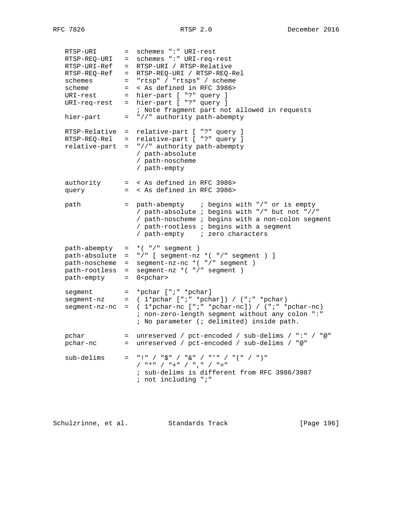RTSP-URI = schemes ":" URI-rest RTSP-REQ-URI = schemes ":" URI-req-rest RTSP-URI-Ref = RTSP-URI / RTSP-Relative RTSP-REQ-Ref = RTSP-REQ-URI / RTSP-REQ-Rel schemes = "rtsp" / "rtsps" / scheme scheme = < As defined in RFC 3986> URI-rest = hier-part [ "?" query ] URI-req-rest = hier-part [ "?" query ] ; Note fragment part not allowed in requests hier-part  $=$  "//" authority path-abempty RTSP-Relative = relative-part [ "?" query ] RTSP-REQ-Rel = relative-part [ "?" query ] relative-part = "//" authority path-abempty / path-absolute / path-noscheme / path-empty authority = < As defined in RFC 3986> query = < As defined in RFC 3986> path = path-abempty ; begins with "/" or is empty / path-absolute ; begins with "/" but not "//" / path-noscheme ; begins with a non-colon segment / path-rootless ; begins with a segment / path-empty ; zero characters path-abempty = \*( "/" segment ) path-absolute = "/" [ segment-nz \*( "/" segment ) ] path-noscheme = segment-nz-nc \*( "/" segment ) path-rootless = segment-nz \*( "/" segment ) path-empty = 0<pchar> segment = \*pchar [";" \*pchar] segment-nz =  $(1<sup>*</sup>pchar ["; " *pchar]) / (";" *pchar)$  segment-nz-nc = ( 1\*pchar-nc [";" \*pchar-nc]) / (";" \*pchar-nc) ; non-zero-length segment without any colon ":" ; No parameter (; delimited) inside path. pchar = unreserved / pct-encoded / sub-delims / ":" / "@" pchar-nc = unreserved / pct-encoded / sub-delims / "@"  $sub-delims = "!" / "$" / "&" / "w" / "''" / "("" )"$  / "\*" / "+" / "," / "=" ; sub-delims is different from RFC 3986/3987 ; not including ";"

Schulzrinne, et al. Standards Track [Page 196]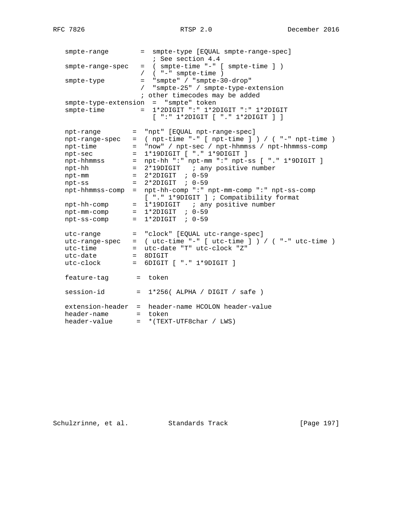smpte-range = smpte-type [EQUAL smpte-range-spec] ; See section 4.4 smpte-range-spec = ( smpte-time "-" [ smpte-time ] ) / ( "-" smpte-time ) smpte-type = "smpte" / "smpte-30-drop" / "smpte-25" / smpte-type-extension ; other timecodes may be added smpte-type-extension = "smpte" token smpte-time = 1\*2DIGIT ":" 1\*2DIGIT ":" 1\*2DIGIT [ ":" 1\*2DIGIT [ "." 1\*2DIGIT ] ] npt-range = "npt" [EQUAL npt-range-spec] npt-range-spec = ( npt-time "-" [ npt-time ] ) / ( "-" npt-time ) npt-time = "now" / npt-sec / npt-hhmmss / npt-hhmmss-comp npt-sec = 1\*19DIGIT [ "." 1\*9DIGIT ] npt-hhmmss = npt-hh ":" npt-mm ":" npt-ss [ "." 1\*9DIGIT ] npt-hh = 2\*19DIGIT ; any positive number npt-mm = 2\*2DIGIT ; 0-59 npt-ss = 2\*2DIGIT ; 0-59 npt-hhmmss-comp = npt-hh-comp ":" npt-mm-comp ":" npt-ss-comp [ "." 1\*9DIGIT ] ; Compatibility format [ "." 1\*9DIGIT ] ; Compatibility format npt-hh-comp = 1\*19DIGIT ; any positive number  $npt-mm-comp$  =  $1*2DJGIT$  ;  $0-59$  npt-ss-comp = 1\*2DIGIT ; 0-59 utc-range = "clock" [EQUAL utc-range-spec] utc-range-spec = ( utc-time "-" [ utc-time ] ) / ( "-" utc-time ) utc-time = utc-date "T" utc-clock "Z" utc-date = 8DIGIT utc-clock = 6DIGIT [ "." 1\*9DIGIT ] feature-tag = token  $session-id = 1*256( ALPHA / DIGIT / safe)$  extension-header = header-name HCOLON header-value header-name = token header-value = \*(TEXT-UTF8char / LWS)

Schulzrinne, et al. Standards Track [Page 197]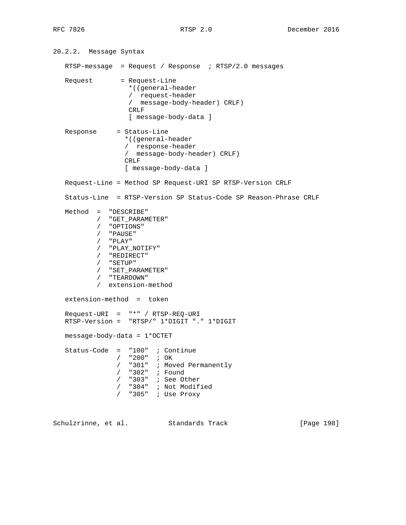20.2.2. Message Syntax RTSP-message = Request / Response ; RTSP/2.0 messages Request = Request-Line \*((general-header / request-header / message-body-header) CRLF) CRLF [ message-body-data ] Response = Status-Line \*((general-header / response-header / message-body-header) CRLF) CRLF [ message-body-data ] Request-Line = Method SP Request-URI SP RTSP-Version CRLF Status-Line = RTSP-Version SP Status-Code SP Reason-Phrase CRLF Method = "DESCRIBE" / "GET\_PARAMETER" / "OPTIONS" / "PAUSE"  $/$  "PLAY"<br> $/$  "PLAY" / "PLAY\_NOTIFY" / "REDIRECT" / "SETUP" / "SET\_PARAMETER" / "TEARDOWN" / extension-method extension-method = token Request-URI = "\*" / RTSP-REQ-URI RTSP-Version = "RTSP/" 1\*DIGIT "." 1\*DIGIT message-body-data = 1\*OCTET Status-Code = "100" ; Continue / "200" ; OK / "301" ; Moved Permanently / "302" ; Found / "303" ; See Other / "304" ; Not Modified / "305" ; Use Proxy Schulzrinne, et al. Standards Track [Page 198]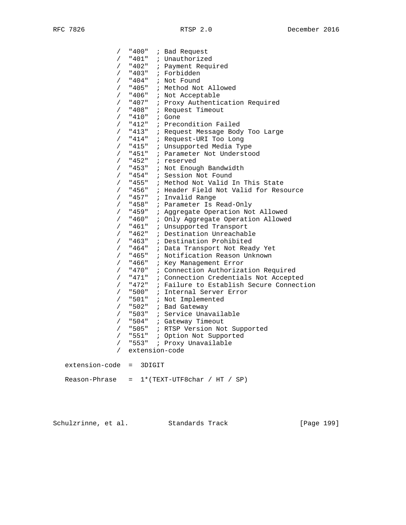| $\sqrt{2}$     | "400" | ; Bad Request                            |
|----------------|-------|------------------------------------------|
| $\sqrt{2}$     | "401" | ; Unauthorized                           |
| $\sqrt{2}$     | "402" | ; Payment Required                       |
| $\sqrt{2}$     | "403" | ; Forbidden                              |
| $\sqrt{2}$     | "404" | ; Not Found                              |
| $\sqrt{2}$     | "405" | ; Method Not Allowed                     |
| $\sqrt{2}$     | "406" | ; Not Acceptable                         |
| $\sqrt{2}$     | "407" | ; Proxy Authentication Required          |
| $\sqrt{2}$     | "408" | ; Request Timeout                        |
| $\sqrt{2}$     | "410" | ; Gone                                   |
| $\sqrt{2}$     | "412" | ; Precondition Failed                    |
| $\sqrt{2}$     | "413" | ; Request Message Body Too Large         |
| $\sqrt{2}$     | "414" | ; Request-URI Too Long                   |
| $\sqrt{2}$     | "415" | ; Unsupported Media Type                 |
| $\sqrt{2}$     | "451" | ; Parameter Not Understood               |
| $\sqrt{2}$     | "452" | ; reserved                               |
| $\sqrt{2}$     | "453" | ; Not Enough Bandwidth                   |
| $\sqrt{2}$     | "454" | ; Session Not Found                      |
| $\sqrt{2}$     | "455" | ; Method Not Valid In This State         |
| $\sqrt{2}$     | "456" | ; Header Field Not Valid for Resource    |
| $\sqrt{2}$     | "457" | ; Invalid Range                          |
| $\sqrt{2}$     | "458" | ; Parameter Is Read-Only                 |
| $\sqrt{2}$     | "459" | ; Aggregate Operation Not Allowed        |
| $\sqrt{2}$     | "460" | ; Only Aggregate Operation Allowed       |
| $\sqrt{2}$     | "461" | ; Unsupported Transport                  |
| $\sqrt{2}$     | "462" | ; Destination Unreachable                |
| $\sqrt{2}$     | "463" | ; Destination Prohibited                 |
| $\sqrt{2}$     | "464" | ; Data Transport Not Ready Yet           |
| $\sqrt{2}$     | "465" | ; Notification Reason Unknown            |
| $\sqrt{2}$     | "466" | ; Key Management Error                   |
| T              | "470" | : Connection Authorization Required      |
| $\sqrt{2}$     | "471" | : Connection Credentials Not Accepted    |
| $\sqrt{2}$     | "472" | : Failure to Establish Secure Connection |
| $\sqrt{2}$     | "500" | ; Internal Server Error                  |
| $\sqrt{2}$     | "501" | ; Not Implemented                        |
| $\sqrt{2}$     |       | "502" ; Bad Gateway                      |
| $\sqrt{2}$     |       | "503" ; Service Unavailable              |
| $\sqrt{2}$     |       | "504" ; Gateway Timeout                  |
| $\sqrt{2}$     | "505" | ; RTSP Version Not Supported             |
| $\sqrt{2}$     | "551" | ; Option Not Supported                   |
| $\sqrt{2}$     | "553" | ; Proxy Unavailable                      |
| $\sqrt{2}$     |       | extension-code                           |
| extension-code | $=$   | 3DIGIT                                   |
| Reason-Phrase  | $=$   | $1*(TEXT-UTF8char / HT / SP)$            |

Schulzrinne, et al. Standards Track [Page 199]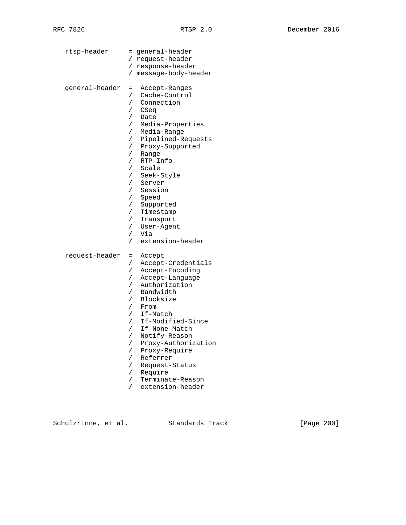| rtsp-header    | = general-header<br>/ request-header<br>/ response-header<br>/ message-body-header                                                                                                                                                                                                                                                                                                                                                                                                                                                                        |
|----------------|-----------------------------------------------------------------------------------------------------------------------------------------------------------------------------------------------------------------------------------------------------------------------------------------------------------------------------------------------------------------------------------------------------------------------------------------------------------------------------------------------------------------------------------------------------------|
| general-header | Accept-Ranges<br>$=$<br>Cache-Control<br>$\sqrt{2}$<br>Connection<br>$\sqrt{2}$<br>$\sqrt{2}$<br>CSeq<br>Date<br>T<br>Media-Properties<br>$\sqrt{2}$<br>Media-Range<br>$\sqrt{2}$<br>Pipelined-Requests<br>$\sqrt{2}$<br>Proxy-Supported<br>Γ<br>Range<br>T<br>RTP-Info<br>/<br>Scale<br>$\sqrt{2}$<br>Seek-Style<br>$\sqrt{2}$<br>$\sqrt{2}$<br>Server<br>Session<br>$\sqrt{2}$<br>$\sqrt{2}$<br>Speed<br>Supported<br>T<br>Timestamp<br>$\sqrt{2}$<br>$\sqrt{2}$<br>Transport<br>User-Agent<br>$\sqrt{2}$<br>Via<br>$\sqrt{2}$<br>extension-header<br>7 |
| request-header | Accept<br>$=$<br>Accept-Credentials<br>$\sqrt{2}$<br>Accept-Encoding<br>$\sqrt{2}$<br>Accept-Language<br>$\sqrt{2}$<br>Authorization<br>7<br>Bandwidth<br>$\sqrt{2}$<br>Blocksize<br>7<br>$\sqrt{2}$<br>From<br>If-Match<br>$\sqrt{2}$<br>If-Modified-Since<br>$\sqrt{2}$<br>If-None-Match<br>$\sqrt{2}$<br>Notify-Reason<br>$\sqrt{2}$<br>Proxy-Authorization<br>$\sqrt{2}$<br>Proxy-Require<br>$\sqrt{2}$<br>Referrer<br>$\sqrt{2}$<br>Request-Status<br>$\sqrt{2}$<br>$\sqrt{2}$<br>Require<br>Terminate-Reason<br>$\sqrt{2}$<br>extension-header<br>Γ |

Schulzrinne, et al. Standards Track [Page 200]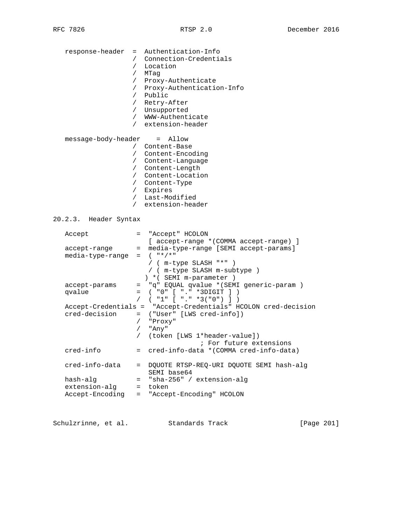| response-header                 | = Authentication-Info<br>/ Connection-Credentials<br>Location<br>$\sqrt{2}$<br>MTaq<br>$\sqrt{2}$<br>Proxy-Authenticate<br>$\sqrt{2}$<br>/ Proxy-Authentication-Info<br>/ Public<br>/ Retry-After<br>/ Unsupported<br>/ WWW-Authenticate<br>/ extension-header |
|---------------------------------|----------------------------------------------------------------------------------------------------------------------------------------------------------------------------------------------------------------------------------------------------------------|
| message-body-header = Allow     |                                                                                                                                                                                                                                                                |
|                                 | / Content-Base                                                                                                                                                                                                                                                 |
|                                 | / Content-Encoding                                                                                                                                                                                                                                             |
|                                 | / Content-Language                                                                                                                                                                                                                                             |
|                                 | / Content-Length                                                                                                                                                                                                                                               |
|                                 | / Content-Location                                                                                                                                                                                                                                             |
|                                 | / Content-Type                                                                                                                                                                                                                                                 |
|                                 | / Expires                                                                                                                                                                                                                                                      |
|                                 | / Last-Modified                                                                                                                                                                                                                                                |
|                                 | / extension-header                                                                                                                                                                                                                                             |
| 20.2.3. Header Syntax<br>Accept | = "Accept" HCOLON                                                                                                                                                                                                                                              |
|                                 | [ accept-range * (COMMA accept-range) ]                                                                                                                                                                                                                        |
| accept-range                    | = media-type-range [SEMI accept-params]                                                                                                                                                                                                                        |
| media-type-range                | $=$ $($ "*/*"                                                                                                                                                                                                                                                  |
|                                 | / ( m-type SLASH "*"                                                                                                                                                                                                                                           |
|                                 | / ( m-type SLASH m-subtype )                                                                                                                                                                                                                                   |
|                                 | ) * ( SEMI m-parameter )                                                                                                                                                                                                                                       |
| accept-params                   | "q" EQUAL qvalue * (SEMI generic-param )<br>$=$ $-$                                                                                                                                                                                                            |
| qvalue                          | ( "0" [ "." "3DIGIT ] )<br>$=$ $\qquad$<br>$($ "1" $[$ "." *3("0") ] )<br>$\sqrt{2}$                                                                                                                                                                           |
|                                 | Accept-Credentials = "Accept-Credentials" HCOLON cred-decision                                                                                                                                                                                                 |
| cred-decision                   | = ("User" [LWS cred-info])                                                                                                                                                                                                                                     |
|                                 | / "Proxy"                                                                                                                                                                                                                                                      |
|                                 | "Any"<br>$\sqrt{2}$                                                                                                                                                                                                                                            |
|                                 | (token [LWS 1*header-value])<br>$\sqrt{2}$                                                                                                                                                                                                                     |
|                                 | ; For future extensions                                                                                                                                                                                                                                        |
| cred-info                       | = cred-info-data * (COMMA cred-info-data)                                                                                                                                                                                                                      |
|                                 |                                                                                                                                                                                                                                                                |
| cred-info-data                  | DQUOTE RTSP-REQ-URI DQUOTE SEMI hash-alg<br>$=$ $-$                                                                                                                                                                                                            |
|                                 | SEMI base64                                                                                                                                                                                                                                                    |
| hash-alg                        | "sha-256" / extension-alg<br>$=$                                                                                                                                                                                                                               |
| extension-alq                   | token<br>$=$                                                                                                                                                                                                                                                   |
| Accept-Encoding                 | = "Accept-Encoding" HCOLON                                                                                                                                                                                                                                     |
|                                 |                                                                                                                                                                                                                                                                |
|                                 |                                                                                                                                                                                                                                                                |

Schulzrinne, et al. Standards Track [Page 201]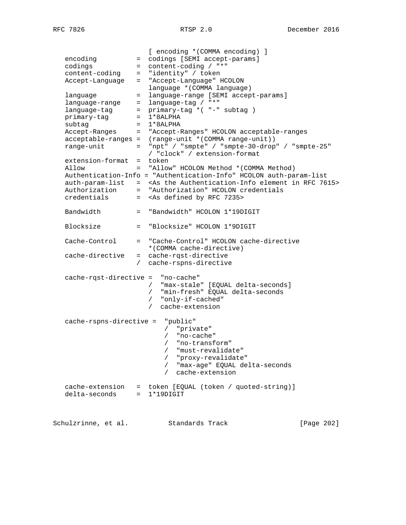[ encoding \*(COMMA encoding) ] encoding  $=$  codings [SEMI accept-params] codings = content-coding / "\*" content-coding = "identity" / token Accept-Language = "Accept-Language" HCOLON language \*(COMMA language) language = language-range [SEMI accept-params] language-range = language-tag / "\*" language-tag = primary-tag \*( "-" subtag ) primary-tag = 1\*8ALPHA subtag = 1\*8ALPHA Accept-Ranges = "Accept-Ranges" HCOLON acceptable-ranges acceptable-ranges = (range-unit \*(COMMA range-unit)) range-unit = "npt" / "smpte" / "smpte-30-drop" / "smpte-25" / "clock" / extension-format extension-format = token Allow = "Allow" HCOLON Method \*(COMMA Method) Authentication-Info = "Authentication-Info" HCOLON auth-param-list auth-param-list = <As the Authentication-Info element in RFC 7615> Authorization = "Authorization" HCOLON credentials credentials = <As defined by RFC 7235> Bandwidth = "Bandwidth" HCOLON 1\*19DIGIT Blocksize = "Blocksize" HCOLON 1\*9DIGIT Cache-Control = "Cache-Control" HCOLON cache-directive \*(COMMA cache-directive) cache-directive = cache-rqst-directive / cache-rspns-directive cache-rqst-directive = "no-cache" / "max-stale" [EQUAL delta-seconds] / "min-fresh" EQUAL delta-seconds / "only-if-cached" / cache-extension cache-rspns-directive = "public" / "private" / "no-cache" / "no-transform" / "must-revalidate" / "proxy-revalidate" / "max-age" EQUAL delta-seconds / cache-extension cache-extension = token [EQUAL (token / quoted-string)] delta-seconds = 1\*19DIGIT

Schulzrinne, et al. Standards Track [Page 202]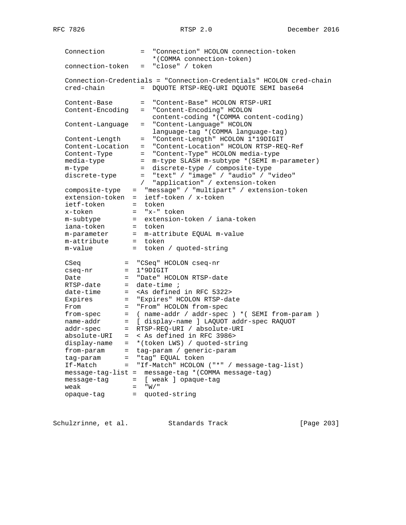| Connection                                                                                                                                                                                                                                                                                                                     | $=$ $-$                                                         | "Connection" HCOLON connection-token                                                                                                                                                                                                                                                                                                                                                                                                                                                                                                                                                       |
|--------------------------------------------------------------------------------------------------------------------------------------------------------------------------------------------------------------------------------------------------------------------------------------------------------------------------------|-----------------------------------------------------------------|--------------------------------------------------------------------------------------------------------------------------------------------------------------------------------------------------------------------------------------------------------------------------------------------------------------------------------------------------------------------------------------------------------------------------------------------------------------------------------------------------------------------------------------------------------------------------------------------|
| connection-token                                                                                                                                                                                                                                                                                                               | $=$                                                             | *(COMMA connection-token)<br>"close" / token                                                                                                                                                                                                                                                                                                                                                                                                                                                                                                                                               |
| cred-chain                                                                                                                                                                                                                                                                                                                     | $=$                                                             | Connection-Credentials = "Connection-Credentials" HCOLON cred-chain<br>DQUOTE RTSP-REQ-URI DQUOTE SEMI base64                                                                                                                                                                                                                                                                                                                                                                                                                                                                              |
| Content-Base<br>Content-Encoding                                                                                                                                                                                                                                                                                               | $=$<br>$=$                                                      | "Content-Base" HCOLON RTSP-URI<br>"Content-Encoding" HCOLON                                                                                                                                                                                                                                                                                                                                                                                                                                                                                                                                |
| Content-Language                                                                                                                                                                                                                                                                                                               | $=$                                                             | content-coding * (COMMA content-coding)<br>"Content-Language" HCOLON                                                                                                                                                                                                                                                                                                                                                                                                                                                                                                                       |
| Content-Length<br>Content-Location<br>Content-Type<br>media-type<br>m-type<br>discrete-type                                                                                                                                                                                                                                    | $=$<br>$=$<br>$=$<br>$=$<br>$=$                                 | language-tag * (COMMA language-tag)<br>"Content-Length" HCOLON 1*19DIGIT<br>"Content-Location" HCOLON RTSP-REQ-Ref<br>"Content-Type" HCOLON media-type<br>m-type SLASH m-subtype * (SEMI m-parameter)<br>discrete-type / composite-type<br>= "text" / "image" / "audio" / "video"                                                                                                                                                                                                                                                                                                          |
| composite-type<br>extension-token<br>ietf-token<br>x-token<br>m-subtype<br>iana-token<br>m-parameter<br>m-attribute<br>m-value                                                                                                                                                                                                 | $\sqrt{2}$<br>$=$<br>$=$<br>$=$<br>= token<br>$=$<br>$=$<br>$=$ | "application" / extension-token<br>"message" / "multipart" / extension-token<br>ietf-token / x-token<br>token<br>= "x-" token<br>= extension-token / iana-token<br>m-attribute EQUAL m-value<br>token<br>token / quoted-string                                                                                                                                                                                                                                                                                                                                                             |
| CSeq<br>cseq-nr<br>$=$<br>Date<br>$=$<br>RTSP-date<br>$=$<br>date-time<br>$=$<br>Expires<br>$=$<br>From<br>$=$<br>from-spec<br>$=$<br>name-addr<br>$=$<br>addr-spec<br>$=$<br>absolute-URI<br>$=$ $-$<br>display-name<br>from-param<br>$=$<br>tag-param<br>If-Match<br>message-tag-list =<br>message-tag<br>weak<br>opaque-tag | $=$<br>$=$ $-$<br>$=$<br>$=$<br>$=$ $\qquad$                    | = "CSeq" HCOLON cseq-nr<br>$1*9$ DIGIT<br>"Date" HCOLON RTSP-date<br>$date-time:$<br><as 5322="" defined="" in="" rfc=""><br/>"Expires" HCOLON RTSP-date<br/>"From" HCOLON from-spec<br/>(name-addr / addr-spec ) * (SEMI from-param )<br/>[ display-name ] LAQUOT addr-spec RAQUOT<br/>RTSP-REQ-URI / absolute-URI<br/>&lt; As defined in RFC 3986&gt;<br/>*(token LWS) / quoted-string<br/>tag-param / generic-param<br/>= "tag" EQUAL token<br/>"If-Match" HCOLON ("*" / message-tag-list)<br/>message-tag * (COMMA message-tag)<br/>[ weak ] opaque-taq<br/>"W'<br/>quoted-string</as> |

Schulzrinne, et al. Standards Track [Page 203]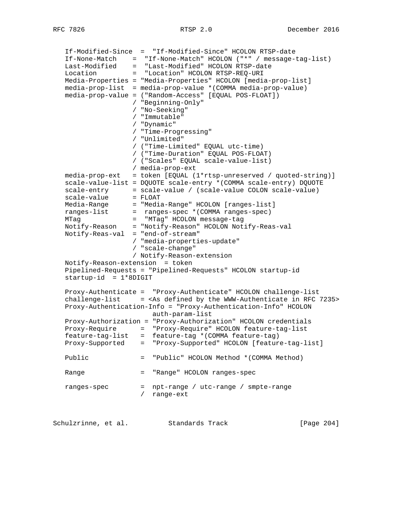If-Modified-Since = "If-Modified-Since" HCOLON RTSP-date If-None-Match = "If-None-Match" HCOLON ("\*" / message-tag-list) Last-Modified = "Last-Modified" HCOLON RTSP-date Location = "Location" HCOLON RTSP-REQ-URI Media-Properties = "Media-Properties" HCOLON [media-prop-list]  $media-prop-list = media-prop-value * (COMMA media-prop-value)$  media-prop-value = ("Random-Access" [EQUAL POS-FLOAT]) / "Beginning-Only" / "No-Seeking" / "Immutable" / "Dynamic" / "Time-Progressing" / "Unlimited" / ("Time-Limited" EQUAL utc-time) / ("Time-Duration" EQUAL POS-FLOAT) / ("Scales" EQUAL scale-value-list) / media-prop-ext media-prop-ext = token [EQUAL (1\*rtsp-unreserved / quoted-string)] scale-value-list = DQUOTE scale-entry \*(COMMA scale-entry) DQUOTE scale-entry = scale-value / (scale-value COLON scale-value) scale-value = FLOAT Media-Range = "Media-Range" HCOLON [ranges-list] ranges-list = ranges-spec \*(COMMA ranges-spec) MTag = "MTag" HCOLON message-tag Notify-Reason = "Notify-Reason" HCOLON Notify-Reas-val Notify-Reas-val = "end-of-stream" / "media-properties-update" / "scale-change" / Notify-Reason-extension Notify-Reason-extension = token Pipelined-Requests = "Pipelined-Requests" HCOLON startup-id  $startup-id = 1*8DiffIT$  Proxy-Authenticate = "Proxy-Authenticate" HCOLON challenge-list challenge-list = <As defined by the WWW-Authenticate in RFC 7235> Proxy-Authentication-Info = "Proxy-Authentication-Info" HCOLON auth-param-list Proxy-Authorization = "Proxy-Authorization" HCOLON credentials Proxy-Require = "Proxy-Require" HCOLON feature-tag-list feature-tag-list = feature-tag \*(COMMA feature-tag) Proxy-Supported = "Proxy-Supported" HCOLON [feature-tag-list] Public = "Public" HCOLON Method \*(COMMA Method) Range  $=$  "Range" HCOLON ranges-spec ranges-spec = npt-range / utc-range / smpte-range / range-ext

Schulzrinne, et al. Standards Track [Page 204]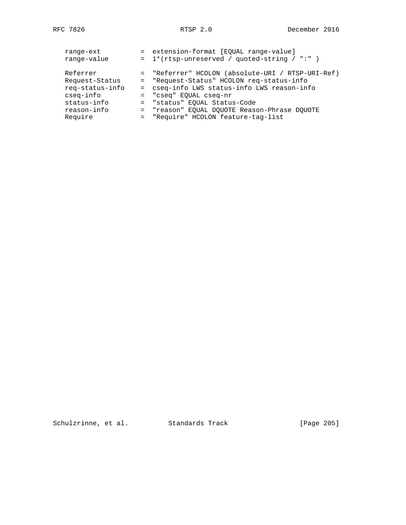| range-ext<br>range-value | = extension-format [EQUAL range-value]<br>$= 1*(rtsp-unreserved / quoted-string / "")$ |
|--------------------------|----------------------------------------------------------------------------------------|
| Referrer                 | = "Referrer" HCOLON (absolute-URI / RTSP-URI-Ref)                                      |
| Request-Status           | = "Request-Status" HCOLON req-status-info                                              |
| req-status-info          | = cseq-info LWS status-info LWS reason-info                                            |
| cseq-info                | = "cseq" EOUAL cseq-nr                                                                 |
| status-info              | = "status" EOUAL Status-Code                                                           |
| reason-info              | = "reason" EOUAL DOUOTE Reason-Phrase DOUOTE                                           |
| Require                  | = "Require" HCOLON feature-tag-list                                                    |
|                          |                                                                                        |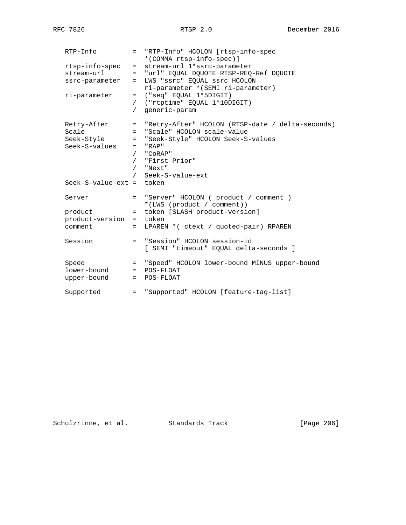| $RTP-Info$                 |            | = "RTP-Info" HCOLON [rtsp-info-spec<br>*(COMMA rtsp-info-spec)] |
|----------------------------|------------|-----------------------------------------------------------------|
| rtsp-info-spec             | $=$        | stream-url 1*ssrc-parameter                                     |
| stream-url                 |            | = "url" EQUAL DQUOTE RTSP-REQ-Ref DQUOTE                        |
| ssrc-parameter             | $=$        | LWS "ssrc" EQUAL ssrc HCOLON                                    |
|                            |            |                                                                 |
|                            |            | ri-parameter * (SEMI ri-parameter)                              |
| ri-parameter               |            | $=$ ("seq" EQUAL 1*5DIGIT)                                      |
|                            |            | / ("rtptime" EQUAL 1*10DIGIT)                                   |
|                            | $\sqrt{2}$ | generic-param                                                   |
| Retry-After                |            | = "Retry-After" HCOLON (RTSP-date / delta-seconds)              |
| Scale                      | $=$        | "Scale" HCOLON scale-value                                      |
| Seek-Style                 |            | = "Seek-Style" HCOLON Seek-S-values                             |
| Seek-S-values              |            | $=$ "RAP"                                                       |
|                            | $\sqrt{2}$ | "CoRAP"                                                         |
|                            |            | / "First-Prior"                                                 |
|                            |            | / "Next"                                                        |
|                            | $\sqrt{2}$ | Seek-S-value-ext                                                |
| $Seek-S-value-ext = token$ |            |                                                                 |
|                            |            |                                                                 |
| Server                     |            | = "Server" HCOLON ( product / comment )                         |
|                            |            | *(LWS (product / comment))                                      |
| product                    | $=$        | token [SLASH product-version]                                   |
| product-version =          |            | token                                                           |
| comment                    | $=$        | LPAREN * ( ctext / quoted-pair) RPAREN                          |
|                            |            |                                                                 |
| Session                    |            | = "Session" HCOLON session-id                                   |
|                            |            | [ SEMI "timeout" EQUAL delta-seconds ]                          |
|                            |            |                                                                 |
| Speed                      |            | = "Speed" HCOLON lower-bound MINUS upper-bound                  |
| lower-bound                |            | $=$ POS-FLOAT                                                   |
| upper-bound                |            | $=$ POS-FLOAT                                                   |
|                            |            |                                                                 |
| Supported                  |            | = "Supported" HCOLON [feature-tag-list]                         |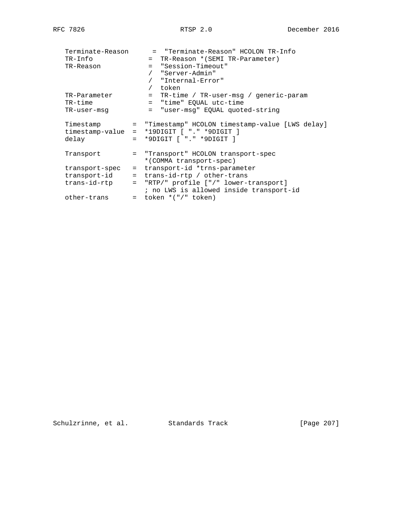| Terminate-Reason<br>TR-Info<br>TR-Reason                                   |                                 | = "Terminate-Reason" HCOLON TR-Info<br>= TR-Reason * (SEMI TR-Parameter)<br>= "Session-Timeout"<br>"Server-Admin"<br>"Internal-Error"<br>token                                                                                      |
|----------------------------------------------------------------------------|---------------------------------|-------------------------------------------------------------------------------------------------------------------------------------------------------------------------------------------------------------------------------------|
| TR-Parameter<br>TR-time<br>TR-user-msq                                     |                                 | TR-time / TR-user-msg / generic-param<br>$=$<br>= "time" EQUAL utc-time<br>"user-msq" EQUAL quoted-string<br>$=$                                                                                                                    |
| Timestamp<br>timestamp-value<br>delay                                      | $=$<br>$=$<br>$=$               | "Timestamp" HCOLON timestamp-value [LWS delay]<br>*19DIGIT [ "." *9DIGIT ]<br>*9DIGIT [ "." *9DIGIT ]                                                                                                                               |
| Transport<br>transport-spec<br>transport-id<br>trans-id-rtp<br>other-trans | $=$<br>$=$<br>$=$<br>$=$<br>$=$ | "Transport" HCOLON transport-spec<br>*(COMMA transport-spec)<br>transport-id *trns-parameter<br>trans-id-rtp / other-trans<br>"RTP/" profile ["/" lower-transport]<br>; no LWS is allowed inside transport-id<br>token *("/" token) |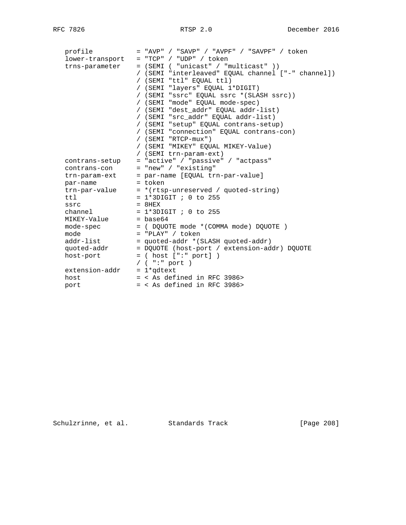| profile              | = "AVP" / "SAVP" / "AVPF" / "SAVPF" / token        |
|----------------------|----------------------------------------------------|
| lower-transport      | $=$ "TCP" / "UDP" / token                          |
| trns-parameter       | = (SEMI ( "unicast" / "multicast" ))               |
|                      | / (SEMI "interleaved" EQUAL channel ["-" channel]) |
|                      | / (SEMI "ttl" EQUAL ttl)                           |
|                      | / (SEMI "layers" EOUAL 1*DIGIT)                    |
|                      | / (SEMI "ssrc" EQUAL ssrc * (SLASH ssrc))          |
|                      | / (SEMI "mode" EQUAL mode-spec)                    |
|                      | / (SEMI "dest addr" EQUAL addr-list)               |
|                      | / (SEMI "src_addr" EQUAL addr-list)                |
|                      | / (SEMI "setup" EQUAL contrans-setup)              |
|                      | / (SEMI "connection" EQUAL contrans-con)           |
|                      | / (SEMI "RTCP-mux")                                |
|                      | / (SEMI "MIKEY" EQUAL MIKEY-Value)                 |
|                      | / (SEMI trn-param-ext)                             |
| contrans-setup       | = "active" / "passive" / "actpass"                 |
| contrans-con         | = "new" / "existing"                               |
|                      |                                                    |
| trn-param-ext        | = par-name [EQUAL trn-par-value]<br>= token        |
| par-name             |                                                    |
| trn-par-value        | = * (rtsp-unreserved / quoted-string)              |
| tt1                  | $= 1*3$ DIGIT ; 0 to 255                           |
| ssrc                 | $=$ 8HEX                                           |
| channel              | $= 1*3$ DIGIT ; 0 to 255                           |
| MIKEY-Value = base64 |                                                    |
| mode-spec            | = (DQUOTE mode * (COMMA mode) DQUOTE )             |
| mode                 | = "PLAY" / token                                   |
| addr-list            | = quoted-addr * (SLASH quoted-addr)                |
| quoted-addr          | = DQUOTE (host-port / extension-addr) DQUOTE       |
| host-port            | $=$ ( host [":" port])                             |
|                      | / $($ ":" port $)$                                 |
| extension-addr       | $= 1*q$ dtext                                      |
| host                 | = < As defined in RFC 3986>                        |
| port                 | $=$ < As defined in RFC 3986>                      |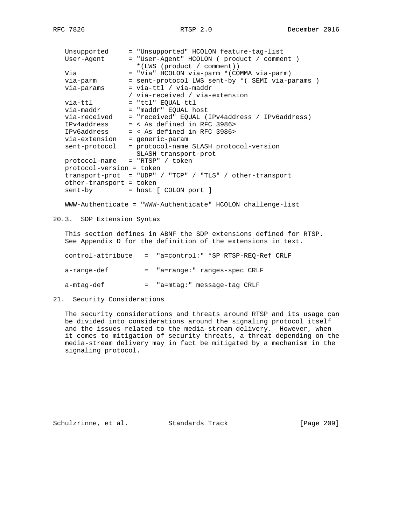| Unsupported              | = "Unsupported" HCOLON feature-tag-list                     |
|--------------------------|-------------------------------------------------------------|
| User-Agent               | = "User-Agent" HCOLON ( product / comment )                 |
|                          | *(LWS (product / comment))                                  |
| Via                      | = "Via" HCOLON via-parm * (COMMA via-parm)                  |
| via-parm                 | = sent-protocol LWS sent-by * ( SEMI via-params )           |
| via-params               | $=$ via-ttl / via-maddr                                     |
|                          | / via-received / via-extension                              |
| via-ttl                  | $=$ "ttl" EQUAL ttl                                         |
| via-maddr                | = "maddr" EOUAL host                                        |
| via-received             | = "received" EQUAL (IPv4address / IPv6address)              |
| IPv4address              | $=$ < As defined in RFC 3986>                               |
| IPv6address              | $=$ < As defined in RFC 3986>                               |
| via-extension            | = generic-param                                             |
| sent-protocol            | = protocol-name SLASH protocol-version                      |
|                          | SLASH transport-prot                                        |
| protocol-name            | $= "RTSP" / token$                                          |
| protocol-version = token |                                                             |
| transport-prot           | = "UDP" / "TCP" / "TLS" / other-transport                   |
| other-transport = token  |                                                             |
| sent-by                  | = host [ COLON port ]                                       |
|                          |                                                             |
|                          | WWW-Authenticate = "WWW-Authenticate" HCOLON challenge-list |
|                          |                                                             |

20.3. SDP Extension Syntax

 This section defines in ABNF the SDP extensions defined for RTSP. See Appendix D for the definition of the extensions in text.

| control-attribute | = "a=control:" *SP RTSP-REO-Ref CRLF |
|-------------------|--------------------------------------|
| a-range-def       | = "a=range:" ranges-spec CRLF        |
| a-mtaq-def        | = "a=mtag:" message-tag CRLF         |

21. Security Considerations

 The security considerations and threats around RTSP and its usage can be divided into considerations around the signaling protocol itself and the issues related to the media-stream delivery. However, when it comes to mitigation of security threats, a threat depending on the media-stream delivery may in fact be mitigated by a mechanism in the signaling protocol.

Schulzrinne, et al. Standards Track [Page 209]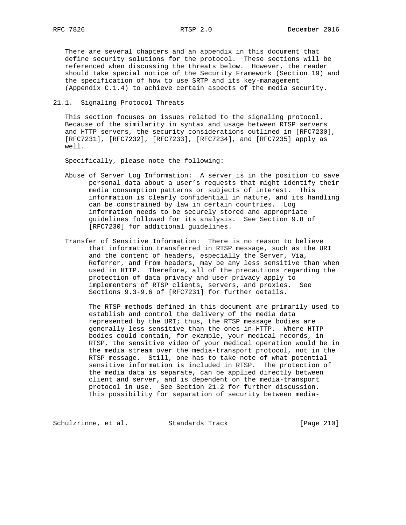There are several chapters and an appendix in this document that define security solutions for the protocol. These sections will be referenced when discussing the threats below. However, the reader should take special notice of the Security Framework (Section 19) and the specification of how to use SRTP and its key-management (Appendix C.1.4) to achieve certain aspects of the media security.

21.1. Signaling Protocol Threats

 This section focuses on issues related to the signaling protocol. Because of the similarity in syntax and usage between RTSP servers and HTTP servers, the security considerations outlined in [RFC7230], [RFC7231], [RFC7232], [RFC7233], [RFC7234], and [RFC7235] apply as well.

Specifically, please note the following:

- Abuse of Server Log Information: A server is in the position to save personal data about a user's requests that might identify their media consumption patterns or subjects of interest. This information is clearly confidential in nature, and its handling can be constrained by law in certain countries. Log information needs to be securely stored and appropriate guidelines followed for its analysis. See Section 9.8 of [RFC7230] for additional guidelines.
- Transfer of Sensitive Information: There is no reason to believe that information transferred in RTSP message, such as the URI and the content of headers, especially the Server, Via, Referrer, and From headers, may be any less sensitive than when used in HTTP. Therefore, all of the precautions regarding the protection of data privacy and user privacy apply to implementers of RTSP clients, servers, and proxies. See Sections 9.3-9.6 of [RFC7231] for further details.

 The RTSP methods defined in this document are primarily used to establish and control the delivery of the media data represented by the URI; thus, the RTSP message bodies are generally less sensitive than the ones in HTTP. Where HTTP bodies could contain, for example, your medical records, in RTSP, the sensitive video of your medical operation would be in the media stream over the media-transport protocol, not in the RTSP message. Still, one has to take note of what potential sensitive information is included in RTSP. The protection of the media data is separate, can be applied directly between client and server, and is dependent on the media-transport protocol in use. See Section 21.2 for further discussion. This possibility for separation of security between media-

Schulzrinne, et al. Standards Track [Page 210]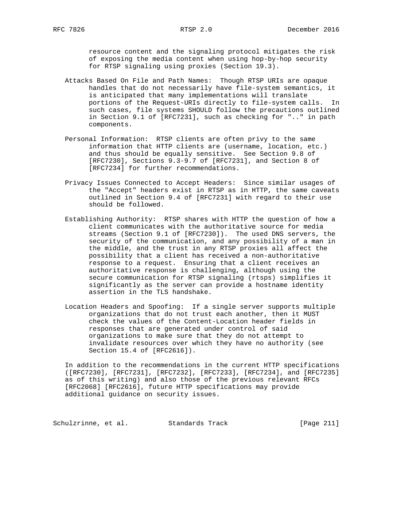resource content and the signaling protocol mitigates the risk of exposing the media content when using hop-by-hop security for RTSP signaling using proxies (Section 19.3).

- Attacks Based On File and Path Names: Though RTSP URIs are opaque handles that do not necessarily have file-system semantics, it is anticipated that many implementations will translate portions of the Request-URIs directly to file-system calls. In such cases, file systems SHOULD follow the precautions outlined in Section 9.1 of [RFC7231], such as checking for ".." in path components.
- Personal Information: RTSP clients are often privy to the same information that HTTP clients are (username, location, etc.) and thus should be equally sensitive. See Section 9.8 of [RFC7230], Sections 9.3-9.7 of [RFC7231], and Section 8 of [RFC7234] for further recommendations.
- Privacy Issues Connected to Accept Headers: Since similar usages of the "Accept" headers exist in RTSP as in HTTP, the same caveats outlined in Section 9.4 of [RFC7231] with regard to their use should be followed.
- Establishing Authority: RTSP shares with HTTP the question of how a client communicates with the authoritative source for media streams (Section 9.1 of [RFC7230]). The used DNS servers, the security of the communication, and any possibility of a man in the middle, and the trust in any RTSP proxies all affect the possibility that a client has received a non-authoritative response to a request. Ensuring that a client receives an authoritative response is challenging, although using the secure communication for RTSP signaling (rtsps) simplifies it significantly as the server can provide a hostname identity assertion in the TLS handshake.
- Location Headers and Spoofing: If a single server supports multiple organizations that do not trust each another, then it MUST check the values of the Content-Location header fields in responses that are generated under control of said organizations to make sure that they do not attempt to invalidate resources over which they have no authority (see Section 15.4 of [RFC2616]).

 In addition to the recommendations in the current HTTP specifications ([RFC7230], [RFC7231], [RFC7232], [RFC7233], [RFC7234], and [RFC7235] as of this writing) and also those of the previous relevant RFCs [RFC2068] [RFC2616], future HTTP specifications may provide additional guidance on security issues.

Schulzrinne, et al. Standards Track [Page 211]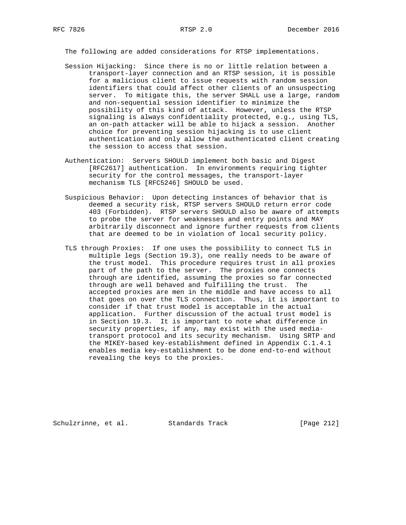The following are added considerations for RTSP implementations.

- Session Hijacking: Since there is no or little relation between a transport-layer connection and an RTSP session, it is possible for a malicious client to issue requests with random session identifiers that could affect other clients of an unsuspecting server. To mitigate this, the server SHALL use a large, random and non-sequential session identifier to minimize the possibility of this kind of attack. However, unless the RTSP signaling is always confidentiality protected, e.g., using TLS, an on-path attacker will be able to hijack a session. Another choice for preventing session hijacking is to use client authentication and only allow the authenticated client creating the session to access that session.
- Authentication: Servers SHOULD implement both basic and Digest [RFC2617] authentication. In environments requiring tighter security for the control messages, the transport-layer mechanism TLS [RFC5246] SHOULD be used.
- Suspicious Behavior: Upon detecting instances of behavior that is deemed a security risk, RTSP servers SHOULD return error code 403 (Forbidden). RTSP servers SHOULD also be aware of attempts to probe the server for weaknesses and entry points and MAY arbitrarily disconnect and ignore further requests from clients that are deemed to be in violation of local security policy.
- TLS through Proxies: If one uses the possibility to connect TLS in multiple legs (Section 19.3), one really needs to be aware of the trust model. This procedure requires trust in all proxies part of the path to the server. The proxies one connects through are identified, assuming the proxies so far connected through are well behaved and fulfilling the trust. The accepted proxies are men in the middle and have access to all that goes on over the TLS connection. Thus, it is important to consider if that trust model is acceptable in the actual application. Further discussion of the actual trust model is in Section 19.3. It is important to note what difference in security properties, if any, may exist with the used media transport protocol and its security mechanism. Using SRTP and the MIKEY-based key-establishment defined in Appendix C.1.4.1 enables media key-establishment to be done end-to-end without revealing the keys to the proxies.

Schulzrinne, et al. Standards Track [Page 212]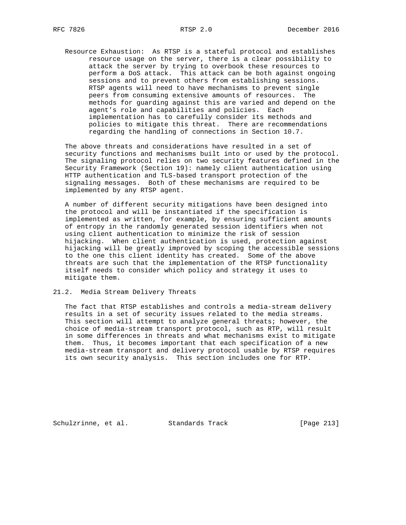Resource Exhaustion: As RTSP is a stateful protocol and establishes resource usage on the server, there is a clear possibility to attack the server by trying to overbook these resources to perform a DoS attack. This attack can be both against ongoing sessions and to prevent others from establishing sessions. RTSP agents will need to have mechanisms to prevent single peers from consuming extensive amounts of resources. The methods for guarding against this are varied and depend on the agent's role and capabilities and policies. Each implementation has to carefully consider its methods and policies to mitigate this threat. There are recommendations regarding the handling of connections in Section 10.7.

 The above threats and considerations have resulted in a set of security functions and mechanisms built into or used by the protocol. The signaling protocol relies on two security features defined in the Security Framework (Section 19): namely client authentication using HTTP authentication and TLS-based transport protection of the signaling messages. Both of these mechanisms are required to be implemented by any RTSP agent.

 A number of different security mitigations have been designed into the protocol and will be instantiated if the specification is implemented as written, for example, by ensuring sufficient amounts of entropy in the randomly generated session identifiers when not using client authentication to minimize the risk of session hijacking. When client authentication is used, protection against hijacking will be greatly improved by scoping the accessible sessions to the one this client identity has created. Some of the above threats are such that the implementation of the RTSP functionality itself needs to consider which policy and strategy it uses to mitigate them.

21.2. Media Stream Delivery Threats

 The fact that RTSP establishes and controls a media-stream delivery results in a set of security issues related to the media streams. This section will attempt to analyze general threats; however, the choice of media-stream transport protocol, such as RTP, will result in some differences in threats and what mechanisms exist to mitigate them. Thus, it becomes important that each specification of a new media-stream transport and delivery protocol usable by RTSP requires its own security analysis. This section includes one for RTP.

Schulzrinne, et al. Standards Track [Page 213]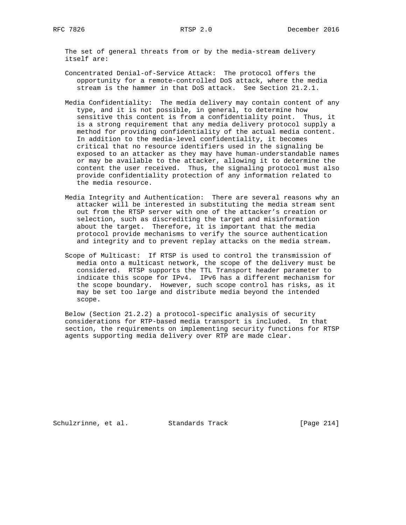The set of general threats from or by the media-stream delivery itself are:

- Concentrated Denial-of-Service Attack: The protocol offers the opportunity for a remote-controlled DoS attack, where the media stream is the hammer in that DoS attack. See Section 21.2.1.
- Media Confidentiality: The media delivery may contain content of any type, and it is not possible, in general, to determine how sensitive this content is from a confidentiality point. Thus, it is a strong requirement that any media delivery protocol supply a method for providing confidentiality of the actual media content. In addition to the media-level confidentiality, it becomes critical that no resource identifiers used in the signaling be exposed to an attacker as they may have human-understandable names or may be available to the attacker, allowing it to determine the content the user received. Thus, the signaling protocol must also provide confidentiality protection of any information related to the media resource.
- Media Integrity and Authentication: There are several reasons why an attacker will be interested in substituting the media stream sent out from the RTSP server with one of the attacker's creation or selection, such as discrediting the target and misinformation about the target. Therefore, it is important that the media protocol provide mechanisms to verify the source authentication and integrity and to prevent replay attacks on the media stream.
- Scope of Multicast: If RTSP is used to control the transmission of media onto a multicast network, the scope of the delivery must be considered. RTSP supports the TTL Transport header parameter to indicate this scope for IPv4. IPv6 has a different mechanism for the scope boundary. However, such scope control has risks, as it may be set too large and distribute media beyond the intended scope.

 Below (Section 21.2.2) a protocol-specific analysis of security considerations for RTP-based media transport is included. In that section, the requirements on implementing security functions for RTSP agents supporting media delivery over RTP are made clear.

Schulzrinne, et al. Standards Track [Page 214]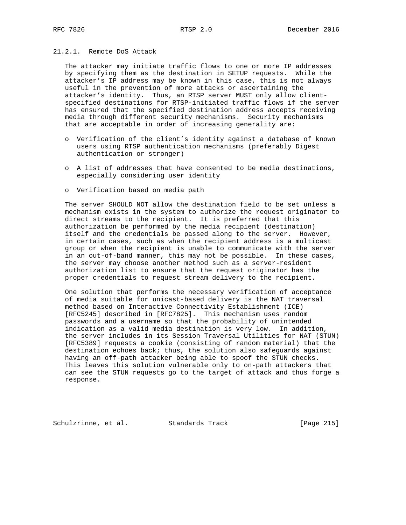# 21.2.1. Remote DoS Attack

 The attacker may initiate traffic flows to one or more IP addresses by specifying them as the destination in SETUP requests. While the attacker's IP address may be known in this case, this is not always useful in the prevention of more attacks or ascertaining the attacker's identity. Thus, an RTSP server MUST only allow client specified destinations for RTSP-initiated traffic flows if the server has ensured that the specified destination address accepts receiving media through different security mechanisms. Security mechanisms that are acceptable in order of increasing generality are:

- o Verification of the client's identity against a database of known users using RTSP authentication mechanisms (preferably Digest authentication or stronger)
- o A list of addresses that have consented to be media destinations, especially considering user identity
- o Verification based on media path

 The server SHOULD NOT allow the destination field to be set unless a mechanism exists in the system to authorize the request originator to direct streams to the recipient. It is preferred that this authorization be performed by the media recipient (destination) itself and the credentials be passed along to the server. However, in certain cases, such as when the recipient address is a multicast group or when the recipient is unable to communicate with the server in an out-of-band manner, this may not be possible. In these cases, the server may choose another method such as a server-resident authorization list to ensure that the request originator has the proper credentials to request stream delivery to the recipient.

 One solution that performs the necessary verification of acceptance of media suitable for unicast-based delivery is the NAT traversal method based on Interactive Connectivity Establishment (ICE) [RFC5245] described in [RFC7825]. This mechanism uses random passwords and a username so that the probability of unintended indication as a valid media destination is very low. In addition, the server includes in its Session Traversal Utilities for NAT (STUN) [RFC5389] requests a cookie (consisting of random material) that the destination echoes back; thus, the solution also safeguards against having an off-path attacker being able to spoof the STUN checks. This leaves this solution vulnerable only to on-path attackers that can see the STUN requests go to the target of attack and thus forge a response.

Schulzrinne, et al. Standards Track [Page 215]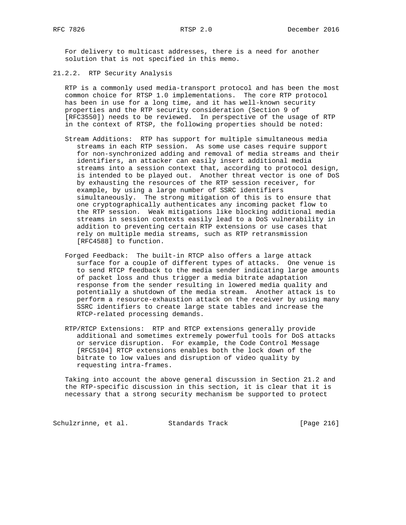For delivery to multicast addresses, there is a need for another solution that is not specified in this memo.

21.2.2. RTP Security Analysis

 RTP is a commonly used media-transport protocol and has been the most common choice for RTSP 1.0 implementations. The core RTP protocol has been in use for a long time, and it has well-known security properties and the RTP security consideration (Section 9 of [RFC3550]) needs to be reviewed. In perspective of the usage of RTP in the context of RTSP, the following properties should be noted:

- Stream Additions: RTP has support for multiple simultaneous media streams in each RTP session. As some use cases require support for non-synchronized adding and removal of media streams and their identifiers, an attacker can easily insert additional media streams into a session context that, according to protocol design, is intended to be played out. Another threat vector is one of DoS by exhausting the resources of the RTP session receiver, for example, by using a large number of SSRC identifiers simultaneously. The strong mitigation of this is to ensure that one cryptographically authenticates any incoming packet flow to the RTP session. Weak mitigations like blocking additional media streams in session contexts easily lead to a DoS vulnerability in addition to preventing certain RTP extensions or use cases that rely on multiple media streams, such as RTP retransmission [RFC4588] to function.
- Forged Feedback: The built-in RTCP also offers a large attack surface for a couple of different types of attacks. One venue is to send RTCP feedback to the media sender indicating large amounts of packet loss and thus trigger a media bitrate adaptation response from the sender resulting in lowered media quality and potentially a shutdown of the media stream. Another attack is to perform a resource-exhaustion attack on the receiver by using many SSRC identifiers to create large state tables and increase the RTCP-related processing demands.
- RTP/RTCP Extensions: RTP and RTCP extensions generally provide additional and sometimes extremely powerful tools for DoS attacks or service disruption. For example, the Code Control Message [RFC5104] RTCP extensions enables both the lock down of the bitrate to low values and disruption of video quality by requesting intra-frames.

 Taking into account the above general discussion in Section 21.2 and the RTP-specific discussion in this section, it is clear that it is necessary that a strong security mechanism be supported to protect

Schulzrinne, et al. Standards Track [Page 216]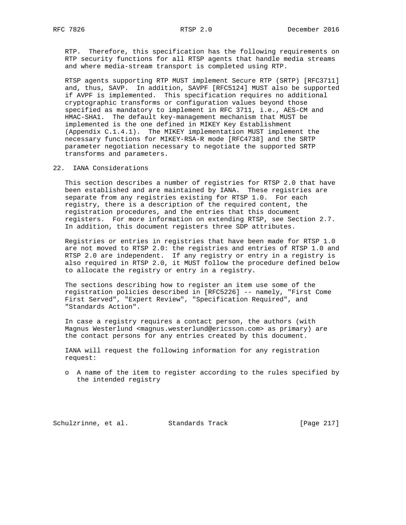RTP. Therefore, this specification has the following requirements on RTP security functions for all RTSP agents that handle media streams and where media-stream transport is completed using RTP.

 RTSP agents supporting RTP MUST implement Secure RTP (SRTP) [RFC3711] and, thus, SAVP. In addition, SAVPF [RFC5124] MUST also be supported if AVPF is implemented. This specification requires no additional cryptographic transforms or configuration values beyond those specified as mandatory to implement in RFC 3711, i.e., AES-CM and HMAC-SHA1. The default key-management mechanism that MUST be implemented is the one defined in MIKEY Key Establishment (Appendix C.1.4.1). The MIKEY implementation MUST implement the necessary functions for MIKEY-RSA-R mode [RFC4738] and the SRTP parameter negotiation necessary to negotiate the supported SRTP transforms and parameters.

22. IANA Considerations

 This section describes a number of registries for RTSP 2.0 that have been established and are maintained by IANA. These registries are separate from any registries existing for RTSP 1.0. For each registry, there is a description of the required content, the registration procedures, and the entries that this document registers. For more information on extending RTSP, see Section 2.7. In addition, this document registers three SDP attributes.

 Registries or entries in registries that have been made for RTSP 1.0 are not moved to RTSP 2.0: the registries and entries of RTSP 1.0 and RTSP 2.0 are independent. If any registry or entry in a registry is also required in RTSP 2.0, it MUST follow the procedure defined below to allocate the registry or entry in a registry.

 The sections describing how to register an item use some of the registration policies described in [RFC5226] -- namely, "First Come First Served", "Expert Review", "Specification Required", and "Standards Action".

 In case a registry requires a contact person, the authors (with Magnus Westerlund <magnus.westerlund@ericsson.com> as primary) are the contact persons for any entries created by this document.

 IANA will request the following information for any registration request:

 o A name of the item to register according to the rules specified by the intended registry

Schulzrinne, et al. Standards Track [Page 217]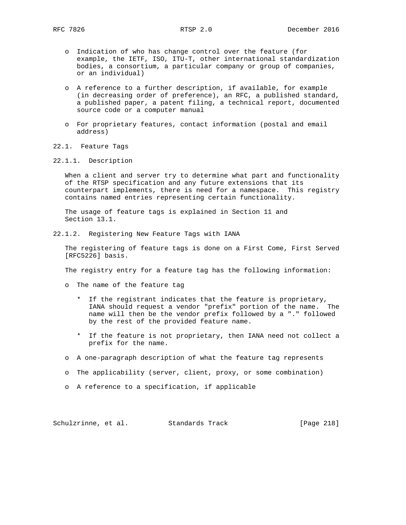- o Indication of who has change control over the feature (for example, the IETF, ISO, ITU-T, other international standardization bodies, a consortium, a particular company or group of companies, or an individual)
- o A reference to a further description, if available, for example (in decreasing order of preference), an RFC, a published standard, a published paper, a patent filing, a technical report, documented source code or a computer manual
- o For proprietary features, contact information (postal and email address)
- 22.1. Feature Tags
- 22.1.1. Description

 When a client and server try to determine what part and functionality of the RTSP specification and any future extensions that its counterpart implements, there is need for a namespace. This registry contains named entries representing certain functionality.

 The usage of feature tags is explained in Section 11 and Section 13.1.

22.1.2. Registering New Feature Tags with IANA

 The registering of feature tags is done on a First Come, First Served [RFC5226] basis.

The registry entry for a feature tag has the following information:

- o The name of the feature tag
	- \* If the registrant indicates that the feature is proprietary, IANA should request a vendor "prefix" portion of the name. The name will then be the vendor prefix followed by a "." followed by the rest of the provided feature name.
	- \* If the feature is not proprietary, then IANA need not collect a prefix for the name.
- o A one-paragraph description of what the feature tag represents
- o The applicability (server, client, proxy, or some combination)
- o A reference to a specification, if applicable

Schulzrinne, et al. Standards Track [Page 218]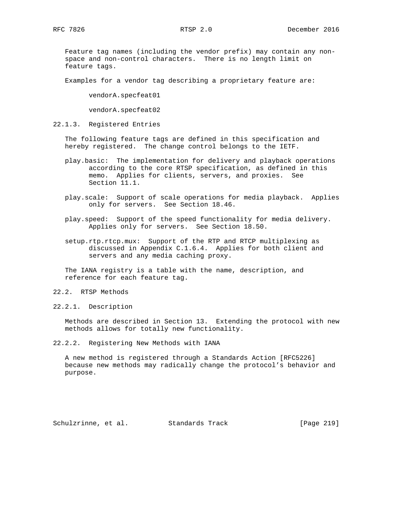Feature tag names (including the vendor prefix) may contain any non space and non-control characters. There is no length limit on feature tags.

Examples for a vendor tag describing a proprietary feature are:

vendorA.specfeat01

vendorA.specfeat02

22.1.3. Registered Entries

 The following feature tags are defined in this specification and hereby registered. The change control belongs to the IETF.

- play.basic: The implementation for delivery and playback operations according to the core RTSP specification, as defined in this memo. Applies for clients, servers, and proxies. See Section 11.1.
- play.scale: Support of scale operations for media playback. Applies only for servers. See Section 18.46.
- play.speed: Support of the speed functionality for media delivery. Applies only for servers. See Section 18.50.
- setup.rtp.rtcp.mux: Support of the RTP and RTCP multiplexing as discussed in Appendix C.1.6.4. Applies for both client and servers and any media caching proxy.

 The IANA registry is a table with the name, description, and reference for each feature tag.

- 22.2. RTSP Methods
- 22.2.1. Description

 Methods are described in Section 13. Extending the protocol with new methods allows for totally new functionality.

22.2.2. Registering New Methods with IANA

 A new method is registered through a Standards Action [RFC5226] because new methods may radically change the protocol's behavior and purpose.

Schulzrinne, et al. Standards Track [Page 219]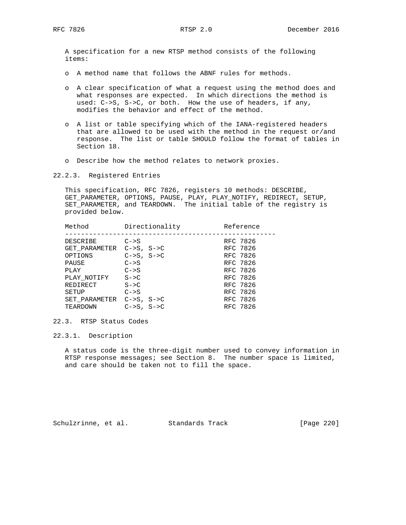A specification for a new RTSP method consists of the following items:

- o A method name that follows the ABNF rules for methods.
- o A clear specification of what a request using the method does and what responses are expected. In which directions the method is used: C->S, S->C, or both. How the use of headers, if any, modifies the behavior and effect of the method.
- o A list or table specifying which of the IANA-registered headers that are allowed to be used with the method in the request or/and response. The list or table SHOULD follow the format of tables in Section 18.
- o Describe how the method relates to network proxies.
- 22.2.3. Registered Entries

 This specification, RFC 7826, registers 10 methods: DESCRIBE, GET\_PARAMETER, OPTIONS, PAUSE, PLAY, PLAY\_NOTIFY, REDIRECT, SETUP, SET\_PARAMETER, and TEARDOWN. The initial table of the registry is provided below.

| Method                   | Directionality  | Reference |
|--------------------------|-----------------|-----------|
| DESCRIBE                 | $C->S$          | RFC 7826  |
| GET PARAMETER C->S, S->C |                 | RFC 7826  |
| OPTIONS                  | $C->S$ , $S->C$ | RFC 7826  |
| PAUSE                    | $C->S$          | RFC 7826  |
| PLAY                     | $C->S$          | RFC 7826  |
| PLAY NOTIFY              | $S->C$          | RFC 7826  |
| REDIRECT                 | $S->C$          | RFC 7826  |
| SETUP                    | $C->S$          | RFC 7826  |
| SET PARAMETER C->S, S->C |                 | RFC 7826  |
| TEARDOWN                 | $C->S$ , $S->C$ | RFC 7826  |
|                          |                 |           |

22.3. RTSP Status Codes

22.3.1. Description

 A status code is the three-digit number used to convey information in RTSP response messages; see Section 8. The number space is limited, and care should be taken not to fill the space.

Schulzrinne, et al. Standards Track [Page 220]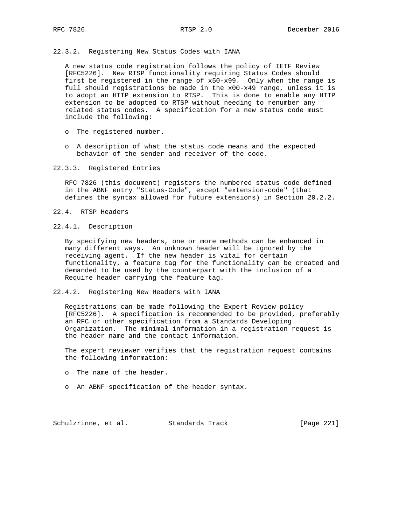22.3.2. Registering New Status Codes with IANA

 A new status code registration follows the policy of IETF Review [RFC5226]. New RTSP functionality requiring Status Codes should first be registered in the range of x50-x99. Only when the range is full should registrations be made in the x00-x49 range, unless it is to adopt an HTTP extension to RTSP. This is done to enable any HTTP extension to be adopted to RTSP without needing to renumber any related status codes. A specification for a new status code must include the following:

- o The registered number.
- o A description of what the status code means and the expected behavior of the sender and receiver of the code.
- 22.3.3. Registered Entries

 RFC 7826 (this document) registers the numbered status code defined in the ABNF entry "Status-Code", except "extension-code" (that defines the syntax allowed for future extensions) in Section 20.2.2.

- 22.4. RTSP Headers
- 22.4.1. Description

 By specifying new headers, one or more methods can be enhanced in many different ways. An unknown header will be ignored by the receiving agent. If the new header is vital for certain functionality, a feature tag for the functionality can be created and demanded to be used by the counterpart with the inclusion of a Require header carrying the feature tag.

22.4.2. Registering New Headers with IANA

 Registrations can be made following the Expert Review policy [RFC5226]. A specification is recommended to be provided, preferably an RFC or other specification from a Standards Developing Organization. The minimal information in a registration request is the header name and the contact information.

 The expert reviewer verifies that the registration request contains the following information:

- o The name of the header.
- o An ABNF specification of the header syntax.

Schulzrinne, et al. Standards Track [Page 221]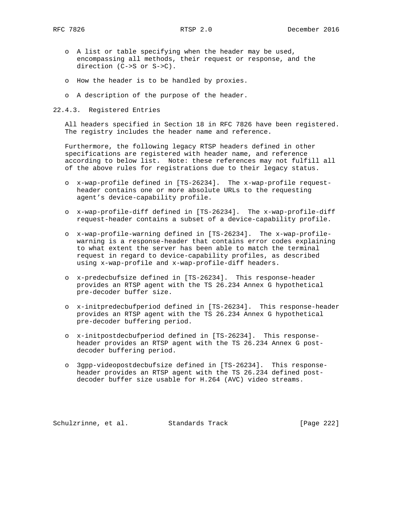- o A list or table specifying when the header may be used, encompassing all methods, their request or response, and the direction (C->S or S->C).
- o How the header is to be handled by proxies.
- o A description of the purpose of the header.
- 22.4.3. Registered Entries

 All headers specified in Section 18 in RFC 7826 have been registered. The registry includes the header name and reference.

 Furthermore, the following legacy RTSP headers defined in other specifications are registered with header name, and reference according to below list. Note: these references may not fulfill all of the above rules for registrations due to their legacy status.

- o x-wap-profile defined in [TS-26234]. The x-wap-profile request header contains one or more absolute URLs to the requesting agent's device-capability profile.
- o x-wap-profile-diff defined in [TS-26234]. The x-wap-profile-diff request-header contains a subset of a device-capability profile.
- o x-wap-profile-warning defined in [TS-26234]. The x-wap-profile warning is a response-header that contains error codes explaining to what extent the server has been able to match the terminal request in regard to device-capability profiles, as described using x-wap-profile and x-wap-profile-diff headers.
- o x-predecbufsize defined in [TS-26234]. This response-header provides an RTSP agent with the TS 26.234 Annex G hypothetical pre-decoder buffer size.
- o x-initpredecbufperiod defined in [TS-26234]. This response-header provides an RTSP agent with the TS 26.234 Annex G hypothetical pre-decoder buffering period.
- o x-initpostdecbufperiod defined in [TS-26234]. This response header provides an RTSP agent with the TS 26.234 Annex G post decoder buffering period.
- o 3gpp-videopostdecbufsize defined in [TS-26234]. This response header provides an RTSP agent with the TS 26.234 defined post decoder buffer size usable for H.264 (AVC) video streams.

Schulzrinne, et al. Standards Track [Page 222]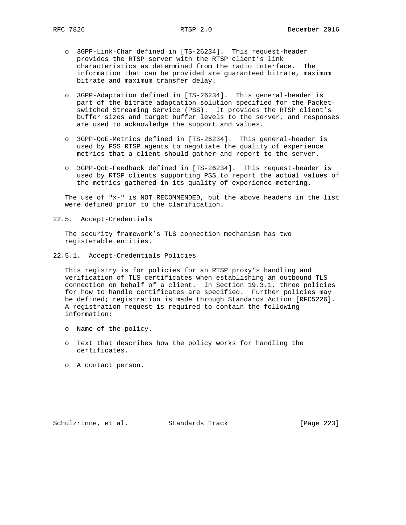- o 3GPP-Link-Char defined in [TS-26234]. This request-header provides the RTSP server with the RTSP client's link characteristics as determined from the radio interface. The information that can be provided are guaranteed bitrate, maximum bitrate and maximum transfer delay.
- o 3GPP-Adaptation defined in [TS-26234]. This general-header is part of the bitrate adaptation solution specified for the Packet switched Streaming Service (PSS). It provides the RTSP client's buffer sizes and target buffer levels to the server, and responses are used to acknowledge the support and values.
- o 3GPP-QoE-Metrics defined in [TS-26234]. This general-header is used by PSS RTSP agents to negotiate the quality of experience metrics that a client should gather and report to the server.
- o 3GPP-QoE-Feedback defined in [TS-26234]. This request-header is used by RTSP clients supporting PSS to report the actual values of the metrics gathered in its quality of experience metering.

 The use of "x-" is NOT RECOMMENDED, but the above headers in the list were defined prior to the clarification.

22.5. Accept-Credentials

 The security framework's TLS connection mechanism has two registerable entities.

22.5.1. Accept-Credentials Policies

 This registry is for policies for an RTSP proxy's handling and verification of TLS certificates when establishing an outbound TLS connection on behalf of a client. In Section 19.3.1, three policies for how to handle certificates are specified. Further policies may be defined; registration is made through Standards Action [RFC5226]. A registration request is required to contain the following information:

- o Name of the policy.
- o Text that describes how the policy works for handling the certificates.
- o A contact person.

Schulzrinne, et al. Standards Track [Page 223]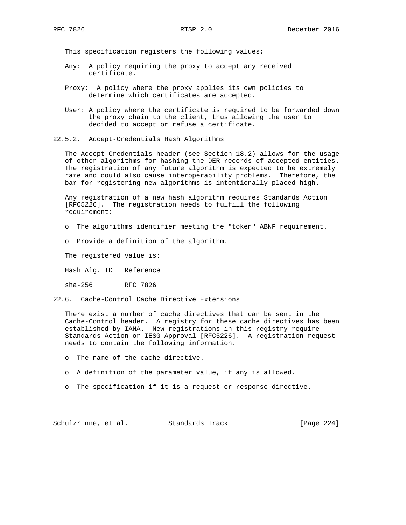This specification registers the following values:

- Any: A policy requiring the proxy to accept any received certificate.
- Proxy: A policy where the proxy applies its own policies to determine which certificates are accepted.
- User: A policy where the certificate is required to be forwarded down the proxy chain to the client, thus allowing the user to decided to accept or refuse a certificate.
- 22.5.2. Accept-Credentials Hash Algorithms

 The Accept-Credentials header (see Section 18.2) allows for the usage of other algorithms for hashing the DER records of accepted entities. The registration of any future algorithm is expected to be extremely rare and could also cause interoperability problems. Therefore, the bar for registering new algorithms is intentionally placed high.

 Any registration of a new hash algorithm requires Standards Action [RFC5226]. The registration needs to fulfill the following requirement:

- o The algorithms identifier meeting the "token" ABNF requirement.
- o Provide a definition of the algorithm.

The registered value is:

 Hash Alg. ID Reference ----------------------- sha-256 RFC 7826

22.6. Cache-Control Cache Directive Extensions

 There exist a number of cache directives that can be sent in the Cache-Control header. A registry for these cache directives has been established by IANA. New registrations in this registry require Standards Action or IESG Approval [RFC5226]. A registration request needs to contain the following information.

- o The name of the cache directive.
- o A definition of the parameter value, if any is allowed.
- o The specification if it is a request or response directive.

Schulzrinne, et al. Standards Track [Page 224]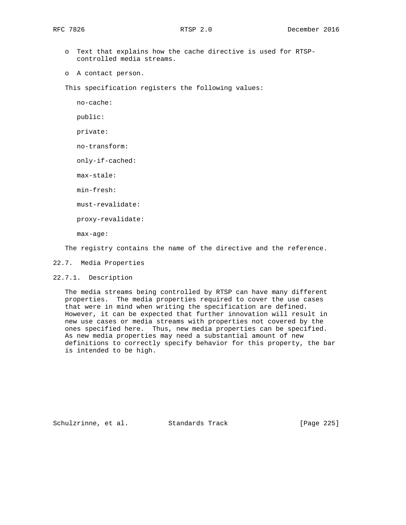- o Text that explains how the cache directive is used for RTSP controlled media streams.
- o A contact person.

This specification registers the following values:

no-cache:

public:

private:

no-transform:

only-if-cached:

max-stale:

min-fresh:

must-revalidate:

proxy-revalidate:

max-age:

The registry contains the name of the directive and the reference.

- 22.7. Media Properties
- 22.7.1. Description

 The media streams being controlled by RTSP can have many different properties. The media properties required to cover the use cases that were in mind when writing the specification are defined. However, it can be expected that further innovation will result in new use cases or media streams with properties not covered by the ones specified here. Thus, new media properties can be specified. As new media properties may need a substantial amount of new definitions to correctly specify behavior for this property, the bar is intended to be high.

Schulzrinne, et al. Standards Track [Page 225]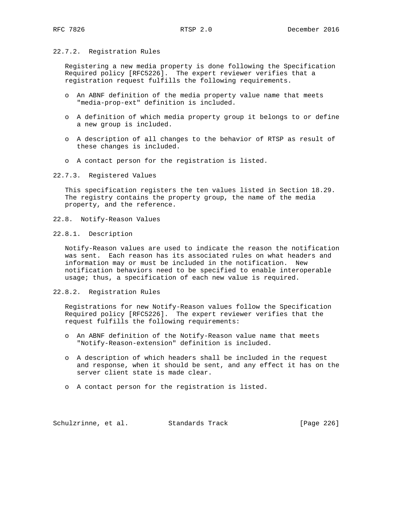### 22.7.2. Registration Rules

 Registering a new media property is done following the Specification Required policy [RFC5226]. The expert reviewer verifies that a registration request fulfills the following requirements.

- o An ABNF definition of the media property value name that meets "media-prop-ext" definition is included.
- o A definition of which media property group it belongs to or define a new group is included.
- o A description of all changes to the behavior of RTSP as result of these changes is included.
- o A contact person for the registration is listed.
- 22.7.3. Registered Values

 This specification registers the ten values listed in Section 18.29. The registry contains the property group, the name of the media property, and the reference.

- 22.8. Notify-Reason Values
- 22.8.1. Description

 Notify-Reason values are used to indicate the reason the notification was sent. Each reason has its associated rules on what headers and information may or must be included in the notification. New notification behaviors need to be specified to enable interoperable usage; thus, a specification of each new value is required.

22.8.2. Registration Rules

 Registrations for new Notify-Reason values follow the Specification Required policy [RFC5226]. The expert reviewer verifies that the request fulfills the following requirements:

- o An ABNF definition of the Notify-Reason value name that meets "Notify-Reason-extension" definition is included.
- o A description of which headers shall be included in the request and response, when it should be sent, and any effect it has on the server client state is made clear.
- o A contact person for the registration is listed.

Schulzrinne, et al. Standards Track [Page 226]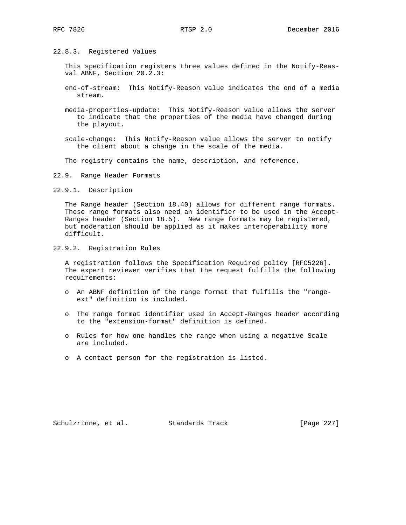22.8.3. Registered Values

 This specification registers three values defined in the Notify-Reas val ABNF, Section 20.2.3:

- end-of-stream: This Notify-Reason value indicates the end of a media stream.
- media-properties-update: This Notify-Reason value allows the server to indicate that the properties of the media have changed during the playout.
- scale-change: This Notify-Reason value allows the server to notify the client about a change in the scale of the media.

The registry contains the name, description, and reference.

22.9. Range Header Formats

22.9.1. Description

 The Range header (Section 18.40) allows for different range formats. These range formats also need an identifier to be used in the Accept- Ranges header (Section 18.5). New range formats may be registered, but moderation should be applied as it makes interoperability more difficult.

22.9.2. Registration Rules

 A registration follows the Specification Required policy [RFC5226]. The expert reviewer verifies that the request fulfills the following requirements:

- o An ABNF definition of the range format that fulfills the "range ext" definition is included.
- o The range format identifier used in Accept-Ranges header according to the "extension-format" definition is defined.
- o Rules for how one handles the range when using a negative Scale are included.
- o A contact person for the registration is listed.

Schulzrinne, et al. Standards Track [Page 227]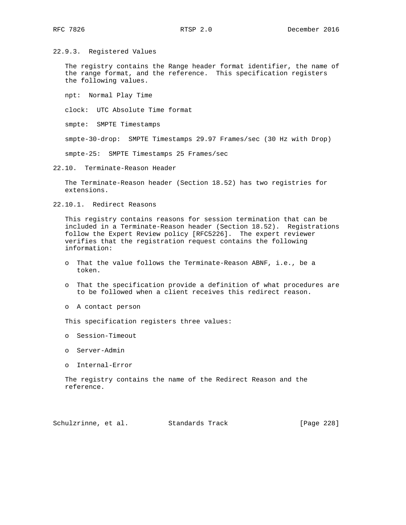22.9.3. Registered Values

 The registry contains the Range header format identifier, the name of the range format, and the reference. This specification registers the following values.

npt: Normal Play Time

clock: UTC Absolute Time format

smpte: SMPTE Timestamps

smpte-30-drop: SMPTE Timestamps 29.97 Frames/sec (30 Hz with Drop)

smpte-25: SMPTE Timestamps 25 Frames/sec

22.10. Terminate-Reason Header

 The Terminate-Reason header (Section 18.52) has two registries for extensions.

22.10.1. Redirect Reasons

 This registry contains reasons for session termination that can be included in a Terminate-Reason header (Section 18.52). Registrations follow the Expert Review policy [RFC5226]. The expert reviewer verifies that the registration request contains the following information:

- o That the value follows the Terminate-Reason ABNF, i.e., be a token.
- o That the specification provide a definition of what procedures are to be followed when a client receives this redirect reason.
- o A contact person
- This specification registers three values:
- o Session-Timeout
- o Server-Admin
- o Internal-Error

 The registry contains the name of the Redirect Reason and the reference.

Schulzrinne, et al. Standards Track [Page 228]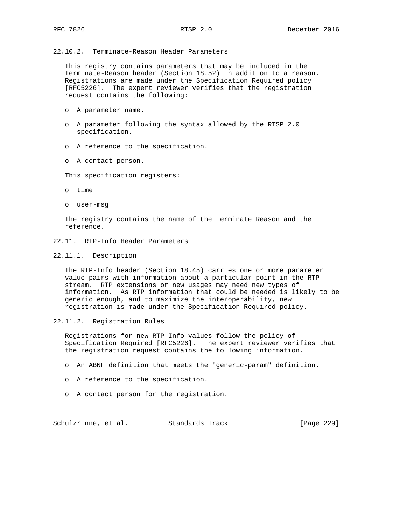22.10.2. Terminate-Reason Header Parameters

 This registry contains parameters that may be included in the Terminate-Reason header (Section 18.52) in addition to a reason. Registrations are made under the Specification Required policy [RFC5226]. The expert reviewer verifies that the registration request contains the following:

- o A parameter name.
- o A parameter following the syntax allowed by the RTSP 2.0 specification.
- o A reference to the specification.
- o A contact person.

This specification registers:

- o time
- o user-msg

 The registry contains the name of the Terminate Reason and the reference.

- 22.11. RTP-Info Header Parameters
- 22.11.1. Description

 The RTP-Info header (Section 18.45) carries one or more parameter value pairs with information about a particular point in the RTP stream. RTP extensions or new usages may need new types of information. As RTP information that could be needed is likely to be generic enough, and to maximize the interoperability, new registration is made under the Specification Required policy.

22.11.2. Registration Rules

 Registrations for new RTP-Info values follow the policy of Specification Required [RFC5226]. The expert reviewer verifies that the registration request contains the following information.

- o An ABNF definition that meets the "generic-param" definition.
- o A reference to the specification.
- o A contact person for the registration.

Schulzrinne, et al. Standards Track [Page 229]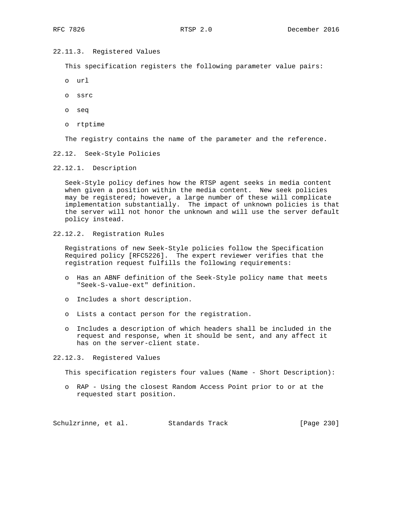# 22.11.3. Registered Values

This specification registers the following parameter value pairs:

- o url
- o ssrc
- o seq
- o rtptime

The registry contains the name of the parameter and the reference.

22.12. Seek-Style Policies

22.12.1. Description

 Seek-Style policy defines how the RTSP agent seeks in media content when given a position within the media content. New seek policies may be registered; however, a large number of these will complicate implementation substantially. The impact of unknown policies is that the server will not honor the unknown and will use the server default policy instead.

22.12.2. Registration Rules

 Registrations of new Seek-Style policies follow the Specification Required policy [RFC5226]. The expert reviewer verifies that the registration request fulfills the following requirements:

- o Has an ABNF definition of the Seek-Style policy name that meets "Seek-S-value-ext" definition.
- o Includes a short description.
- o Lists a contact person for the registration.
- o Includes a description of which headers shall be included in the request and response, when it should be sent, and any affect it has on the server-client state.

22.12.3. Registered Values

This specification registers four values (Name - Short Description):

 o RAP - Using the closest Random Access Point prior to or at the requested start position.

Schulzrinne, et al. Standards Track [Page 230]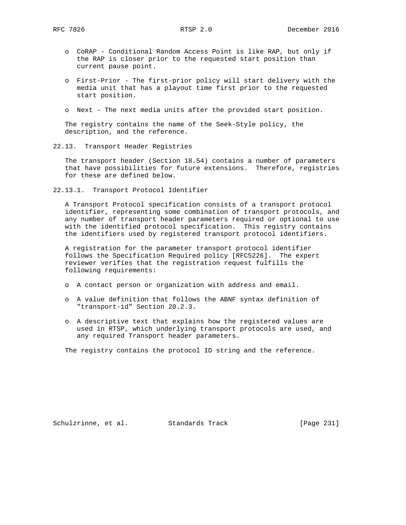- o CoRAP Conditional Random Access Point is like RAP, but only if the RAP is closer prior to the requested start position than current pause point.
- o First-Prior The first-prior policy will start delivery with the media unit that has a playout time first prior to the requested start position.
- o Next The next media units after the provided start position.

 The registry contains the name of the Seek-Style policy, the description, and the reference.

22.13. Transport Header Registries

 The transport header (Section 18.54) contains a number of parameters that have possibilities for future extensions. Therefore, registries for these are defined below.

22.13.1. Transport Protocol Identifier

 A Transport Protocol specification consists of a transport protocol identifier, representing some combination of transport protocols, and any number of transport header parameters required or optional to use with the identified protocol specification. This registry contains the identifiers used by registered transport protocol identifiers.

 A registration for the parameter transport protocol identifier follows the Specification Required policy [RFC5226]. The expert reviewer verifies that the registration request fulfills the following requirements:

- o A contact person or organization with address and email.
- o A value definition that follows the ABNF syntax definition of "transport-id" Section 20.2.3.
- o A descriptive text that explains how the registered values are used in RTSP, which underlying transport protocols are used, and any required Transport header parameters.

The registry contains the protocol ID string and the reference.

Schulzrinne, et al. Standards Track [Page 231]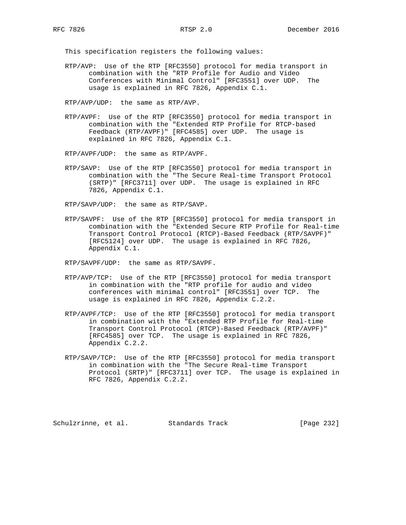This specification registers the following values:

 RTP/AVP: Use of the RTP [RFC3550] protocol for media transport in combination with the "RTP Profile for Audio and Video Conferences with Minimal Control" [RFC3551] over UDP. The usage is explained in RFC 7826, Appendix C.1.

RTP/AVP/UDP: the same as RTP/AVP.

 RTP/AVPF: Use of the RTP [RFC3550] protocol for media transport in combination with the "Extended RTP Profile for RTCP-based Feedback (RTP/AVPF)" [RFC4585] over UDP. The usage is explained in RFC 7826, Appendix C.1.

RTP/AVPF/UDP: the same as RTP/AVPF.

 RTP/SAVP: Use of the RTP [RFC3550] protocol for media transport in combination with the "The Secure Real-time Transport Protocol (SRTP)" [RFC3711] over UDP. The usage is explained in RFC 7826, Appendix C.1.

RTP/SAVP/UDP: the same as RTP/SAVP.

 RTP/SAVPF: Use of the RTP [RFC3550] protocol for media transport in combination with the "Extended Secure RTP Profile for Real-time Transport Control Protocol (RTCP)-Based Feedback (RTP/SAVPF)" [RFC5124] over UDP. The usage is explained in RFC 7826, Appendix C.1.

RTP/SAVPF/UDP: the same as RTP/SAVPF.

- RTP/AVP/TCP: Use of the RTP [RFC3550] protocol for media transport in combination with the "RTP profile for audio and video conferences with minimal control" [RFC3551] over TCP. The usage is explained in RFC 7826, Appendix C.2.2.
- RTP/AVPF/TCP: Use of the RTP [RFC3550] protocol for media transport in combination with the "Extended RTP Profile for Real-time Transport Control Protocol (RTCP)-Based Feedback (RTP/AVPF)" [RFC4585] over TCP. The usage is explained in RFC 7826, Appendix C.2.2.
- RTP/SAVP/TCP: Use of the RTP [RFC3550] protocol for media transport in combination with the "The Secure Real-time Transport Protocol (SRTP)" [RFC3711] over TCP. The usage is explained in RFC 7826, Appendix C.2.2.

Schulzrinne, et al. Standards Track [Page 232]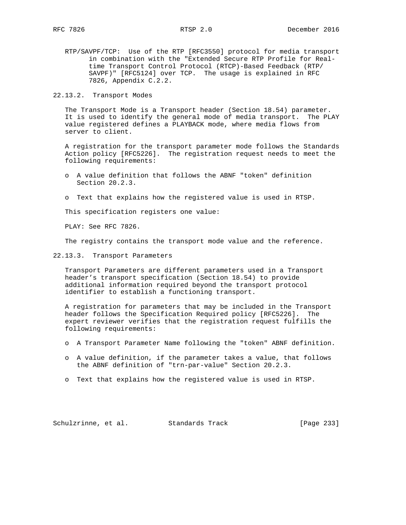RTP/SAVPF/TCP: Use of the RTP [RFC3550] protocol for media transport in combination with the "Extended Secure RTP Profile for Real time Transport Control Protocol (RTCP)-Based Feedback (RTP/ SAVPF)" [RFC5124] over TCP. The usage is explained in RFC 7826, Appendix C.2.2.

22.13.2. Transport Modes

 The Transport Mode is a Transport header (Section 18.54) parameter. It is used to identify the general mode of media transport. The PLAY value registered defines a PLAYBACK mode, where media flows from server to client.

 A registration for the transport parameter mode follows the Standards Action policy [RFC5226]. The registration request needs to meet the following requirements:

- o A value definition that follows the ABNF "token" definition Section 20.2.3.
- o Text that explains how the registered value is used in RTSP.

This specification registers one value:

PLAY: See RFC 7826.

The registry contains the transport mode value and the reference.

22.13.3. Transport Parameters

 Transport Parameters are different parameters used in a Transport header's transport specification (Section 18.54) to provide additional information required beyond the transport protocol identifier to establish a functioning transport.

 A registration for parameters that may be included in the Transport header follows the Specification Required policy [RFC5226]. The expert reviewer verifies that the registration request fulfills the following requirements:

- o A Transport Parameter Name following the "token" ABNF definition.
- o A value definition, if the parameter takes a value, that follows the ABNF definition of "trn-par-value" Section 20.2.3.
- o Text that explains how the registered value is used in RTSP.

Schulzrinne, et al. Standards Track [Page 233]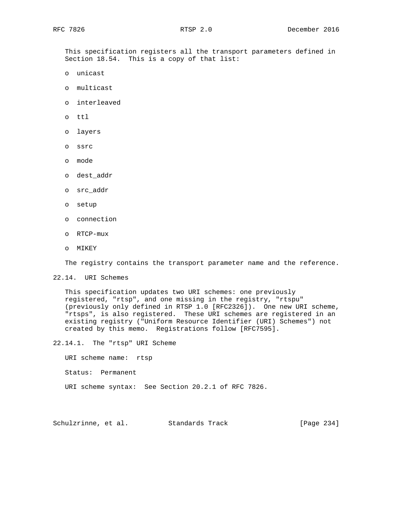This specification registers all the transport parameters defined in Section 18.54. This is a copy of that list:

- o unicast
- o multicast
- o interleaved
- o ttl
- o layers
- o ssrc
- o mode
- o dest\_addr
- o src\_addr
- o setup
- o connection
- o RTCP-mux
- o MIKEY

The registry contains the transport parameter name and the reference.

### 22.14. URI Schemes

 This specification updates two URI schemes: one previously registered, "rtsp", and one missing in the registry, "rtspu" (previously only defined in RTSP 1.0 [RFC2326]). One new URI scheme, "rtsps", is also registered. These URI schemes are registered in an existing registry ("Uniform Resource Identifier (URI) Schemes") not created by this memo. Registrations follow [RFC7595].

22.14.1. The "rtsp" URI Scheme

URI scheme name: rtsp

- Status: Permanent
- URI scheme syntax: See Section 20.2.1 of RFC 7826.

Schulzrinne, et al. Standards Track [Page 234]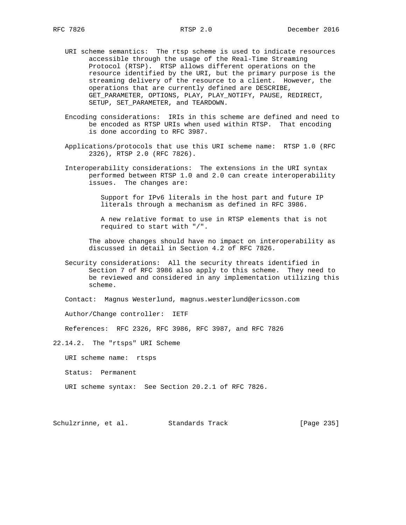- URI scheme semantics: The rtsp scheme is used to indicate resources accessible through the usage of the Real-Time Streaming Protocol (RTSP). RTSP allows different operations on the resource identified by the URI, but the primary purpose is the streaming delivery of the resource to a client. However, the operations that are currently defined are DESCRIBE, GET\_PARAMETER, OPTIONS, PLAY, PLAY\_NOTIFY, PAUSE, REDIRECT, SETUP, SET\_PARAMETER, and TEARDOWN.
- Encoding considerations: IRIs in this scheme are defined and need to be encoded as RTSP URIs when used within RTSP. That encoding is done according to RFC 3987.
- Applications/protocols that use this URI scheme name: RTSP 1.0 (RFC 2326), RTSP 2.0 (RFC 7826).
- Interoperability considerations: The extensions in the URI syntax performed between RTSP 1.0 and 2.0 can create interoperability issues. The changes are:

 Support for IPv6 literals in the host part and future IP literals through a mechanism as defined in RFC 3986.

 A new relative format to use in RTSP elements that is not required to start with "/".

 The above changes should have no impact on interoperability as discussed in detail in Section 4.2 of RFC 7826.

 Security considerations: All the security threats identified in Section 7 of RFC 3986 also apply to this scheme. They need to be reviewed and considered in any implementation utilizing this scheme.

Contact: Magnus Westerlund, magnus.westerlund@ericsson.com

Author/Change controller: IETF

References: RFC 2326, RFC 3986, RFC 3987, and RFC 7826

22.14.2. The "rtsps" URI Scheme

URI scheme name: rtsps

- Status: Permanent
- URI scheme syntax: See Section 20.2.1 of RFC 7826.

Schulzrinne, et al. Standards Track [Page 235]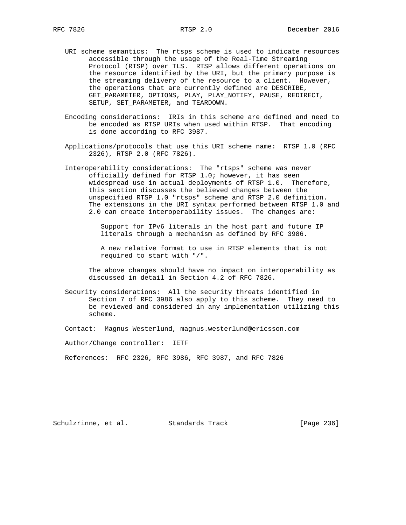- URI scheme semantics: The rtsps scheme is used to indicate resources accessible through the usage of the Real-Time Streaming Protocol (RTSP) over TLS. RTSP allows different operations on the resource identified by the URI, but the primary purpose is the streaming delivery of the resource to a client. However, the operations that are currently defined are DESCRIBE, GET\_PARAMETER, OPTIONS, PLAY, PLAY\_NOTIFY, PAUSE, REDIRECT, SETUP, SET\_PARAMETER, and TEARDOWN.
- Encoding considerations: IRIs in this scheme are defined and need to be encoded as RTSP URIs when used within RTSP. That encoding is done according to RFC 3987.
- Applications/protocols that use this URI scheme name: RTSP 1.0 (RFC 2326), RTSP 2.0 (RFC 7826).
- Interoperability considerations: The "rtsps" scheme was never officially defined for RTSP 1.0; however, it has seen widespread use in actual deployments of RTSP 1.0. Therefore, this section discusses the believed changes between the unspecified RTSP 1.0 "rtsps" scheme and RTSP 2.0 definition. The extensions in the URI syntax performed between RTSP 1.0 and 2.0 can create interoperability issues. The changes are:

 Support for IPv6 literals in the host part and future IP literals through a mechanism as defined by RFC 3986.

 A new relative format to use in RTSP elements that is not required to start with "/".

 The above changes should have no impact on interoperability as discussed in detail in Section 4.2 of RFC 7826.

 Security considerations: All the security threats identified in Section 7 of RFC 3986 also apply to this scheme. They need to be reviewed and considered in any implementation utilizing this scheme.

Contact: Magnus Westerlund, magnus.westerlund@ericsson.com

Author/Change controller: IETF

References: RFC 2326, RFC 3986, RFC 3987, and RFC 7826

Schulzrinne, et al. Standards Track [Page 236]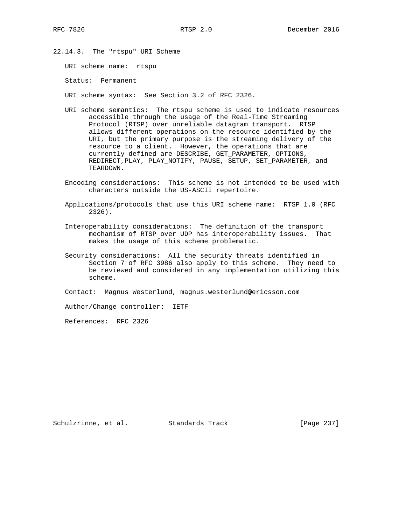22.14.3. The "rtspu" URI Scheme

URI scheme name: rtspu

Status: Permanent

URI scheme syntax: See Section 3.2 of RFC 2326.

- URI scheme semantics: The rtspu scheme is used to indicate resources accessible through the usage of the Real-Time Streaming Protocol (RTSP) over unreliable datagram transport. RTSP allows different operations on the resource identified by the URI, but the primary purpose is the streaming delivery of the resource to a client. However, the operations that are currently defined are DESCRIBE, GET\_PARAMETER, OPTIONS, REDIRECT, PLAY, PLAY\_NOTIFY, PAUSE, SETUP, SET\_PARAMETER, and TEARDOWN.
- Encoding considerations: This scheme is not intended to be used with characters outside the US-ASCII repertoire.
- Applications/protocols that use this URI scheme name: RTSP 1.0 (RFC 2326).
- Interoperability considerations: The definition of the transport mechanism of RTSP over UDP has interoperability issues. That makes the usage of this scheme problematic.
- Security considerations: All the security threats identified in Section 7 of RFC 3986 also apply to this scheme. They need to be reviewed and considered in any implementation utilizing this scheme.

Contact: Magnus Westerlund, magnus.westerlund@ericsson.com

Author/Change controller: IETF

References: RFC 2326

Schulzrinne, et al. Standards Track [Page 237]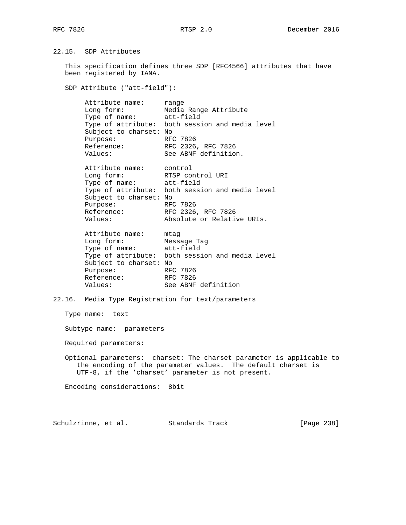22.15. SDP Attributes

 This specification defines three SDP [RFC4566] attributes that have been registered by IANA.

SDP Attribute ("att-field"):

 Attribute name: range Long form: Media Range Attribute Type of name: att-field Type of attribute: both session and media level Subject to charset: No Purpose: RFC 7826 Reference: RFC 2326, RFC 7826 Values: See ABNF definition.

 Attribute name: control Long form: RTSP control URI Type of name: att-field Type of attribute: both session and media level Subject to charset: No Purpose: RFC 7826 Reference: RFC 2326, RFC 7826 Values: Absolute or Relative URIs.

 Attribute name: mtag Long form: Message Tag Type of name: att-field Type of attribute: both session and media level Subject to charset: No Purpose: RFC 7826 Reference: RFC 7826 Values: See ABNF definition

22.16. Media Type Registration for text/parameters

Type name: text

Subtype name: parameters

Required parameters:

 Optional parameters: charset: The charset parameter is applicable to the encoding of the parameter values. The default charset is UTF-8, if the 'charset' parameter is not present.

Encoding considerations: 8bit

Schulzrinne, et al. Standards Track [Page 238]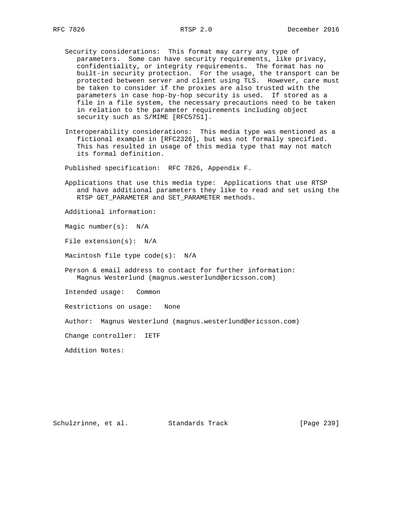- Security considerations: This format may carry any type of parameters. Some can have security requirements, like privacy, confidentiality, or integrity requirements. The format has no built-in security protection. For the usage, the transport can be protected between server and client using TLS. However, care must be taken to consider if the proxies are also trusted with the parameters in case hop-by-hop security is used. If stored as a file in a file system, the necessary precautions need to be taken in relation to the parameter requirements including object security such as S/MIME [RFC5751].
- Interoperability considerations: This media type was mentioned as a fictional example in [RFC2326], but was not formally specified. This has resulted in usage of this media type that may not match its formal definition.

Published specification: RFC 7826, Appendix F.

 Applications that use this media type: Applications that use RTSP and have additional parameters they like to read and set using the RTSP GET\_PARAMETER and SET\_PARAMETER methods.

Additional information:

Magic number(s): N/A

File extension(s): N/A

Macintosh file type code(s): N/A

 Person & email address to contact for further information: Magnus Westerlund (magnus.westerlund@ericsson.com)

Intended usage: Common

Restrictions on usage: None

Author: Magnus Westerlund (magnus.westerlund@ericsson.com)

Change controller: IETF

Addition Notes:

Schulzrinne, et al. Standards Track [Page 239]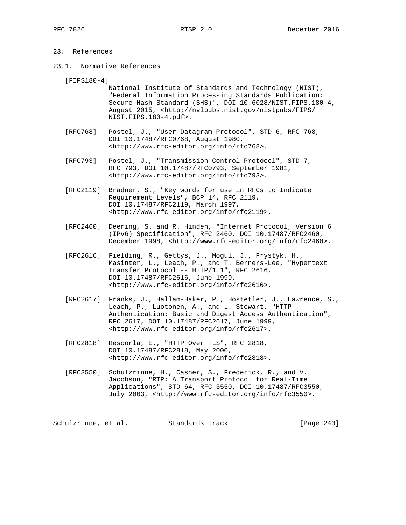# 23. References

23.1. Normative References

[FIPS180-4]

- National Institute of Standards and Technology (NIST), "Federal Information Processing Standards Publication: Secure Hash Standard (SHS)", DOI 10.6028/NIST.FIPS.180-4, August 2015, <http://nvlpubs.nist.gov/nistpubs/FIPS/ NIST.FIPS.180-4.pdf>.
- [RFC768] Postel, J., "User Datagram Protocol", STD 6, RFC 768, DOI 10.17487/RFC0768, August 1980, <http://www.rfc-editor.org/info/rfc768>.
- [RFC793] Postel, J., "Transmission Control Protocol", STD 7, RFC 793, DOI 10.17487/RFC0793, September 1981, <http://www.rfc-editor.org/info/rfc793>.
- [RFC2119] Bradner, S., "Key words for use in RFCs to Indicate Requirement Levels", BCP 14, RFC 2119, DOI 10.17487/RFC2119, March 1997, <http://www.rfc-editor.org/info/rfc2119>.
- [RFC2460] Deering, S. and R. Hinden, "Internet Protocol, Version 6 (IPv6) Specification", RFC 2460, DOI 10.17487/RFC2460, December 1998, <http://www.rfc-editor.org/info/rfc2460>.
- [RFC2616] Fielding, R., Gettys, J., Mogul, J., Frystyk, H., Masinter, L., Leach, P., and T. Berners-Lee, "Hypertext Transfer Protocol -- HTTP/1.1", RFC 2616, DOI 10.17487/RFC2616, June 1999, <http://www.rfc-editor.org/info/rfc2616>.
- [RFC2617] Franks, J., Hallam-Baker, P., Hostetler, J., Lawrence, S., Leach, P., Luotonen, A., and L. Stewart, "HTTP Authentication: Basic and Digest Access Authentication", RFC 2617, DOI 10.17487/RFC2617, June 1999, <http://www.rfc-editor.org/info/rfc2617>.
- [RFC2818] Rescorla, E., "HTTP Over TLS", RFC 2818, DOI 10.17487/RFC2818, May 2000, <http://www.rfc-editor.org/info/rfc2818>.
- [RFC3550] Schulzrinne, H., Casner, S., Frederick, R., and V. Jacobson, "RTP: A Transport Protocol for Real-Time Applications", STD 64, RFC 3550, DOI 10.17487/RFC3550, July 2003, <http://www.rfc-editor.org/info/rfc3550>.

Schulzrinne, et al. Standards Track [Page 240]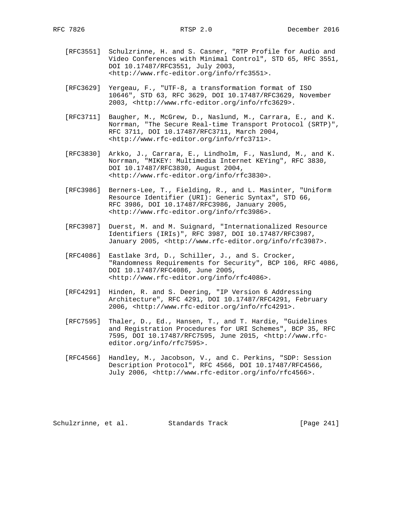- [RFC3551] Schulzrinne, H. and S. Casner, "RTP Profile for Audio and Video Conferences with Minimal Control", STD 65, RFC 3551, DOI 10.17487/RFC3551, July 2003, <http://www.rfc-editor.org/info/rfc3551>.
- [RFC3629] Yergeau, F., "UTF-8, a transformation format of ISO 10646", STD 63, RFC 3629, DOI 10.17487/RFC3629, November 2003, <http://www.rfc-editor.org/info/rfc3629>.
- [RFC3711] Baugher, M., McGrew, D., Naslund, M., Carrara, E., and K. Norrman, "The Secure Real-time Transport Protocol (SRTP)", RFC 3711, DOI 10.17487/RFC3711, March 2004, <http://www.rfc-editor.org/info/rfc3711>.
- [RFC3830] Arkko, J., Carrara, E., Lindholm, F., Naslund, M., and K. Norrman, "MIKEY: Multimedia Internet KEYing", RFC 3830, DOI 10.17487/RFC3830, August 2004, <http://www.rfc-editor.org/info/rfc3830>.
- [RFC3986] Berners-Lee, T., Fielding, R., and L. Masinter, "Uniform Resource Identifier (URI): Generic Syntax", STD 66, RFC 3986, DOI 10.17487/RFC3986, January 2005, <http://www.rfc-editor.org/info/rfc3986>.
- [RFC3987] Duerst, M. and M. Suignard, "Internationalized Resource Identifiers (IRIs)", RFC 3987, DOI 10.17487/RFC3987, January 2005, <http://www.rfc-editor.org/info/rfc3987>.
- [RFC4086] Eastlake 3rd, D., Schiller, J., and S. Crocker, "Randomness Requirements for Security", BCP 106, RFC 4086, DOI 10.17487/RFC4086, June 2005, <http://www.rfc-editor.org/info/rfc4086>.
- [RFC4291] Hinden, R. and S. Deering, "IP Version 6 Addressing Architecture", RFC 4291, DOI 10.17487/RFC4291, February 2006, <http://www.rfc-editor.org/info/rfc4291>.
- [RFC7595] Thaler, D., Ed., Hansen, T., and T. Hardie, "Guidelines and Registration Procedures for URI Schemes", BCP 35, RFC 7595, DOI 10.17487/RFC7595, June 2015, <http://www.rfc editor.org/info/rfc7595>.
- [RFC4566] Handley, M., Jacobson, V., and C. Perkins, "SDP: Session Description Protocol", RFC 4566, DOI 10.17487/RFC4566, July 2006, <http://www.rfc-editor.org/info/rfc4566>.

Schulzrinne, et al. Standards Track [Page 241]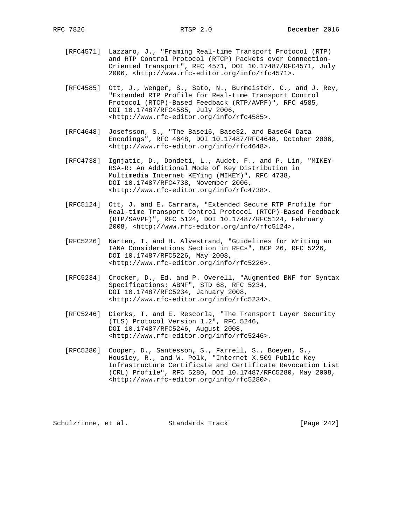- [RFC4571] Lazzaro, J., "Framing Real-time Transport Protocol (RTP) and RTP Control Protocol (RTCP) Packets over Connection- Oriented Transport", RFC 4571, DOI 10.17487/RFC4571, July 2006, <http://www.rfc-editor.org/info/rfc4571>.
- [RFC4585] Ott, J., Wenger, S., Sato, N., Burmeister, C., and J. Rey, "Extended RTP Profile for Real-time Transport Control Protocol (RTCP)-Based Feedback (RTP/AVPF)", RFC 4585, DOI 10.17487/RFC4585, July 2006, <http://www.rfc-editor.org/info/rfc4585>.
- [RFC4648] Josefsson, S., "The Base16, Base32, and Base64 Data Encodings", RFC 4648, DOI 10.17487/RFC4648, October 2006, <http://www.rfc-editor.org/info/rfc4648>.
- [RFC4738] Ignjatic, D., Dondeti, L., Audet, F., and P. Lin, "MIKEY- RSA-R: An Additional Mode of Key Distribution in Multimedia Internet KEYing (MIKEY)", RFC 4738, DOI 10.17487/RFC4738, November 2006, <http://www.rfc-editor.org/info/rfc4738>.
- [RFC5124] Ott, J. and E. Carrara, "Extended Secure RTP Profile for Real-time Transport Control Protocol (RTCP)-Based Feedback (RTP/SAVPF)", RFC 5124, DOI 10.17487/RFC5124, February 2008, <http://www.rfc-editor.org/info/rfc5124>.
- [RFC5226] Narten, T. and H. Alvestrand, "Guidelines for Writing an IANA Considerations Section in RFCs", BCP 26, RFC 5226, DOI 10.17487/RFC5226, May 2008, <http://www.rfc-editor.org/info/rfc5226>.
- [RFC5234] Crocker, D., Ed. and P. Overell, "Augmented BNF for Syntax Specifications: ABNF", STD 68, RFC 5234, DOI 10.17487/RFC5234, January 2008, <http://www.rfc-editor.org/info/rfc5234>.
- [RFC5246] Dierks, T. and E. Rescorla, "The Transport Layer Security (TLS) Protocol Version 1.2", RFC 5246, DOI 10.17487/RFC5246, August 2008, <http://www.rfc-editor.org/info/rfc5246>.
- [RFC5280] Cooper, D., Santesson, S., Farrell, S., Boeyen, S., Housley, R., and W. Polk, "Internet X.509 Public Key Infrastructure Certificate and Certificate Revocation List (CRL) Profile", RFC 5280, DOI 10.17487/RFC5280, May 2008, <http://www.rfc-editor.org/info/rfc5280>.

Schulzrinne, et al. Standards Track [Page 242]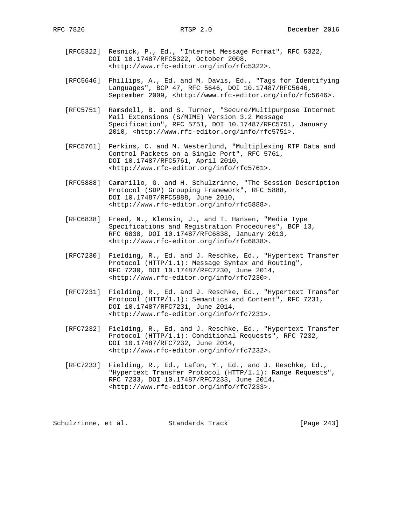- [RFC5322] Resnick, P., Ed., "Internet Message Format", RFC 5322, DOI 10.17487/RFC5322, October 2008, <http://www.rfc-editor.org/info/rfc5322>.
- [RFC5646] Phillips, A., Ed. and M. Davis, Ed., "Tags for Identifying Languages", BCP 47, RFC 5646, DOI 10.17487/RFC5646, September 2009, <http://www.rfc-editor.org/info/rfc5646>.
- [RFC5751] Ramsdell, B. and S. Turner, "Secure/Multipurpose Internet Mail Extensions (S/MIME) Version 3.2 Message Specification", RFC 5751, DOI 10.17487/RFC5751, January 2010, <http://www.rfc-editor.org/info/rfc5751>.
- [RFC5761] Perkins, C. and M. Westerlund, "Multiplexing RTP Data and Control Packets on a Single Port", RFC 5761, DOI 10.17487/RFC5761, April 2010, <http://www.rfc-editor.org/info/rfc5761>.
- [RFC5888] Camarillo, G. and H. Schulzrinne, "The Session Description Protocol (SDP) Grouping Framework", RFC 5888, DOI 10.17487/RFC5888, June 2010, <http://www.rfc-editor.org/info/rfc5888>.
- [RFC6838] Freed, N., Klensin, J., and T. Hansen, "Media Type Specifications and Registration Procedures", BCP 13, RFC 6838, DOI 10.17487/RFC6838, January 2013, <http://www.rfc-editor.org/info/rfc6838>.
- [RFC7230] Fielding, R., Ed. and J. Reschke, Ed., "Hypertext Transfer Protocol (HTTP/1.1): Message Syntax and Routing", RFC 7230, DOI 10.17487/RFC7230, June 2014, <http://www.rfc-editor.org/info/rfc7230>.
- [RFC7231] Fielding, R., Ed. and J. Reschke, Ed., "Hypertext Transfer Protocol (HTTP/1.1): Semantics and Content", RFC 7231, DOI 10.17487/RFC7231, June 2014, <http://www.rfc-editor.org/info/rfc7231>.
- [RFC7232] Fielding, R., Ed. and J. Reschke, Ed., "Hypertext Transfer Protocol (HTTP/1.1): Conditional Requests", RFC 7232, DOI 10.17487/RFC7232, June 2014, <http://www.rfc-editor.org/info/rfc7232>.
- [RFC7233] Fielding, R., Ed., Lafon, Y., Ed., and J. Reschke, Ed., "Hypertext Transfer Protocol (HTTP/1.1): Range Requests", RFC 7233, DOI 10.17487/RFC7233, June 2014, <http://www.rfc-editor.org/info/rfc7233>.

Schulzrinne, et al. Standards Track [Page 243]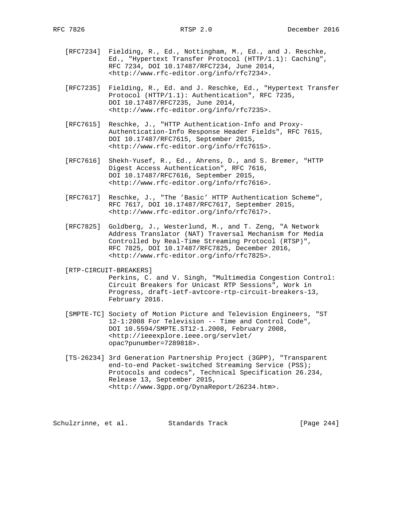- [RFC7234] Fielding, R., Ed., Nottingham, M., Ed., and J. Reschke, Ed., "Hypertext Transfer Protocol (HTTP/1.1): Caching", RFC 7234, DOI 10.17487/RFC7234, June 2014, <http://www.rfc-editor.org/info/rfc7234>.
- [RFC7235] Fielding, R., Ed. and J. Reschke, Ed., "Hypertext Transfer Protocol (HTTP/1.1): Authentication", RFC 7235, DOI 10.17487/RFC7235, June 2014, <http://www.rfc-editor.org/info/rfc7235>.
- [RFC7615] Reschke, J., "HTTP Authentication-Info and Proxy- Authentication-Info Response Header Fields", RFC 7615, DOI 10.17487/RFC7615, September 2015, <http://www.rfc-editor.org/info/rfc7615>.
- [RFC7616] Shekh-Yusef, R., Ed., Ahrens, D., and S. Bremer, "HTTP Digest Access Authentication", RFC 7616, DOI 10.17487/RFC7616, September 2015, <http://www.rfc-editor.org/info/rfc7616>.
- [RFC7617] Reschke, J., "The 'Basic' HTTP Authentication Scheme", RFC 7617, DOI 10.17487/RFC7617, September 2015, <http://www.rfc-editor.org/info/rfc7617>.
- [RFC7825] Goldberg, J., Westerlund, M., and T. Zeng, "A Network Address Translator (NAT) Traversal Mechanism for Media Controlled by Real-Time Streaming Protocol (RTSP)", RFC 7825, DOI 10.17487/RFC7825, December 2016, <http://www.rfc-editor.org/info/rfc7825>.

[RTP-CIRCUIT-BREAKERS]

 Perkins, C. and V. Singh, "Multimedia Congestion Control: Circuit Breakers for Unicast RTP Sessions", Work in Progress, draft-ietf-avtcore-rtp-circuit-breakers-13, February 2016.

- [SMPTE-TC] Society of Motion Picture and Television Engineers, "ST 12-1:2008 For Television -- Time and Control Code", DOI 10.5594/SMPTE.ST12-1.2008, February 2008, <http://ieeexplore.ieee.org/servlet/ opac?punumber=7289818>.
- [TS-26234] 3rd Generation Partnership Project (3GPP), "Transparent end-to-end Packet-switched Streaming Service (PSS); Protocols and codecs", Technical Specification 26.234, Release 13, September 2015, <http://www.3gpp.org/DynaReport/26234.htm>.

Schulzrinne, et al. Standards Track [Page 244]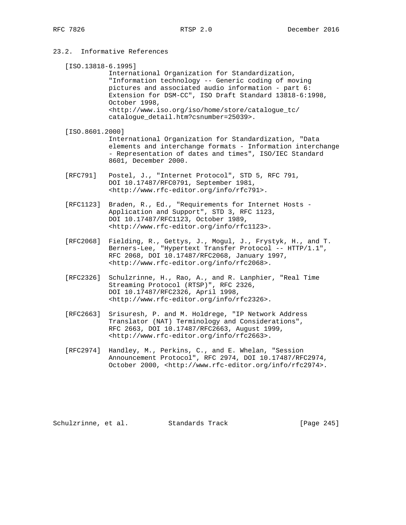# 23.2. Informative References

- [ISO.13818-6.1995] International Organization for Standardization, "Information technology -- Generic coding of moving pictures and associated audio information - part 6: Extension for DSM-CC", ISO Draft Standard 13818-6:1998, October 1998, <http://www.iso.org/iso/home/store/catalogue\_tc/ catalogue\_detail.htm?csnumber=25039>.
- [ISO.8601.2000] International Organization for Standardization, "Data elements and interchange formats - Information interchange - Representation of dates and times", ISO/IEC Standard 8601, December 2000.
- [RFC791] Postel, J., "Internet Protocol", STD 5, RFC 791, DOI 10.17487/RFC0791, September 1981, <http://www.rfc-editor.org/info/rfc791>.
- [RFC1123] Braden, R., Ed., "Requirements for Internet Hosts Application and Support", STD 3, RFC 1123, DOI 10.17487/RFC1123, October 1989, <http://www.rfc-editor.org/info/rfc1123>.
- [RFC2068] Fielding, R., Gettys, J., Mogul, J., Frystyk, H., and T. Berners-Lee, "Hypertext Transfer Protocol -- HTTP/1.1", RFC 2068, DOI 10.17487/RFC2068, January 1997, <http://www.rfc-editor.org/info/rfc2068>.
- [RFC2326] Schulzrinne, H., Rao, A., and R. Lanphier, "Real Time Streaming Protocol (RTSP)", RFC 2326, DOI 10.17487/RFC2326, April 1998, <http://www.rfc-editor.org/info/rfc2326>.
- [RFC2663] Srisuresh, P. and M. Holdrege, "IP Network Address Translator (NAT) Terminology and Considerations", RFC 2663, DOI 10.17487/RFC2663, August 1999, <http://www.rfc-editor.org/info/rfc2663>.
- [RFC2974] Handley, M., Perkins, C., and E. Whelan, "Session Announcement Protocol", RFC 2974, DOI 10.17487/RFC2974, October 2000, <http://www.rfc-editor.org/info/rfc2974>.

Schulzrinne, et al. Standards Track [Page 245]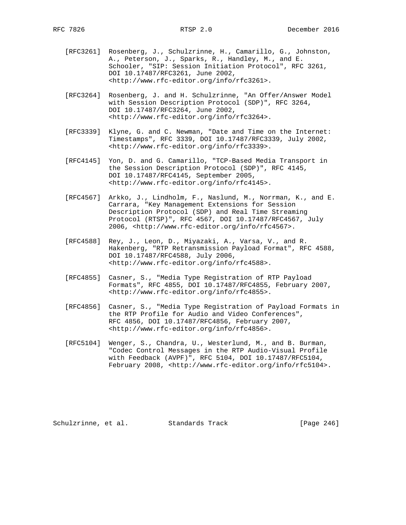- [RFC3261] Rosenberg, J., Schulzrinne, H., Camarillo, G., Johnston, A., Peterson, J., Sparks, R., Handley, M., and E. Schooler, "SIP: Session Initiation Protocol", RFC 3261, DOI 10.17487/RFC3261, June 2002, <http://www.rfc-editor.org/info/rfc3261>.
- [RFC3264] Rosenberg, J. and H. Schulzrinne, "An Offer/Answer Model with Session Description Protocol (SDP)", RFC 3264, DOI 10.17487/RFC3264, June 2002, <http://www.rfc-editor.org/info/rfc3264>.
- [RFC3339] Klyne, G. and C. Newman, "Date and Time on the Internet: Timestamps", RFC 3339, DOI 10.17487/RFC3339, July 2002, <http://www.rfc-editor.org/info/rfc3339>.
- [RFC4145] Yon, D. and G. Camarillo, "TCP-Based Media Transport in the Session Description Protocol (SDP)", RFC 4145, DOI 10.17487/RFC4145, September 2005, <http://www.rfc-editor.org/info/rfc4145>.
- [RFC4567] Arkko, J., Lindholm, F., Naslund, M., Norrman, K., and E. Carrara, "Key Management Extensions for Session Description Protocol (SDP) and Real Time Streaming Protocol (RTSP)", RFC 4567, DOI 10.17487/RFC4567, July 2006, <http://www.rfc-editor.org/info/rfc4567>.
- [RFC4588] Rey, J., Leon, D., Miyazaki, A., Varsa, V., and R. Hakenberg, "RTP Retransmission Payload Format", RFC 4588, DOI 10.17487/RFC4588, July 2006, <http://www.rfc-editor.org/info/rfc4588>.
- [RFC4855] Casner, S., "Media Type Registration of RTP Payload Formats", RFC 4855, DOI 10.17487/RFC4855, February 2007, <http://www.rfc-editor.org/info/rfc4855>.
- [RFC4856] Casner, S., "Media Type Registration of Payload Formats in the RTP Profile for Audio and Video Conferences", RFC 4856, DOI 10.17487/RFC4856, February 2007, <http://www.rfc-editor.org/info/rfc4856>.
- [RFC5104] Wenger, S., Chandra, U., Westerlund, M., and B. Burman, "Codec Control Messages in the RTP Audio-Visual Profile with Feedback (AVPF)", RFC 5104, DOI 10.17487/RFC5104, February 2008, <http://www.rfc-editor.org/info/rfc5104>.

Schulzrinne, et al. Standards Track [Page 246]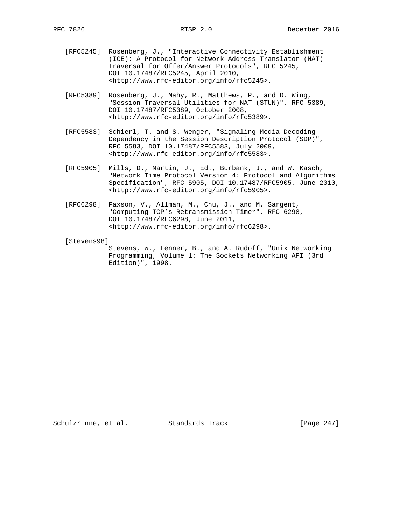- [RFC5245] Rosenberg, J., "Interactive Connectivity Establishment (ICE): A Protocol for Network Address Translator (NAT) Traversal for Offer/Answer Protocols", RFC 5245, DOI 10.17487/RFC5245, April 2010, <http://www.rfc-editor.org/info/rfc5245>.
- [RFC5389] Rosenberg, J., Mahy, R., Matthews, P., and D. Wing, "Session Traversal Utilities for NAT (STUN)", RFC 5389, DOI 10.17487/RFC5389, October 2008, <http://www.rfc-editor.org/info/rfc5389>.
- [RFC5583] Schierl, T. and S. Wenger, "Signaling Media Decoding Dependency in the Session Description Protocol (SDP)", RFC 5583, DOI 10.17487/RFC5583, July 2009, <http://www.rfc-editor.org/info/rfc5583>.
- [RFC5905] Mills, D., Martin, J., Ed., Burbank, J., and W. Kasch, "Network Time Protocol Version 4: Protocol and Algorithms Specification", RFC 5905, DOI 10.17487/RFC5905, June 2010, <http://www.rfc-editor.org/info/rfc5905>.
- [RFC6298] Paxson, V., Allman, M., Chu, J., and M. Sargent, "Computing TCP's Retransmission Timer", RFC 6298, DOI 10.17487/RFC6298, June 2011, <http://www.rfc-editor.org/info/rfc6298>.
- [Stevens98]

 Stevens, W., Fenner, B., and A. Rudoff, "Unix Networking Programming, Volume 1: The Sockets Networking API (3rd Edition)", 1998.

Schulzrinne, et al. Standards Track [Page 247]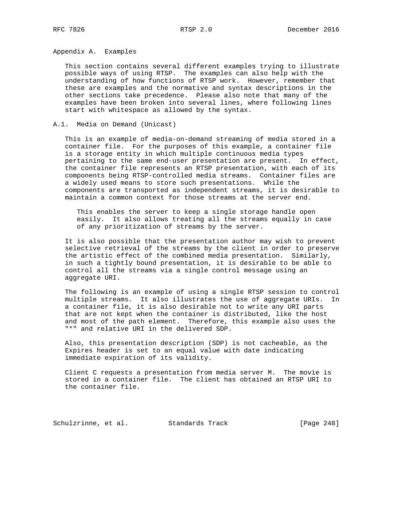Appendix A. Examples

 This section contains several different examples trying to illustrate possible ways of using RTSP. The examples can also help with the understanding of how functions of RTSP work. However, remember that these are examples and the normative and syntax descriptions in the other sections take precedence. Please also note that many of the examples have been broken into several lines, where following lines start with whitespace as allowed by the syntax.

### A.1. Media on Demand (Unicast)

 This is an example of media-on-demand streaming of media stored in a container file. For the purposes of this example, a container file is a storage entity in which multiple continuous media types pertaining to the same end-user presentation are present. In effect, the container file represents an RTSP presentation, with each of its components being RTSP-controlled media streams. Container files are a widely used means to store such presentations. While the components are transported as independent streams, it is desirable to maintain a common context for those streams at the server end.

 This enables the server to keep a single storage handle open easily. It also allows treating all the streams equally in case of any prioritization of streams by the server.

 It is also possible that the presentation author may wish to prevent selective retrieval of the streams by the client in order to preserve the artistic effect of the combined media presentation. Similarly, in such a tightly bound presentation, it is desirable to be able to control all the streams via a single control message using an aggregate URI.

 The following is an example of using a single RTSP session to control multiple streams. It also illustrates the use of aggregate URIs. In a container file, it is also desirable not to write any URI parts that are not kept when the container is distributed, like the host and most of the path element. Therefore, this example also uses the "\*" and relative URI in the delivered SDP.

 Also, this presentation description (SDP) is not cacheable, as the Expires header is set to an equal value with date indicating immediate expiration of its validity.

 Client C requests a presentation from media server M. The movie is stored in a container file. The client has obtained an RTSP URI to the container file.

Schulzrinne, et al. Standards Track [Page 248]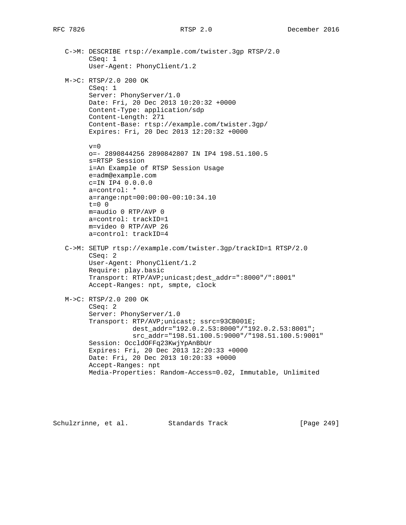C->M: DESCRIBE rtsp://example.com/twister.3gp RTSP/2.0 CSeq: 1 User-Agent: PhonyClient/1.2 M->C: RTSP/2.0 200 OK CSeq: 1 Server: PhonyServer/1.0 Date: Fri, 20 Dec 2013 10:20:32 +0000 Content-Type: application/sdp Content-Length: 271 Content-Base: rtsp://example.com/twister.3gp/ Expires: Fri, 20 Dec 2013 12:20:32 +0000  $v=0$  o=- 2890844256 2890842807 IN IP4 198.51.100.5 s=RTSP Session i=An Example of RTSP Session Usage e=adm@example.com c=IN IP4 0.0.0.0 a=control: \* a=range:npt=00:00:00-00:10:34.10 t=0 0 m=audio 0 RTP/AVP 0 a=control: trackID=1 m=video 0 RTP/AVP 26 a=control: trackID=4 C->M: SETUP rtsp://example.com/twister.3gp/trackID=1 RTSP/2.0 CSeq: 2 User-Agent: PhonyClient/1.2 Require: play.basic Transport: RTP/AVP;unicast;dest\_addr=":8000"/":8001" Accept-Ranges: npt, smpte, clock M->C: RTSP/2.0 200 OK CSeq: 2 Server: PhonyServer/1.0 Transport: RTP/AVP;unicast; ssrc=93CB001E; dest\_addr="192.0.2.53:8000"/"192.0.2.53:8001"; src\_addr="198.51.100.5:9000"/"198.51.100.5:9001" Session: OccldOFFq23KwjYpAnBbUr Expires: Fri, 20 Dec 2013 12:20:33 +0000 Date: Fri, 20 Dec 2013 10:20:33 +0000 Accept-Ranges: npt Media-Properties: Random-Access=0.02, Immutable, Unlimited

Schulzrinne, et al. Standards Track [Page 249]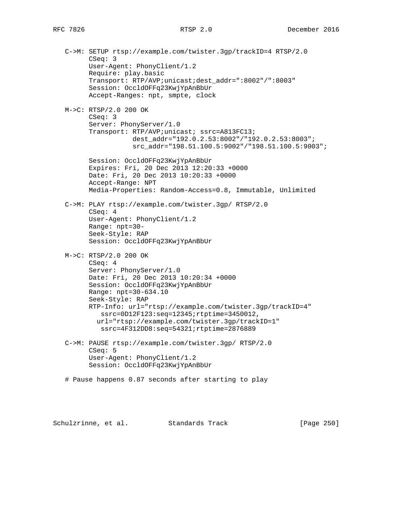C->M: SETUP rtsp://example.com/twister.3gp/trackID=4 RTSP/2.0 CSeq: 3 User-Agent: PhonyClient/1.2 Require: play.basic Transport: RTP/AVP;unicast;dest\_addr=":8002"/":8003" Session: OccldOFFq23KwjYpAnBbUr Accept-Ranges: npt, smpte, clock M->C: RTSP/2.0 200 OK CSeq: 3 Server: PhonyServer/1.0 Transport: RTP/AVP;unicast; ssrc=A813FC13; dest addr="192.0.2.53:8002"/"192.0.2.53:8003"; src\_addr="198.51.100.5:9002"/"198.51.100.5:9003"; Session: OccldOFFq23KwjYpAnBbUr Expires: Fri, 20 Dec 2013 12:20:33 +0000 Date: Fri, 20 Dec 2013 10:20:33 +0000 Accept-Range: NPT Media-Properties: Random-Access=0.8, Immutable, Unlimited C->M: PLAY rtsp://example.com/twister.3gp/ RTSP/2.0 CSeq: 4 User-Agent: PhonyClient/1.2 Range: npt=30- Seek-Style: RAP Session: OccldOFFq23KwjYpAnBbUr M->C: RTSP/2.0 200 OK CSeq: 4 Server: PhonyServer/1.0 Date: Fri, 20 Dec 2013 10:20:34 +0000 Session: OccldOFFq23KwjYpAnBbUr Range: npt=30-634.10 Seek-Style: RAP RTP-Info: url="rtsp://example.com/twister.3gp/trackID=4" ssrc=0D12F123:seq=12345;rtptime=3450012, url="rtsp://example.com/twister.3gp/trackID=1" ssrc=4F312DD8:seq=54321;rtptime=2876889 C->M: PAUSE rtsp://example.com/twister.3gp/ RTSP/2.0 CSeq: 5 User-Agent: PhonyClient/1.2 Session: OccldOFFq23KwjYpAnBbUr # Pause happens 0.87 seconds after starting to play

Schulzrinne, et al. Standards Track [Page 250]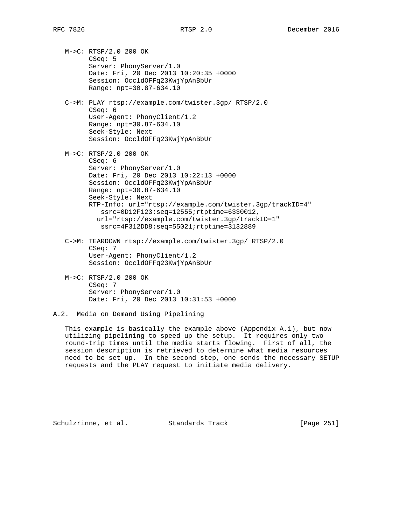M->C: RTSP/2.0 200 OK CSeq: 5 Server: PhonyServer/1.0 Date: Fri, 20 Dec 2013 10:20:35 +0000 Session: OccldOFFq23KwjYpAnBbUr Range: npt=30.87-634.10

 C->M: PLAY rtsp://example.com/twister.3gp/ RTSP/2.0 CSeq: 6 User-Agent: PhonyClient/1.2 Range: npt=30.87-634.10 Seek-Style: Next Session: OccldOFFq23KwjYpAnBbUr

```
 M->C: RTSP/2.0 200 OK
CSeq: 6
Server: PhonyServer/1.0
Date: Fri, 20 Dec 2013 10:22:13 +0000
Session: OccldOFFq23KwjYpAnBbUr
Range: npt=30.87-634.10
Seek-Style: Next
RTP-Info: url="rtsp://example.com/twister.3gp/trackID=4"
  ssrc=0D12F123:seq=12555;rtptime=6330012,
  url="rtsp://example.com/twister.3gp/trackID=1"
   ssrc=4F312DD8:seq=55021;rtptime=3132889
```
- C->M: TEARDOWN rtsp://example.com/twister.3gp/ RTSP/2.0 CSeq: 7 User-Agent: PhonyClient/1.2 Session: OccldOFFq23KwjYpAnBbUr
- M->C: RTSP/2.0 200 OK CSeq: 7 Server: PhonyServer/1.0 Date: Fri, 20 Dec 2013 10:31:53 +0000

 This example is basically the example above (Appendix A.1), but now utilizing pipelining to speed up the setup. It requires only two round-trip times until the media starts flowing. First of all, the session description is retrieved to determine what media resources need to be set up. In the second step, one sends the necessary SETUP requests and the PLAY request to initiate media delivery.

Schulzrinne, et al. Standards Track [Page 251]

A.2. Media on Demand Using Pipelining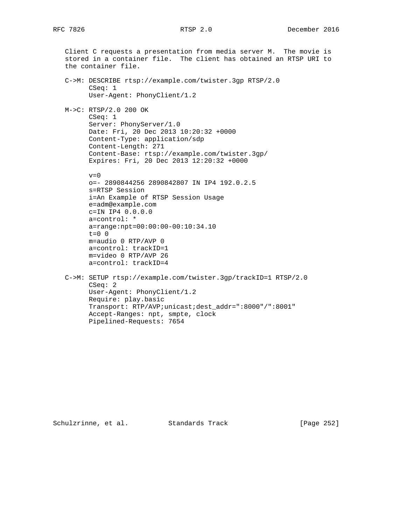Client C requests a presentation from media server M. The movie is

 stored in a container file. The client has obtained an RTSP URI to the container file. C->M: DESCRIBE rtsp://example.com/twister.3gp RTSP/2.0 CSeq: 1 User-Agent: PhonyClient/1.2 M->C: RTSP/2.0 200 OK CSeq: 1 Server: PhonyServer/1.0 Date: Fri, 20 Dec 2013 10:20:32 +0000 Content-Type: application/sdp Content-Length: 271 Content-Base: rtsp://example.com/twister.3gp/ Expires: Fri, 20 Dec 2013 12:20:32 +0000  $v=0$  o=- 2890844256 2890842807 IN IP4 192.0.2.5 s=RTSP Session i=An Example of RTSP Session Usage e=adm@example.com c=IN IP4 0.0.0.0 a=control: \* a=range:npt=00:00:00-00:10:34.10 t=0 0 m=audio 0 RTP/AVP 0 a=control: trackID=1 m=video 0 RTP/AVP 26 a=control: trackID=4 C->M: SETUP rtsp://example.com/twister.3gp/trackID=1 RTSP/2.0 CSeq: 2 User-Agent: PhonyClient/1.2 Require: play.basic Transport: RTP/AVP;unicast;dest\_addr=":8000"/":8001" Accept-Ranges: npt, smpte, clock Pipelined-Requests: 7654

Schulzrinne, et al. Standards Track [Page 252]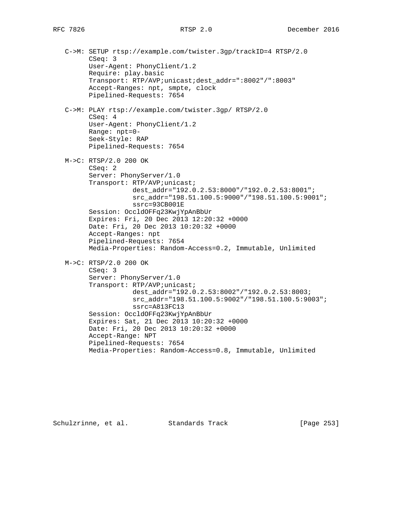C->M: SETUP rtsp://example.com/twister.3gp/trackID=4 RTSP/2.0 CSeq: 3 User-Agent: PhonyClient/1.2 Require: play.basic Transport: RTP/AVP;unicast;dest\_addr=":8002"/":8003" Accept-Ranges: npt, smpte, clock Pipelined-Requests: 7654 C->M: PLAY rtsp://example.com/twister.3gp/ RTSP/2.0 CSeq: 4 User-Agent: PhonyClient/1.2 Range: npt=0- Seek-Style: RAP Pipelined-Requests: 7654 M->C: RTSP/2.0 200 OK CSeq: 2 Server: PhonyServer/1.0 Transport: RTP/AVP;unicast; dest\_addr="192.0.2.53:8000"/"192.0.2.53:8001"; src\_addr="198.51.100.5:9000"/"198.51.100.5:9001"; ssrc=93CB001E Session: OccldOFFq23KwjYpAnBbUr Expires: Fri, 20 Dec 2013 12:20:32 +0000 Date: Fri, 20 Dec 2013 10:20:32 +0000 Accept-Ranges: npt Pipelined-Requests: 7654 Media-Properties: Random-Access=0.2, Immutable, Unlimited M->C: RTSP/2.0 200 OK CSeq: 3 Server: PhonyServer/1.0 Transport: RTP/AVP;unicast; dest addr="192.0.2.53:8002"/"192.0.2.53:8003; src\_addr="198.51.100.5:9002"/"198.51.100.5:9003"; ssrc=A813FC13 Session: OccldOFFq23KwjYpAnBbUr Expires: Sat, 21 Dec 2013 10:20:32 +0000 Date: Fri, 20 Dec 2013 10:20:32 +0000 Accept-Range: NPT Pipelined-Requests: 7654 Media-Properties: Random-Access=0.8, Immutable, Unlimited

Schulzrinne, et al. Standards Track [Page 253]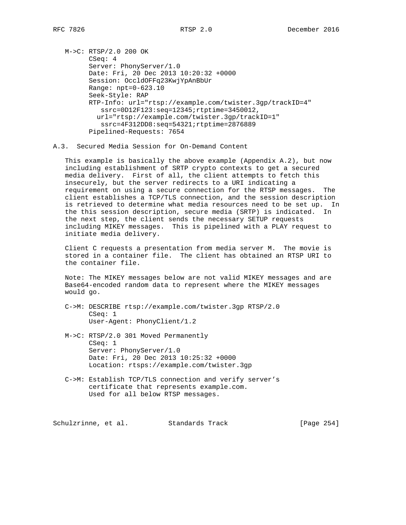M->C: RTSP/2.0 200 OK CSeq: 4 Server: PhonyServer/1.0 Date: Fri, 20 Dec 2013 10:20:32 +0000 Session: OccldOFFq23KwjYpAnBbUr Range: npt=0-623.10 Seek-Style: RAP RTP-Info: url="rtsp://example.com/twister.3gp/trackID=4" ssrc=0D12F123:seq=12345;rtptime=3450012, url="rtsp://example.com/twister.3gp/trackID=1" ssrc=4F312DD8:seq=54321;rtptime=2876889 Pipelined-Requests: 7654

A.3. Secured Media Session for On-Demand Content

 This example is basically the above example (Appendix A.2), but now including establishment of SRTP crypto contexts to get a secured media delivery. First of all, the client attempts to fetch this insecurely, but the server redirects to a URI indicating a requirement on using a secure connection for the RTSP messages. The client establishes a TCP/TLS connection, and the session description is retrieved to determine what media resources need to be set up. In the this session description, secure media (SRTP) is indicated. In the next step, the client sends the necessary SETUP requests including MIKEY messages. This is pipelined with a PLAY request to initiate media delivery.

 Client C requests a presentation from media server M. The movie is stored in a container file. The client has obtained an RTSP URI to the container file.

 Note: The MIKEY messages below are not valid MIKEY messages and are Base64-encoded random data to represent where the MIKEY messages would go.

- C->M: DESCRIBE rtsp://example.com/twister.3gp RTSP/2.0 CSeq: 1 User-Agent: PhonyClient/1.2
- M->C: RTSP/2.0 301 Moved Permanently CSeq: 1 Server: PhonyServer/1.0 Date: Fri, 20 Dec 2013 10:25:32 +0000 Location: rtsps://example.com/twister.3gp
- C->M: Establish TCP/TLS connection and verify server's certificate that represents example.com. Used for all below RTSP messages.

Schulzrinne, et al. Standards Track [Page 254]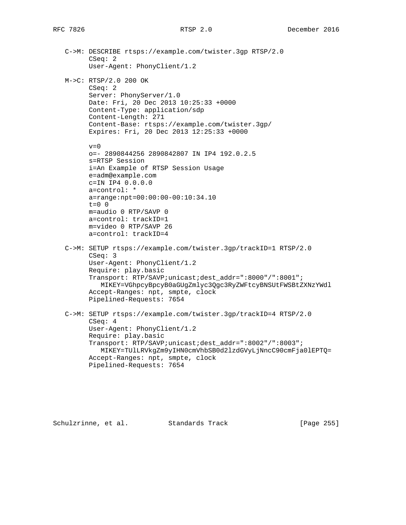C->M: DESCRIBE rtsps://example.com/twister.3gp RTSP/2.0 CSeq: 2 User-Agent: PhonyClient/1.2 M->C: RTSP/2.0 200 OK CSeq: 2 Server: PhonyServer/1.0 Date: Fri, 20 Dec 2013 10:25:33 +0000 Content-Type: application/sdp Content-Length: 271 Content-Base: rtsps://example.com/twister.3gp/ Expires: Fri, 20 Dec 2013 12:25:33 +0000  $v=0$  o=- 2890844256 2890842807 IN IP4 192.0.2.5 s=RTSP Session i=An Example of RTSP Session Usage e=adm@example.com c=IN IP4 0.0.0.0 a=control: \* a=range:npt=00:00:00-00:10:34.10 t=0 0 m=audio 0 RTP/SAVP 0 a=control: trackID=1 m=video 0 RTP/SAVP 26 a=control: trackID=4 C->M: SETUP rtsps://example.com/twister.3gp/trackID=1 RTSP/2.0 CSeq: 3 User-Agent: PhonyClient/1.2 Require: play.basic Transport: RTP/SAVP;unicast;dest\_addr=":8000"/":8001"; MIKEY=VGhpcyBpcyB0aGUgZmlyc3Qgc3RyZWFtcyBNSUtFWSBtZXNzYWdl Accept-Ranges: npt, smpte, clock Pipelined-Requests: 7654 C->M: SETUP rtsps://example.com/twister.3gp/trackID=4 RTSP/2.0 CSeq: 4 User-Agent: PhonyClient/1.2 Require: play.basic Transport: RTP/SAVP;unicast;dest\_addr=":8002"/":8003"; MIKEY=TUlLRVkgZm9yIHN0cmVhbSB0d2lzdGVyLjNncC90cmFja0lEPTQ= Accept-Ranges: npt, smpte, clock Pipelined-Requests: 7654

Schulzrinne, et al. Standards Track [Page 255]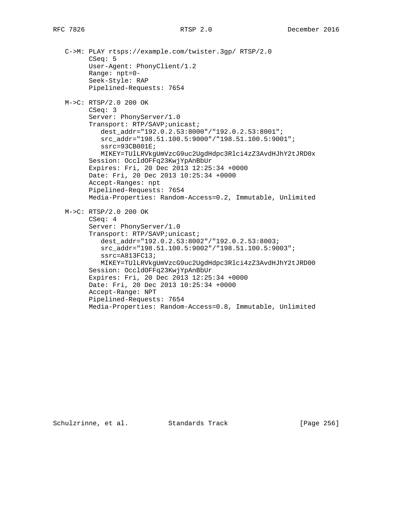C->M: PLAY rtsps://example.com/twister.3gp/ RTSP/2.0 CSeq: 5 User-Agent: PhonyClient/1.2 Range: npt=0- Seek-Style: RAP Pipelined-Requests: 7654 M->C: RTSP/2.0 200 OK CSeq: 3 Server: PhonyServer/1.0 Transport: RTP/SAVP;unicast; dest\_addr="192.0.2.53:8000"/"192.0.2.53:8001"; src\_addr="198.51.100.5:9000"/"198.51.100.5:9001"; ssrc=93CB001E; MIKEY=TUlLRVkgUmVzcG9uc2UgdHdpc3Rlci4zZ3AvdHJhY2tJRD0x Session: OccldOFFq23KwjYpAnBbUr Expires: Fri, 20 Dec 2013 12:25:34 +0000 Date: Fri, 20 Dec 2013 10:25:34 +0000 Accept-Ranges: npt Pipelined-Requests: 7654 Media-Properties: Random-Access=0.2, Immutable, Unlimited M->C: RTSP/2.0 200 OK CSeq: 4 Server: PhonyServer/1.0 Transport: RTP/SAVP;unicast; dest\_addr="192.0.2.53:8002"/"192.0.2.53:8003; src\_addr="198.51.100.5:9002"/"198.51.100.5:9003"; ssrc=A813FC13; MIKEY=TUlLRVkgUmVzcG9uc2UgdHdpc3Rlci4zZ3AvdHJhY2tJRD00 Session: OccldOFFq23KwjYpAnBbUr Expires: Fri, 20 Dec 2013 12:25:34 +0000 Date: Fri, 20 Dec 2013 10:25:34 +0000 Accept-Range: NPT Pipelined-Requests: 7654 Media-Properties: Random-Access=0.8, Immutable, Unlimited

Schulzrinne, et al. Standards Track [Page 256]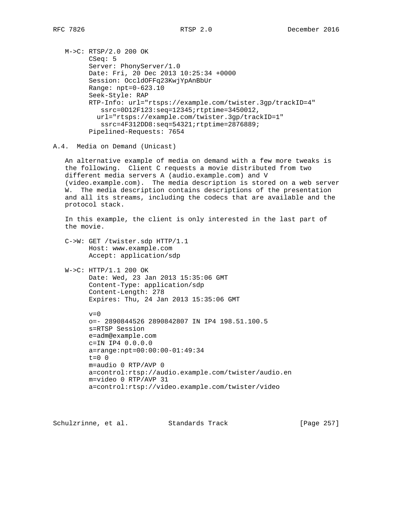M->C: RTSP/2.0 200 OK CSeq: 5 Server: PhonyServer/1.0 Date: Fri, 20 Dec 2013 10:25:34 +0000 Session: OccldOFFq23KwjYpAnBbUr Range: npt=0-623.10 Seek-Style: RAP RTP-Info: url="rtsps://example.com/twister.3gp/trackID=4" ssrc=0D12F123:seq=12345;rtptime=3450012, url="rtsps://example.com/twister.3gp/trackID=1" ssrc=4F312DD8:seq=54321;rtptime=2876889; Pipelined-Requests: 7654

A.4. Media on Demand (Unicast)

 An alternative example of media on demand with a few more tweaks is the following. Client C requests a movie distributed from two different media servers A (audio.example.com) and V (video.example.com). The media description is stored on a web server W. The media description contains descriptions of the presentation and all its streams, including the codecs that are available and the protocol stack.

 In this example, the client is only interested in the last part of the movie.

 C->W: GET /twister.sdp HTTP/1.1 Host: www.example.com Accept: application/sdp

 W->C: HTTP/1.1 200 OK Date: Wed, 23 Jan 2013 15:35:06 GMT Content-Type: application/sdp Content-Length: 278 Expires: Thu, 24 Jan 2013 15:35:06 GMT

> $v=0$  o=- 2890844526 2890842807 IN IP4 198.51.100.5 s=RTSP Session e=adm@example.com c=IN IP4 0.0.0.0 a=range:npt=00:00:00-01:49:34 t=0 0 m=audio 0 RTP/AVP 0 a=control:rtsp://audio.example.com/twister/audio.en m=video 0 RTP/AVP 31 a=control:rtsp://video.example.com/twister/video

Schulzrinne, et al. Standards Track [Page 257]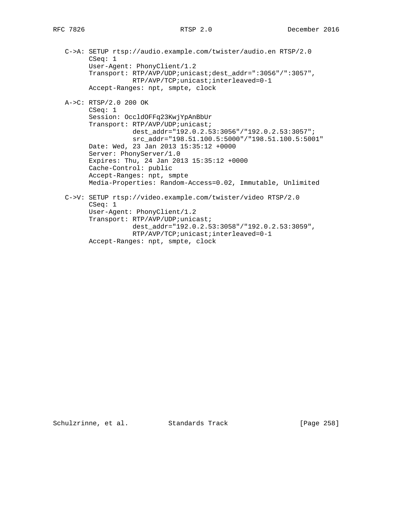C->A: SETUP rtsp://audio.example.com/twister/audio.en RTSP/2.0 CSeq: 1 User-Agent: PhonyClient/1.2 Transport: RTP/AVP/UDP;unicast;dest\_addr=":3056"/":3057", RTP/AVP/TCP;unicast;interleaved=0-1 Accept-Ranges: npt, smpte, clock A->C: RTSP/2.0 200 OK CSeq: 1 Session: OccldOFFq23KwjYpAnBbUr Transport: RTP/AVP/UDP;unicast; dest\_addr="192.0.2.53:3056"/"192.0.2.53:3057"; src\_addr="198.51.100.5:5000"/"198.51.100.5:5001" Date: Wed, 23 Jan 2013 15:35:12 +0000 Server: PhonyServer/1.0 Expires: Thu, 24 Jan 2013 15:35:12 +0000 Cache-Control: public Accept-Ranges: npt, smpte Media-Properties: Random-Access=0.02, Immutable, Unlimited C->V: SETUP rtsp://video.example.com/twister/video RTSP/2.0 CSeq: 1 User-Agent: PhonyClient/1.2 Transport: RTP/AVP/UDP;unicast; dest\_addr="192.0.2.53:3058"/"192.0.2.53:3059", RTP/AVP/TCP;unicast;interleaved=0-1 Accept-Ranges: npt, smpte, clock

Schulzrinne, et al. Standards Track [Page 258]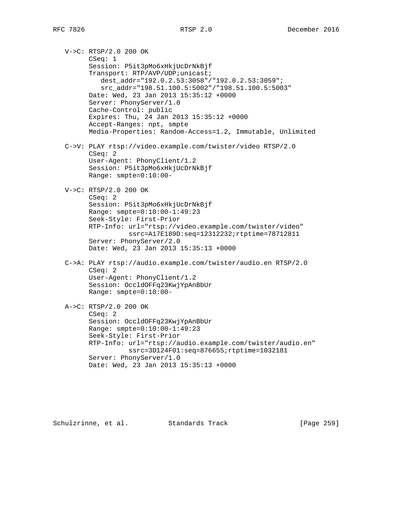V->C: RTSP/2.0 200 OK CSeq: 1 Session: P5it3pMo6xHkjUcDrNkBjf Transport: RTP/AVP/UDP;unicast; dest\_addr="192.0.2.53:3058"/"192.0.2.53:3059"; src\_addr="198.51.100.5:5002"/"198.51.100.5:5003" Date: Wed, 23 Jan 2013 15:35:12 +0000 Server: PhonyServer/1.0 Cache-Control: public Expires: Thu, 24 Jan 2013 15:35:12 +0000 Accept-Ranges: npt, smpte Media-Properties: Random-Access=1.2, Immutable, Unlimited C->V: PLAY rtsp://video.example.com/twister/video RTSP/2.0 CSeq: 2 User-Agent: PhonyClient/1.2 Session: P5it3pMo6xHkjUcDrNkBjf Range: smpte=0:10:00- V->C: RTSP/2.0 200 OK CSeq: 2 Session: P5it3pMo6xHkjUcDrNkBjf Range: smpte=0:10:00-1:49:23 Seek-Style: First-Prior RTP-Info: url="rtsp://video.example.com/twister/video" ssrc=A17E189D:seq=12312232;rtptime=78712811 Server: PhonyServer/2.0 Date: Wed, 23 Jan 2013 15:35:13 +0000 C->A: PLAY rtsp://audio.example.com/twister/audio.en RTSP/2.0 CSeq: 2 User-Agent: PhonyClient/1.2 Session: OccldOFFq23KwjYpAnBbUr Range: smpte=0:10:00- A->C: RTSP/2.0 200 OK CSeq: 2 Session: OccldOFFq23KwjYpAnBbUr Range: smpte=0:10:00-1:49:23 Seek-Style: First-Prior RTP-Info: url="rtsp://audio.example.com/twister/audio.en" ssrc=3D124F01:seq=876655;rtptime=1032181 Server: PhonyServer/1.0 Date: Wed, 23 Jan 2013 15:35:13 +0000

Schulzrinne, et al. Standards Track [Page 259]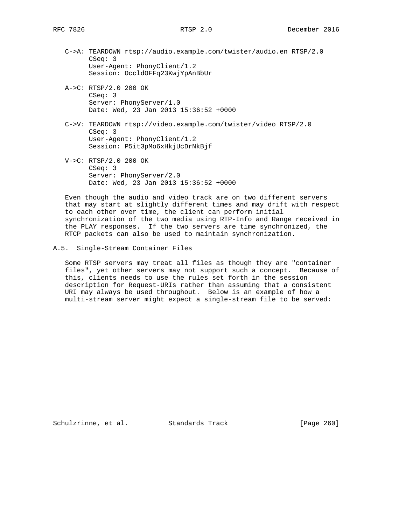- C->A: TEARDOWN rtsp://audio.example.com/twister/audio.en RTSP/2.0 CSeq: 3 User-Agent: PhonyClient/1.2 Session: OccldOFFq23KwjYpAnBbUr
- A->C: RTSP/2.0 200 OK CSeq: 3 Server: PhonyServer/1.0 Date: Wed, 23 Jan 2013 15:36:52 +0000
- C->V: TEARDOWN rtsp://video.example.com/twister/video RTSP/2.0 CSeq: 3 User-Agent: PhonyClient/1.2 Session: P5it3pMo6xHkjUcDrNkBjf
- V->C: RTSP/2.0 200 OK CSeq: 3 Server: PhonyServer/2.0 Date: Wed, 23 Jan 2013 15:36:52 +0000

 Even though the audio and video track are on two different servers that may start at slightly different times and may drift with respect to each other over time, the client can perform initial synchronization of the two media using RTP-Info and Range received in the PLAY responses. If the two servers are time synchronized, the RTCP packets can also be used to maintain synchronization.

### A.5. Single-Stream Container Files

 Some RTSP servers may treat all files as though they are "container files", yet other servers may not support such a concept. Because of this, clients needs to use the rules set forth in the session description for Request-URIs rather than assuming that a consistent URI may always be used throughout. Below is an example of how a multi-stream server might expect a single-stream file to be served:

Schulzrinne, et al. Standards Track [Page 260]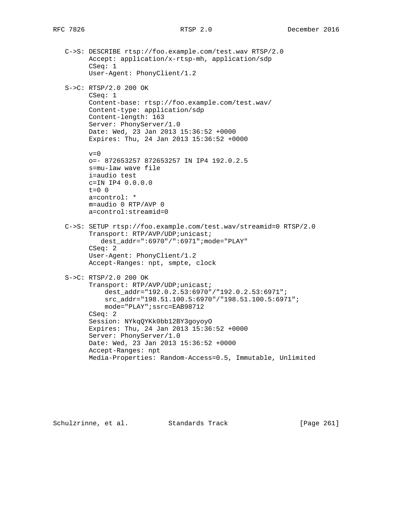C->S: DESCRIBE rtsp://foo.example.com/test.wav RTSP/2.0 Accept: application/x-rtsp-mh, application/sdp CSeq: 1 User-Agent: PhonyClient/1.2 S->C: RTSP/2.0 200 OK CSeq: 1 Content-base: rtsp://foo.example.com/test.wav/ Content-type: application/sdp Content-length: 163 Server: PhonyServer/1.0 Date: Wed, 23 Jan 2013 15:36:52 +0000 Expires: Thu, 24 Jan 2013 15:36:52 +0000  $v=0$  o=- 872653257 872653257 IN IP4 192.0.2.5 s=mu-law wave file i=audio test c=IN IP4 0.0.0.0 t=0 0 a=control: \* m=audio 0 RTP/AVP 0 a=control:streamid=0 C->S: SETUP rtsp://foo.example.com/test.wav/streamid=0 RTSP/2.0 Transport: RTP/AVP/UDP;unicast; dest\_addr=":6970"/":6971";mode="PLAY" CSeq: 2 User-Agent: PhonyClient/1.2 Accept-Ranges: npt, smpte, clock S->C: RTSP/2.0 200 OK Transport: RTP/AVP/UDP;unicast; dest\_addr="192.0.2.53:6970"/"192.0.2.53:6971"; src\_addr="198.51.100.5:6970"/"198.51.100.5:6971"; mode="PLAY";ssrc=EAB98712 CSeq: 2 Session: NYkqQYKk0bb12BY3goyoyO Expires: Thu, 24 Jan 2013 15:36:52 +0000 Server: PhonyServer/1.0 Date: Wed, 23 Jan 2013 15:36:52 +0000 Accept-Ranges: npt

Media-Properties: Random-Access=0.5, Immutable, Unlimited

Schulzrinne, et al. Standards Track [Page 261]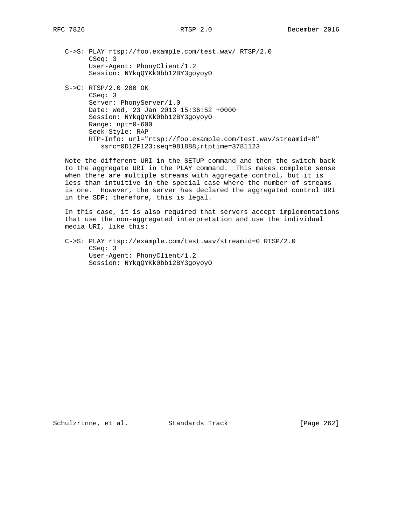- C->S: PLAY rtsp://foo.example.com/test.wav/ RTSP/2.0 CSeq: 3 User-Agent: PhonyClient/1.2 Session: NYkqQYKk0bb12BY3goyoyO
- S->C: RTSP/2.0 200 OK CSeq: 3 Server: PhonyServer/1.0 Date: Wed, 23 Jan 2013 15:36:52 +0000 Session: NYkqQYKk0bb12BY3goyoyO Range: npt=0-600 Seek-Style: RAP RTP-Info: url="rtsp://foo.example.com/test.wav/streamid=0" ssrc=0D12F123:seq=981888;rtptime=3781123

 Note the different URI in the SETUP command and then the switch back to the aggregate URI in the PLAY command. This makes complete sense when there are multiple streams with aggregate control, but it is less than intuitive in the special case where the number of streams is one. However, the server has declared the aggregated control URI in the SDP; therefore, this is legal.

 In this case, it is also required that servers accept implementations that use the non-aggregated interpretation and use the individual media URI, like this:

 C->S: PLAY rtsp://example.com/test.wav/streamid=0 RTSP/2.0 CSeq: 3 User-Agent: PhonyClient/1.2 Session: NYkqQYKk0bb12BY3goyoyO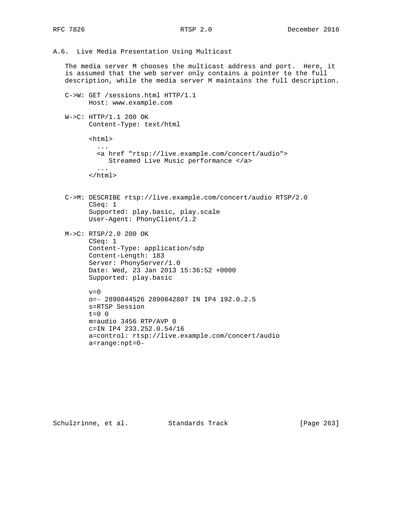A.6. Live Media Presentation Using Multicast

 The media server M chooses the multicast address and port. Here, it is assumed that the web server only contains a pointer to the full description, while the media server M maintains the full description.

- C->W: GET /sessions.html HTTP/1.1 Host: www.example.com
- W->C: HTTP/1.1 200 OK Content-Type: text/html
	- <html> ... <a href "rtsp://live.example.com/concert/audio"> Streamed Live Music performance </a> ... </html>
- C->M: DESCRIBE rtsp://live.example.com/concert/audio RTSP/2.0 CSeq: 1 Supported: play.basic, play.scale User-Agent: PhonyClient/1.2
- M->C: RTSP/2.0 200 OK CSeq: 1 Content-Type: application/sdp Content-Length: 183 Server: PhonyServer/1.0 Date: Wed, 23 Jan 2013 15:36:52 +0000 Supported: play.basic

```
v=0
```
 o=- 2890844526 2890842807 IN IP4 192.0.2.5 s=RTSP Session  $t=0$  0 m=audio 3456 RTP/AVP 0 c=IN IP4 233.252.0.54/16 a=control: rtsp://live.example.com/concert/audio a=range:npt=0-

Schulzrinne, et al. Standards Track [Page 263]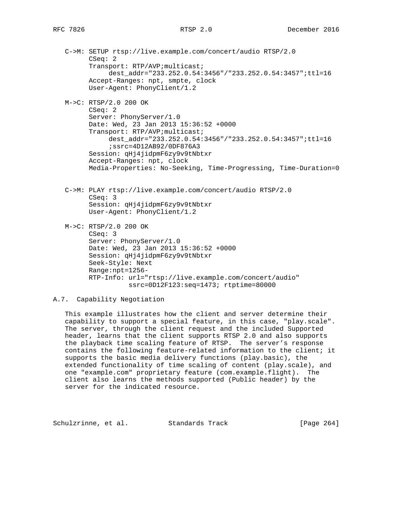- C->M: SETUP rtsp://live.example.com/concert/audio RTSP/2.0 CSeq: 2 Transport: RTP/AVP;multicast; dest addr="233.252.0.54:3456"/"233.252.0.54:3457";ttl=16 Accept-Ranges: npt, smpte, clock User-Agent: PhonyClient/1.2
- M->C: RTSP/2.0 200 OK CSeq: 2 Server: PhonyServer/1.0 Date: Wed, 23 Jan 2013 15:36:52 +0000 Transport: RTP/AVP;multicast; dest\_addr="233.252.0.54:3456"/"233.252.0.54:3457";ttl=16 ;ssrc=4D12AB92/0DF876A3 Session: qHj4jidpmF6zy9v9tNbtxr Accept-Ranges: npt, clock Media-Properties: No-Seeking, Time-Progressing, Time-Duration=0
- C->M: PLAY rtsp://live.example.com/concert/audio RTSP/2.0 CSeq: 3 Session: qHj4jidpmF6zy9v9tNbtxr User-Agent: PhonyClient/1.2
- M->C: RTSP/2.0 200 OK CSeq: 3 Server: PhonyServer/1.0 Date: Wed, 23 Jan 2013 15:36:52 +0000 Session: qHj4jidpmF6zy9v9tNbtxr Seek-Style: Next Range:npt=1256- RTP-Info: url="rtsp://live.example.com/concert/audio" ssrc=0D12F123:seq=1473; rtptime=80000

## A.7. Capability Negotiation

 This example illustrates how the client and server determine their capability to support a special feature, in this case, "play.scale". The server, through the client request and the included Supported header, learns that the client supports RTSP 2.0 and also supports the playback time scaling feature of RTSP. The server's response contains the following feature-related information to the client; it supports the basic media delivery functions (play.basic), the extended functionality of time scaling of content (play.scale), and one "example.com" proprietary feature (com.example.flight). The client also learns the methods supported (Public header) by the server for the indicated resource.

Schulzrinne, et al. Standards Track [Page 264]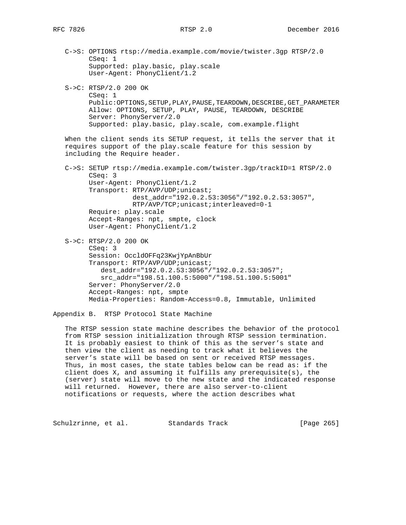C->S: OPTIONS rtsp://media.example.com/movie/twister.3gp RTSP/2.0 CSeq: 1 Supported: play.basic, play.scale User-Agent: PhonyClient/1.2

 S->C: RTSP/2.0 200 OK CSeq: 1 Public:OPTIONS, SETUP, PLAY, PAUSE, TEARDOWN, DESCRIBE, GET\_PARAMETER Allow: OPTIONS, SETUP, PLAY, PAUSE, TEARDOWN, DESCRIBE Server: PhonyServer/2.0 Supported: play.basic, play.scale, com.example.flight

 When the client sends its SETUP request, it tells the server that it requires support of the play.scale feature for this session by including the Require header.

 C->S: SETUP rtsp://media.example.com/twister.3gp/trackID=1 RTSP/2.0 CSeq: 3 User-Agent: PhonyClient/1.2 Transport: RTP/AVP/UDP;unicast; dest\_addr="192.0.2.53:3056"/"192.0.2.53:3057", RTP/AVP/TCP;unicast;interleaved=0-1 Require: play.scale Accept-Ranges: npt, smpte, clock User-Agent: PhonyClient/1.2

 S->C: RTSP/2.0 200 OK CSeq: 3 Session: OccldOFFq23KwjYpAnBbUr Transport: RTP/AVP/UDP;unicast; dest\_addr="192.0.2.53:3056"/"192.0.2.53:3057"; src\_addr="198.51.100.5:5000"/"198.51.100.5:5001" Server: PhonyServer/2.0 Accept-Ranges: npt, smpte Media-Properties: Random-Access=0.8, Immutable, Unlimited

Appendix B. RTSP Protocol State Machine

 The RTSP session state machine describes the behavior of the protocol from RTSP session initialization through RTSP session termination. It is probably easiest to think of this as the server's state and then view the client as needing to track what it believes the server's state will be based on sent or received RTSP messages. Thus, in most cases, the state tables below can be read as: if the client does  $X$ , and assuming it fulfills any prerequisite(s), the (server) state will move to the new state and the indicated response will returned. However, there are also server-to-client notifications or requests, where the action describes what

Schulzrinne, et al. Standards Track [Page 265]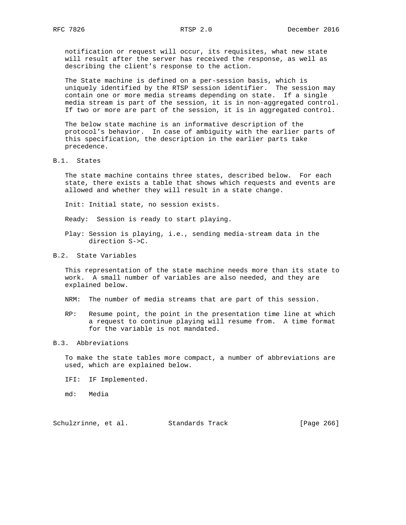notification or request will occur, its requisites, what new state will result after the server has received the response, as well as describing the client's response to the action.

 The State machine is defined on a per-session basis, which is uniquely identified by the RTSP session identifier. The session may contain one or more media streams depending on state. If a single media stream is part of the session, it is in non-aggregated control. If two or more are part of the session, it is in aggregated control.

 The below state machine is an informative description of the protocol's behavior. In case of ambiguity with the earlier parts of this specification, the description in the earlier parts take precedence.

### B.1. States

 The state machine contains three states, described below. For each state, there exists a table that shows which requests and events are allowed and whether they will result in a state change.

Init: Initial state, no session exists.

Ready: Session is ready to start playing.

 Play: Session is playing, i.e., sending media-stream data in the direction S->C.

## B.2. State Variables

 This representation of the state machine needs more than its state to work. A small number of variables are also needed, and they are explained below.

- NRM: The number of media streams that are part of this session.
- RP: Resume point, the point in the presentation time line at which a request to continue playing will resume from. A time format for the variable is not mandated.

### B.3. Abbreviations

 To make the state tables more compact, a number of abbreviations are used, which are explained below.

- IFI: IF Implemented.
- md: Media

Schulzrinne, et al. Standards Track [Page 266]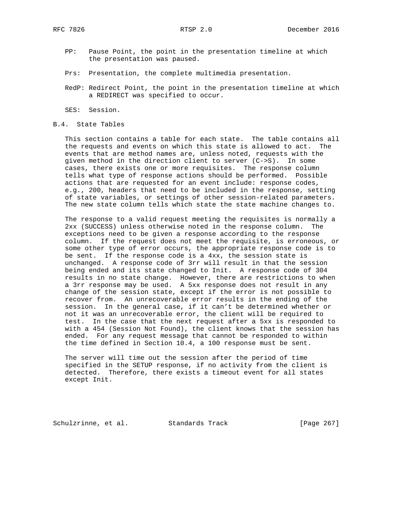- PP: Pause Point, the point in the presentation timeline at which the presentation was paused.
- Prs: Presentation, the complete multimedia presentation.
- RedP: Redirect Point, the point in the presentation timeline at which a REDIRECT was specified to occur.
- SES: Session.
- B.4. State Tables

 This section contains a table for each state. The table contains all the requests and events on which this state is allowed to act. The events that are method names are, unless noted, requests with the given method in the direction client to server (C->S). In some cases, there exists one or more requisites. The response column tells what type of response actions should be performed. Possible actions that are requested for an event include: response codes, e.g., 200, headers that need to be included in the response, setting of state variables, or settings of other session-related parameters. The new state column tells which state the state machine changes to.

 The response to a valid request meeting the requisites is normally a 2xx (SUCCESS) unless otherwise noted in the response column. The exceptions need to be given a response according to the response column. If the request does not meet the requisite, is erroneous, or some other type of error occurs, the appropriate response code is to be sent. If the response code is a 4xx, the session state is unchanged. A response code of 3rr will result in that the session being ended and its state changed to Init. A response code of 304 results in no state change. However, there are restrictions to when a 3rr response may be used. A 5xx response does not result in any change of the session state, except if the error is not possible to recover from. An unrecoverable error results in the ending of the session. In the general case, if it can't be determined whether or not it was an unrecoverable error, the client will be required to test. In the case that the next request after a 5xx is responded to with a 454 (Session Not Found), the client knows that the session has ended. For any request message that cannot be responded to within the time defined in Section 10.4, a 100 response must be sent.

 The server will time out the session after the period of time specified in the SETUP response, if no activity from the client is detected. Therefore, there exists a timeout event for all states except Init.

Schulzrinne, et al. Standards Track [Page 267]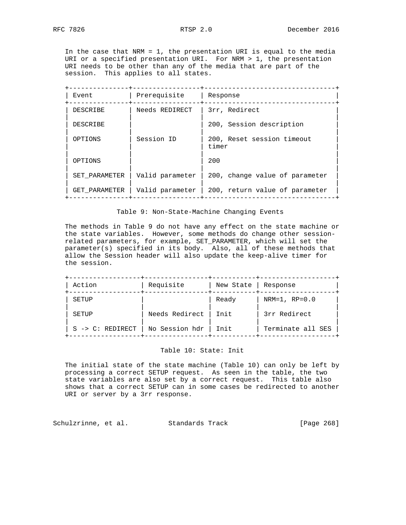In the case that NRM = 1, the presentation URI is equal to the media URI or a specified presentation URI. For NRM > 1, the presentation URI needs to be other than any of the media that are part of the session. This applies to all states.

| Event         | Prerequisite    | Response                            |  |  |  |  |  |  |
|---------------|-----------------|-------------------------------------|--|--|--|--|--|--|
| DESCRIBE      | Needs REDIRECT  | 3rr, Redirect                       |  |  |  |  |  |  |
| DESCRIBE      |                 | 200, Session description            |  |  |  |  |  |  |
| OPTIONS       | Session ID      | 200, Reset session timeout<br>timer |  |  |  |  |  |  |
| OPTIONS       |                 | 200                                 |  |  |  |  |  |  |
| SET PARAMETER | Valid parameter | 200, change value of parameter      |  |  |  |  |  |  |
| GET PARAMETER | Valid parameter | 200, return value of parameter      |  |  |  |  |  |  |
|               |                 |                                     |  |  |  |  |  |  |

### Table 9: Non-State-Machine Changing Events

 The methods in Table 9 do not have any effect on the state machine or the state variables. However, some methods do change other session related parameters, for example, SET\_PARAMETER, which will set the parameter(s) specified in its body. Also, all of these methods that allow the Session header will also update the keep-alive timer for the session.

| Action                      | Requisite      | New State   | Response          |
|-----------------------------|----------------|-------------|-------------------|
| SETUP                       |                | Ready       | NRM= $1, RP=0.0$  |
| SETUP                       | Needs Redirect | <b>Tnit</b> | 3rr Redirect      |
| $S \rightarrow C: REDIRECT$ | No Session hdr | Init        | Terminate all SES |

### Table 10: State: Init

 The initial state of the state machine (Table 10) can only be left by processing a correct SETUP request. As seen in the table, the two state variables are also set by a correct request. This table also shows that a correct SETUP can in some cases be redirected to another URI or server by a 3rr response.

Schulzrinne, et al. Standards Track [Page 268]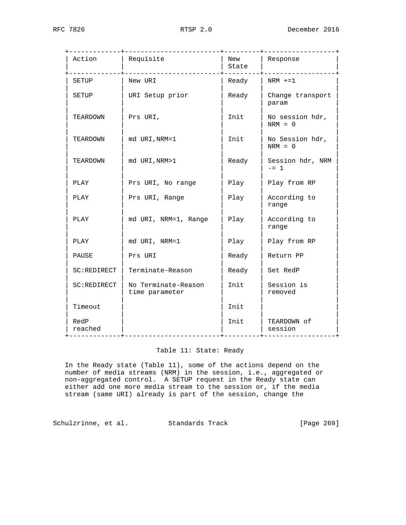| Action          | Requisite<br>___________________      | New<br>State | Response<br>_______________  |  |  |  |  |
|-----------------|---------------------------------------|--------------|------------------------------|--|--|--|--|
| SETUP           | New URI                               | Ready        | $NRM$ +=1                    |  |  |  |  |
| SETUP           | URI Setup prior                       | Ready        | Change transport<br>param    |  |  |  |  |
| TEARDOWN        | Prs URI,                              | Init         | No session hdr,<br>$NRM = 0$ |  |  |  |  |
| TEARDOWN        | md URI, NRM=1                         | Init         | No Session hdr,<br>$NRM = 0$ |  |  |  |  |
| TEARDOWN        | md URI, NRM>1                         | Ready        | Session hdr, NRM<br>$- = 1$  |  |  |  |  |
| PLAY            | Prs URI, No range                     | Play         | Play from RP                 |  |  |  |  |
| PLAY            | Prs URI, Range                        | Play         | According to<br>range        |  |  |  |  |
| PLAY            | md URI, NRM=1, Range                  | Play         | According to<br>range        |  |  |  |  |
| PLAY            | md URI, NRM=1                         | Play         | Play from RP                 |  |  |  |  |
| PAUSE           | Prs URI                               | Ready        | Return PP                    |  |  |  |  |
| SC:REDIRECT     | Terminate-Reason                      | Ready        | Set RedP                     |  |  |  |  |
| SC:REDIRECT     | No Terminate-Reason<br>time parameter | Init         | Session is<br>removed        |  |  |  |  |
| Timeout         |                                       | Init         |                              |  |  |  |  |
| RedP<br>reached |                                       | Init         | TEARDOWN of<br>session       |  |  |  |  |

# Table 11: State: Ready

 In the Ready state (Table 11), some of the actions depend on the number of media streams (NRM) in the session, i.e., aggregated or non-aggregated control. A SETUP request in the Ready state can either add one more media stream to the session or, if the media stream (same URI) already is part of the session, change the

Schulzrinne, et al. Standards Track [Page 269]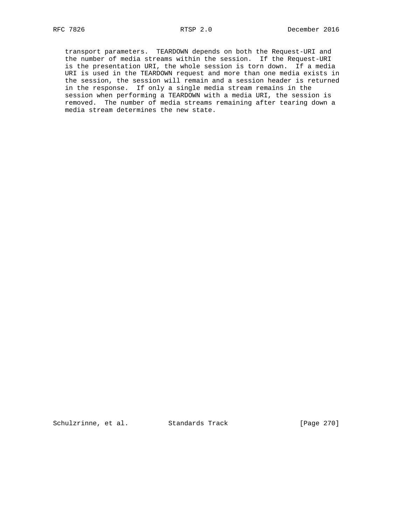transport parameters. TEARDOWN depends on both the Request-URI and the number of media streams within the session. If the Request-URI is the presentation URI, the whole session is torn down. If a media URI is used in the TEARDOWN request and more than one media exists in the session, the session will remain and a session header is returned in the response. If only a single media stream remains in the session when performing a TEARDOWN with a media URI, the session is removed. The number of media streams remaining after tearing down a media stream determines the new state.

Schulzrinne, et al. Standards Track [Page 270]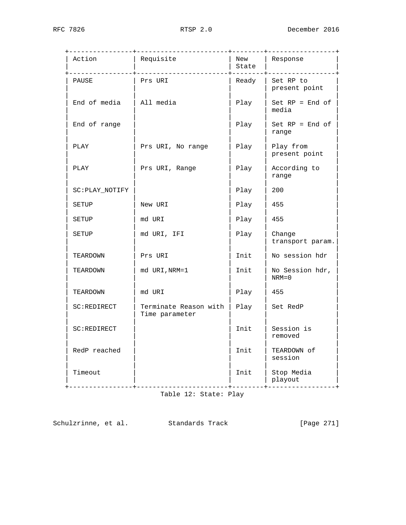| Action          | Requisite                               | New<br>State | Response                     |
|-----------------|-----------------------------------------|--------------|------------------------------|
| PAUSE           | Prs URI                                 | Ready        | Set RP to<br>present point   |
| End of media    | All media                               | Play         | $Set RP = End OF$<br>media   |
| End of range    |                                         | Play         | $Set RP = End OF$<br>range   |
| PLAY            | Prs URI, No range                       | Play         | Play from<br>present point   |
| PLAY            | Prs URI, Range                          | Play         | According to<br>range        |
| SC: PLAY_NOTIFY |                                         | Play         | 200                          |
| SETUP           | New URI                                 | Play         | 455                          |
| SETUP           | md URI                                  | Play         | 455                          |
| SETUP           | md URI, IFI                             | Play         | Change<br>transport param.   |
| TEARDOWN        | Prs URI                                 | Init         | No session hdr               |
| TEARDOWN        | md URI, NRM=1                           | Init         | No Session hdr,<br>$NRM = 0$ |
| TEARDOWN        | md URI                                  | Play         | 455                          |
| SC:REDIRECT     | Terminate Reason with<br>Time parameter | Play         | Set RedP                     |
| SC:REDIRECT     |                                         | Init         | Session is<br>removed        |
| RedP reached    |                                         | Init         | TEARDOWN of<br>session       |
| Timeout         | ____________                            | Init         | Stop Media<br>playout        |

Table 12: State: Play

Schulzrinne, et al. Standards Track [Page 271]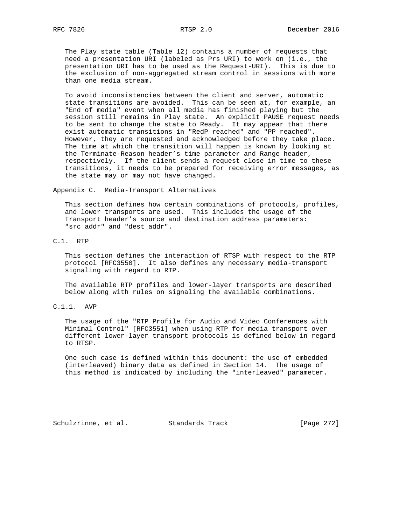The Play state table (Table 12) contains a number of requests that need a presentation URI (labeled as Prs URI) to work on (i.e., the presentation URI has to be used as the Request-URI). This is due to the exclusion of non-aggregated stream control in sessions with more than one media stream.

 To avoid inconsistencies between the client and server, automatic state transitions are avoided. This can be seen at, for example, an "End of media" event when all media has finished playing but the session still remains in Play state. An explicit PAUSE request needs to be sent to change the state to Ready. It may appear that there exist automatic transitions in "RedP reached" and "PP reached". However, they are requested and acknowledged before they take place. The time at which the transition will happen is known by looking at the Terminate-Reason header's time parameter and Range header, respectively. If the client sends a request close in time to these transitions, it needs to be prepared for receiving error messages, as the state may or may not have changed.

Appendix C. Media-Transport Alternatives

 This section defines how certain combinations of protocols, profiles, and lower transports are used. This includes the usage of the Transport header's source and destination address parameters: "src\_addr" and "dest\_addr".

C.1. RTP

 This section defines the interaction of RTSP with respect to the RTP protocol [RFC3550]. It also defines any necessary media-transport signaling with regard to RTP.

 The available RTP profiles and lower-layer transports are described below along with rules on signaling the available combinations.

C.1.1. AVP

 The usage of the "RTP Profile for Audio and Video Conferences with Minimal Control" [RFC3551] when using RTP for media transport over different lower-layer transport protocols is defined below in regard to RTSP.

 One such case is defined within this document: the use of embedded (interleaved) binary data as defined in Section 14. The usage of this method is indicated by including the "interleaved" parameter.

Schulzrinne, et al. Standards Track [Page 272]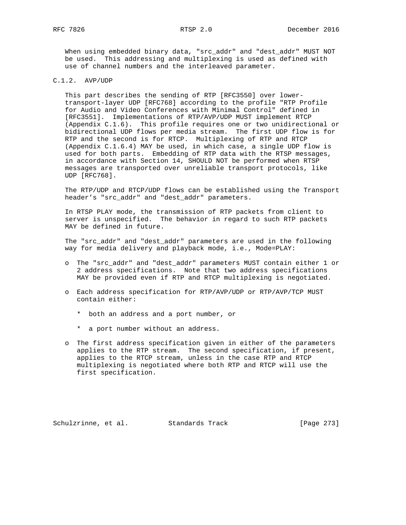When using embedded binary data, "src\_addr" and "dest\_addr" MUST NOT be used. This addressing and multiplexing is used as defined with use of channel numbers and the interleaved parameter.

## C.1.2. AVP/UDP

 This part describes the sending of RTP [RFC3550] over lower transport-layer UDP [RFC768] according to the profile "RTP Profile for Audio and Video Conferences with Minimal Control" defined in [RFC3551]. Implementations of RTP/AVP/UDP MUST implement RTCP (Appendix C.1.6). This profile requires one or two unidirectional or bidirectional UDP flows per media stream. The first UDP flow is for RTP and the second is for RTCP. Multiplexing of RTP and RTCP (Appendix C.1.6.4) MAY be used, in which case, a single UDP flow is used for both parts. Embedding of RTP data with the RTSP messages, in accordance with Section 14, SHOULD NOT be performed when RTSP messages are transported over unreliable transport protocols, like UDP [RFC768].

 The RTP/UDP and RTCP/UDP flows can be established using the Transport header's "src\_addr" and "dest\_addr" parameters.

 In RTSP PLAY mode, the transmission of RTP packets from client to server is unspecified. The behavior in regard to such RTP packets MAY be defined in future.

 The "src\_addr" and "dest\_addr" parameters are used in the following way for media delivery and playback mode, i.e., Mode=PLAY:

- o The "src\_addr" and "dest\_addr" parameters MUST contain either 1 or 2 address specifications. Note that two address specifications MAY be provided even if RTP and RTCP multiplexing is negotiated.
- o Each address specification for RTP/AVP/UDP or RTP/AVP/TCP MUST contain either:
	- \* both an address and a port number, or
	- \* a port number without an address.
- o The first address specification given in either of the parameters applies to the RTP stream. The second specification, if present, applies to the RTCP stream, unless in the case RTP and RTCP multiplexing is negotiated where both RTP and RTCP will use the first specification.

Schulzrinne, et al. Standards Track [Page 273]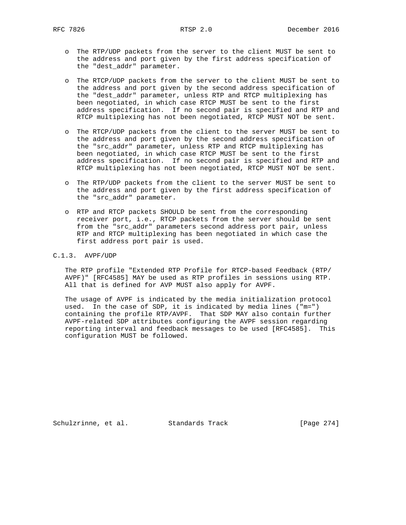- o The RTP/UDP packets from the server to the client MUST be sent to the address and port given by the first address specification of the "dest\_addr" parameter.
- o The RTCP/UDP packets from the server to the client MUST be sent to the address and port given by the second address specification of the "dest\_addr" parameter, unless RTP and RTCP multiplexing has been negotiated, in which case RTCP MUST be sent to the first address specification. If no second pair is specified and RTP and RTCP multiplexing has not been negotiated, RTCP MUST NOT be sent.
- o The RTCP/UDP packets from the client to the server MUST be sent to the address and port given by the second address specification of the "src\_addr" parameter, unless RTP and RTCP multiplexing has been negotiated, in which case RTCP MUST be sent to the first address specification. If no second pair is specified and RTP and RTCP multiplexing has not been negotiated, RTCP MUST NOT be sent.
- o The RTP/UDP packets from the client to the server MUST be sent to the address and port given by the first address specification of the "src\_addr" parameter.
- o RTP and RTCP packets SHOULD be sent from the corresponding receiver port, i.e., RTCP packets from the server should be sent from the "src\_addr" parameters second address port pair, unless RTP and RTCP multiplexing has been negotiated in which case the first address port pair is used.

# C.1.3. AVPF/UDP

 The RTP profile "Extended RTP Profile for RTCP-based Feedback (RTP/ AVPF)" [RFC4585] MAY be used as RTP profiles in sessions using RTP. All that is defined for AVP MUST also apply for AVPF.

 The usage of AVPF is indicated by the media initialization protocol used. In the case of SDP, it is indicated by media lines ("m=") containing the profile RTP/AVPF. That SDP MAY also contain further AVPF-related SDP attributes configuring the AVPF session regarding reporting interval and feedback messages to be used [RFC4585]. This configuration MUST be followed.

Schulzrinne, et al. Standards Track [Page 274]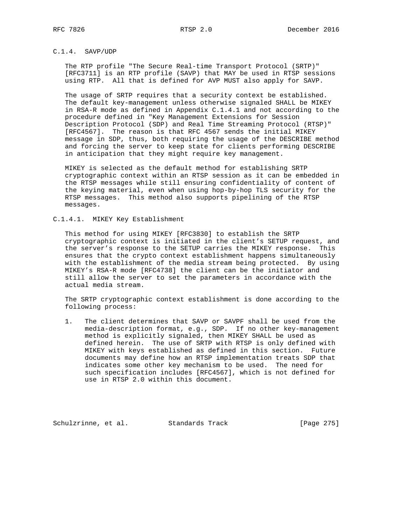# C.1.4. SAVP/UDP

 The RTP profile "The Secure Real-time Transport Protocol (SRTP)" [RFC3711] is an RTP profile (SAVP) that MAY be used in RTSP sessions using RTP. All that is defined for AVP MUST also apply for SAVP.

 The usage of SRTP requires that a security context be established. The default key-management unless otherwise signaled SHALL be MIKEY in RSA-R mode as defined in Appendix C.1.4.1 and not according to the procedure defined in "Key Management Extensions for Session Description Protocol (SDP) and Real Time Streaming Protocol (RTSP)" [RFC4567]. The reason is that RFC 4567 sends the initial MIKEY message in SDP, thus, both requiring the usage of the DESCRIBE method and forcing the server to keep state for clients performing DESCRIBE in anticipation that they might require key management.

 MIKEY is selected as the default method for establishing SRTP cryptographic context within an RTSP session as it can be embedded in the RTSP messages while still ensuring confidentiality of content of the keying material, even when using hop-by-hop TLS security for the RTSP messages. This method also supports pipelining of the RTSP messages.

C.1.4.1. MIKEY Key Establishment

 This method for using MIKEY [RFC3830] to establish the SRTP cryptographic context is initiated in the client's SETUP request, and the server's response to the SETUP carries the MIKEY response. This ensures that the crypto context establishment happens simultaneously with the establishment of the media stream being protected. By using MIKEY's RSA-R mode [RFC4738] the client can be the initiator and still allow the server to set the parameters in accordance with the actual media stream.

 The SRTP cryptographic context establishment is done according to the following process:

 1. The client determines that SAVP or SAVPF shall be used from the media-description format, e.g., SDP. If no other key-management method is explicitly signaled, then MIKEY SHALL be used as defined herein. The use of SRTP with RTSP is only defined with MIKEY with keys established as defined in this section. Future documents may define how an RTSP implementation treats SDP that indicates some other key mechanism to be used. The need for such specification includes [RFC4567], which is not defined for use in RTSP 2.0 within this document.

Schulzrinne, et al. Standards Track [Page 275]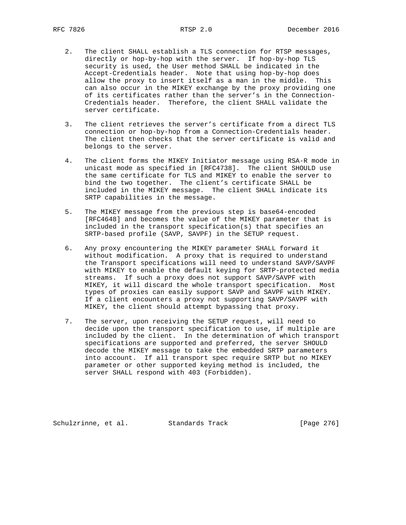- 2. The client SHALL establish a TLS connection for RTSP messages, directly or hop-by-hop with the server. If hop-by-hop TLS security is used, the User method SHALL be indicated in the Accept-Credentials header. Note that using hop-by-hop does allow the proxy to insert itself as a man in the middle. This can also occur in the MIKEY exchange by the proxy providing one of its certificates rather than the server's in the Connection- Credentials header. Therefore, the client SHALL validate the server certificate.
- 3. The client retrieves the server's certificate from a direct TLS connection or hop-by-hop from a Connection-Credentials header. The client then checks that the server certificate is valid and belongs to the server.
- 4. The client forms the MIKEY Initiator message using RSA-R mode in unicast mode as specified in [RFC4738]. The client SHOULD use the same certificate for TLS and MIKEY to enable the server to bind the two together. The client's certificate SHALL be included in the MIKEY message. The client SHALL indicate its SRTP capabilities in the message.
- 5. The MIKEY message from the previous step is base64-encoded [RFC4648] and becomes the value of the MIKEY parameter that is included in the transport specification(s) that specifies an SRTP-based profile (SAVP, SAVPF) in the SETUP request.
- 6. Any proxy encountering the MIKEY parameter SHALL forward it without modification. A proxy that is required to understand the Transport specifications will need to understand SAVP/SAVPF with MIKEY to enable the default keying for SRTP-protected media streams. If such a proxy does not support SAVP/SAVPF with MIKEY, it will discard the whole transport specification. Most types of proxies can easily support SAVP and SAVPF with MIKEY. If a client encounters a proxy not supporting SAVP/SAVPF with MIKEY, the client should attempt bypassing that proxy.
- 7. The server, upon receiving the SETUP request, will need to decide upon the transport specification to use, if multiple are included by the client. In the determination of which transport specifications are supported and preferred, the server SHOULD decode the MIKEY message to take the embedded SRTP parameters into account. If all transport spec require SRTP but no MIKEY parameter or other supported keying method is included, the server SHALL respond with 403 (Forbidden).

Schulzrinne, et al. Standards Track [Page 276]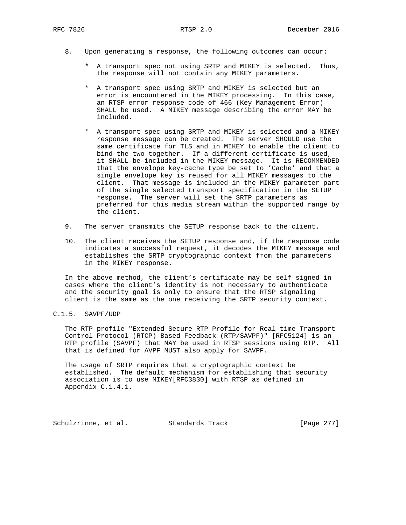- 8. Upon generating a response, the following outcomes can occur:
	- \* A transport spec not using SRTP and MIKEY is selected. Thus, the response will not contain any MIKEY parameters.
	- \* A transport spec using SRTP and MIKEY is selected but an error is encountered in the MIKEY processing. In this case, an RTSP error response code of 466 (Key Management Error) SHALL be used. A MIKEY message describing the error MAY be included.
	- \* A transport spec using SRTP and MIKEY is selected and a MIKEY response message can be created. The server SHOULD use the same certificate for TLS and in MIKEY to enable the client to bind the two together. If a different certificate is used, it SHALL be included in the MIKEY message. It is RECOMMENDED that the envelope key-cache type be set to 'Cache' and that a single envelope key is reused for all MIKEY messages to the client. That message is included in the MIKEY parameter part of the single selected transport specification in the SETUP response. The server will set the SRTP parameters as preferred for this media stream within the supported range by the client.
- 9. The server transmits the SETUP response back to the client.
- 10. The client receives the SETUP response and, if the response code indicates a successful request, it decodes the MIKEY message and establishes the SRTP cryptographic context from the parameters in the MIKEY response.

 In the above method, the client's certificate may be self signed in cases where the client's identity is not necessary to authenticate and the security goal is only to ensure that the RTSP signaling client is the same as the one receiving the SRTP security context.

## C.1.5. SAVPF/UDP

 The RTP profile "Extended Secure RTP Profile for Real-time Transport Control Protocol (RTCP)-Based Feedback (RTP/SAVPF)" [RFC5124] is an RTP profile (SAVPF) that MAY be used in RTSP sessions using RTP. All that is defined for AVPF MUST also apply for SAVPF.

 The usage of SRTP requires that a cryptographic context be established. The default mechanism for establishing that security association is to use MIKEY[RFC3830] with RTSP as defined in Appendix C.1.4.1.

Schulzrinne, et al. Standards Track [Page 277]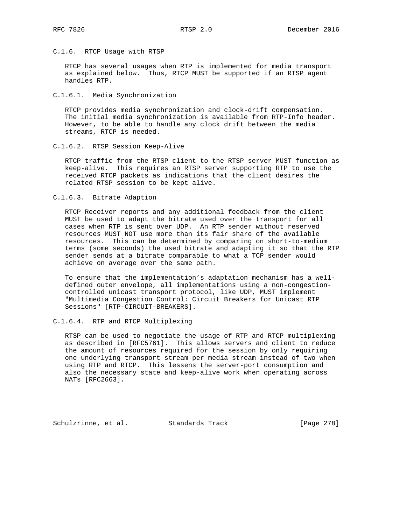# C.1.6. RTCP Usage with RTSP

 RTCP has several usages when RTP is implemented for media transport as explained below. Thus, RTCP MUST be supported if an RTSP agent handles RTP.

## C.1.6.1. Media Synchronization

 RTCP provides media synchronization and clock-drift compensation. The initial media synchronization is available from RTP-Info header. However, to be able to handle any clock drift between the media streams, RTCP is needed.

### C.1.6.2. RTSP Session Keep-Alive

 RTCP traffic from the RTSP client to the RTSP server MUST function as keep-alive. This requires an RTSP server supporting RTP to use the received RTCP packets as indications that the client desires the related RTSP session to be kept alive.

### C.1.6.3. Bitrate Adaption

 RTCP Receiver reports and any additional feedback from the client MUST be used to adapt the bitrate used over the transport for all cases when RTP is sent over UDP. An RTP sender without reserved resources MUST NOT use more than its fair share of the available resources. This can be determined by comparing on short-to-medium terms (some seconds) the used bitrate and adapting it so that the RTP sender sends at a bitrate comparable to what a TCP sender would achieve on average over the same path.

 To ensure that the implementation's adaptation mechanism has a well defined outer envelope, all implementations using a non-congestion controlled unicast transport protocol, like UDP, MUST implement "Multimedia Congestion Control: Circuit Breakers for Unicast RTP Sessions" [RTP-CIRCUIT-BREAKERS].

### C.1.6.4. RTP and RTCP Multiplexing

 RTSP can be used to negotiate the usage of RTP and RTCP multiplexing as described in [RFC5761]. This allows servers and client to reduce the amount of resources required for the session by only requiring one underlying transport stream per media stream instead of two when using RTP and RTCP. This lessens the server-port consumption and also the necessary state and keep-alive work when operating across NATs [RFC2663].

Schulzrinne, et al. Standards Track [Page 278]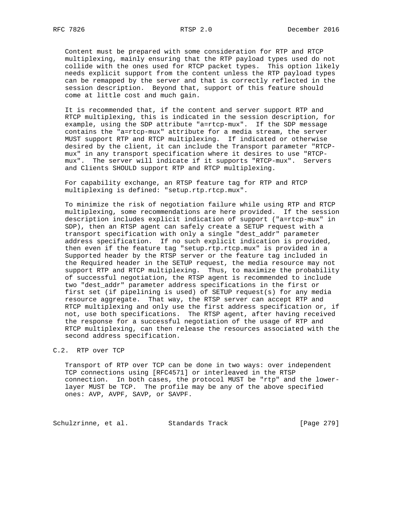Content must be prepared with some consideration for RTP and RTCP multiplexing, mainly ensuring that the RTP payload types used do not collide with the ones used for RTCP packet types. This option likely needs explicit support from the content unless the RTP payload types can be remapped by the server and that is correctly reflected in the session description. Beyond that, support of this feature should come at little cost and much gain.

 It is recommended that, if the content and server support RTP and RTCP multiplexing, this is indicated in the session description, for example, using the SDP attribute "a=rtcp-mux". If the SDP message contains the "a=rtcp-mux" attribute for a media stream, the server MUST support RTP and RTCP multiplexing. If indicated or otherwise desired by the client, it can include the Transport parameter "RTCP mux" in any transport specification where it desires to use "RTCP mux". The server will indicate if it supports "RTCP-mux". Servers and Clients SHOULD support RTP and RTCP multiplexing.

 For capability exchange, an RTSP feature tag for RTP and RTCP multiplexing is defined: "setup.rtp.rtcp.mux".

 To minimize the risk of negotiation failure while using RTP and RTCP multiplexing, some recommendations are here provided. If the session description includes explicit indication of support ("a=rtcp-mux" in SDP), then an RTSP agent can safely create a SETUP request with a transport specification with only a single "dest\_addr" parameter address specification. If no such explicit indication is provided, then even if the feature tag "setup.rtp.rtcp.mux" is provided in a Supported header by the RTSP server or the feature tag included in the Required header in the SETUP request, the media resource may not support RTP and RTCP multiplexing. Thus, to maximize the probability of successful negotiation, the RTSP agent is recommended to include two "dest\_addr" parameter address specifications in the first or first set (if pipelining is used) of SETUP request(s) for any media resource aggregate. That way, the RTSP server can accept RTP and RTCP multiplexing and only use the first address specification or, if not, use both specifications. The RTSP agent, after having received the response for a successful negotiation of the usage of RTP and RTCP multiplexing, can then release the resources associated with the second address specification.

# C.2. RTP over TCP

 Transport of RTP over TCP can be done in two ways: over independent TCP connections using [RFC4571] or interleaved in the RTSP connection. In both cases, the protocol MUST be "rtp" and the lower layer MUST be TCP. The profile may be any of the above specified ones: AVP, AVPF, SAVP, or SAVPF.

Schulzrinne, et al. Standards Track [Page 279]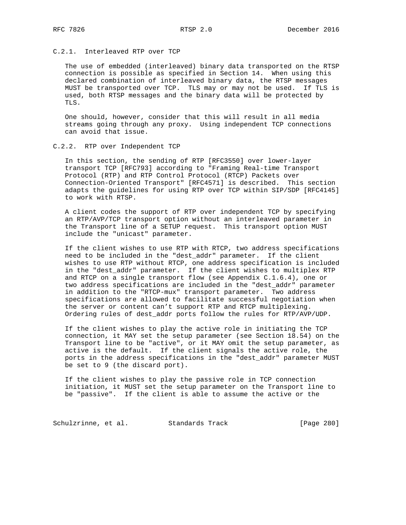# C.2.1. Interleaved RTP over TCP

 The use of embedded (interleaved) binary data transported on the RTSP connection is possible as specified in Section 14. When using this declared combination of interleaved binary data, the RTSP messages MUST be transported over TCP. TLS may or may not be used. If TLS is used, both RTSP messages and the binary data will be protected by TLS.

 One should, however, consider that this will result in all media streams going through any proxy. Using independent TCP connections can avoid that issue.

### C.2.2. RTP over Independent TCP

 In this section, the sending of RTP [RFC3550] over lower-layer transport TCP [RFC793] according to "Framing Real-time Transport Protocol (RTP) and RTP Control Protocol (RTCP) Packets over Connection-Oriented Transport" [RFC4571] is described. This section adapts the guidelines for using RTP over TCP within SIP/SDP [RFC4145] to work with RTSP.

 A client codes the support of RTP over independent TCP by specifying an RTP/AVP/TCP transport option without an interleaved parameter in the Transport line of a SETUP request. This transport option MUST include the "unicast" parameter.

 If the client wishes to use RTP with RTCP, two address specifications need to be included in the "dest\_addr" parameter. If the client wishes to use RTP without RTCP, one address specification is included in the "dest\_addr" parameter. If the client wishes to multiplex RTP and RTCP on a single transport flow (see Appendix C.1.6.4), one or two address specifications are included in the "dest\_addr" parameter in addition to the "RTCP-mux" transport parameter. Two address specifications are allowed to facilitate successful negotiation when the server or content can't support RTP and RTCP multiplexing. Ordering rules of dest\_addr ports follow the rules for RTP/AVP/UDP.

 If the client wishes to play the active role in initiating the TCP connection, it MAY set the setup parameter (see Section 18.54) on the Transport line to be "active", or it MAY omit the setup parameter, as active is the default. If the client signals the active role, the ports in the address specifications in the "dest\_addr" parameter MUST be set to 9 (the discard port).

 If the client wishes to play the passive role in TCP connection initiation, it MUST set the setup parameter on the Transport line to be "passive". If the client is able to assume the active or the

Schulzrinne, et al. Standards Track [Page 280]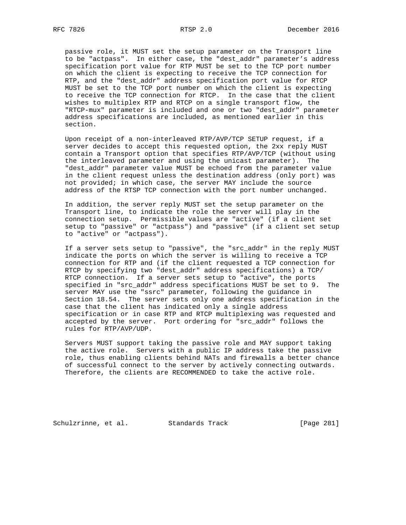passive role, it MUST set the setup parameter on the Transport line to be "actpass". In either case, the "dest\_addr" parameter's address specification port value for RTP MUST be set to the TCP port number on which the client is expecting to receive the TCP connection for RTP, and the "dest\_addr" address specification port value for RTCP MUST be set to the TCP port number on which the client is expecting to receive the TCP connection for RTCP. In the case that the client wishes to multiplex RTP and RTCP on a single transport flow, the "RTCP-mux" parameter is included and one or two "dest\_addr" parameter address specifications are included, as mentioned earlier in this section.

 Upon receipt of a non-interleaved RTP/AVP/TCP SETUP request, if a server decides to accept this requested option, the 2xx reply MUST contain a Transport option that specifies RTP/AVP/TCP (without using the interleaved parameter and using the unicast parameter). The "dest\_addr" parameter value MUST be echoed from the parameter value in the client request unless the destination address (only port) was not provided; in which case, the server MAY include the source address of the RTSP TCP connection with the port number unchanged.

 In addition, the server reply MUST set the setup parameter on the Transport line, to indicate the role the server will play in the connection setup. Permissible values are "active" (if a client set setup to "passive" or "actpass") and "passive" (if a client set setup to "active" or "actpass").

 If a server sets setup to "passive", the "src\_addr" in the reply MUST indicate the ports on which the server is willing to receive a TCP connection for RTP and (if the client requested a TCP connection for RTCP by specifying two "dest\_addr" address specifications) a TCP/ RTCP connection. If a server sets setup to "active", the ports specified in "src\_addr" address specifications MUST be set to 9. The server MAY use the "ssrc" parameter, following the guidance in Section 18.54. The server sets only one address specification in the case that the client has indicated only a single address specification or in case RTP and RTCP multiplexing was requested and accepted by the server. Port ordering for "src\_addr" follows the rules for RTP/AVP/UDP.

 Servers MUST support taking the passive role and MAY support taking the active role. Servers with a public IP address take the passive role, thus enabling clients behind NATs and firewalls a better chance of successful connect to the server by actively connecting outwards. Therefore, the clients are RECOMMENDED to take the active role.

Schulzrinne, et al. Standards Track [Page 281]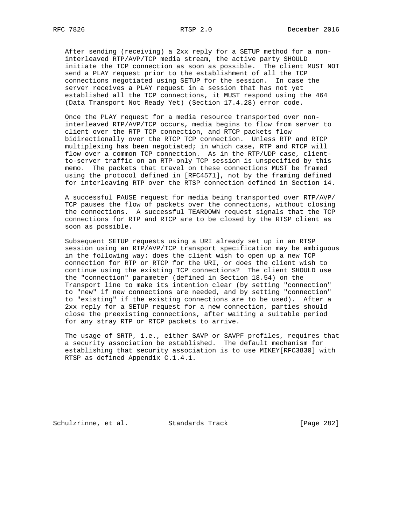After sending (receiving) a 2xx reply for a SETUP method for a non interleaved RTP/AVP/TCP media stream, the active party SHOULD initiate the TCP connection as soon as possible. The client MUST NOT send a PLAY request prior to the establishment of all the TCP connections negotiated using SETUP for the session. In case the server receives a PLAY request in a session that has not yet established all the TCP connections, it MUST respond using the 464 (Data Transport Not Ready Yet) (Section 17.4.28) error code.

 Once the PLAY request for a media resource transported over non interleaved RTP/AVP/TCP occurs, media begins to flow from server to client over the RTP TCP connection, and RTCP packets flow bidirectionally over the RTCP TCP connection. Unless RTP and RTCP multiplexing has been negotiated; in which case, RTP and RTCP will flow over a common TCP connection. As in the RTP/UDP case, client to-server traffic on an RTP-only TCP session is unspecified by this memo. The packets that travel on these connections MUST be framed using the protocol defined in [RFC4571], not by the framing defined for interleaving RTP over the RTSP connection defined in Section 14.

 A successful PAUSE request for media being transported over RTP/AVP/ TCP pauses the flow of packets over the connections, without closing the connections. A successful TEARDOWN request signals that the TCP connections for RTP and RTCP are to be closed by the RTSP client as soon as possible.

 Subsequent SETUP requests using a URI already set up in an RTSP session using an RTP/AVP/TCP transport specification may be ambiguous in the following way: does the client wish to open up a new TCP connection for RTP or RTCP for the URI, or does the client wish to continue using the existing TCP connections? The client SHOULD use the "connection" parameter (defined in Section 18.54) on the Transport line to make its intention clear (by setting "connection" to "new" if new connections are needed, and by setting "connection" to "existing" if the existing connections are to be used). After a 2xx reply for a SETUP request for a new connection, parties should close the preexisting connections, after waiting a suitable period for any stray RTP or RTCP packets to arrive.

 The usage of SRTP, i.e., either SAVP or SAVPF profiles, requires that a security association be established. The default mechanism for establishing that security association is to use MIKEY[RFC3830] with RTSP as defined Appendix C.1.4.1.

Schulzrinne, et al. Standards Track [Page 282]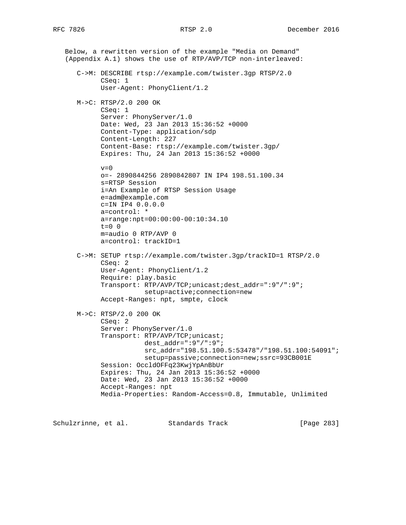Below, a rewritten version of the example "Media on Demand" (Appendix A.1) shows the use of RTP/AVP/TCP non-interleaved: C->M: DESCRIBE rtsp://example.com/twister.3gp RTSP/2.0 CSeq: 1 User-Agent: PhonyClient/1.2 M->C: RTSP/2.0 200 OK CSeq: 1 Server: PhonyServer/1.0 Date: Wed, 23 Jan 2013 15:36:52 +0000 Content-Type: application/sdp Content-Length: 227 Content-Base: rtsp://example.com/twister.3gp/ Expires: Thu, 24 Jan 2013 15:36:52 +0000  $v=0$  o=- 2890844256 2890842807 IN IP4 198.51.100.34 s=RTSP Session i=An Example of RTSP Session Usage e=adm@example.com c=IN IP4 0.0.0.0 a=control: \* a=range:npt=00:00:00-00:10:34.10  $t=0$  0 m=audio 0 RTP/AVP 0 a=control: trackID=1 C->M: SETUP rtsp://example.com/twister.3gp/trackID=1 RTSP/2.0 CSeq: 2 User-Agent: PhonyClient/1.2 Require: play.basic Transport: RTP/AVP/TCP;unicast;dest\_addr=":9"/":9"; setup=active;connection=new Accept-Ranges: npt, smpte, clock M->C: RTSP/2.0 200 OK CSeq: 2 Server: PhonyServer/1.0 Transport: RTP/AVP/TCP;unicast; dest\_addr=":9"/":9"; src\_addr="198.51.100.5:53478"/"198.51.100:54091"; setup=passive;connection=new;ssrc=93CB001E Session: OccldOFFq23KwjYpAnBbUr Expires: Thu, 24 Jan 2013 15:36:52 +0000 Date: Wed, 23 Jan 2013 15:36:52 +0000 Accept-Ranges: npt Media-Properties: Random-Access=0.8, Immutable, Unlimited

Schulzrinne, et al. Standards Track [Page 283]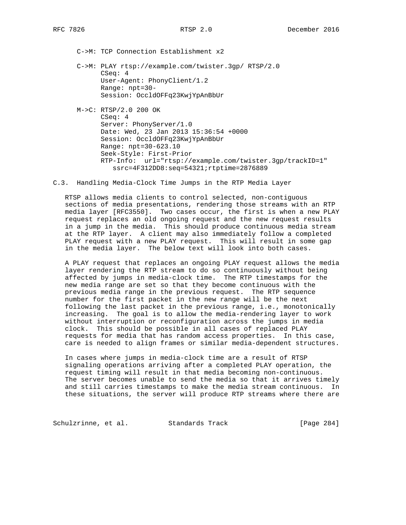C->M: TCP Connection Establishment x2

 C->M: PLAY rtsp://example.com/twister.3gp/ RTSP/2.0 CSeq: 4 User-Agent: PhonyClient/1.2 Range: npt=30- Session: OccldOFFq23KwjYpAnBbUr

 M->C: RTSP/2.0 200 OK CSeq: 4 Server: PhonyServer/1.0 Date: Wed, 23 Jan 2013 15:36:54 +0000 Session: OccldOFFq23KwjYpAnBbUr Range: npt=30-623.10 Seek-Style: First-Prior RTP-Info: url="rtsp://example.com/twister.3gp/trackID=1" ssrc=4F312DD8:seq=54321;rtptime=2876889

C.3. Handling Media-Clock Time Jumps in the RTP Media Layer

 RTSP allows media clients to control selected, non-contiguous sections of media presentations, rendering those streams with an RTP media layer [RFC3550]. Two cases occur, the first is when a new PLAY request replaces an old ongoing request and the new request results in a jump in the media. This should produce continuous media stream at the RTP layer. A client may also immediately follow a completed PLAY request with a new PLAY request. This will result in some gap in the media layer. The below text will look into both cases.

 A PLAY request that replaces an ongoing PLAY request allows the media layer rendering the RTP stream to do so continuously without being affected by jumps in media-clock time. The RTP timestamps for the new media range are set so that they become continuous with the previous media range in the previous request. The RTP sequence number for the first packet in the new range will be the next following the last packet in the previous range, i.e., monotonically increasing. The goal is to allow the media-rendering layer to work without interruption or reconfiguration across the jumps in media clock. This should be possible in all cases of replaced PLAY requests for media that has random access properties. In this case, care is needed to align frames or similar media-dependent structures.

 In cases where jumps in media-clock time are a result of RTSP signaling operations arriving after a completed PLAY operation, the request timing will result in that media becoming non-continuous. The server becomes unable to send the media so that it arrives timely and still carries timestamps to make the media stream continuous. In these situations, the server will produce RTP streams where there are

Schulzrinne, et al. Standards Track [Page 284]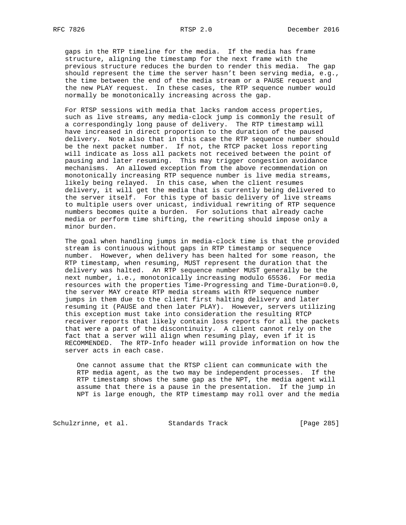gaps in the RTP timeline for the media. If the media has frame structure, aligning the timestamp for the next frame with the previous structure reduces the burden to render this media. The gap should represent the time the server hasn't been serving media, e.g., the time between the end of the media stream or a PAUSE request and the new PLAY request. In these cases, the RTP sequence number would normally be monotonically increasing across the gap.

 For RTSP sessions with media that lacks random access properties, such as live streams, any media-clock jump is commonly the result of a correspondingly long pause of delivery. The RTP timestamp will have increased in direct proportion to the duration of the paused delivery. Note also that in this case the RTP sequence number should be the next packet number. If not, the RTCP packet loss reporting will indicate as loss all packets not received between the point of pausing and later resuming. This may trigger congestion avoidance mechanisms. An allowed exception from the above recommendation on monotonically increasing RTP sequence number is live media streams, likely being relayed. In this case, when the client resumes delivery, it will get the media that is currently being delivered to the server itself. For this type of basic delivery of live streams to multiple users over unicast, individual rewriting of RTP sequence numbers becomes quite a burden. For solutions that already cache media or perform time shifting, the rewriting should impose only a minor burden.

 The goal when handling jumps in media-clock time is that the provided stream is continuous without gaps in RTP timestamp or sequence number. However, when delivery has been halted for some reason, the RTP timestamp, when resuming, MUST represent the duration that the delivery was halted. An RTP sequence number MUST generally be the next number, i.e., monotonically increasing modulo 65536. For media resources with the properties Time-Progressing and Time-Duration=0.0, the server MAY create RTP media streams with RTP sequence number jumps in them due to the client first halting delivery and later resuming it (PAUSE and then later PLAY). However, servers utilizing this exception must take into consideration the resulting RTCP receiver reports that likely contain loss reports for all the packets that were a part of the discontinuity. A client cannot rely on the fact that a server will align when resuming play, even if it is RECOMMENDED. The RTP-Info header will provide information on how the server acts in each case.

 One cannot assume that the RTSP client can communicate with the RTP media agent, as the two may be independent processes. If the RTP timestamp shows the same gap as the NPT, the media agent will assume that there is a pause in the presentation. If the jump in NPT is large enough, the RTP timestamp may roll over and the media

Schulzrinne, et al. Standards Track [Page 285]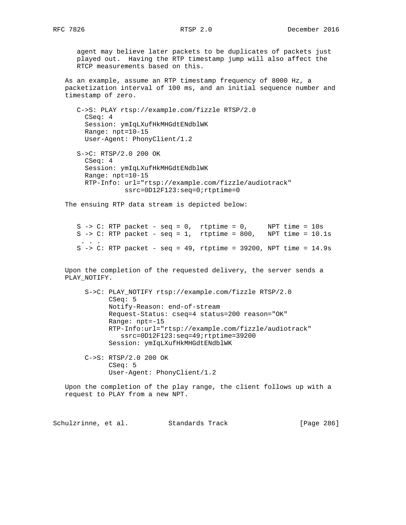agent may believe later packets to be duplicates of packets just played out. Having the RTP timestamp jump will also affect the RTCP measurements based on this.

 As an example, assume an RTP timestamp frequency of 8000 Hz, a packetization interval of 100 ms, and an initial sequence number and timestamp of zero.

 C->S: PLAY rtsp://example.com/fizzle RTSP/2.0 CSeq: 4 Session: ymIqLXufHkMHGdtENdblWK Range: npt=10-15 User-Agent: PhonyClient/1.2

 S->C: RTSP/2.0 200 OK CSeq: 4 Session: ymIqLXufHkMHGdtENdblWK Range: npt=10-15 RTP-Info: url="rtsp://example.com/fizzle/audiotrack" ssrc=0D12F123:seq=0;rtptime=0

The ensuing RTP data stream is depicted below:

 S -> C: RTP packet - seq = 0, rtptime = 0, NPT time = 10s S -> C: RTP packet - seq = 1, rtptime = 800, NPT time = 10.1s . . . S  $\rightarrow$  C: RTP packet - seq = 49, rtptime = 39200, NPT time = 14.9s

 Upon the completion of the requested delivery, the server sends a PLAY\_NOTIFY.

 S->C: PLAY\_NOTIFY rtsp://example.com/fizzle RTSP/2.0 CSeq: 5 Notify-Reason: end-of-stream Request-Status: cseq=4 status=200 reason="OK" Range: npt=-15 RTP-Info:url="rtsp://example.com/fizzle/audiotrack" ssrc=0D12F123:seq=49;rtptime=39200 Session: ymIqLXufHkMHGdtENdblWK

 C->S: RTSP/2.0 200 OK CSeq: 5 User-Agent: PhonyClient/1.2

 Upon the completion of the play range, the client follows up with a request to PLAY from a new NPT.

Schulzrinne, et al. Standards Track [Page 286]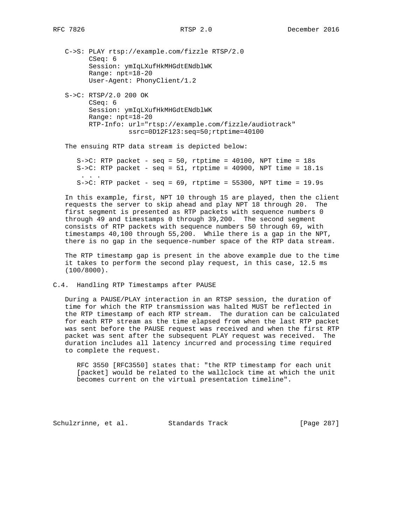C->S: PLAY rtsp://example.com/fizzle RTSP/2.0 CSeq: 6 Session: ymIqLXufHkMHGdtENdblWK Range: npt=18-20 User-Agent: PhonyClient/1.2

 S->C: RTSP/2.0 200 OK CSeq: 6 Session: ymIqLXufHkMHGdtENdblWK Range: npt=18-20 RTP-Info: url="rtsp://example.com/fizzle/audiotrack" ssrc=0D12F123:seq=50;rtptime=40100

The ensuing RTP data stream is depicted below:

 $S->C$ : RTP packet - seq = 50, rtptime = 40100, NPT time = 18s S->C: RTP packet -  $seq = 51$ , rtptime = 40900, NPT time =  $18.1s$  . . .  $S->C$ : RTP packet - seq = 69, rtptime = 55300, NPT time = 19.9s

 In this example, first, NPT 10 through 15 are played, then the client requests the server to skip ahead and play NPT 18 through 20. The first segment is presented as RTP packets with sequence numbers 0 through 49 and timestamps 0 through 39,200. The second segment consists of RTP packets with sequence numbers 50 through 69, with timestamps 40,100 through 55,200. While there is a gap in the NPT, there is no gap in the sequence-number space of the RTP data stream.

 The RTP timestamp gap is present in the above example due to the time it takes to perform the second play request, in this case, 12.5 ms (100/8000).

C.4. Handling RTP Timestamps after PAUSE

 During a PAUSE/PLAY interaction in an RTSP session, the duration of time for which the RTP transmission was halted MUST be reflected in the RTP timestamp of each RTP stream. The duration can be calculated for each RTP stream as the time elapsed from when the last RTP packet was sent before the PAUSE request was received and when the first RTP packet was sent after the subsequent PLAY request was received. The duration includes all latency incurred and processing time required to complete the request.

 RFC 3550 [RFC3550] states that: "the RTP timestamp for each unit [packet] would be related to the wallclock time at which the unit becomes current on the virtual presentation timeline".

Schulzrinne, et al. Standards Track [Page 287]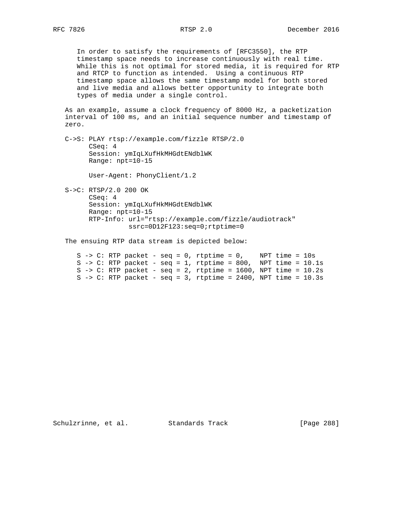In order to satisfy the requirements of [RFC3550], the RTP timestamp space needs to increase continuously with real time. While this is not optimal for stored media, it is required for RTP and RTCP to function as intended. Using a continuous RTP timestamp space allows the same timestamp model for both stored and live media and allows better opportunity to integrate both types of media under a single control.

 As an example, assume a clock frequency of 8000 Hz, a packetization interval of 100 ms, and an initial sequence number and timestamp of zero.

 C->S: PLAY rtsp://example.com/fizzle RTSP/2.0 CSeq: 4 Session: ymIqLXufHkMHGdtENdblWK Range: npt=10-15

User-Agent: PhonyClient/1.2

 S->C: RTSP/2.0 200 OK CSeq: 4 Session: ymIqLXufHkMHGdtENdblWK Range: npt=10-15 RTP-Info: url="rtsp://example.com/fizzle/audiotrack" ssrc=0D12F123:seq=0;rtptime=0

The ensuing RTP data stream is depicted below:

|  |  |  |  | S -> C: RTP packet - seq = 0, rtptime = 0, NPT time = $10s$         |  |  |  |
|--|--|--|--|---------------------------------------------------------------------|--|--|--|
|  |  |  |  | S -> C: RTP packet - seq = 1, rtptime = 800, NPT time = $10.1s$     |  |  |  |
|  |  |  |  | S -> C: RTP packet - seq = 2, rtptime = $1600$ , NPT time = $10.2s$ |  |  |  |
|  |  |  |  | S -> C: RTP packet - seq = 3, rtptime = $2400$ , NPT time = $10.3s$ |  |  |  |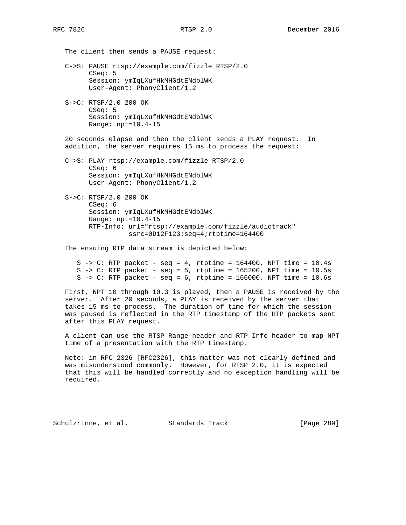The client then sends a PAUSE request: C->S: PAUSE rtsp://example.com/fizzle RTSP/2.0 CSeq: 5 Session: ymIqLXufHkMHGdtENdblWK User-Agent: PhonyClient/1.2

 S->C: RTSP/2.0 200 OK CSeq: 5 Session: ymIqLXufHkMHGdtENdblWK Range: npt=10.4-15

 20 seconds elapse and then the client sends a PLAY request. In addition, the server requires 15 ms to process the request:

 C->S: PLAY rtsp://example.com/fizzle RTSP/2.0 CSeq: 6 Session: ymIqLXufHkMHGdtENdblWK User-Agent: PhonyClient/1.2

 S->C: RTSP/2.0 200 OK CSeq: 6 Session: ymIqLXufHkMHGdtENdblWK Range: npt=10.4-15 RTP-Info: url="rtsp://example.com/fizzle/audiotrack" ssrc=0D12F123:seq=4;rtptime=164400

The ensuing RTP data stream is depicted below:

|  |  |  |  | S -> C: RTP packet - seq = 4, rtptime = $164400$ , NPT time = $10.4s$ |  |  |  |
|--|--|--|--|-----------------------------------------------------------------------|--|--|--|
|  |  |  |  | S -> C: RTP packet - seq = 5, rtptime = $165200$ , NPT time = $10.5s$ |  |  |  |
|  |  |  |  | S -> C: RTP packet - seq = $6$ , rtptime = 166000, NPT time = 10.6s   |  |  |  |

 First, NPT 10 through 10.3 is played, then a PAUSE is received by the server. After 20 seconds, a PLAY is received by the server that takes 15 ms to process. The duration of time for which the session was paused is reflected in the RTP timestamp of the RTP packets sent after this PLAY request.

 A client can use the RTSP Range header and RTP-Info header to map NPT time of a presentation with the RTP timestamp.

 Note: in RFC 2326 [RFC2326], this matter was not clearly defined and was misunderstood commonly. However, for RTSP 2.0, it is expected that this will be handled correctly and no exception handling will be required.

Schulzrinne, et al. Standards Track [Page 289]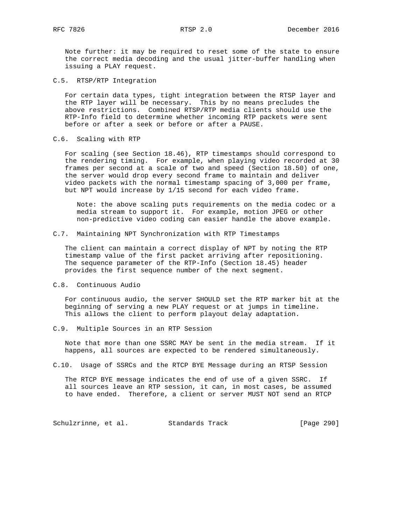Note further: it may be required to reset some of the state to ensure the correct media decoding and the usual jitter-buffer handling when issuing a PLAY request.

C.5. RTSP/RTP Integration

 For certain data types, tight integration between the RTSP layer and the RTP layer will be necessary. This by no means precludes the above restrictions. Combined RTSP/RTP media clients should use the RTP-Info field to determine whether incoming RTP packets were sent before or after a seek or before or after a PAUSE.

C.6. Scaling with RTP

 For scaling (see Section 18.46), RTP timestamps should correspond to the rendering timing. For example, when playing video recorded at 30 frames per second at a scale of two and speed (Section 18.50) of one, the server would drop every second frame to maintain and deliver video packets with the normal timestamp spacing of 3,000 per frame, but NPT would increase by 1/15 second for each video frame.

 Note: the above scaling puts requirements on the media codec or a media stream to support it. For example, motion JPEG or other non-predictive video coding can easier handle the above example.

C.7. Maintaining NPT Synchronization with RTP Timestamps

 The client can maintain a correct display of NPT by noting the RTP timestamp value of the first packet arriving after repositioning. The sequence parameter of the RTP-Info (Section 18.45) header provides the first sequence number of the next segment.

C.8. Continuous Audio

 For continuous audio, the server SHOULD set the RTP marker bit at the beginning of serving a new PLAY request or at jumps in timeline. This allows the client to perform playout delay adaptation.

C.9. Multiple Sources in an RTP Session

 Note that more than one SSRC MAY be sent in the media stream. If it happens, all sources are expected to be rendered simultaneously.

C.10. Usage of SSRCs and the RTCP BYE Message during an RTSP Session

 The RTCP BYE message indicates the end of use of a given SSRC. If all sources leave an RTP session, it can, in most cases, be assumed to have ended. Therefore, a client or server MUST NOT send an RTCP

Schulzrinne, et al. Standards Track [Page 290]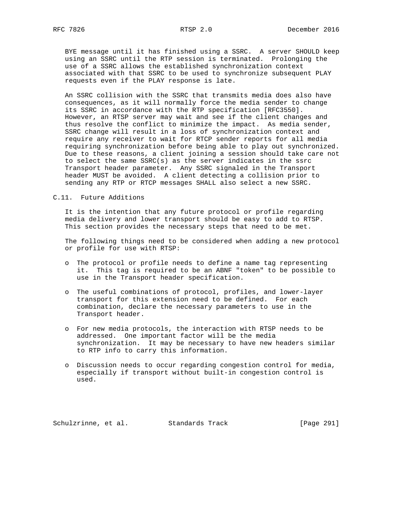BYE message until it has finished using a SSRC. A server SHOULD keep using an SSRC until the RTP session is terminated. Prolonging the use of a SSRC allows the established synchronization context associated with that SSRC to be used to synchronize subsequent PLAY requests even if the PLAY response is late.

 An SSRC collision with the SSRC that transmits media does also have consequences, as it will normally force the media sender to change its SSRC in accordance with the RTP specification [RFC3550]. However, an RTSP server may wait and see if the client changes and thus resolve the conflict to minimize the impact. As media sender, SSRC change will result in a loss of synchronization context and require any receiver to wait for RTCP sender reports for all media requiring synchronization before being able to play out synchronized. Due to these reasons, a client joining a session should take care not to select the same SSRC(s) as the server indicates in the ssrc Transport header parameter. Any SSRC signaled in the Transport header MUST be avoided. A client detecting a collision prior to sending any RTP or RTCP messages SHALL also select a new SSRC.

#### C.11. Future Additions

 It is the intention that any future protocol or profile regarding media delivery and lower transport should be easy to add to RTSP. This section provides the necessary steps that need to be met.

 The following things need to be considered when adding a new protocol or profile for use with RTSP:

- o The protocol or profile needs to define a name tag representing it. This tag is required to be an ABNF "token" to be possible to use in the Transport header specification.
- o The useful combinations of protocol, profiles, and lower-layer transport for this extension need to be defined. For each combination, declare the necessary parameters to use in the Transport header.
- o For new media protocols, the interaction with RTSP needs to be addressed. One important factor will be the media synchronization. It may be necessary to have new headers similar to RTP info to carry this information.
- o Discussion needs to occur regarding congestion control for media, especially if transport without built-in congestion control is used.

Schulzrinne, et al. Standards Track [Page 291]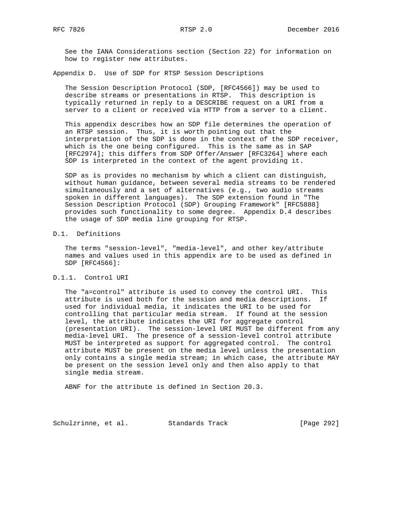See the IANA Considerations section (Section 22) for information on how to register new attributes.

Appendix D. Use of SDP for RTSP Session Descriptions

 The Session Description Protocol (SDP, [RFC4566]) may be used to describe streams or presentations in RTSP. This description is typically returned in reply to a DESCRIBE request on a URI from a server to a client or received via HTTP from a server to a client.

 This appendix describes how an SDP file determines the operation of an RTSP session. Thus, it is worth pointing out that the interpretation of the SDP is done in the context of the SDP receiver, which is the one being configured. This is the same as in SAP [RFC2974]; this differs from SDP Offer/Answer [RFC3264] where each SDP is interpreted in the context of the agent providing it.

 SDP as is provides no mechanism by which a client can distinguish, without human guidance, between several media streams to be rendered simultaneously and a set of alternatives (e.g., two audio streams spoken in different languages). The SDP extension found in "The Session Description Protocol (SDP) Grouping Framework" [RFC5888] provides such functionality to some degree. Appendix D.4 describes the usage of SDP media line grouping for RTSP.

## D.1. Definitions

 The terms "session-level", "media-level", and other key/attribute names and values used in this appendix are to be used as defined in SDP [RFC4566]:

### D.1.1. Control URI

 The "a=control" attribute is used to convey the control URI. This attribute is used both for the session and media descriptions. If used for individual media, it indicates the URI to be used for controlling that particular media stream. If found at the session level, the attribute indicates the URI for aggregate control (presentation URI). The session-level URI MUST be different from any media-level URI. The presence of a session-level control attribute MUST be interpreted as support for aggregated control. The control attribute MUST be present on the media level unless the presentation only contains a single media stream; in which case, the attribute MAY be present on the session level only and then also apply to that single media stream.

ABNF for the attribute is defined in Section 20.3.

Schulzrinne, et al. Standards Track [Page 292]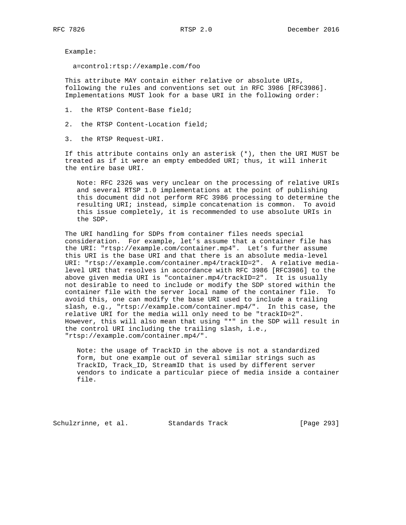Example:

a=control:rtsp://example.com/foo

 This attribute MAY contain either relative or absolute URIs, following the rules and conventions set out in RFC 3986 [RFC3986]. Implementations MUST look for a base URI in the following order:

- 1. the RTSP Content-Base field;
- 2. the RTSP Content-Location field;
- 3. the RTSP Request-URI.

 If this attribute contains only an asterisk (\*), then the URI MUST be treated as if it were an empty embedded URI; thus, it will inherit the entire base URI.

 Note: RFC 2326 was very unclear on the processing of relative URIs and several RTSP 1.0 implementations at the point of publishing this document did not perform RFC 3986 processing to determine the resulting URI; instead, simple concatenation is common. To avoid this issue completely, it is recommended to use absolute URIs in the SDP.

 The URI handling for SDPs from container files needs special consideration. For example, let's assume that a container file has the URI: "rtsp://example.com/container.mp4". Let's further assume this URI is the base URI and that there is an absolute media-level URI: "rtsp://example.com/container.mp4/trackID=2". A relative media level URI that resolves in accordance with RFC 3986 [RFC3986] to the above given media URI is "container.mp4/trackID=2". It is usually not desirable to need to include or modify the SDP stored within the container file with the server local name of the container file. To avoid this, one can modify the base URI used to include a trailing slash, e.g., "rtsp://example.com/container.mp4/". In this case, the relative URI for the media will only need to be "trackID=2". However, this will also mean that using "\*" in the SDP will result in the control URI including the trailing slash, i.e., "rtsp://example.com/container.mp4/".

 Note: the usage of TrackID in the above is not a standardized form, but one example out of several similar strings such as TrackID, Track\_ID, StreamID that is used by different server vendors to indicate a particular piece of media inside a container file.

Schulzrinne, et al. Standards Track [Page 293]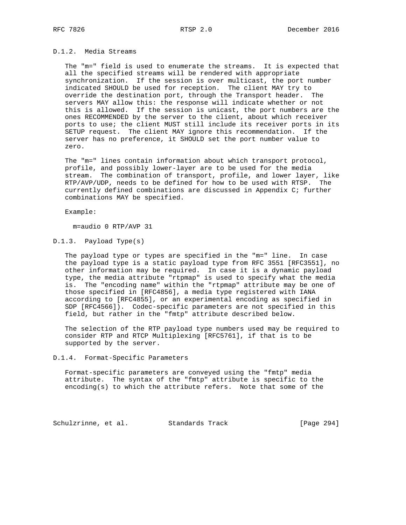## D.1.2. Media Streams

 The "m=" field is used to enumerate the streams. It is expected that all the specified streams will be rendered with appropriate synchronization. If the session is over multicast, the port number indicated SHOULD be used for reception. The client MAY try to override the destination port, through the Transport header. The servers MAY allow this: the response will indicate whether or not this is allowed. If the session is unicast, the port numbers are the ones RECOMMENDED by the server to the client, about which receiver ports to use; the client MUST still include its receiver ports in its SETUP request. The client MAY ignore this recommendation. If the server has no preference, it SHOULD set the port number value to zero.

 The "m=" lines contain information about which transport protocol, profile, and possibly lower-layer are to be used for the media stream. The combination of transport, profile, and lower layer, like RTP/AVP/UDP, needs to be defined for how to be used with RTSP. The currently defined combinations are discussed in Appendix C; further combinations MAY be specified.

Example:

m=audio 0 RTP/AVP 31

## D.1.3. Payload Type(s)

 The payload type or types are specified in the "m=" line. In case the payload type is a static payload type from RFC 3551 [RFC3551], no other information may be required. In case it is a dynamic payload type, the media attribute "rtpmap" is used to specify what the media is. The "encoding name" within the "rtpmap" attribute may be one of those specified in [RFC4856], a media type registered with IANA according to [RFC4855], or an experimental encoding as specified in SDP [RFC4566]). Codec-specific parameters are not specified in this field, but rather in the "fmtp" attribute described below.

 The selection of the RTP payload type numbers used may be required to consider RTP and RTCP Multiplexing [RFC5761], if that is to be supported by the server.

### D.1.4. Format-Specific Parameters

 Format-specific parameters are conveyed using the "fmtp" media attribute. The syntax of the "fmtp" attribute is specific to the encoding(s) to which the attribute refers. Note that some of the

Schulzrinne, et al. Standards Track [Page 294]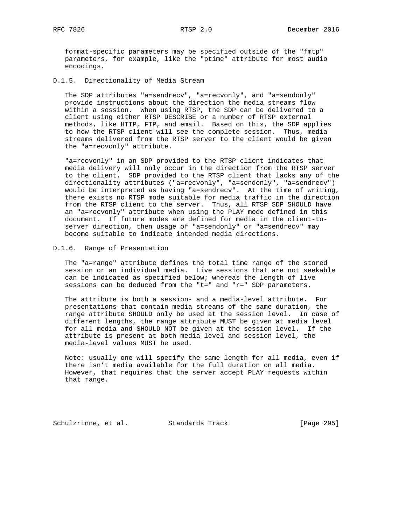RFC 7826 RTSP 2.0 December 2016

 format-specific parameters may be specified outside of the "fmtp" parameters, for example, like the "ptime" attribute for most audio encodings.

D.1.5. Directionality of Media Stream

 The SDP attributes "a=sendrecv", "a=recvonly", and "a=sendonly" provide instructions about the direction the media streams flow within a session. When using RTSP, the SDP can be delivered to a client using either RTSP DESCRIBE or a number of RTSP external methods, like HTTP, FTP, and email. Based on this, the SDP applies to how the RTSP client will see the complete session. Thus, media streams delivered from the RTSP server to the client would be given the "a=recvonly" attribute.

 "a=recvonly" in an SDP provided to the RTSP client indicates that media delivery will only occur in the direction from the RTSP server to the client. SDP provided to the RTSP client that lacks any of the directionality attributes ("a=recvonly", "a=sendonly", "a=sendrecv") would be interpreted as having "a=sendrecv". At the time of writing, there exists no RTSP mode suitable for media traffic in the direction from the RTSP client to the server. Thus, all RTSP SDP SHOULD have an "a=recvonly" attribute when using the PLAY mode defined in this document. If future modes are defined for media in the client-to server direction, then usage of "a=sendonly" or "a=sendrecv" may become suitable to indicate intended media directions.

### D.1.6. Range of Presentation

 The "a=range" attribute defines the total time range of the stored session or an individual media. Live sessions that are not seekable can be indicated as specified below; whereas the length of live sessions can be deduced from the "t=" and "r=" SDP parameters.

 The attribute is both a session- and a media-level attribute. For presentations that contain media streams of the same duration, the range attribute SHOULD only be used at the session level. In case of different lengths, the range attribute MUST be given at media level for all media and SHOULD NOT be given at the session level. If the attribute is present at both media level and session level, the media-level values MUST be used.

 Note: usually one will specify the same length for all media, even if there isn't media available for the full duration on all media. However, that requires that the server accept PLAY requests within that range.

Schulzrinne, et al. Standards Track [Page 295]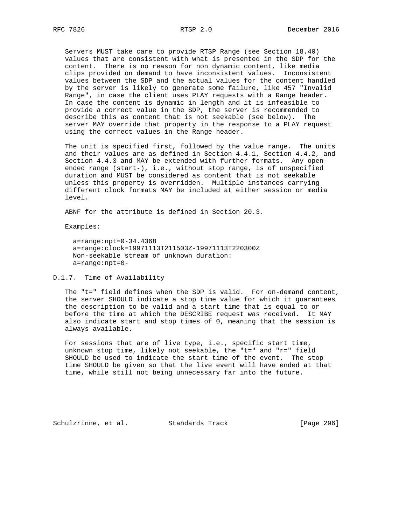Servers MUST take care to provide RTSP Range (see Section 18.40) values that are consistent with what is presented in the SDP for the content. There is no reason for non dynamic content, like media clips provided on demand to have inconsistent values. Inconsistent values between the SDP and the actual values for the content handled by the server is likely to generate some failure, like 457 "Invalid Range", in case the client uses PLAY requests with a Range header. In case the content is dynamic in length and it is infeasible to provide a correct value in the SDP, the server is recommended to describe this as content that is not seekable (see below). The server MAY override that property in the response to a PLAY request using the correct values in the Range header.

 The unit is specified first, followed by the value range. The units and their values are as defined in Section 4.4.1, Section 4.4.2, and Section 4.4.3 and MAY be extended with further formats. Any open ended range (start-), i.e., without stop range, is of unspecified duration and MUST be considered as content that is not seekable unless this property is overridden. Multiple instances carrying different clock formats MAY be included at either session or media level.

ABNF for the attribute is defined in Section 20.3.

Examples:

 a=range:npt=0-34.4368 a=range:clock=19971113T211503Z-19971113T220300Z Non-seekable stream of unknown duration: a=range:npt=0-

### D.1.7. Time of Availability

 The "t=" field defines when the SDP is valid. For on-demand content, the server SHOULD indicate a stop time value for which it guarantees the description to be valid and a start time that is equal to or before the time at which the DESCRIBE request was received. It MAY also indicate start and stop times of 0, meaning that the session is always available.

 For sessions that are of live type, i.e., specific start time, unknown stop time, likely not seekable, the "t=" and "r=" field SHOULD be used to indicate the start time of the event. The stop time SHOULD be given so that the live event will have ended at that time, while still not being unnecessary far into the future.

Schulzrinne, et al. Standards Track [Page 296]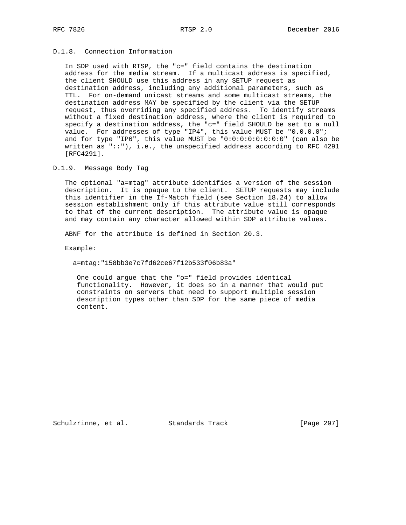# D.1.8. Connection Information

 In SDP used with RTSP, the "c=" field contains the destination address for the media stream. If a multicast address is specified, the client SHOULD use this address in any SETUP request as destination address, including any additional parameters, such as TTL. For on-demand unicast streams and some multicast streams, the destination address MAY be specified by the client via the SETUP request, thus overriding any specified address. To identify streams without a fixed destination address, where the client is required to specify a destination address, the "c=" field SHOULD be set to a null value. For addresses of type "IP4", this value MUST be "0.0.0.0"; and for type "IP6", this value MUST be "0:0:0:0:0:0:0:0" (can also be written as  $"::")$ , i.e., the unspecified address according to RFC 4291 [RFC4291].

### D.1.9. Message Body Tag

 The optional "a=mtag" attribute identifies a version of the session description. It is opaque to the client. SETUP requests may include this identifier in the If-Match field (see Section 18.24) to allow session establishment only if this attribute value still corresponds to that of the current description. The attribute value is opaque and may contain any character allowed within SDP attribute values.

ABNF for the attribute is defined in Section 20.3.

Example:

a=mtag:"158bb3e7c7fd62ce67f12b533f06b83a"

 One could argue that the "o=" field provides identical functionality. However, it does so in a manner that would put constraints on servers that need to support multiple session description types other than SDP for the same piece of media content.

Schulzrinne, et al. Standards Track [Page 297]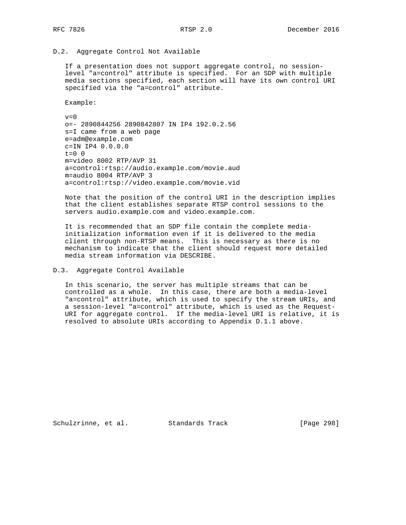## D.2. Aggregate Control Not Available

 If a presentation does not support aggregate control, no session level "a=control" attribute is specified. For an SDP with multiple media sections specified, each section will have its own control URI specified via the "a=control" attribute.

Example:

 $v=0$  o=- 2890844256 2890842807 IN IP4 192.0.2.56 s=I came from a web page e=adm@example.com c=IN IP4 0.0.0.0  $t=0$  0 m=video 8002 RTP/AVP 31 a=control:rtsp://audio.example.com/movie.aud m=audio 8004 RTP/AVP 3 a=control:rtsp://video.example.com/movie.vid

 Note that the position of the control URI in the description implies that the client establishes separate RTSP control sessions to the servers audio.example.com and video.example.com.

 It is recommended that an SDP file contain the complete media initialization information even if it is delivered to the media client through non-RTSP means. This is necessary as there is no mechanism to indicate that the client should request more detailed media stream information via DESCRIBE.

#### D.3. Aggregate Control Available

 In this scenario, the server has multiple streams that can be controlled as a whole. In this case, there are both a media-level "a=control" attribute, which is used to specify the stream URIs, and a session-level "a=control" attribute, which is used as the Request- URI for aggregate control. If the media-level URI is relative, it is resolved to absolute URIs according to Appendix D.1.1 above.

Schulzrinne, et al. Standards Track [Page 298]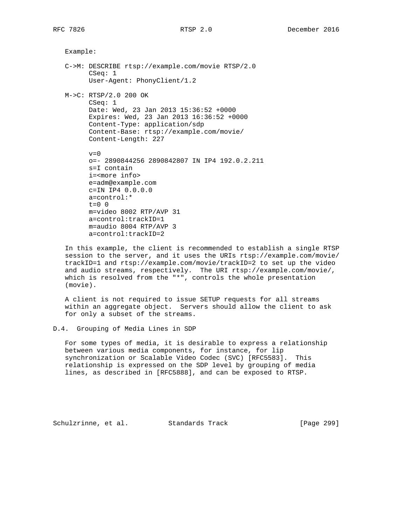Example:

```
 C->M: DESCRIBE rtsp://example.com/movie RTSP/2.0
       CSeq: 1
       User-Agent: PhonyClient/1.2
 M->C: RTSP/2.0 200 OK
```

```
 CSeq: 1
 Date: Wed, 23 Jan 2013 15:36:52 +0000
 Expires: Wed, 23 Jan 2013 16:36:52 +0000
 Content-Type: application/sdp
 Content-Base: rtsp://example.com/movie/
 Content-Length: 227
```

```
v=0 o=- 2890844256 2890842807 IN IP4 192.0.2.211
 s=I contain
 i=<more info>
 e=adm@example.com
 c=IN IP4 0.0.0.0
 a=control:*
t=0 0
 m=video 8002 RTP/AVP 31
 a=control:trackID=1
 m=audio 8004 RTP/AVP 3
 a=control:trackID=2
```
 In this example, the client is recommended to establish a single RTSP session to the server, and it uses the URIs rtsp://example.com/movie/ trackID=1 and rtsp://example.com/movie/trackID=2 to set up the video and audio streams, respectively. The URI rtsp://example.com/movie/, which is resolved from the "\*", controls the whole presentation (movie).

 A client is not required to issue SETUP requests for all streams within an aggregate object. Servers should allow the client to ask for only a subset of the streams.

D.4. Grouping of Media Lines in SDP

 For some types of media, it is desirable to express a relationship between various media components, for instance, for lip synchronization or Scalable Video Codec (SVC) [RFC5583]. This relationship is expressed on the SDP level by grouping of media lines, as described in [RFC5888], and can be exposed to RTSP.

Schulzrinne, et al. Standards Track [Page 299]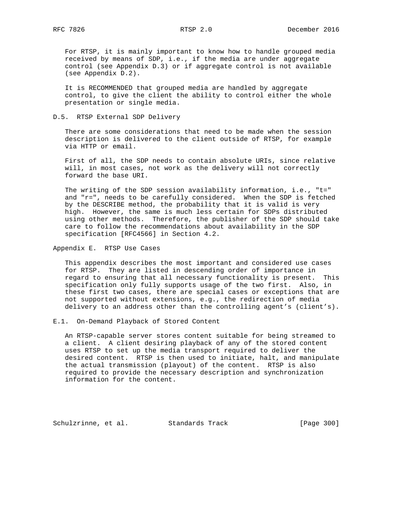For RTSP, it is mainly important to know how to handle grouped media received by means of SDP, i.e., if the media are under aggregate control (see Appendix D.3) or if aggregate control is not available (see Appendix D.2).

 It is RECOMMENDED that grouped media are handled by aggregate control, to give the client the ability to control either the whole presentation or single media.

## D.5. RTSP External SDP Delivery

 There are some considerations that need to be made when the session description is delivered to the client outside of RTSP, for example via HTTP or email.

 First of all, the SDP needs to contain absolute URIs, since relative will, in most cases, not work as the delivery will not correctly forward the base URI.

The writing of the SDP session availability information, i.e., "t=" and "r=", needs to be carefully considered. When the SDP is fetched by the DESCRIBE method, the probability that it is valid is very high. However, the same is much less certain for SDPs distributed using other methods. Therefore, the publisher of the SDP should take care to follow the recommendations about availability in the SDP specification [RFC4566] in Section 4.2.

Appendix E. RTSP Use Cases

 This appendix describes the most important and considered use cases for RTSP. They are listed in descending order of importance in regard to ensuring that all necessary functionality is present. This specification only fully supports usage of the two first. Also, in these first two cases, there are special cases or exceptions that are not supported without extensions, e.g., the redirection of media delivery to an address other than the controlling agent's (client's).

E.1. On-Demand Playback of Stored Content

 An RTSP-capable server stores content suitable for being streamed to a client. A client desiring playback of any of the stored content uses RTSP to set up the media transport required to deliver the desired content. RTSP is then used to initiate, halt, and manipulate the actual transmission (playout) of the content. RTSP is also required to provide the necessary description and synchronization information for the content.

Schulzrinne, et al. Standards Track [Page 300]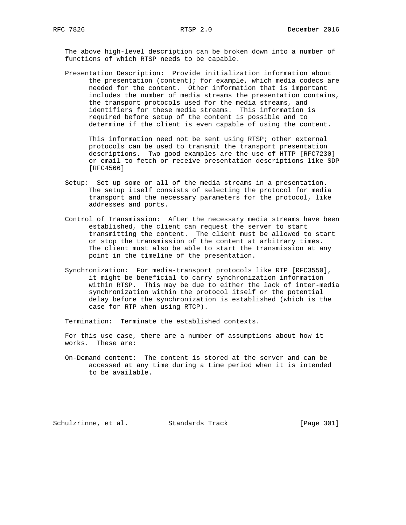The above high-level description can be broken down into a number of functions of which RTSP needs to be capable.

 Presentation Description: Provide initialization information about the presentation (content); for example, which media codecs are needed for the content. Other information that is important includes the number of media streams the presentation contains, the transport protocols used for the media streams, and identifiers for these media streams. This information is required before setup of the content is possible and to determine if the client is even capable of using the content.

 This information need not be sent using RTSP; other external protocols can be used to transmit the transport presentation descriptions. Two good examples are the use of HTTP [RFC7230] or email to fetch or receive presentation descriptions like SDP [RFC4566]

- Setup: Set up some or all of the media streams in a presentation. The setup itself consists of selecting the protocol for media transport and the necessary parameters for the protocol, like addresses and ports.
- Control of Transmission: After the necessary media streams have been established, the client can request the server to start transmitting the content. The client must be allowed to start or stop the transmission of the content at arbitrary times. The client must also be able to start the transmission at any point in the timeline of the presentation.
- Synchronization: For media-transport protocols like RTP [RFC3550], it might be beneficial to carry synchronization information within RTSP. This may be due to either the lack of inter-media synchronization within the protocol itself or the potential delay before the synchronization is established (which is the case for RTP when using RTCP).

Termination: Terminate the established contexts.

 For this use case, there are a number of assumptions about how it works. These are:

 On-Demand content: The content is stored at the server and can be accessed at any time during a time period when it is intended to be available.

Schulzrinne, et al. Standards Track [Page 301]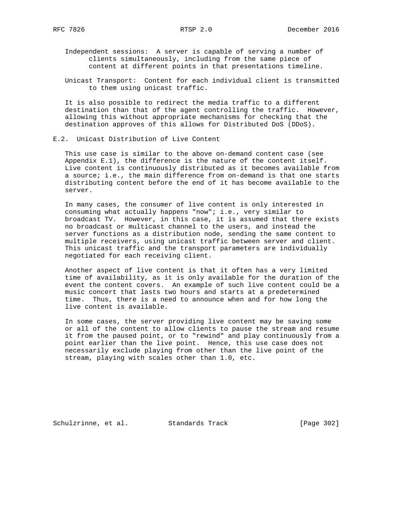Independent sessions: A server is capable of serving a number of clients simultaneously, including from the same piece of content at different points in that presentations timeline.

 Unicast Transport: Content for each individual client is transmitted to them using unicast traffic.

 It is also possible to redirect the media traffic to a different destination than that of the agent controlling the traffic. However, allowing this without appropriate mechanisms for checking that the destination approves of this allows for Distributed DoS (DDoS).

# E.2. Unicast Distribution of Live Content

 This use case is similar to the above on-demand content case (see Appendix E.1), the difference is the nature of the content itself. Live content is continuously distributed as it becomes available from a source; i.e., the main difference from on-demand is that one starts distributing content before the end of it has become available to the server.

 In many cases, the consumer of live content is only interested in consuming what actually happens "now"; i.e., very similar to broadcast TV. However, in this case, it is assumed that there exists no broadcast or multicast channel to the users, and instead the server functions as a distribution node, sending the same content to multiple receivers, using unicast traffic between server and client. This unicast traffic and the transport parameters are individually negotiated for each receiving client.

 Another aspect of live content is that it often has a very limited time of availability, as it is only available for the duration of the event the content covers. An example of such live content could be a music concert that lasts two hours and starts at a predetermined time. Thus, there is a need to announce when and for how long the live content is available.

 In some cases, the server providing live content may be saving some or all of the content to allow clients to pause the stream and resume it from the paused point, or to "rewind" and play continuously from a point earlier than the live point. Hence, this use case does not necessarily exclude playing from other than the live point of the stream, playing with scales other than 1.0, etc.

Schulzrinne, et al. Standards Track [Page 302]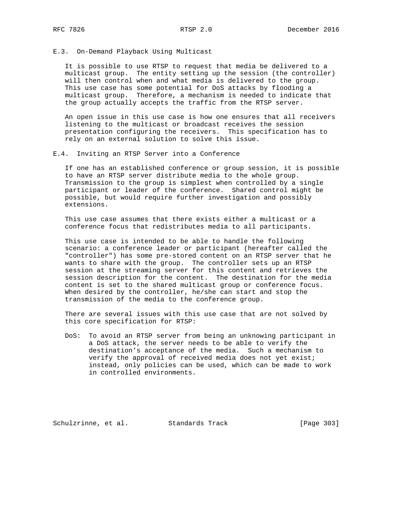### E.3. On-Demand Playback Using Multicast

 It is possible to use RTSP to request that media be delivered to a multicast group. The entity setting up the session (the controller) will then control when and what media is delivered to the group. This use case has some potential for DoS attacks by flooding a multicast group. Therefore, a mechanism is needed to indicate that the group actually accepts the traffic from the RTSP server.

 An open issue in this use case is how one ensures that all receivers listening to the multicast or broadcast receives the session presentation configuring the receivers. This specification has to rely on an external solution to solve this issue.

# E.4. Inviting an RTSP Server into a Conference

 If one has an established conference or group session, it is possible to have an RTSP server distribute media to the whole group. Transmission to the group is simplest when controlled by a single participant or leader of the conference. Shared control might be possible, but would require further investigation and possibly extensions.

 This use case assumes that there exists either a multicast or a conference focus that redistributes media to all participants.

 This use case is intended to be able to handle the following scenario: a conference leader or participant (hereafter called the "controller") has some pre-stored content on an RTSP server that he wants to share with the group. The controller sets up an RTSP session at the streaming server for this content and retrieves the session description for the content. The destination for the media content is set to the shared multicast group or conference focus. When desired by the controller, he/she can start and stop the transmission of the media to the conference group.

 There are several issues with this use case that are not solved by this core specification for RTSP:

 DoS: To avoid an RTSP server from being an unknowing participant in a DoS attack, the server needs to be able to verify the destination's acceptance of the media. Such a mechanism to verify the approval of received media does not yet exist; instead, only policies can be used, which can be made to work in controlled environments.

Schulzrinne, et al. Standards Track [Page 303]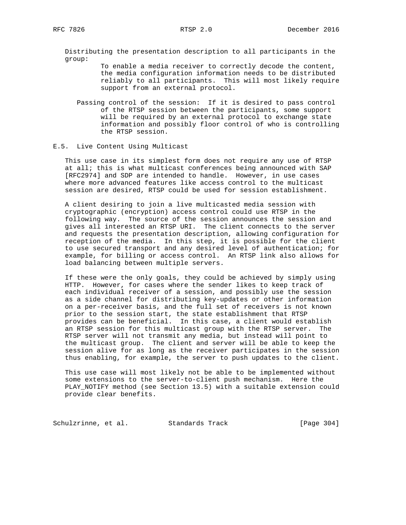Distributing the presentation description to all participants in the group:

> To enable a media receiver to correctly decode the content, the media configuration information needs to be distributed reliably to all participants. This will most likely require support from an external protocol.

 Passing control of the session: If it is desired to pass control of the RTSP session between the participants, some support will be required by an external protocol to exchange state information and possibly floor control of who is controlling the RTSP session.

### E.5. Live Content Using Multicast

 This use case in its simplest form does not require any use of RTSP at all; this is what multicast conferences being announced with SAP [RFC2974] and SDP are intended to handle. However, in use cases where more advanced features like access control to the multicast session are desired, RTSP could be used for session establishment.

 A client desiring to join a live multicasted media session with cryptographic (encryption) access control could use RTSP in the following way. The source of the session announces the session and gives all interested an RTSP URI. The client connects to the server and requests the presentation description, allowing configuration for reception of the media. In this step, it is possible for the client to use secured transport and any desired level of authentication; for example, for billing or access control. An RTSP link also allows for load balancing between multiple servers.

 If these were the only goals, they could be achieved by simply using HTTP. However, for cases where the sender likes to keep track of each individual receiver of a session, and possibly use the session as a side channel for distributing key-updates or other information on a per-receiver basis, and the full set of receivers is not known prior to the session start, the state establishment that RTSP provides can be beneficial. In this case, a client would establish an RTSP session for this multicast group with the RTSP server. The RTSP server will not transmit any media, but instead will point to the multicast group. The client and server will be able to keep the session alive for as long as the receiver participates in the session thus enabling, for example, the server to push updates to the client.

 This use case will most likely not be able to be implemented without some extensions to the server-to-client push mechanism. Here the PLAY\_NOTIFY method (see Section 13.5) with a suitable extension could provide clear benefits.

Schulzrinne, et al. Standards Track [Page 304]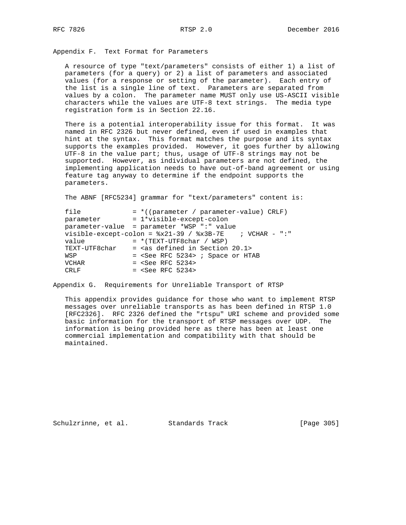Appendix F. Text Format for Parameters

 A resource of type "text/parameters" consists of either 1) a list of parameters (for a query) or 2) a list of parameters and associated values (for a response or setting of the parameter). Each entry of the list is a single line of text. Parameters are separated from values by a colon. The parameter name MUST only use US-ASCII visible characters while the values are UTF-8 text strings. The media type registration form is in Section 22.16.

 There is a potential interoperability issue for this format. It was named in RFC 2326 but never defined, even if used in examples that hint at the syntax. This format matches the purpose and its syntax supports the examples provided. However, it goes further by allowing UTF-8 in the value part; thus, usage of UTF-8 strings may not be supported. However, as individual parameters are not defined, the implementing application needs to have out-of-band agreement or using feature tag anyway to determine if the endpoint supports the parameters.

The ABNF [RFC5234] grammar for "text/parameters" content is:

| file          | $=$ *((parameter / parameter-value) CRLF)                |
|---------------|----------------------------------------------------------|
| parameter     | = 1*visible-except-colon                                 |
|               | parameter-value = parameter *WSP ":" value               |
|               | visible-except-colon = $x21-39$ / $x3B-7E$ ; VCHAR - ":" |
| value         | $= *$ (TEXT-UTF8char / WSP)                              |
| TEXT-UTF8char | $=$ <as 20.1="" defined="" in="" section=""></as>        |
| WSP           | $=$ <see 5234="" rfc=""> ; Space or HTAB</see>           |
| <b>VCHAR</b>  | $=$ <see 5234="" rfc=""></see>                           |
| CRLF          | $=$ <see 5234="" rfc=""></see>                           |

Appendix G. Requirements for Unreliable Transport of RTSP

 This appendix provides guidance for those who want to implement RTSP messages over unreliable transports as has been defined in RTSP 1.0 [RFC2326]. RFC 2326 defined the "rtspu" URI scheme and provided some basic information for the transport of RTSP messages over UDP. The information is being provided here as there has been at least one commercial implementation and compatibility with that should be maintained.

Schulzrinne, et al. Standards Track [Page 305]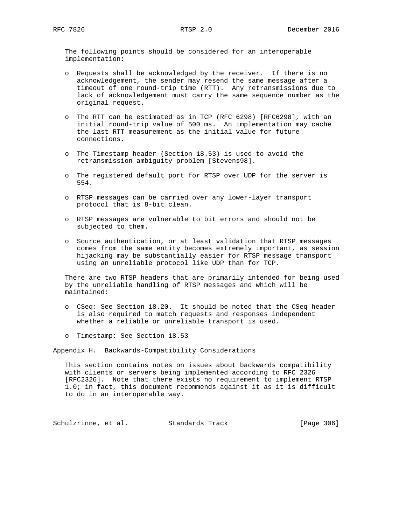The following points should be considered for an interoperable implementation:

- o Requests shall be acknowledged by the receiver. If there is no acknowledgement, the sender may resend the same message after a timeout of one round-trip time (RTT). Any retransmissions due to lack of acknowledgement must carry the same sequence number as the original request.
- o The RTT can be estimated as in TCP (RFC 6298) [RFC6298], with an initial round-trip value of 500 ms. An implementation may cache the last RTT measurement as the initial value for future connections.
- o The Timestamp header (Section 18.53) is used to avoid the retransmission ambiguity problem [Stevens98].
- o The registered default port for RTSP over UDP for the server is 554.
- o RTSP messages can be carried over any lower-layer transport protocol that is 8-bit clean.
- o RTSP messages are vulnerable to bit errors and should not be subjected to them.
- o Source authentication, or at least validation that RTSP messages comes from the same entity becomes extremely important, as session hijacking may be substantially easier for RTSP message transport using an unreliable protocol like UDP than for TCP.

 There are two RTSP headers that are primarily intended for being used by the unreliable handling of RTSP messages and which will be maintained:

- o CSeq: See Section 18.20. It should be noted that the CSeq header is also required to match requests and responses independent whether a reliable or unreliable transport is used.
- o Timestamp: See Section 18.53

Appendix H. Backwards-Compatibility Considerations

 This section contains notes on issues about backwards compatibility with clients or servers being implemented according to RFC 2326 [RFC2326]. Note that there exists no requirement to implement RTSP 1.0; in fact, this document recommends against it as it is difficult to do in an interoperable way.

Schulzrinne, et al. Standards Track [Page 306]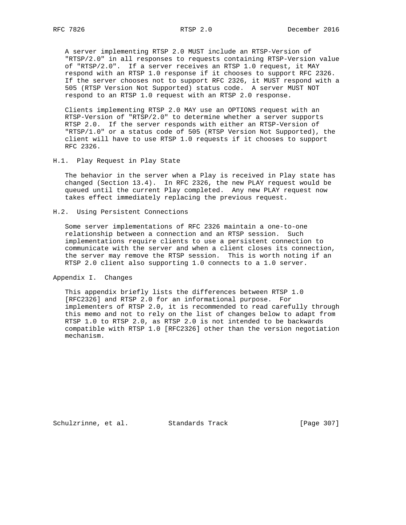A server implementing RTSP 2.0 MUST include an RTSP-Version of "RTSP/2.0" in all responses to requests containing RTSP-Version value of "RTSP/2.0". If a server receives an RTSP 1.0 request, it MAY respond with an RTSP 1.0 response if it chooses to support RFC 2326. If the server chooses not to support RFC 2326, it MUST respond with a 505 (RTSP Version Not Supported) status code. A server MUST NOT respond to an RTSP 1.0 request with an RTSP 2.0 response.

 Clients implementing RTSP 2.0 MAY use an OPTIONS request with an RTSP-Version of "RTSP/2.0" to determine whether a server supports RTSP 2.0. If the server responds with either an RTSP-Version of "RTSP/1.0" or a status code of 505 (RTSP Version Not Supported), the client will have to use RTSP 1.0 requests if it chooses to support RFC 2326.

## H.1. Play Request in Play State

 The behavior in the server when a Play is received in Play state has changed (Section 13.4). In RFC 2326, the new PLAY request would be queued until the current Play completed. Any new PLAY request now takes effect immediately replacing the previous request.

### H.2. Using Persistent Connections

 Some server implementations of RFC 2326 maintain a one-to-one relationship between a connection and an RTSP session. Such implementations require clients to use a persistent connection to communicate with the server and when a client closes its connection, the server may remove the RTSP session. This is worth noting if an RTSP 2.0 client also supporting 1.0 connects to a 1.0 server.

Appendix I. Changes

 This appendix briefly lists the differences between RTSP 1.0 [RFC2326] and RTSP 2.0 for an informational purpose. For implementers of RTSP 2.0, it is recommended to read carefully through this memo and not to rely on the list of changes below to adapt from RTSP 1.0 to RTSP 2.0, as RTSP 2.0 is not intended to be backwards compatible with RTSP 1.0 [RFC2326] other than the version negotiation mechanism.

Schulzrinne, et al. Standards Track [Page 307]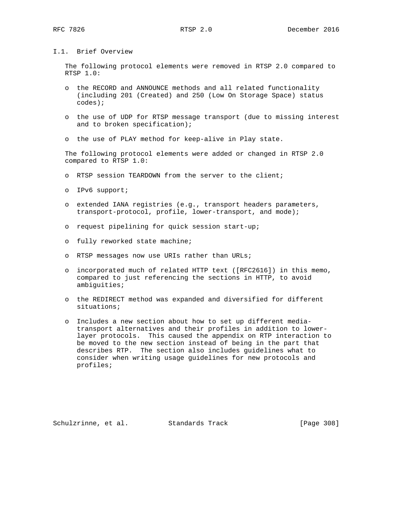I.1. Brief Overview

 The following protocol elements were removed in RTSP 2.0 compared to RTSP 1.0:

- o the RECORD and ANNOUNCE methods and all related functionality (including 201 (Created) and 250 (Low On Storage Space) status codes);
- o the use of UDP for RTSP message transport (due to missing interest and to broken specification);
- o the use of PLAY method for keep-alive in Play state.

 The following protocol elements were added or changed in RTSP 2.0 compared to RTSP 1.0:

- o RTSP session TEARDOWN from the server to the client;
- o IPv6 support;
- o extended IANA registries (e.g., transport headers parameters, transport-protocol, profile, lower-transport, and mode);
- o request pipelining for quick session start-up;
- o fully reworked state machine;
- o RTSP messages now use URIs rather than URLs;
- o incorporated much of related HTTP text ([RFC2616]) in this memo, compared to just referencing the sections in HTTP, to avoid ambiguities;
- o the REDIRECT method was expanded and diversified for different situations;
- o Includes a new section about how to set up different media transport alternatives and their profiles in addition to lower layer protocols. This caused the appendix on RTP interaction to be moved to the new section instead of being in the part that describes RTP. The section also includes guidelines what to consider when writing usage guidelines for new protocols and profiles;

Schulzrinne, et al. Standards Track [Page 308]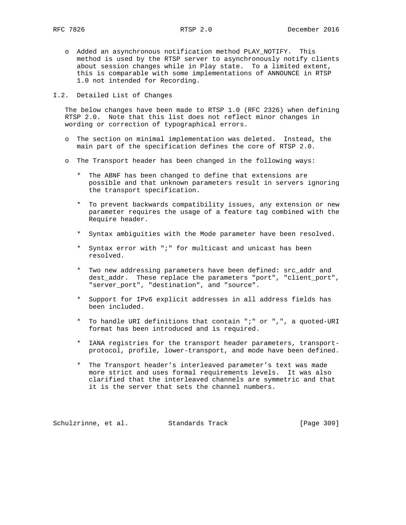- o Added an asynchronous notification method PLAY\_NOTIFY. This method is used by the RTSP server to asynchronously notify clients about session changes while in Play state. To a limited extent, this is comparable with some implementations of ANNOUNCE in RTSP 1.0 not intended for Recording.
- I.2. Detailed List of Changes

 The below changes have been made to RTSP 1.0 (RFC 2326) when defining RTSP 2.0. Note that this list does not reflect minor changes in wording or correction of typographical errors.

- o The section on minimal implementation was deleted. Instead, the main part of the specification defines the core of RTSP 2.0.
- o The Transport header has been changed in the following ways:
	- \* The ABNF has been changed to define that extensions are possible and that unknown parameters result in servers ignoring the transport specification.
	- \* To prevent backwards compatibility issues, any extension or new parameter requires the usage of a feature tag combined with the Require header.
	- \* Syntax ambiguities with the Mode parameter have been resolved.
	- \* Syntax error with ";" for multicast and unicast has been resolved.
	- \* Two new addressing parameters have been defined: src\_addr and dest\_addr. These replace the parameters "port", "client\_port", "server\_port", "destination", and "source".
	- \* Support for IPv6 explicit addresses in all address fields has been included.
	- \* To handle URI definitions that contain ";" or ",", a quoted-URI format has been introduced and is required.
	- \* IANA registries for the transport header parameters, transport protocol, profile, lower-transport, and mode have been defined.
	- \* The Transport header's interleaved parameter's text was made more strict and uses formal requirements levels. It was also clarified that the interleaved channels are symmetric and that it is the server that sets the channel numbers.

Schulzrinne, et al. Standards Track [Page 309]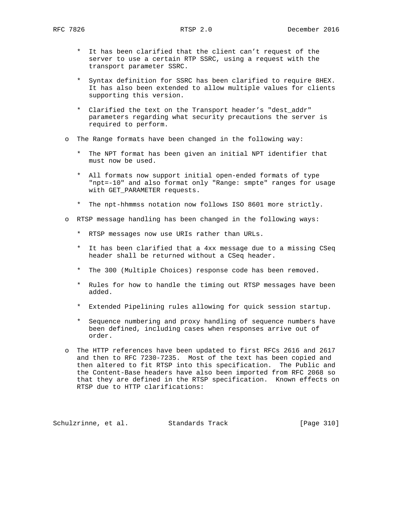- \* It has been clarified that the client can't request of the server to use a certain RTP SSRC, using a request with the transport parameter SSRC.
- \* Syntax definition for SSRC has been clarified to require 8HEX. It has also been extended to allow multiple values for clients supporting this version.
- \* Clarified the text on the Transport header's "dest\_addr" parameters regarding what security precautions the server is required to perform.
- o The Range formats have been changed in the following way:
	- \* The NPT format has been given an initial NPT identifier that must now be used.
	- \* All formats now support initial open-ended formats of type "npt=-10" and also format only "Range: smpte" ranges for usage with GET\_PARAMETER requests.
	- \* The npt-hhmmss notation now follows ISO 8601 more strictly.
- o RTSP message handling has been changed in the following ways:
	- \* RTSP messages now use URIs rather than URLs.
	- \* It has been clarified that a 4xx message due to a missing CSeq header shall be returned without a CSeq header.
	- \* The 300 (Multiple Choices) response code has been removed.
	- \* Rules for how to handle the timing out RTSP messages have been added.
	- \* Extended Pipelining rules allowing for quick session startup.
	- \* Sequence numbering and proxy handling of sequence numbers have been defined, including cases when responses arrive out of order.
- o The HTTP references have been updated to first RFCs 2616 and 2617 and then to RFC 7230-7235. Most of the text has been copied and then altered to fit RTSP into this specification. The Public and the Content-Base headers have also been imported from RFC 2068 so that they are defined in the RTSP specification. Known effects on RTSP due to HTTP clarifications:

Schulzrinne, et al. Standards Track [Page 310]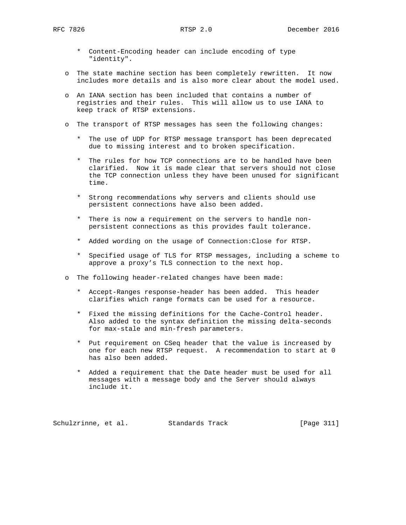- \* Content-Encoding header can include encoding of type "identity".
- o The state machine section has been completely rewritten. It now includes more details and is also more clear about the model used.
- o An IANA section has been included that contains a number of registries and their rules. This will allow us to use IANA to keep track of RTSP extensions.
- o The transport of RTSP messages has seen the following changes:
	- \* The use of UDP for RTSP message transport has been deprecated due to missing interest and to broken specification.
	- \* The rules for how TCP connections are to be handled have been clarified. Now it is made clear that servers should not close the TCP connection unless they have been unused for significant time.
	- \* Strong recommendations why servers and clients should use persistent connections have also been added.
	- \* There is now a requirement on the servers to handle non persistent connections as this provides fault tolerance.
	- \* Added wording on the usage of Connection:Close for RTSP.
	- \* Specified usage of TLS for RTSP messages, including a scheme to approve a proxy's TLS connection to the next hop.
- o The following header-related changes have been made:
	- \* Accept-Ranges response-header has been added. This header clarifies which range formats can be used for a resource.
	- \* Fixed the missing definitions for the Cache-Control header. Also added to the syntax definition the missing delta-seconds for max-stale and min-fresh parameters.
	- \* Put requirement on CSeq header that the value is increased by one for each new RTSP request. A recommendation to start at 0 has also been added.
	- \* Added a requirement that the Date header must be used for all messages with a message body and the Server should always include it.

Schulzrinne, et al. Standards Track [Page 311]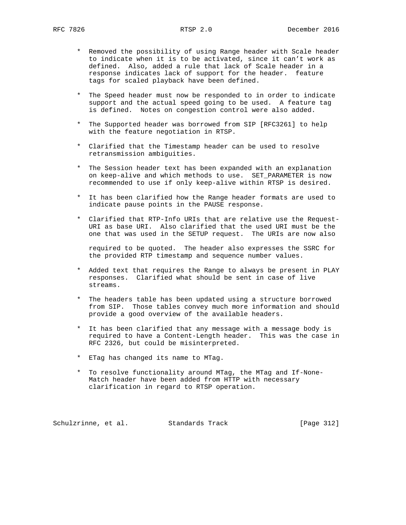- \* Removed the possibility of using Range header with Scale header to indicate when it is to be activated, since it can't work as defined. Also, added a rule that lack of Scale header in a response indicates lack of support for the header. feature tags for scaled playback have been defined.
- \* The Speed header must now be responded to in order to indicate support and the actual speed going to be used. A feature tag is defined. Notes on congestion control were also added.
- \* The Supported header was borrowed from SIP [RFC3261] to help with the feature negotiation in RTSP.
- \* Clarified that the Timestamp header can be used to resolve retransmission ambiguities.
- \* The Session header text has been expanded with an explanation on keep-alive and which methods to use. SET\_PARAMETER is now recommended to use if only keep-alive within RTSP is desired.
- \* It has been clarified how the Range header formats are used to indicate pause points in the PAUSE response.
- \* Clarified that RTP-Info URIs that are relative use the Request- URI as base URI. Also clarified that the used URI must be the one that was used in the SETUP request. The URIs are now also

 required to be quoted. The header also expresses the SSRC for the provided RTP timestamp and sequence number values.

- \* Added text that requires the Range to always be present in PLAY responses. Clarified what should be sent in case of live streams.
- \* The headers table has been updated using a structure borrowed from SIP. Those tables convey much more information and should provide a good overview of the available headers.
- \* It has been clarified that any message with a message body is required to have a Content-Length header. This was the case in RFC 2326, but could be misinterpreted.
- \* ETag has changed its name to MTag.
- \* To resolve functionality around MTag, the MTag and If-None- Match header have been added from HTTP with necessary clarification in regard to RTSP operation.

Schulzrinne, et al. Standards Track [Page 312]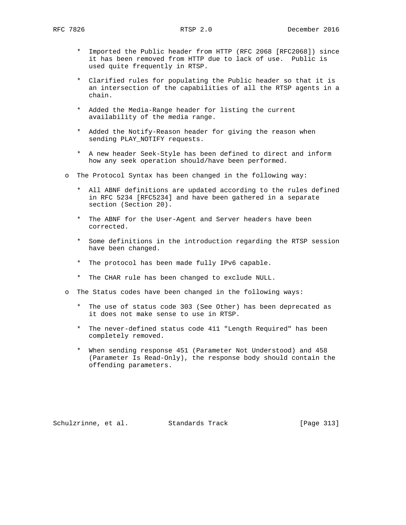- \* Imported the Public header from HTTP (RFC 2068 [RFC2068]) since it has been removed from HTTP due to lack of use. Public is used quite frequently in RTSP.
- \* Clarified rules for populating the Public header so that it is an intersection of the capabilities of all the RTSP agents in a chain.
- \* Added the Media-Range header for listing the current availability of the media range.
- \* Added the Notify-Reason header for giving the reason when sending PLAY\_NOTIFY requests.
- \* A new header Seek-Style has been defined to direct and inform how any seek operation should/have been performed.
- o The Protocol Syntax has been changed in the following way:
	- \* All ABNF definitions are updated according to the rules defined in RFC 5234 [RFC5234] and have been gathered in a separate section (Section 20).
	- \* The ABNF for the User-Agent and Server headers have been corrected.
	- \* Some definitions in the introduction regarding the RTSP session have been changed.
	- \* The protocol has been made fully IPv6 capable.
	- \* The CHAR rule has been changed to exclude NULL.
- o The Status codes have been changed in the following ways:
	- \* The use of status code 303 (See Other) has been deprecated as it does not make sense to use in RTSP.
	- \* The never-defined status code 411 "Length Required" has been completely removed.
	- \* When sending response 451 (Parameter Not Understood) and 458 (Parameter Is Read-Only), the response body should contain the offending parameters.

Schulzrinne, et al. Standards Track [Page 313]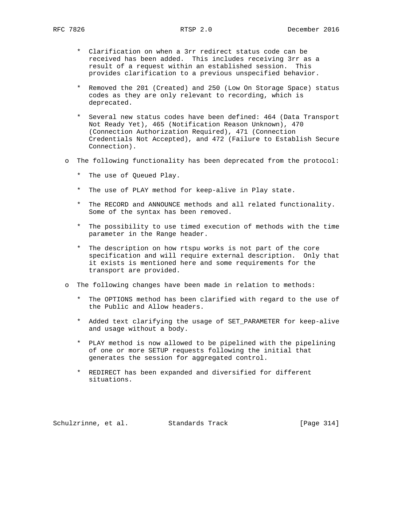- \* Clarification on when a 3rr redirect status code can be received has been added. This includes receiving 3rr as a result of a request within an established session. This provides clarification to a previous unspecified behavior.
- \* Removed the 201 (Created) and 250 (Low On Storage Space) status codes as they are only relevant to recording, which is deprecated.
- \* Several new status codes have been defined: 464 (Data Transport Not Ready Yet), 465 (Notification Reason Unknown), 470 (Connection Authorization Required), 471 (Connection Credentials Not Accepted), and 472 (Failure to Establish Secure Connection).
- o The following functionality has been deprecated from the protocol:
	- \* The use of Queued Play.
	- \* The use of PLAY method for keep-alive in Play state.
	- \* The RECORD and ANNOUNCE methods and all related functionality. Some of the syntax has been removed.
	- \* The possibility to use timed execution of methods with the time parameter in the Range header.
	- \* The description on how rtspu works is not part of the core specification and will require external description. Only that it exists is mentioned here and some requirements for the transport are provided.
- o The following changes have been made in relation to methods:
	- \* The OPTIONS method has been clarified with regard to the use of the Public and Allow headers.
	- \* Added text clarifying the usage of SET\_PARAMETER for keep-alive and usage without a body.
	- \* PLAY method is now allowed to be pipelined with the pipelining of one or more SETUP requests following the initial that generates the session for aggregated control.
	- \* REDIRECT has been expanded and diversified for different situations.

Schulzrinne, et al. Standards Track [Page 314]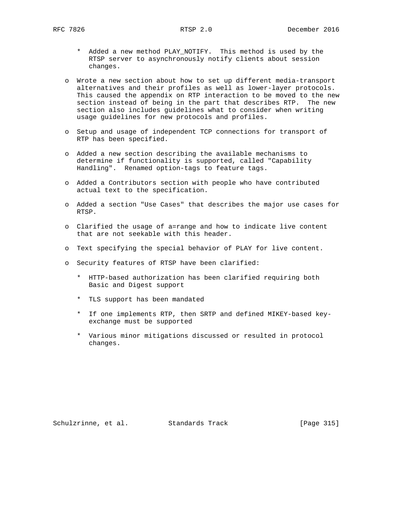- \* Added a new method PLAY\_NOTIFY. This method is used by the RTSP server to asynchronously notify clients about session changes.
- o Wrote a new section about how to set up different media-transport alternatives and their profiles as well as lower-layer protocols. This caused the appendix on RTP interaction to be moved to the new section instead of being in the part that describes RTP. The new section also includes guidelines what to consider when writing usage guidelines for new protocols and profiles.
- o Setup and usage of independent TCP connections for transport of RTP has been specified.
- o Added a new section describing the available mechanisms to determine if functionality is supported, called "Capability Handling". Renamed option-tags to feature tags.
- o Added a Contributors section with people who have contributed actual text to the specification.
- o Added a section "Use Cases" that describes the major use cases for RTSP.
- o Clarified the usage of a=range and how to indicate live content that are not seekable with this header.
- o Text specifying the special behavior of PLAY for live content.
- o Security features of RTSP have been clarified:
	- \* HTTP-based authorization has been clarified requiring both Basic and Digest support
	- \* TLS support has been mandated
	- \* If one implements RTP, then SRTP and defined MIKEY-based key exchange must be supported
	- \* Various minor mitigations discussed or resulted in protocol changes.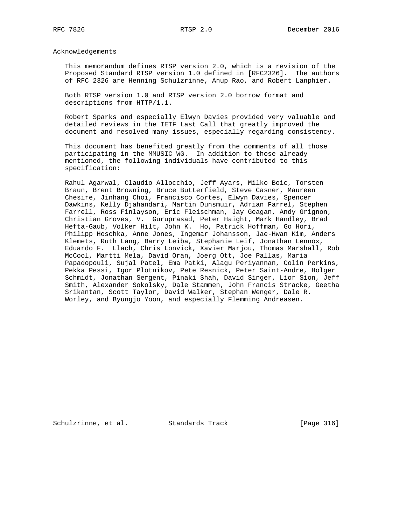Acknowledgements

 This memorandum defines RTSP version 2.0, which is a revision of the Proposed Standard RTSP version 1.0 defined in [RFC2326]. The authors of RFC 2326 are Henning Schulzrinne, Anup Rao, and Robert Lanphier.

 Both RTSP version 1.0 and RTSP version 2.0 borrow format and descriptions from HTTP/1.1.

 Robert Sparks and especially Elwyn Davies provided very valuable and detailed reviews in the IETF Last Call that greatly improved the document and resolved many issues, especially regarding consistency.

 This document has benefited greatly from the comments of all those participating in the MMUSIC WG. In addition to those already mentioned, the following individuals have contributed to this specification:

 Rahul Agarwal, Claudio Allocchio, Jeff Ayars, Milko Boic, Torsten Braun, Brent Browning, Bruce Butterfield, Steve Casner, Maureen Chesire, Jinhang Choi, Francisco Cortes, Elwyn Davies, Spencer Dawkins, Kelly Djahandari, Martin Dunsmuir, Adrian Farrel, Stephen Farrell, Ross Finlayson, Eric Fleischman, Jay Geagan, Andy Grignon, Christian Groves, V. Guruprasad, Peter Haight, Mark Handley, Brad Hefta-Gaub, Volker Hilt, John K. Ho, Patrick Hoffman, Go Hori, Philipp Hoschka, Anne Jones, Ingemar Johansson, Jae-Hwan Kim, Anders Klemets, Ruth Lang, Barry Leiba, Stephanie Leif, Jonathan Lennox, Eduardo F. Llach, Chris Lonvick, Xavier Marjou, Thomas Marshall, Rob McCool, Martti Mela, David Oran, Joerg Ott, Joe Pallas, Maria Papadopouli, Sujal Patel, Ema Patki, Alagu Periyannan, Colin Perkins, Pekka Pessi, Igor Plotnikov, Pete Resnick, Peter Saint-Andre, Holger Schmidt, Jonathan Sergent, Pinaki Shah, David Singer, Lior Sion, Jeff Smith, Alexander Sokolsky, Dale Stammen, John Francis Stracke, Geetha Srikantan, Scott Taylor, David Walker, Stephan Wenger, Dale R. Worley, and Byungjo Yoon, and especially Flemming Andreasen.

Schulzrinne, et al. Standards Track [Page 316]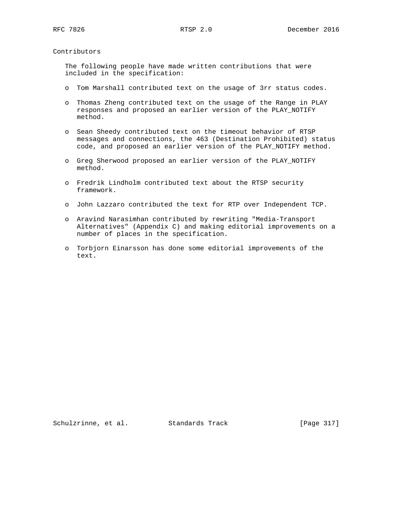Contributors

 The following people have made written contributions that were included in the specification:

- o Tom Marshall contributed text on the usage of 3rr status codes.
- o Thomas Zheng contributed text on the usage of the Range in PLAY responses and proposed an earlier version of the PLAY\_NOTIFY method.
- o Sean Sheedy contributed text on the timeout behavior of RTSP messages and connections, the 463 (Destination Prohibited) status code, and proposed an earlier version of the PLAY\_NOTIFY method.
- o Greg Sherwood proposed an earlier version of the PLAY\_NOTIFY method.
- o Fredrik Lindholm contributed text about the RTSP security framework.
- o John Lazzaro contributed the text for RTP over Independent TCP.
- o Aravind Narasimhan contributed by rewriting "Media-Transport Alternatives" (Appendix C) and making editorial improvements on a number of places in the specification.
- o Torbjorn Einarsson has done some editorial improvements of the text.